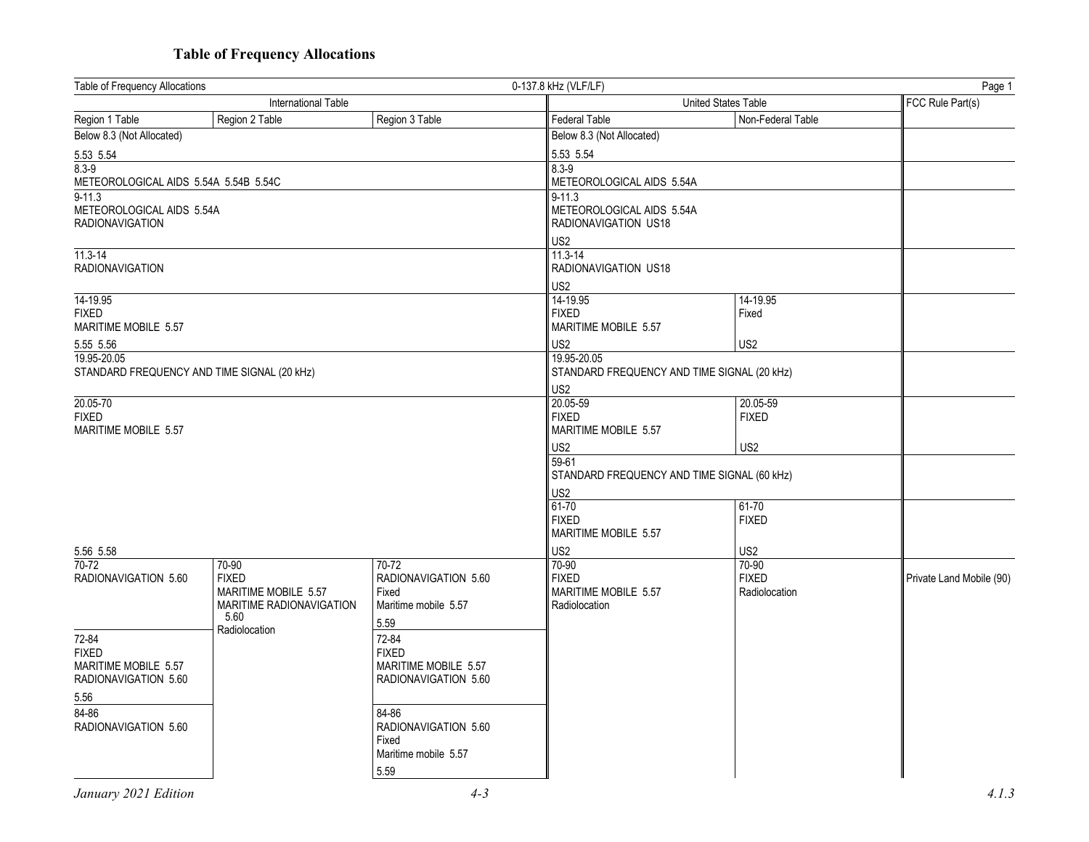## **Table of Frequency Allocations**

| Table of Frequency Allocations<br>0-137.8 kHz (VLF/LF)                            |                                             | Page 1                        |                          |  |
|-----------------------------------------------------------------------------------|---------------------------------------------|-------------------------------|--------------------------|--|
| International Table                                                               |                                             | United States Table           |                          |  |
| Region 3 Table<br>Region 1 Table<br>Region 2 Table                                | <b>Federal Table</b>                        | Non-Federal Table             |                          |  |
| Below 8.3 (Not Allocated)                                                         | Below 8.3 (Not Allocated)                   |                               |                          |  |
| 5.53 5.54                                                                         | 5.53 5.54                                   |                               |                          |  |
| $8.3 - 9$                                                                         | $8.3 - 9$                                   |                               |                          |  |
| METEOROLOGICAL AIDS 5.54A 5.54B 5.54C                                             | METEOROLOGICAL AIDS 5.54A                   |                               |                          |  |
| $9 - 11.3$                                                                        | $9 - 11.3$                                  |                               |                          |  |
| METEOROLOGICAL AIDS 5.54A                                                         | METEOROLOGICAL AIDS 5.54A                   |                               |                          |  |
| <b>RADIONAVIGATION</b>                                                            | RADIONAVIGATION US18                        |                               |                          |  |
|                                                                                   | US2                                         |                               |                          |  |
| $11.3 - 14$                                                                       | 11.3-14                                     |                               |                          |  |
| <b>RADIONAVIGATION</b>                                                            | RADIONAVIGATION US18                        |                               |                          |  |
|                                                                                   | US <sub>2</sub>                             |                               |                          |  |
| 14-19.95<br><b>FIXED</b>                                                          | 14-19.95<br><b>FIXED</b>                    | 14-19.95<br>Fixed             |                          |  |
| MARITIME MOBILE 5.57                                                              | MARITIME MOBILE 5.57                        |                               |                          |  |
|                                                                                   |                                             |                               |                          |  |
| 5.55 5.56<br>19.95-20.05                                                          | US <sub>2</sub><br>19.95-20.05              | US <sub>2</sub>               |                          |  |
| STANDARD FREQUENCY AND TIME SIGNAL (20 kHz)                                       | STANDARD FREQUENCY AND TIME SIGNAL (20 kHz) |                               |                          |  |
|                                                                                   | US2                                         |                               |                          |  |
| 20.05-70                                                                          | 20.05-59                                    | 20.05-59                      |                          |  |
| <b>FIXED</b>                                                                      | <b>FIXED</b>                                | <b>FIXED</b>                  |                          |  |
| MARITIME MOBILE 5.57                                                              | MARITIME MOBILE 5.57                        |                               |                          |  |
|                                                                                   | US2                                         | US2                           |                          |  |
|                                                                                   | 59-61                                       |                               |                          |  |
|                                                                                   | STANDARD FREQUENCY AND TIME SIGNAL (60 kHz) |                               |                          |  |
|                                                                                   | US <sub>2</sub>                             |                               |                          |  |
|                                                                                   | 61-70                                       | 61-70                         |                          |  |
|                                                                                   | <b>FIXED</b>                                | <b>FIXED</b>                  |                          |  |
|                                                                                   | MARITIME MOBILE 5.57                        |                               |                          |  |
| 5.56 5.58                                                                         | US <sub>2</sub>                             | US <sub>2</sub>               |                          |  |
| 70-72<br>70-90<br>70-72                                                           | 70-90                                       | 70-90                         |                          |  |
| <b>FIXED</b><br>RADIONAVIGATION 5.60<br>RADIONAVIGATION 5.60                      | <b>FIXED</b>                                | <b>FIXED</b><br>Radiolocation | Private Land Mobile (90) |  |
| MARITIME MOBILE 5.57<br>Fixed<br>MARITIME RADIONAVIGATION<br>Maritime mobile 5.57 | MARITIME MOBILE 5.57<br>Radiolocation       |                               |                          |  |
| 5.60                                                                              |                                             |                               |                          |  |
| 5.59<br>Radiolocation<br>72-84<br>72-84                                           |                                             |                               |                          |  |
| <b>FIXED</b><br><b>FIXED</b>                                                      |                                             |                               |                          |  |
| MARITIME MOBILE 5.57<br>MARITIME MOBILE 5.57                                      |                                             |                               |                          |  |
| RADIONAVIGATION 5.60<br>RADIONAVIGATION 5.60                                      |                                             |                               |                          |  |
| 5.56                                                                              |                                             |                               |                          |  |
| 84-86<br>84-86                                                                    |                                             |                               |                          |  |
| RADIONAVIGATION 5.60<br>RADIONAVIGATION 5.60                                      |                                             |                               |                          |  |
| Fixed                                                                             |                                             |                               |                          |  |
| Maritime mobile 5.57                                                              |                                             |                               |                          |  |
| 5.59                                                                              |                                             |                               |                          |  |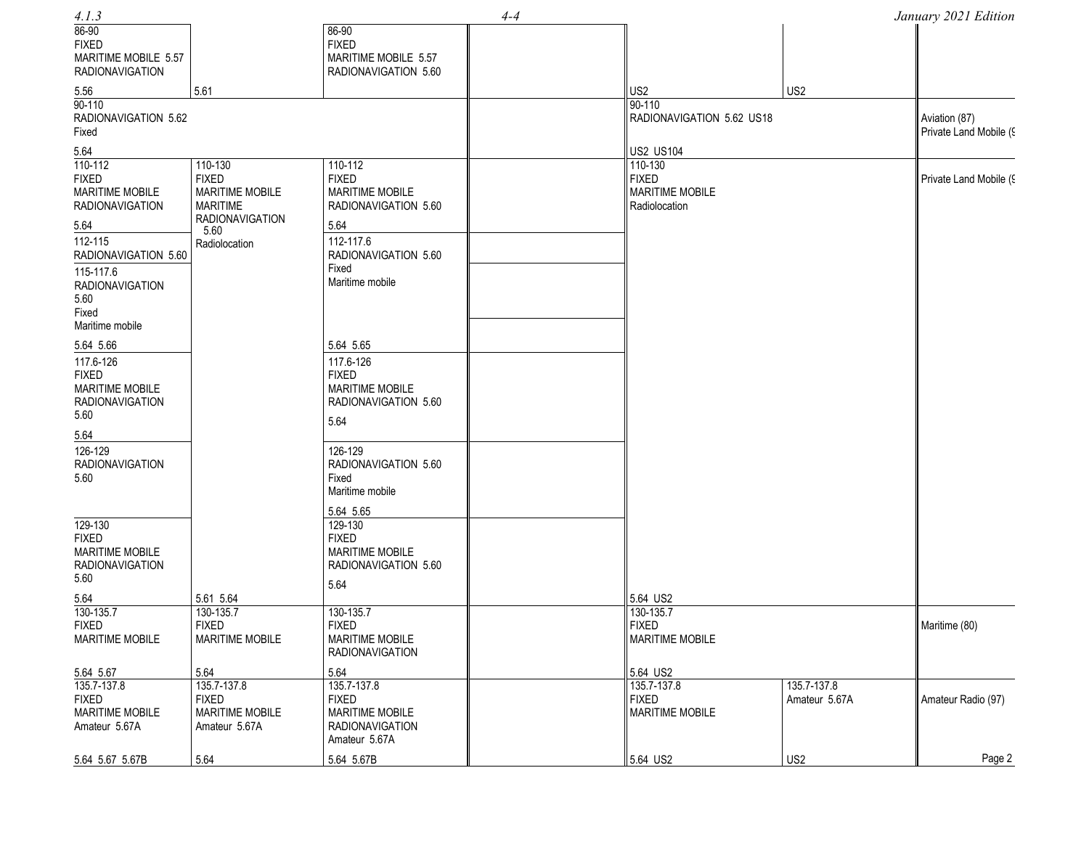| 4.1.3                  |                                |                        | $4 - 4$ |                           |                 | January 2021 Edition   |
|------------------------|--------------------------------|------------------------|---------|---------------------------|-----------------|------------------------|
| 86-90                  |                                | 86-90                  |         |                           |                 |                        |
| <b>FIXED</b>           |                                | <b>FIXED</b>           |         |                           |                 |                        |
| MARITIME MOBILE 5.57   |                                | MARITIME MOBILE 5.57   |         |                           |                 |                        |
| <b>RADIONAVIGATION</b> |                                | RADIONAVIGATION 5.60   |         |                           |                 |                        |
| 5.56                   | 5.61                           |                        |         | US <sub>2</sub>           | US <sub>2</sub> |                        |
| $90 - 110$             |                                |                        |         | 90-110                    |                 |                        |
| RADIONAVIGATION 5.62   |                                |                        |         | RADIONAVIGATION 5.62 US18 |                 | Aviation (87)          |
| Fixed                  |                                |                        |         |                           |                 | Private Land Mobile (9 |
| 5.64                   |                                |                        |         | <b>US2 US104</b>          |                 |                        |
| 110-112                | 110-130                        | 110-112                |         | 110-130                   |                 |                        |
| <b>FIXED</b>           | <b>FIXED</b>                   | <b>FIXED</b>           |         | <b>FIXED</b>              |                 | Private Land Mobile (9 |
| MARITIME MOBILE        | MARITIME MOBILE                | <b>MARITIME MOBILE</b> |         | <b>MARITIME MOBILE</b>    |                 |                        |
| <b>RADIONAVIGATION</b> | <b>MARITIME</b>                | RADIONAVIGATION 5.60   |         | Radiolocation             |                 |                        |
| 5.64                   | <b>RADIONAVIGATION</b><br>5.60 | 5.64                   |         |                           |                 |                        |
| 112-115                | Radiolocation                  | 112-117.6              |         |                           |                 |                        |
| RADIONAVIGATION 5.60   |                                | RADIONAVIGATION 5.60   |         |                           |                 |                        |
| 115-117.6              |                                | Fixed                  |         |                           |                 |                        |
| <b>RADIONAVIGATION</b> |                                | Maritime mobile        |         |                           |                 |                        |
| 5.60                   |                                |                        |         |                           |                 |                        |
| Fixed                  |                                |                        |         |                           |                 |                        |
| Maritime mobile        |                                |                        |         |                           |                 |                        |
| 5.64 5.66              |                                | 5.64 5.65              |         |                           |                 |                        |
| 117.6-126              |                                | 117.6-126              |         |                           |                 |                        |
| <b>FIXED</b>           |                                | <b>FIXED</b>           |         |                           |                 |                        |
| <b>MARITIME MOBILE</b> |                                | <b>MARITIME MOBILE</b> |         |                           |                 |                        |
| <b>RADIONAVIGATION</b> |                                | RADIONAVIGATION 5.60   |         |                           |                 |                        |
| 5.60                   |                                | 5.64                   |         |                           |                 |                        |
| 5.64                   |                                |                        |         |                           |                 |                        |
| 126-129                |                                | 126-129                |         |                           |                 |                        |
| <b>RADIONAVIGATION</b> |                                | RADIONAVIGATION 5.60   |         |                           |                 |                        |
| 5.60                   |                                | Fixed                  |         |                           |                 |                        |
|                        |                                | Maritime mobile        |         |                           |                 |                        |
|                        |                                | 5.64 5.65              |         |                           |                 |                        |
| 129-130                |                                | 129-130                |         |                           |                 |                        |
| <b>FIXED</b>           |                                | <b>FIXED</b>           |         |                           |                 |                        |
| <b>MARITIME MOBILE</b> |                                | <b>MARITIME MOBILE</b> |         |                           |                 |                        |
| <b>RADIONAVIGATION</b> |                                | RADIONAVIGATION 5.60   |         |                           |                 |                        |
| 5.60                   |                                | 5.64                   |         |                           |                 |                        |
| 5.64                   | 5.61 5.64                      |                        |         | 5.64 US2                  |                 |                        |
| 130-135.7              | 130-135.7                      | 130-135.7              |         | 130-135.7                 |                 |                        |
| <b>FIXED</b>           | <b>FIXED</b>                   | <b>FIXED</b>           |         | <b>FIXED</b>              |                 | Maritime (80)          |
| MARITIME MOBILE        | MARITIME MOBILE                | <b>MARITIME MOBILE</b> |         | <b>MARITIME MOBILE</b>    |                 |                        |
|                        |                                | <b>RADIONAVIGATION</b> |         |                           |                 |                        |
| 5.64 5.67              | 5.64                           | 5.64                   |         | 5.64 US2                  |                 |                        |
| 135.7-137.8            | 135.7-137.8                    | 135.7-137.8            |         | 135.7-137.8               | 135.7-137.8     |                        |
| <b>FIXED</b>           | <b>FIXED</b>                   | <b>FIXED</b>           |         | <b>FIXED</b>              | Amateur 5.67A   | Amateur Radio (97)     |
| MARITIME MOBILE        | MARITIME MOBILE                | MARITIME MOBILE        |         | <b>MARITIME MOBILE</b>    |                 |                        |
| Amateur 5.67A          | Amateur 5.67A                  | <b>RADIONAVIGATION</b> |         |                           |                 |                        |
|                        |                                | Amateur 5.67A          |         |                           |                 |                        |
| 5.64 5.67 5.67B        | 5.64                           | 5.64 5.67B             |         | 5.64 US2                  | US <sub>2</sub> | Page 2                 |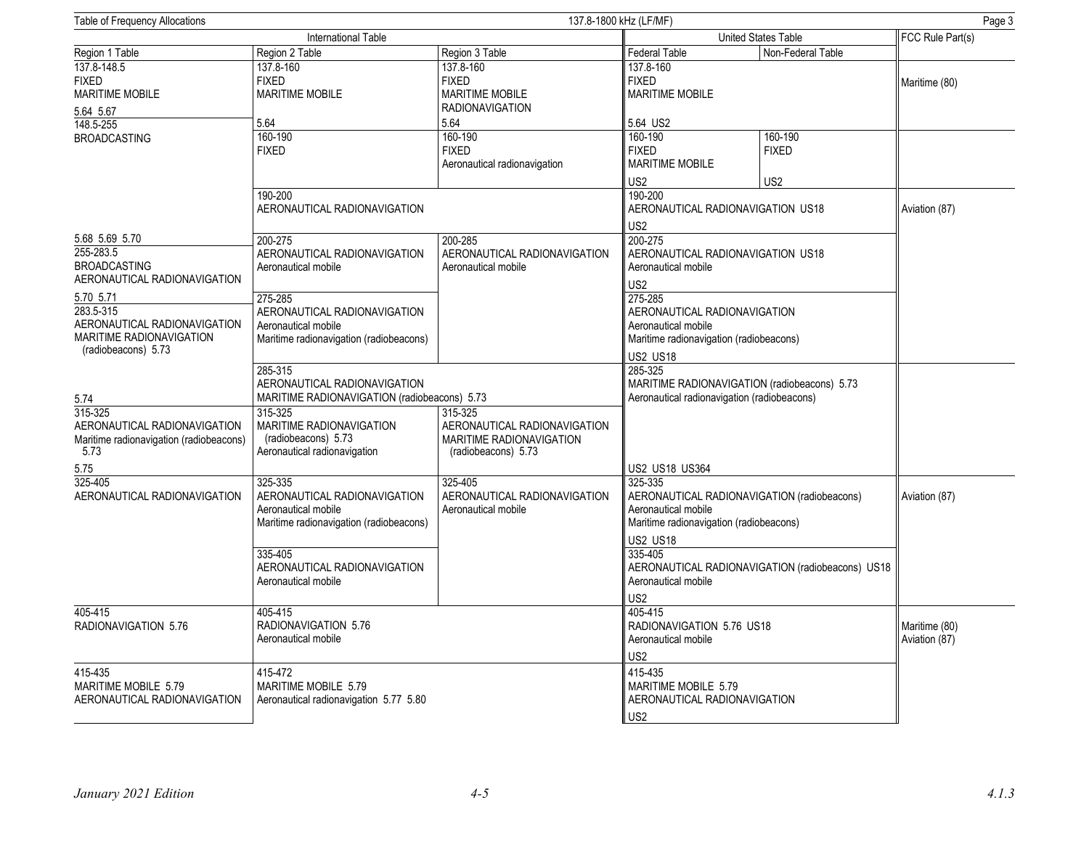| Table of Frequency Allocations                  |                                              | 137.8-1800 kHz (LF/MF)<br>Page 3 |                                             |                                                  |                  |
|-------------------------------------------------|----------------------------------------------|----------------------------------|---------------------------------------------|--------------------------------------------------|------------------|
|                                                 | International Table                          |                                  | United States Table                         |                                                  | FCC Rule Part(s) |
| Region 1 Table                                  | Region 2 Table                               | Region 3 Table                   | Federal Table                               | Non-Federal Table                                |                  |
| 137.8-148.5                                     | 137.8-160                                    | 137.8-160                        | 137.8-160                                   |                                                  |                  |
| <b>FIXED</b>                                    | <b>FIXED</b>                                 | <b>FIXED</b>                     | <b>FIXED</b>                                |                                                  | Maritime (80)    |
| <b>MARITIME MOBILE</b>                          | <b>MARITIME MOBILE</b>                       | <b>MARITIME MOBILE</b>           | <b>MARITIME MOBILE</b>                      |                                                  |                  |
| 5.64 5.67                                       |                                              | <b>RADIONAVIGATION</b>           |                                             |                                                  |                  |
| 148.5-255                                       | 5.64                                         | 5.64                             | 5.64 US2                                    |                                                  |                  |
| <b>BROADCASTING</b>                             | 160-190                                      | 160-190                          | 160-190                                     | 160-190                                          |                  |
|                                                 | <b>FIXED</b>                                 | <b>FIXED</b>                     | <b>FIXED</b>                                | <b>FIXED</b>                                     |                  |
|                                                 |                                              | Aeronautical radionavigation     | <b>MARITIME MOBILE</b>                      |                                                  |                  |
|                                                 |                                              |                                  | US2                                         | US <sub>2</sub>                                  |                  |
|                                                 | 190-200                                      |                                  | 190-200                                     |                                                  |                  |
|                                                 | AERONAUTICAL RADIONAVIGATION                 |                                  | AERONAUTICAL RADIONAVIGATION US18           |                                                  | Aviation (87)    |
|                                                 |                                              |                                  | US2                                         |                                                  |                  |
| 5.68 5.69 5.70                                  | 200-275                                      | 200-285                          | 200-275                                     |                                                  |                  |
| 255-283.5                                       | AERONAUTICAL RADIONAVIGATION                 | AERONAUTICAL RADIONAVIGATION     | AERONAUTICAL RADIONAVIGATION US18           |                                                  |                  |
| <b>BROADCASTING</b>                             | Aeronautical mobile                          | Aeronautical mobile              | Aeronautical mobile                         |                                                  |                  |
| AERONAUTICAL RADIONAVIGATION                    |                                              |                                  | US <sub>2</sub>                             |                                                  |                  |
| 5.70 5.71                                       | 275-285                                      |                                  | 275-285                                     |                                                  |                  |
| 283.5-315                                       | AERONAUTICAL RADIONAVIGATION                 |                                  | AERONAUTICAL RADIONAVIGATION                |                                                  |                  |
| AERONAUTICAL RADIONAVIGATION                    | Aeronautical mobile                          |                                  | Aeronautical mobile                         |                                                  |                  |
| MARITIME RADIONAVIGATION<br>(radiobeacons) 5.73 | Maritime radionavigation (radiobeacons)      |                                  | Maritime radionavigation (radiobeacons)     |                                                  |                  |
|                                                 |                                              |                                  | <b>US2 US18</b>                             |                                                  |                  |
|                                                 | 285-315                                      |                                  | 285-325                                     |                                                  |                  |
|                                                 | AERONAUTICAL RADIONAVIGATION                 |                                  |                                             | MARITIME RADIONAVIGATION (radiobeacons) 5.73     |                  |
| 5.74                                            | MARITIME RADIONAVIGATION (radiobeacons) 5.73 | 315-325                          | Aeronautical radionavigation (radiobeacons) |                                                  |                  |
| 315-325<br>AERONAUTICAL RADIONAVIGATION         | 315-325<br><b>MARITIME RADIONAVIGATION</b>   | AERONAUTICAL RADIONAVIGATION     |                                             |                                                  |                  |
| Maritime radionavigation (radiobeacons)         | (radiobeacons) 5.73                          | MARITIME RADIONAVIGATION         |                                             |                                                  |                  |
| 5.73                                            | Aeronautical radionavigation                 | (radiobeacons) 5.73              |                                             |                                                  |                  |
| 5.75                                            |                                              |                                  | US2 US18 US364                              |                                                  |                  |
| 325-405                                         | 325-335                                      | 325-405                          | 325-335                                     |                                                  |                  |
| AERONAUTICAL RADIONAVIGATION                    | AERONAUTICAL RADIONAVIGATION                 | AERONAUTICAL RADIONAVIGATION     |                                             | AERONAUTICAL RADIONAVIGATION (radiobeacons)      | Aviation (87)    |
|                                                 | Aeronautical mobile                          | Aeronautical mobile              | Aeronautical mobile                         |                                                  |                  |
|                                                 | Maritime radionavigation (radiobeacons)      |                                  | Maritime radionavigation (radiobeacons)     |                                                  |                  |
|                                                 |                                              |                                  | <b>US2 US18</b>                             |                                                  |                  |
|                                                 | 335-405                                      |                                  | 335-405                                     |                                                  |                  |
|                                                 | AERONAUTICAL RADIONAVIGATION                 |                                  |                                             | AERONAUTICAL RADIONAVIGATION (radiobeacons) US18 |                  |
|                                                 | Aeronautical mobile                          |                                  | Aeronautical mobile                         |                                                  |                  |
|                                                 |                                              |                                  | US <sub>2</sub>                             |                                                  |                  |
| 405-415                                         | 405-415                                      |                                  | 405-415                                     |                                                  |                  |
| RADIONAVIGATION 5.76                            | RADIONAVIGATION 5.76                         |                                  | RADIONAVIGATION 5.76 US18                   |                                                  | Maritime (80)    |
|                                                 | Aeronautical mobile                          |                                  | Aeronautical mobile                         |                                                  | Aviation (87)    |
|                                                 |                                              |                                  | US2                                         |                                                  |                  |
| 415-435                                         | 415-472                                      |                                  | 415-435                                     |                                                  |                  |
| MARITIME MOBILE 5.79                            | MARITIME MOBILE 5.79                         |                                  | MARITIME MOBILE 5.79                        |                                                  |                  |
| AERONAUTICAL RADIONAVIGATION                    | Aeronautical radionavigation 5.77 5.80       |                                  | AERONAUTICAL RADIONAVIGATION                |                                                  |                  |
|                                                 |                                              |                                  | US <sub>2</sub>                             |                                                  |                  |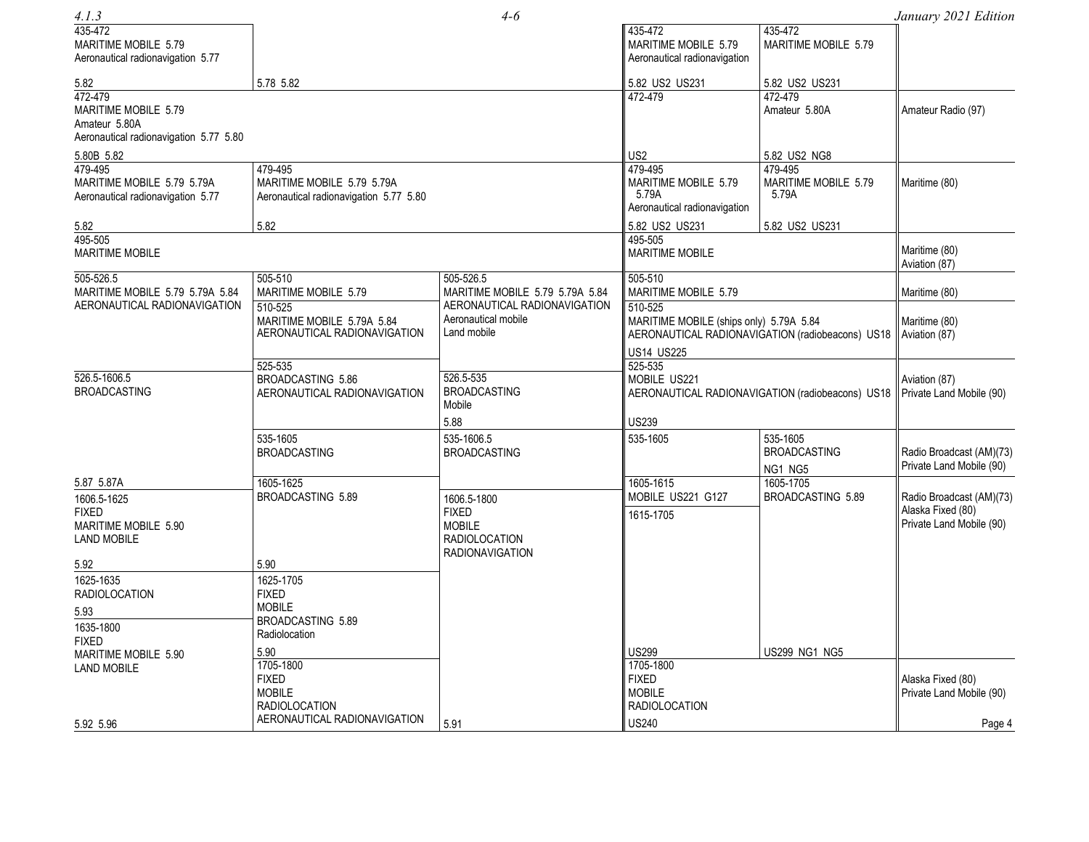| 4.1.3                                                                                      |                                                                                                            | $4 - 6$                                                                                        |                                                                                                        |                                                                             | January 2021 Edition                                                      |
|--------------------------------------------------------------------------------------------|------------------------------------------------------------------------------------------------------------|------------------------------------------------------------------------------------------------|--------------------------------------------------------------------------------------------------------|-----------------------------------------------------------------------------|---------------------------------------------------------------------------|
| 435-472<br>MARITIME MOBILE 5.79<br>Aeronautical radionavigation 5.77                       |                                                                                                            |                                                                                                | 435-472<br>MARITIME MOBILE 5.79<br>Aeronautical radionavigation                                        | 435-472<br>MARITIME MOBILE 5.79                                             |                                                                           |
| 5.82                                                                                       | 5.78 5.82                                                                                                  |                                                                                                | 5.82 US2 US231                                                                                         | 5.82 US2 US231                                                              |                                                                           |
| 472-479<br>MARITIME MOBILE 5.79<br>Amateur 5.80A<br>Aeronautical radionavigation 5.77 5.80 |                                                                                                            |                                                                                                | 472-479                                                                                                | 472-479<br>Amateur 5.80A                                                    | Amateur Radio (97)                                                        |
| 5.80B 5.82                                                                                 |                                                                                                            |                                                                                                | US <sub>2</sub>                                                                                        | 5.82 US2 NG8                                                                |                                                                           |
| 479-495<br>MARITIME MOBILE 5.79 5.79A<br>Aeronautical radionavigation 5.77                 | 479-495<br>MARITIME MOBILE 5.79 5.79A<br>Aeronautical radionavigation 5.77 5.80                            |                                                                                                | 479-495<br>MARITIME MOBILE 5.79<br>5.79A<br>Aeronautical radionavigation                               | 479-495<br>MARITIME MOBILE 5.79<br>5.79A                                    | Maritime (80)                                                             |
| 5.82<br>495-505                                                                            | 5.82                                                                                                       |                                                                                                | 5.82 US2 US231<br>495-505                                                                              | 5.82 US2 US231                                                              |                                                                           |
| <b>MARITIME MOBILE</b>                                                                     |                                                                                                            |                                                                                                | <b>MARITIME MOBILE</b>                                                                                 |                                                                             | Maritime (80)<br>Aviation (87)                                            |
| $505 - 526.5$<br>MARITIME MOBILE 5.79 5.79A 5.84<br>AERONAUTICAL RADIONAVIGATION           | 505-510<br>MARITIME MOBILE 5.79                                                                            | 505-526.5<br>MARITIME MOBILE 5.79 5.79A 5.84<br>AERONAUTICAL RADIONAVIGATION                   | 505-510<br>MARITIME MOBILE 5.79                                                                        |                                                                             | Maritime (80)                                                             |
|                                                                                            | 510-525<br>MARITIME MOBILE 5.79A 5.84<br>AERONAUTICAL RADIONAVIGATION                                      | Aeronautical mobile<br>Land mobile                                                             | 510-525<br>MARITIME MOBILE (ships only) 5.79A 5.84<br>AERONAUTICAL RADIONAVIGATION (radiobeacons) US18 |                                                                             | Maritime (80)<br>Aviation (87)                                            |
|                                                                                            | 525-535                                                                                                    |                                                                                                | <b>US14 US225</b><br>525-535                                                                           |                                                                             |                                                                           |
| 526.5-1606.5<br><b>BROADCASTING</b>                                                        | BROADCASTING 5.86<br>AERONAUTICAL RADIONAVIGATION                                                          | 526.5-535<br><b>BROADCASTING</b><br>Mobile                                                     | MOBILE US221                                                                                           | AERONAUTICAL RADIONAVIGATION (radiobeacons) US18   Private Land Mobile (90) | Aviation (87)                                                             |
|                                                                                            |                                                                                                            | 5.88                                                                                           | <b>US239</b>                                                                                           |                                                                             |                                                                           |
|                                                                                            | 535-1605<br><b>BROADCASTING</b>                                                                            | 535-1606.5<br><b>BROADCASTING</b>                                                              | 535-1605                                                                                               | 535-1605<br><b>BROADCASTING</b><br>NG1 NG5                                  | Radio Broadcast (AM)(73)<br>Private Land Mobile (90)                      |
| 5.87 5.87A                                                                                 | 1605-1625                                                                                                  |                                                                                                | 1605-1615                                                                                              | 1605-1705                                                                   |                                                                           |
| 1606.5-1625<br><b>FIXED</b><br>MARITIME MOBILE 5.90<br><b>LAND MOBILE</b>                  | BROADCASTING 5.89                                                                                          | 1606.5-1800<br><b>FIXED</b><br><b>MOBILE</b><br><b>RADIOLOCATION</b><br><b>RADIONAVIGATION</b> | MOBILE US221 G127<br>1615-1705                                                                         | BROADCASTING 5.89                                                           | Radio Broadcast (AM)(73)<br>Alaska Fixed (80)<br>Private Land Mobile (90) |
| 5.92                                                                                       | 5.90                                                                                                       |                                                                                                |                                                                                                        |                                                                             |                                                                           |
| 1625-1635<br><b>RADIOLOCATION</b><br>5.93<br>1635-1800<br><b>FIXED</b>                     | 1625-1705<br><b>FIXED</b><br><b>MOBILE</b><br>BROADCASTING 5.89<br>Radiolocation                           |                                                                                                |                                                                                                        |                                                                             |                                                                           |
| MARITIME MOBILE 5.90<br><b>LAND MOBILE</b><br>5.92 5.96                                    | 5.90<br>1705-1800<br><b>FIXED</b><br><b>MOBILE</b><br><b>RADIOLOCATION</b><br>AERONAUTICAL RADIONAVIGATION | 5.91                                                                                           | <b>US299</b><br>1705-1800<br><b>FIXED</b><br><b>MOBILE</b><br><b>RADIOLOCATION</b><br><b>US240</b>     | <b>US299 NG1 NG5</b>                                                        | Alaska Fixed (80)<br>Private Land Mobile (90)<br>Page 4                   |
|                                                                                            |                                                                                                            |                                                                                                |                                                                                                        |                                                                             |                                                                           |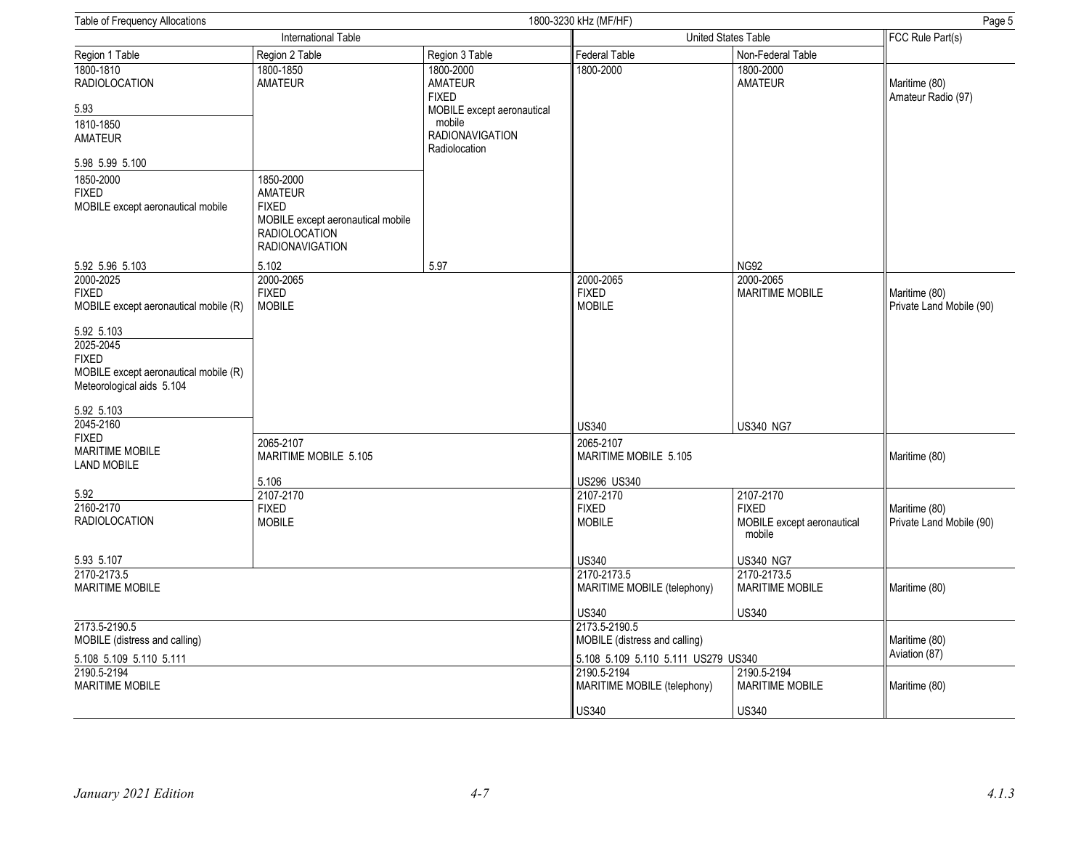| Table of Frequency Allocations                                                                                                                                                      |                                                                                                                                    |                                                                                 | 1800-3230 kHz (MF/HF)<br>Page 5                                                                       |                                                                           |                                           |  |
|-------------------------------------------------------------------------------------------------------------------------------------------------------------------------------------|------------------------------------------------------------------------------------------------------------------------------------|---------------------------------------------------------------------------------|-------------------------------------------------------------------------------------------------------|---------------------------------------------------------------------------|-------------------------------------------|--|
|                                                                                                                                                                                     | International Table                                                                                                                |                                                                                 |                                                                                                       | United States Table                                                       |                                           |  |
| Region 1 Table                                                                                                                                                                      | Region 2 Table                                                                                                                     | Region 3 Table                                                                  | <b>Federal Table</b>                                                                                  | Non-Federal Table                                                         |                                           |  |
| 1800-1810<br><b>RADIOLOCATION</b>                                                                                                                                                   | 1800-1850<br><b>AMATEUR</b>                                                                                                        | 1800-2000<br><b>AMATEUR</b><br><b>FIXED</b>                                     | 1800-2000                                                                                             | 1800-2000<br><b>AMATEUR</b>                                               | Maritime (80)<br>Amateur Radio (97)       |  |
| 5.93<br>1810-1850<br><b>AMATEUR</b>                                                                                                                                                 |                                                                                                                                    | MOBILE except aeronautical<br>mobile<br><b>RADIONAVIGATION</b><br>Radiolocation |                                                                                                       |                                                                           |                                           |  |
| 5.98 5.99 5.100<br>1850-2000<br><b>FIXED</b><br>MOBILE except aeronautical mobile                                                                                                   | 1850-2000<br><b>AMATEUR</b><br><b>FIXED</b><br>MOBILE except aeronautical mobile<br><b>RADIOLOCATION</b><br><b>RADIONAVIGATION</b> |                                                                                 |                                                                                                       |                                                                           |                                           |  |
| 5.92 5.96 5.103                                                                                                                                                                     | 5.102                                                                                                                              | 5.97                                                                            |                                                                                                       | <b>NG92</b>                                                               |                                           |  |
| 2000-2025<br><b>FIXED</b><br>MOBILE except aeronautical mobile (R)<br>5.92 5.103<br>2025-2045<br><b>FIXED</b><br>MOBILE except aeronautical mobile (R)<br>Meteorological aids 5.104 | 2000-2065<br><b>FIXED</b><br><b>MOBILE</b>                                                                                         |                                                                                 | 2000-2065<br><b>FIXED</b><br><b>MOBILE</b>                                                            | 2000-2065<br><b>MARITIME MOBILE</b>                                       | Maritime (80)<br>Private Land Mobile (90) |  |
| 5.92 5.103<br>2045-2160                                                                                                                                                             |                                                                                                                                    |                                                                                 | <b>US340</b>                                                                                          | <b>US340 NG7</b>                                                          |                                           |  |
| <b>FIXED</b><br><b>MARITIME MOBILE</b><br><b>LAND MOBILE</b>                                                                                                                        | 2065-2107<br>MARITIME MOBILE 5.105                                                                                                 |                                                                                 | 2065-2107<br>MARITIME MOBILE 5.105                                                                    |                                                                           | Maritime (80)                             |  |
| 5.92<br>2160-2170<br><b>RADIOLOCATION</b>                                                                                                                                           | 5.106<br>2107-2170<br><b>FIXED</b><br><b>MOBILE</b>                                                                                |                                                                                 | US296 US340<br>2107-2170<br><b>FIXED</b><br><b>MOBILE</b>                                             | 2107-2170<br><b>FIXED</b><br>MOBILE except aeronautical<br>mobile         | Maritime (80)<br>Private Land Mobile (90) |  |
| 5.93 5.107<br>2170-2173.5<br><b>MARITIME MOBILE</b>                                                                                                                                 |                                                                                                                                    |                                                                                 | <b>US340</b><br>2170-2173.5<br>MARITIME MOBILE (telephony)                                            | <b>US340 NG7</b><br>2170-2173.5<br><b>MARITIME MOBILE</b><br><b>US340</b> | Maritime (80)                             |  |
| 2173.5-2190.5<br>MOBILE (distress and calling)<br>5.108 5.109 5.110 5.111                                                                                                           |                                                                                                                                    |                                                                                 | <b>US340</b><br>2173.5-2190.5<br>MOBILE (distress and calling)<br>5.108 5.109 5.110 5.111 US279 US340 |                                                                           | Maritime (80)<br>Aviation (87)            |  |
| 2190.5-2194<br>MARITIME MOBILE                                                                                                                                                      |                                                                                                                                    |                                                                                 | 2190.5-2194<br>MARITIME MOBILE (telephony)<br><b>US340</b>                                            | 2190.5-2194<br><b>MARITIME MOBILE</b><br><b>US340</b>                     | Maritime (80)                             |  |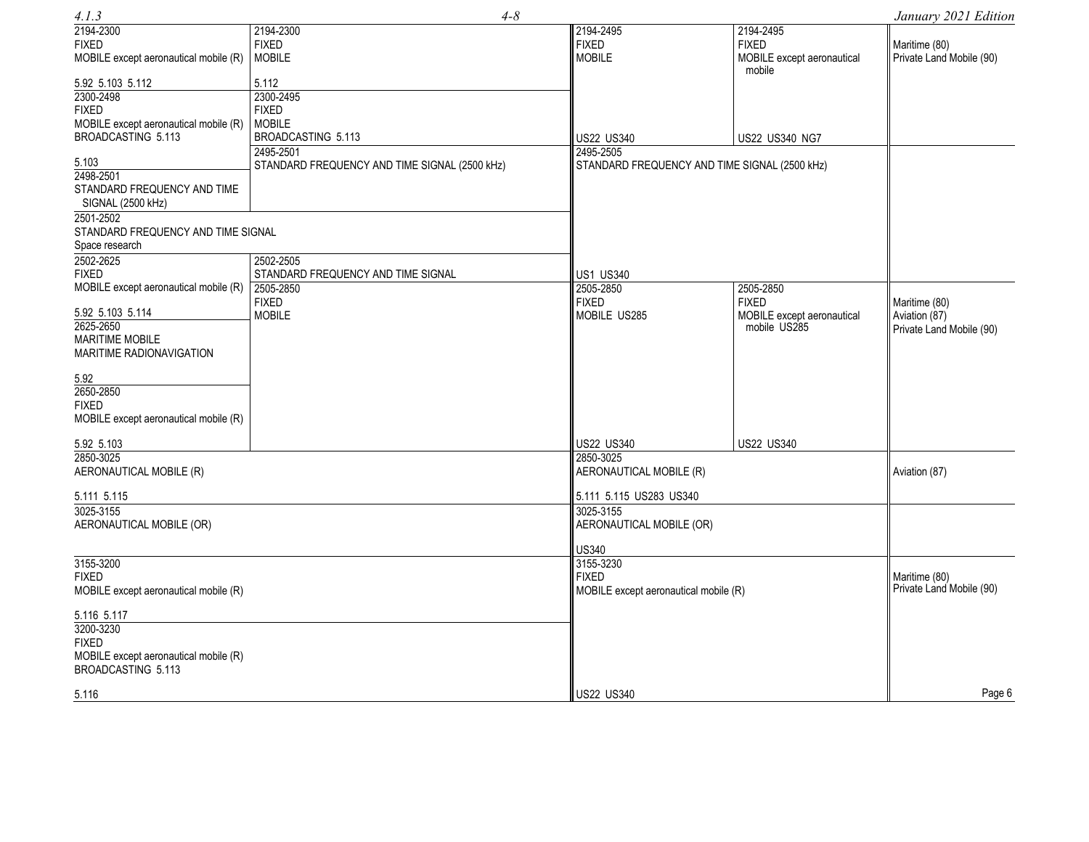| 4.1.3                                            | $4 - 8$                                       |                                               |                                      | January 2021 Edition     |
|--------------------------------------------------|-----------------------------------------------|-----------------------------------------------|--------------------------------------|--------------------------|
| 2194-2300                                        | 2194-2300                                     | 2194-2495                                     | 2194-2495                            |                          |
| <b>FIXED</b>                                     | <b>FIXED</b>                                  | <b>FIXED</b>                                  | <b>FIXED</b>                         | Maritime (80)            |
| MOBILE except aeronautical mobile (R)            | <b>MOBILE</b>                                 | <b>MOBILE</b>                                 | MOBILE except aeronautical<br>mobile | Private Land Mobile (90) |
| 5.92 5.103 5.112                                 | 5.112                                         |                                               |                                      |                          |
| 2300-2498                                        | 2300-2495                                     |                                               |                                      |                          |
| <b>FIXED</b>                                     | <b>FIXED</b>                                  |                                               |                                      |                          |
| MOBILE except aeronautical mobile (R)            | <b>MOBILE</b>                                 |                                               |                                      |                          |
| BROADCASTING 5.113                               | BROADCASTING 5.113                            | <b>US22 US340</b>                             | US22 US340 NG7                       |                          |
|                                                  | 2495-2501                                     | 2495-2505                                     |                                      |                          |
| 5.103<br>2498-2501                               | STANDARD FREQUENCY AND TIME SIGNAL (2500 kHz) | STANDARD FREQUENCY AND TIME SIGNAL (2500 kHz) |                                      |                          |
| STANDARD FREQUENCY AND TIME<br>SIGNAL (2500 kHz) |                                               |                                               |                                      |                          |
| 2501-2502                                        |                                               |                                               |                                      |                          |
| STANDARD FREQUENCY AND TIME SIGNAL               |                                               |                                               |                                      |                          |
| Space research                                   |                                               |                                               |                                      |                          |
| 2502-2625                                        | 2502-2505                                     |                                               |                                      |                          |
| <b>FIXED</b>                                     | STANDARD FREQUENCY AND TIME SIGNAL            | <b>US1 US340</b>                              |                                      |                          |
| MOBILE except aeronautical mobile (R)            | 2505-2850                                     | 2505-2850                                     | 2505-2850                            |                          |
|                                                  | <b>FIXED</b>                                  | <b>FIXED</b>                                  | <b>FIXED</b>                         | Maritime (80)            |
| 5.92 5.103 5.114                                 | <b>MOBILE</b>                                 | MOBILE US285                                  | MOBILE except aeronautical           | Aviation (87)            |
| 2625-2650                                        |                                               |                                               | mobile US285                         | Private Land Mobile (90) |
| <b>MARITIME MOBILE</b>                           |                                               |                                               |                                      |                          |
| MARITIME RADIONAVIGATION                         |                                               |                                               |                                      |                          |
| 5.92                                             |                                               |                                               |                                      |                          |
| 2650-2850                                        |                                               |                                               |                                      |                          |
| <b>FIXED</b>                                     |                                               |                                               |                                      |                          |
| MOBILE except aeronautical mobile (R)            |                                               |                                               |                                      |                          |
|                                                  |                                               |                                               |                                      |                          |
| 5.92 5.103                                       |                                               | US22 US340                                    | <b>US22 US340</b>                    |                          |
| 2850-3025                                        |                                               | 2850-3025                                     |                                      |                          |
| AERONAUTICAL MOBILE (R)                          |                                               | AERONAUTICAL MOBILE (R)                       |                                      | Aviation (87)            |
| 5.111 5.115                                      |                                               | 5.111 5.115 US283 US340                       |                                      |                          |
| 3025-3155                                        |                                               | 3025-3155                                     |                                      |                          |
| AERONAUTICAL MOBILE (OR)                         |                                               | AERONAUTICAL MOBILE (OR)                      |                                      |                          |
|                                                  |                                               | <b>US340</b>                                  |                                      |                          |
| 3155-3200                                        |                                               | 3155-3230                                     |                                      |                          |
| <b>FIXED</b>                                     |                                               | <b>FIXED</b>                                  |                                      | Maritime (80)            |
| MOBILE except aeronautical mobile (R)            |                                               | MOBILE except aeronautical mobile (R)         |                                      | Private Land Mobile (90) |
| 5.116 5.117                                      |                                               |                                               |                                      |                          |
| 3200-3230                                        |                                               |                                               |                                      |                          |
| <b>FIXED</b>                                     |                                               |                                               |                                      |                          |
| MOBILE except aeronautical mobile (R)            |                                               |                                               |                                      |                          |
| BROADCASTING 5.113                               |                                               |                                               |                                      |                          |
| 5.116                                            |                                               | <b>US22 US340</b>                             |                                      | Page 6                   |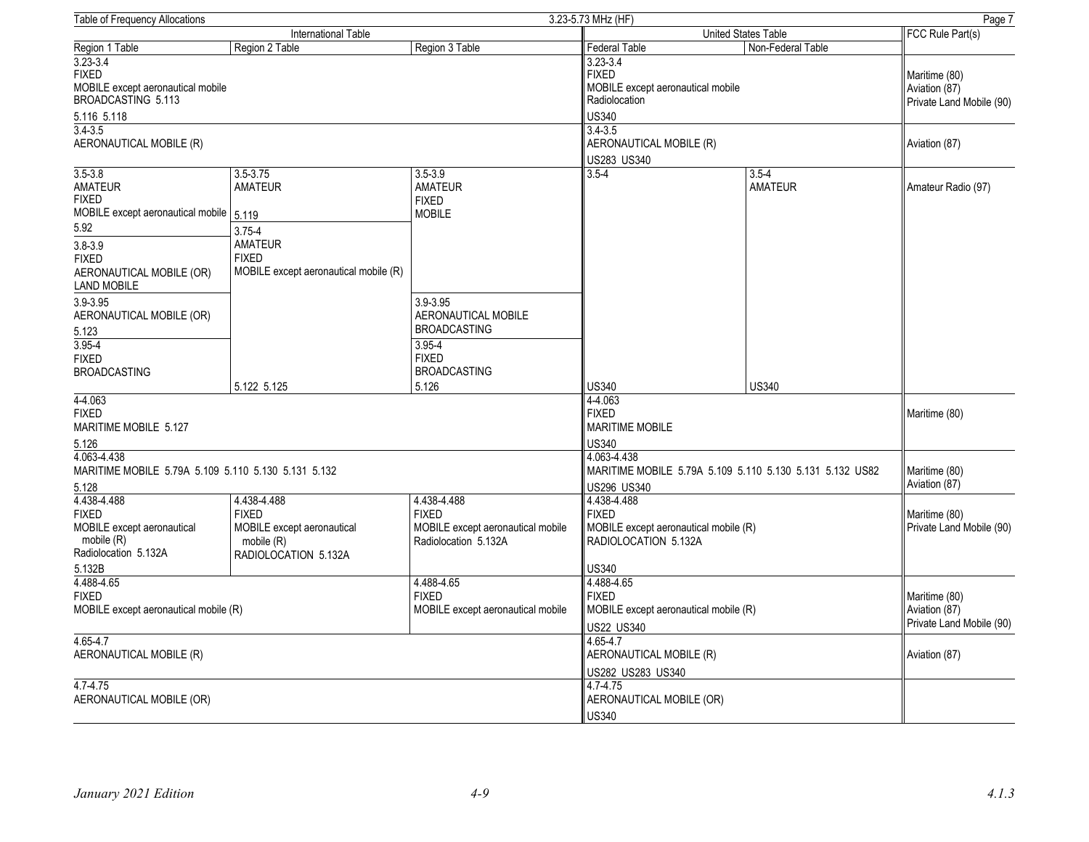| 3.23-5.73 MHz (HF)<br><b>Table of Frequency Allocations</b>                                |                                                                                  |                                                                                    |                                                                                        |                                                            |                                           |
|--------------------------------------------------------------------------------------------|----------------------------------------------------------------------------------|------------------------------------------------------------------------------------|----------------------------------------------------------------------------------------|------------------------------------------------------------|-------------------------------------------|
|                                                                                            | <b>International Table</b>                                                       |                                                                                    | United States Table                                                                    |                                                            | FCC Rule Part(s)                          |
| Region 1 Table                                                                             | Region 2 Table                                                                   | Region 3 Table                                                                     | Federal Table                                                                          | Non-Federal Table                                          |                                           |
| $3.23 - 3.4$<br><b>FIXED</b><br>MOBILE except aeronautical mobile<br>BROADCASTING 5.113    |                                                                                  | $3.23 - 3.4$<br><b>FIXED</b><br>MOBILE except aeronautical mobile<br>Radiolocation |                                                                                        | Maritime (80)<br>Aviation (87)<br>Private Land Mobile (90) |                                           |
| 5.116 5.118<br>$3.4 - 3.5$                                                                 |                                                                                  |                                                                                    | US340<br>$3.4 - 3.5$                                                                   |                                                            |                                           |
| AERONAUTICAL MOBILE (R)                                                                    |                                                                                  |                                                                                    | AERONAUTICAL MOBILE (R)                                                                |                                                            | Aviation (87)                             |
| $3.5 - 3.8$                                                                                | $3.5 - 3.75$                                                                     | $3.5 - 3.9$                                                                        | US283 US340<br>$3.5 - 4$                                                               | $3.5 - 4$                                                  |                                           |
| <b>AMATEUR</b><br><b>FIXED</b><br>MOBILE except aeronautical mobile   5.119                | <b>AMATEUR</b>                                                                   | <b>AMATEUR</b><br><b>FIXED</b><br><b>MOBILE</b>                                    |                                                                                        | <b>AMATEUR</b>                                             | Amateur Radio (97)                        |
| 5.92                                                                                       | $3.75 - 4$                                                                       |                                                                                    |                                                                                        |                                                            |                                           |
| $3.8 - 3.9$<br><b>FIXED</b><br>AERONAUTICAL MOBILE (OR)<br>LAND MOBILE                     | <b>AMATEUR</b><br><b>FIXED</b><br>MOBILE except aeronautical mobile (R)          |                                                                                    |                                                                                        |                                                            |                                           |
| 3.9-3.95<br>AERONAUTICAL MOBILE (OR)                                                       |                                                                                  | 3.9-3.95<br>AERONAUTICAL MOBILE                                                    |                                                                                        |                                                            |                                           |
| 5.123                                                                                      |                                                                                  | <b>BROADCASTING</b>                                                                |                                                                                        |                                                            |                                           |
| $3.95 - 4$<br><b>FIXED</b>                                                                 |                                                                                  | $3.95 - 4$<br><b>FIXED</b>                                                         |                                                                                        |                                                            |                                           |
| <b>BROADCASTING</b>                                                                        | 5.122 5.125                                                                      | <b>BROADCASTING</b><br>5.126                                                       | US340                                                                                  | <b>US340</b>                                               |                                           |
| 4-4.063<br><b>FIXED</b><br>MARITIME MOBILE 5.127<br>5.126                                  |                                                                                  |                                                                                    | 4-4.063<br><b>FIXED</b><br><b>MARITIME MOBILE</b><br>US340                             |                                                            | Maritime (80)                             |
| 4.063-4.438<br>MARITIME MOBILE 5.79A 5.109 5.110 5.130 5.131 5.132                         |                                                                                  |                                                                                    | 4.063-4.438<br>MARITIME MOBILE 5.79A 5.109 5.110 5.130 5.131 5.132 US82                |                                                            | Maritime (80)<br>Aviation (87)            |
| 5.128<br>4.438-4.488                                                                       | 4.438-4.488                                                                      | 4.438-4.488                                                                        | US296 US340<br>4.438-4.488                                                             |                                                            |                                           |
| <b>FIXED</b><br>MOBILE except aeronautical<br>mobile (R)<br>Radiolocation 5.132A<br>5.132B | <b>FIXED</b><br>MOBILE except aeronautical<br>mobile (R)<br>RADIOLOCATION 5.132A | <b>FIXED</b><br>MOBILE except aeronautical mobile<br>Radiolocation 5.132A          | <b>FIXED</b><br>MOBILE except aeronautical mobile (R)<br>RADIOLOCATION 5.132A<br>US340 |                                                            | Maritime (80)<br>Private Land Mobile (90) |
| 4.488-4.65<br><b>FIXED</b>                                                                 |                                                                                  | 4.488-4.65<br><b>FIXED</b>                                                         | 4.488-4.65<br><b>FIXED</b>                                                             |                                                            | Maritime (80)                             |
| MOBILE except aeronautical mobile (R)                                                      |                                                                                  | MOBILE except aeronautical mobile                                                  | MOBILE except aeronautical mobile (R)<br>US22 US340                                    |                                                            | Aviation (87)<br>Private Land Mobile (90) |
| 4.65-4.7<br>AERONAUTICAL MOBILE (R)                                                        |                                                                                  | 4.65-4.7<br>AERONAUTICAL MOBILE (R)<br>US282 US283 US340                           |                                                                                        | Aviation (87)                                              |                                           |
| 4.7-4.75<br>AERONAUTICAL MOBILE (OR)                                                       |                                                                                  | 4.7-4.75<br>AERONAUTICAL MOBILE (OR)<br><b>US340</b>                               |                                                                                        |                                                            |                                           |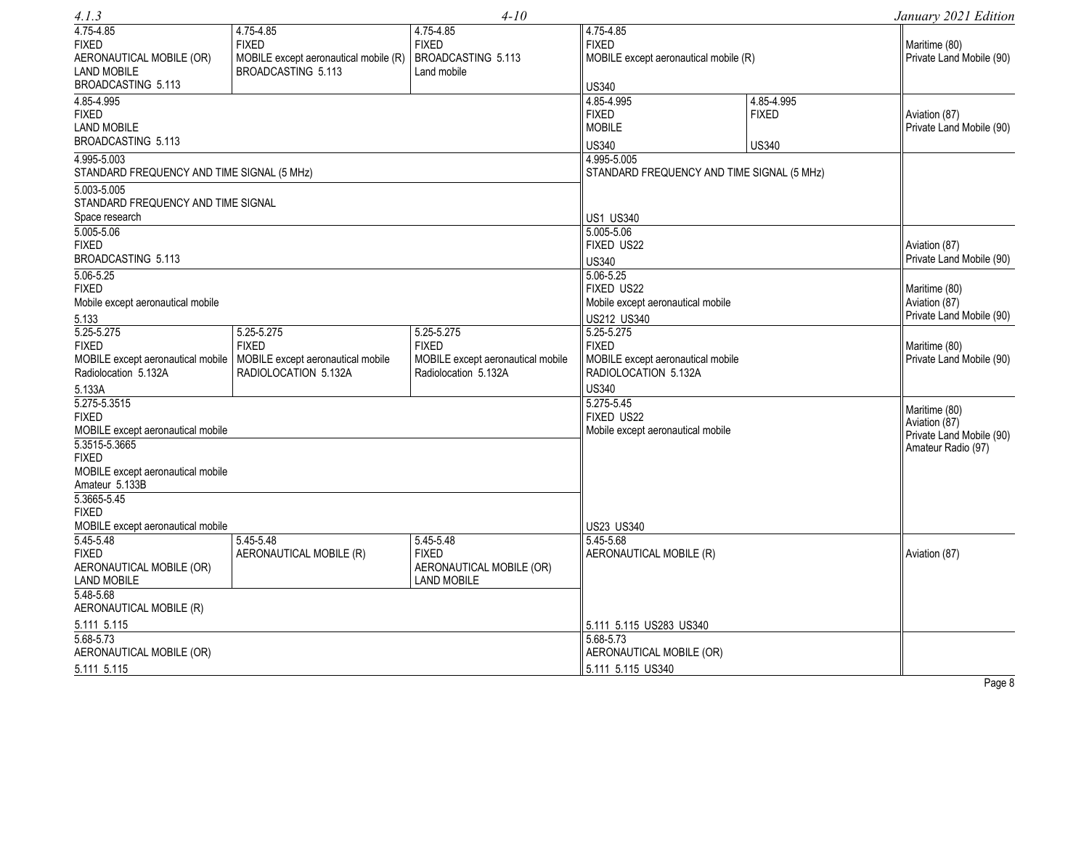| 4.1.3                                                                                        |                                                                                          | $4 - 10$                                                                                |                                                                                                         |                                            | January 2021 Edition                                       |
|----------------------------------------------------------------------------------------------|------------------------------------------------------------------------------------------|-----------------------------------------------------------------------------------------|---------------------------------------------------------------------------------------------------------|--------------------------------------------|------------------------------------------------------------|
| 4.75-4.85<br><b>FIXED</b><br>AERONAUTICAL MOBILE (OR)<br><b>LAND MOBILE</b>                  | 4.75-4.85<br><b>FIXED</b><br>MOBILE except aeronautical mobile (R)<br>BROADCASTING 5.113 | 4.75-4.85<br><b>FIXED</b><br>BROADCASTING 5.113<br>Land mobile                          | 4.75-4.85<br><b>FIXED</b><br>MOBILE except aeronautical mobile (R)                                      |                                            | Maritime (80)<br>Private Land Mobile (90)                  |
| BROADCASTING 5.113<br>4.85-4.995<br><b>FIXED</b><br><b>LAND MOBILE</b><br>BROADCASTING 5.113 |                                                                                          |                                                                                         | <b>US340</b><br>4.85-4.995<br><b>FIXED</b><br><b>MOBILE</b><br><b>US340</b>                             | 4.85-4.995<br><b>FIXED</b><br><b>US340</b> | Aviation (87)<br>Private Land Mobile (90)                  |
| 4.995-5.003<br>STANDARD FREQUENCY AND TIME SIGNAL (5 MHz)<br>5.003-5.005                     |                                                                                          |                                                                                         | 4.995-5.005<br>STANDARD FREQUENCY AND TIME SIGNAL (5 MHz)                                               |                                            |                                                            |
| STANDARD FREQUENCY AND TIME SIGNAL<br>Space research<br>5.005-5.06                           |                                                                                          |                                                                                         | <b>US1 US340</b><br>5.005-5.06                                                                          |                                            |                                                            |
| <b>FIXED</b><br>BROADCASTING 5.113<br>$5.06 - 5.25$                                          |                                                                                          |                                                                                         | FIXED US22<br><b>US340</b><br>5.06-5.25                                                                 |                                            | Aviation (87)<br>Private Land Mobile (90)                  |
| <b>FIXED</b><br>Mobile except aeronautical mobile<br>5.133                                   |                                                                                          |                                                                                         | FIXED US22<br>Mobile except aeronautical mobile<br>US212 US340                                          |                                            | Maritime (80)<br>Aviation (87)<br>Private Land Mobile (90) |
| 5.25-5.275<br><b>FIXED</b><br>MOBILE except aeronautical mobile<br>Radiolocation 5.132A      | 5.25-5.275<br><b>FIXED</b><br>MOBILE except aeronautical mobile<br>RADIOLOCATION 5.132A  | 5.25-5.275<br><b>FIXED</b><br>MOBILE except aeronautical mobile<br>Radiolocation 5.132A | 5.25-5.275<br><b>FIXED</b><br>MOBILE except aeronautical mobile<br>RADIOLOCATION 5.132A<br><b>US340</b> |                                            | Maritime (80)<br>Private Land Mobile (90)                  |
| 5.133A<br>5.275-5.3515<br><b>FIXED</b><br>MOBILE except aeronautical mobile<br>5.3515-5.3665 |                                                                                          |                                                                                         | 5.275-5.45<br>FIXED US22<br>Mobile except aeronautical mobile                                           |                                            | Maritime (80)<br>Aviation (87)<br>Private Land Mobile (90) |
| <b>FIXED</b><br>MOBILE except aeronautical mobile<br>Amateur 5.133B                          |                                                                                          |                                                                                         |                                                                                                         |                                            | Amateur Radio (97)                                         |
| 5.3665-5.45<br><b>FIXED</b><br>MOBILE except aeronautical mobile<br>$5.45 - 5.48$            | 5.45-5.48                                                                                | 5.45-5.48                                                                               | US23 US340<br>5.45-5.68                                                                                 |                                            |                                                            |
| <b>FIXED</b><br>AERONAUTICAL MOBILE (OR)<br><b>LAND MOBILE</b>                               | AERONAUTICAL MOBILE (R)                                                                  | <b>FIXED</b><br>AERONAUTICAL MOBILE (OR)<br><b>LAND MOBILE</b>                          | AERONAUTICAL MOBILE (R)                                                                                 |                                            | Aviation (87)                                              |
| 5.48-5.68<br>AERONAUTICAL MOBILE (R)<br>5.111 5.115<br>5.68-5.73                             |                                                                                          |                                                                                         | 5.111 5.115 US283 US340<br>5.68-5.73                                                                    |                                            |                                                            |
| AERONAUTICAL MOBILE (OR)<br>5.111 5.115                                                      |                                                                                          |                                                                                         | AERONAUTICAL MOBILE (OR)<br>5.111 5.115 US340                                                           |                                            | Page 8                                                     |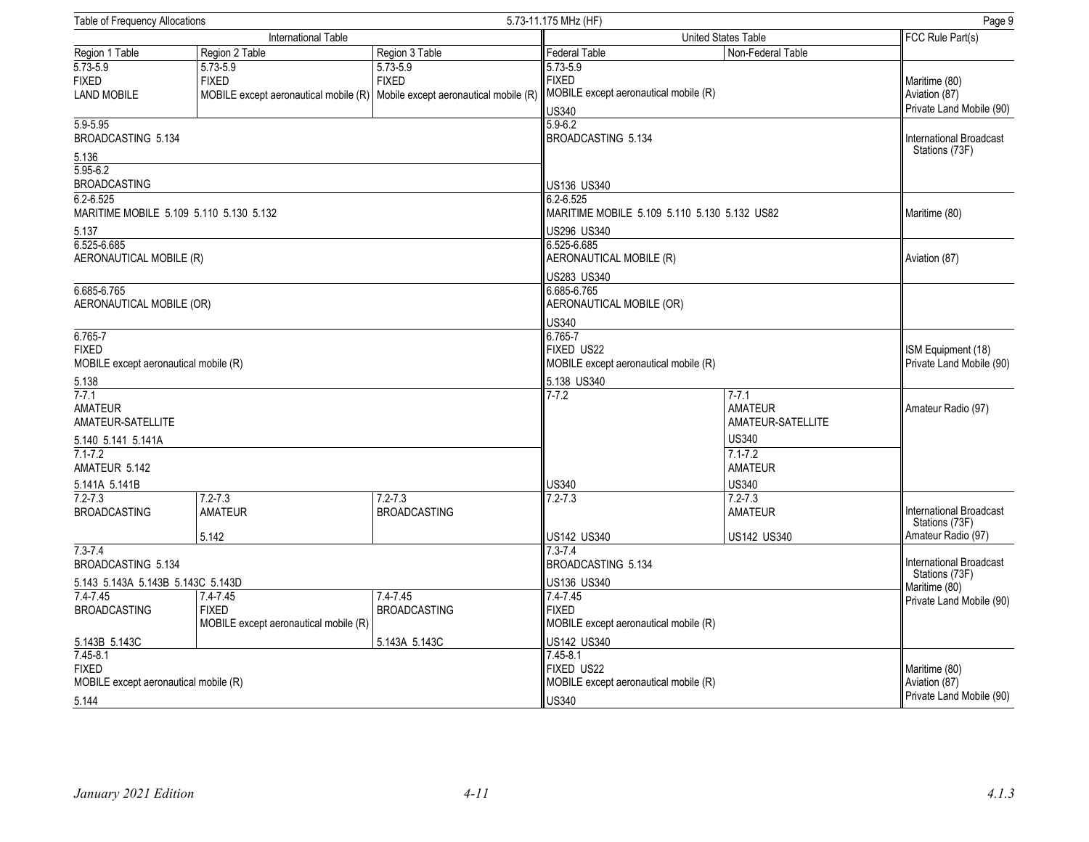| <b>Table of Frequency Allocations</b><br>5.73-11.175 MHz (HF)         |                                                                                                             |                                                                                               |                                                                                       |                                                |                                                            |  |
|-----------------------------------------------------------------------|-------------------------------------------------------------------------------------------------------------|-----------------------------------------------------------------------------------------------|---------------------------------------------------------------------------------------|------------------------------------------------|------------------------------------------------------------|--|
|                                                                       | <b>International Table</b>                                                                                  |                                                                                               | United States Table                                                                   |                                                | Page 9<br>FCC Rule Part(s)                                 |  |
| Region 1 Table                                                        | Region 2 Table                                                                                              | Region 3 Table                                                                                | <b>Federal Table</b>                                                                  | Non-Federal Table                              |                                                            |  |
| $5.73 - 5.9$<br><b>FIXED</b><br><b>LAND MOBILE</b>                    | $5.73 - 5.9$<br><b>FIXED</b><br>MOBILE except aeronautical mobile (R) Mobile except aeronautical mobile (R) | $5.73 - 5.9$<br><b>FIXED</b>                                                                  | $5.73 - 5.9$<br><b>FIXED</b><br>MOBILE except aeronautical mobile (R)<br><b>US340</b> |                                                | Maritime (80)<br>Aviation (87)<br>Private Land Mobile (90) |  |
| $5.9 - 5.95$<br>BROADCASTING 5.134                                    |                                                                                                             |                                                                                               | $5.9 - 6.2$<br><b>BROADCASTING 5.134</b>                                              |                                                | International Broadcast                                    |  |
| 5.136<br>5.95-6.2<br><b>BROADCASTING</b>                              |                                                                                                             |                                                                                               |                                                                                       |                                                | Stations (73F)                                             |  |
| $6.2 - 6.525$                                                         | MARITIME MOBILE 5.109 5.110 5.130 5.132                                                                     |                                                                                               | US136 US340<br>6.2-6.525<br>MARITIME MOBILE 5.109 5.110 5.130 5.132 US82              |                                                | Maritime (80)                                              |  |
| 5.137<br>6.525-6.685                                                  |                                                                                                             |                                                                                               | US296 US340<br>6.525-6.685                                                            |                                                |                                                            |  |
| AERONAUTICAL MOBILE (R)                                               |                                                                                                             |                                                                                               | AERONAUTICAL MOBILE (R)<br>US283 US340                                                |                                                | Aviation (87)                                              |  |
| 6.685-6.765<br>AERONAUTICAL MOBILE (OR)                               |                                                                                                             |                                                                                               | 6.685-6.765                                                                           | AERONAUTICAL MOBILE (OR)                       |                                                            |  |
| $6.765 - 7$<br><b>FIXED</b><br>MOBILE except aeronautical mobile (R)  |                                                                                                             | <b>US340</b><br>6.765-7<br>FIXED US22<br>MOBILE except aeronautical mobile (R)<br>5.138 US340 |                                                                                       | ISM Equipment (18)<br>Private Land Mobile (90) |                                                            |  |
| 5.138<br>$7 - 7.1$<br><b>AMATEUR</b><br>AMATEUR-SATELLITE             |                                                                                                             | $7 - 7.2$                                                                                     | $7 - 7.1$<br><b>AMATEUR</b><br>AMATEUR-SATELLITE<br><b>US340</b>                      | Amateur Radio (97)                             |                                                            |  |
| 5.140 5.141 5.141A<br>$7.1 - 7.2$<br>AMATEUR 5.142                    |                                                                                                             |                                                                                               |                                                                                       | $7.1 - 7.2$<br><b>AMATEUR</b>                  |                                                            |  |
| 5.141A 5.141B                                                         |                                                                                                             |                                                                                               | <b>US340</b>                                                                          | <b>US340</b>                                   |                                                            |  |
| $7.2 - 7.3$<br><b>BROADCASTING</b>                                    | $7.2 - 7.3$<br><b>AMATEUR</b>                                                                               | $7.2 - 7.3$<br><b>BROADCASTING</b>                                                            | $7.2 - 7.3$                                                                           | $7.2 - 7.3$<br><b>AMATEUR</b>                  | International Broadcast<br>Stations (73F)                  |  |
|                                                                       | 5.142                                                                                                       |                                                                                               | US142 US340                                                                           | US142 US340                                    | Amateur Radio (97)                                         |  |
| $7.3 - 7.4$<br>BROADCASTING 5.134                                     |                                                                                                             |                                                                                               | $7.3 - 7.4$<br><b>BROADCASTING 5.134</b>                                              |                                                | International Broadcast<br>Stations (73F)                  |  |
| 5.143 5.143A 5.143B 5.143C 5.143D                                     |                                                                                                             | US136 US340                                                                                   |                                                                                       | Maritime (80)                                  |                                                            |  |
| $7.4 - 7.45$<br><b>BROADCASTING</b>                                   | 7.4-7.45<br><b>FIXED</b><br>MOBILE except aeronautical mobile (R)                                           | $7.4 - 7.45$<br><b>BROADCASTING</b>                                                           | 7.4-7.45<br><b>FIXED</b><br>MOBILE except aeronautical mobile (R)                     |                                                | Private Land Mobile (90)                                   |  |
| 5.143B 5.143C                                                         |                                                                                                             | 5.143A 5.143C                                                                                 | US142 US340                                                                           |                                                |                                                            |  |
| $7.45 - 8.1$<br><b>FIXED</b><br>MOBILE except aeronautical mobile (R) |                                                                                                             |                                                                                               | $7.45 - 8.1$<br>FIXED US22<br>MOBILE except aeronautical mobile (R)                   |                                                | Maritime (80)<br>Aviation (87)                             |  |
| 5.144                                                                 |                                                                                                             |                                                                                               | <b>US340</b>                                                                          |                                                | Private Land Mobile (90)                                   |  |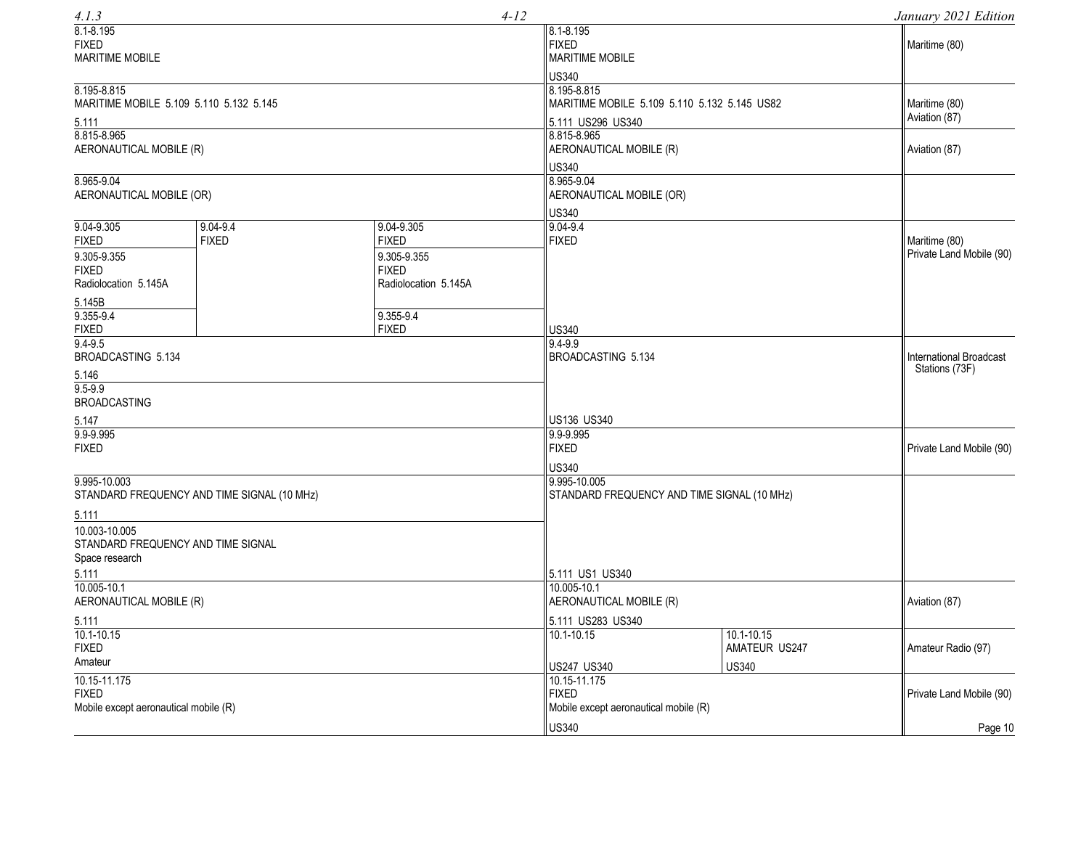| 4.1.3                                                                                           |                                             |                                                                                   | $4 - 12$                                                  |                                                                                                  |                                                 | January 2021 Edition                      |
|-------------------------------------------------------------------------------------------------|---------------------------------------------|-----------------------------------------------------------------------------------|-----------------------------------------------------------|--------------------------------------------------------------------------------------------------|-------------------------------------------------|-------------------------------------------|
| $8.1 - 8.195$<br><b>FIXED</b><br><b>MARITIME MOBILE</b>                                         |                                             |                                                                                   |                                                           | 8.1-8.195<br><b>FIXED</b><br><b>MARITIME MOBILE</b>                                              |                                                 | Maritime (80)                             |
| 8.195-8.815<br>MARITIME MOBILE 5.109 5.110 5.132 5.145<br>5.111                                 |                                             |                                                                                   |                                                           | <b>US340</b><br>8.195-8.815<br>MARITIME MOBILE 5.109 5.110 5.132 5.145 US82<br>5.111 US296 US340 |                                                 | Maritime (80)<br>Aviation (87)            |
| 8.815-8.965<br>AERONAUTICAL MOBILE (R)                                                          |                                             |                                                                                   |                                                           | 8.815-8.965<br>AERONAUTICAL MOBILE (R)                                                           |                                                 | Aviation (87)                             |
| 8.965-9.04<br>AERONAUTICAL MOBILE (OR)                                                          |                                             |                                                                                   |                                                           | <b>US340</b><br>8.965-9.04<br>AERONAUTICAL MOBILE (OR)                                           |                                                 |                                           |
| $9.04 - 9.305$<br><b>FIXED</b><br>9.305-9.355<br><b>FIXED</b><br>Radiolocation 5.145A<br>5.145B | 9.04-9.4<br><b>FIXED</b>                    | 9.04-9.305<br><b>FIXED</b><br>9.305-9.355<br><b>FIXED</b><br>Radiolocation 5.145A |                                                           | <b>US340</b><br>$9.04 - 9.4$<br><b>FIXED</b>                                                     |                                                 | Maritime (80)<br>Private Land Mobile (90) |
| $9.355 - 9.4$<br><b>FIXED</b><br>$9.4 - 9.5$<br>BROADCASTING 5.134<br>5.146                     |                                             | 9.355-9.4<br><b>FIXED</b>                                                         |                                                           | <b>US340</b><br>$9.4 - 9.9$<br>BROADCASTING 5.134                                                |                                                 | International Broadcast<br>Stations (73F) |
| $9.5 - 9.9$<br><b>BROADCASTING</b><br>5.147<br>9.9-9.995<br><b>FIXED</b>                        |                                             |                                                                                   | US136 US340<br>9.9-9.995<br><b>FIXED</b>                  | Private Land Mobile (90)                                                                         |                                                 |                                           |
| 9.995-10.003<br>5.111                                                                           | STANDARD FREQUENCY AND TIME SIGNAL (10 MHz) |                                                                                   |                                                           | <b>US340</b><br>9.995-10.005<br>STANDARD FREQUENCY AND TIME SIGNAL (10 MHz)                      |                                                 |                                           |
| 10.003-10.005<br>STANDARD FREQUENCY AND TIME SIGNAL<br>Space research                           |                                             |                                                                                   |                                                           |                                                                                                  |                                                 |                                           |
| 5.111<br>$10.005 - 10.1$<br>AERONAUTICAL MOBILE (R)                                             |                                             |                                                                                   | 5.111 US1 US340<br>10.005-10.1<br>AERONAUTICAL MOBILE (R) |                                                                                                  | Aviation (87)                                   |                                           |
| 5.111<br>$10.1 - 10.15$<br><b>FIXED</b><br>Amateur                                              |                                             |                                                                                   |                                                           | 5.111 US283 US340<br>$10.1 - 10.15$<br>US247 US340                                               | $10.1 - 10.15$<br>AMATEUR US247<br><b>US340</b> | Amateur Radio (97)                        |
| 10.15-11.175<br><b>FIXED</b><br>Mobile except aeronautical mobile (R)                           |                                             |                                                                                   |                                                           | 10.15-11.175<br><b>FIXED</b><br>Mobile except aeronautical mobile (R)                            |                                                 | Private Land Mobile (90)                  |
|                                                                                                 |                                             |                                                                                   |                                                           | <b>US340</b>                                                                                     |                                                 | Page 10                                   |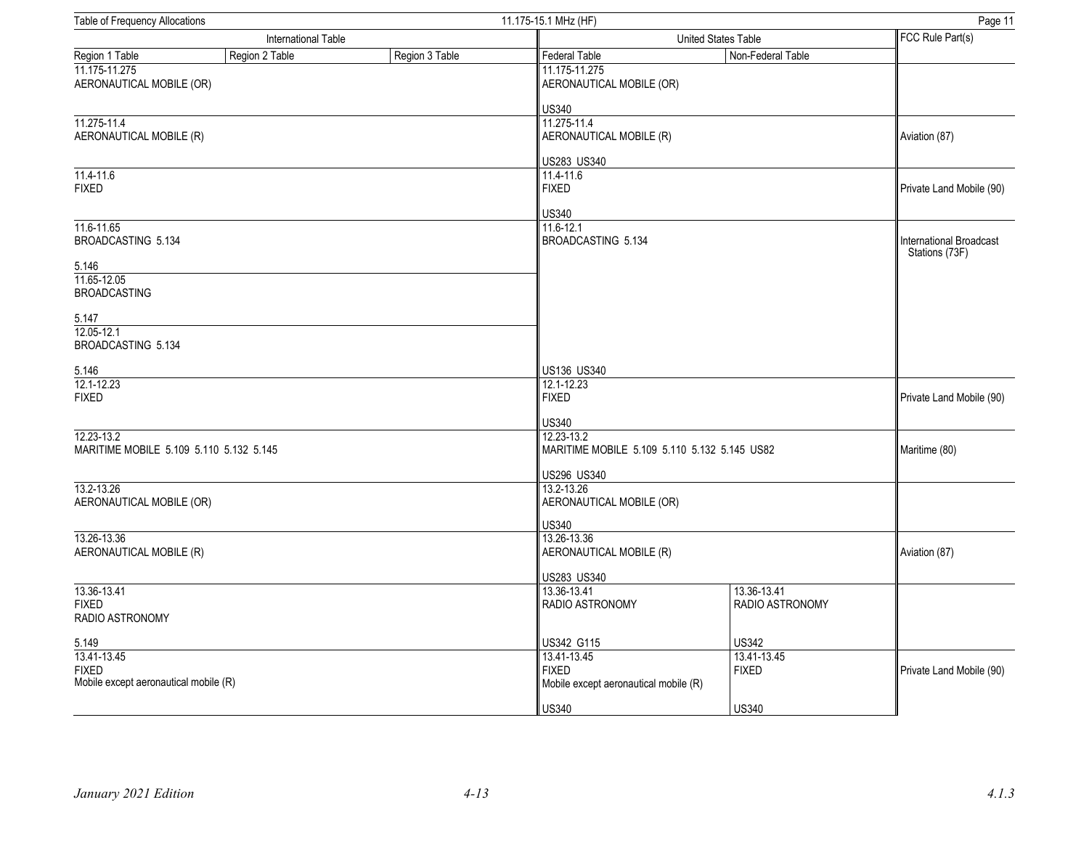| <b>Table of Frequency Allocations</b><br>11.175-15.1 MHz (HF) |                     |                |                                                       |                                              |                 | Page 11                                   |  |  |
|---------------------------------------------------------------|---------------------|----------------|-------------------------------------------------------|----------------------------------------------|-----------------|-------------------------------------------|--|--|
|                                                               | International Table |                |                                                       | United States Table                          |                 |                                           |  |  |
| Region 1 Table                                                | Region 2 Table      | Region 3 Table | <b>Federal Table</b>                                  | Non-Federal Table                            |                 |                                           |  |  |
| 11.175-11.275<br>AERONAUTICAL MOBILE (OR)                     |                     |                | 11.175-11.275<br>AERONAUTICAL MOBILE (OR)             |                                              |                 |                                           |  |  |
|                                                               |                     |                | <b>US340</b>                                          |                                              |                 |                                           |  |  |
| 11.275-11.4                                                   |                     |                | 11.275-11.4                                           |                                              |                 |                                           |  |  |
| AERONAUTICAL MOBILE (R)                                       |                     |                | AERONAUTICAL MOBILE (R)                               |                                              |                 | Aviation (87)                             |  |  |
|                                                               |                     |                | US283 US340                                           |                                              |                 |                                           |  |  |
| 11.4-11.6<br><b>FIXED</b>                                     |                     |                | 11.4-11.6<br><b>FIXED</b>                             |                                              |                 | Private Land Mobile (90)                  |  |  |
|                                                               |                     |                | <b>US340</b>                                          |                                              |                 |                                           |  |  |
| 11.6-11.65<br>BROADCASTING 5.134                              |                     |                | $11.6 - 12.1$<br>BROADCASTING 5.134                   |                                              |                 | International Broadcast<br>Stations (73F) |  |  |
| 5.146                                                         |                     |                |                                                       |                                              |                 |                                           |  |  |
| 11.65-12.05<br><b>BROADCASTING</b>                            |                     |                |                                                       |                                              |                 |                                           |  |  |
| 5.147                                                         |                     |                |                                                       |                                              |                 |                                           |  |  |
| 12.05-12.1                                                    |                     |                |                                                       |                                              |                 |                                           |  |  |
| BROADCASTING 5.134                                            |                     |                |                                                       |                                              |                 |                                           |  |  |
| 5.146                                                         |                     |                | US136 US340                                           |                                              |                 |                                           |  |  |
| 12.1-12.23                                                    |                     |                | 12.1-12.23                                            |                                              |                 |                                           |  |  |
| <b>FIXED</b>                                                  |                     |                |                                                       | <b>FIXED</b>                                 |                 |                                           |  |  |
|                                                               |                     |                | <b>US340</b>                                          |                                              |                 |                                           |  |  |
| 12.23-13.2                                                    |                     |                | 12.23-13.2                                            |                                              |                 | Maritime (80)                             |  |  |
| MARITIME MOBILE 5.109 5.110 5.132 5.145                       |                     |                |                                                       | MARITIME MOBILE 5.109 5.110 5.132 5.145 US82 |                 |                                           |  |  |
|                                                               |                     |                |                                                       | US296 US340                                  |                 |                                           |  |  |
| 13.2-13.26                                                    |                     |                | 13.2-13.26                                            |                                              |                 |                                           |  |  |
| AERONAUTICAL MOBILE (OR)                                      |                     |                | AERONAUTICAL MOBILE (OR)                              |                                              |                 |                                           |  |  |
|                                                               |                     |                | <b>US340</b>                                          |                                              |                 |                                           |  |  |
| 13.26-13.36                                                   |                     |                | 13.26-13.36                                           |                                              |                 |                                           |  |  |
| AERONAUTICAL MOBILE (R)                                       |                     |                | AERONAUTICAL MOBILE (R)                               |                                              |                 | Aviation (87)                             |  |  |
|                                                               |                     |                | US283 US340                                           |                                              |                 |                                           |  |  |
| 13.36-13.41                                                   |                     |                | 13.36-13.41                                           | 13.36-13.41                                  |                 |                                           |  |  |
| <b>FIXED</b><br>RADIO ASTRONOMY                               |                     |                | <b>RADIO ASTRONOMY</b>                                |                                              | RADIO ASTRONOMY |                                           |  |  |
|                                                               |                     |                |                                                       |                                              |                 |                                           |  |  |
| 5.149                                                         |                     |                | US342 G115                                            | <b>US342</b>                                 |                 |                                           |  |  |
| 13.41-13.45                                                   |                     |                | 13.41-13.45                                           | 13.41-13.45                                  |                 |                                           |  |  |
| <b>FIXED</b><br>Mobile except aeronautical mobile (R)         |                     |                | <b>FIXED</b><br>Mobile except aeronautical mobile (R) | <b>FIXED</b>                                 |                 | Private Land Mobile (90)                  |  |  |
|                                                               |                     |                |                                                       |                                              |                 |                                           |  |  |
|                                                               |                     |                | <b>US340</b>                                          | <b>US340</b>                                 |                 |                                           |  |  |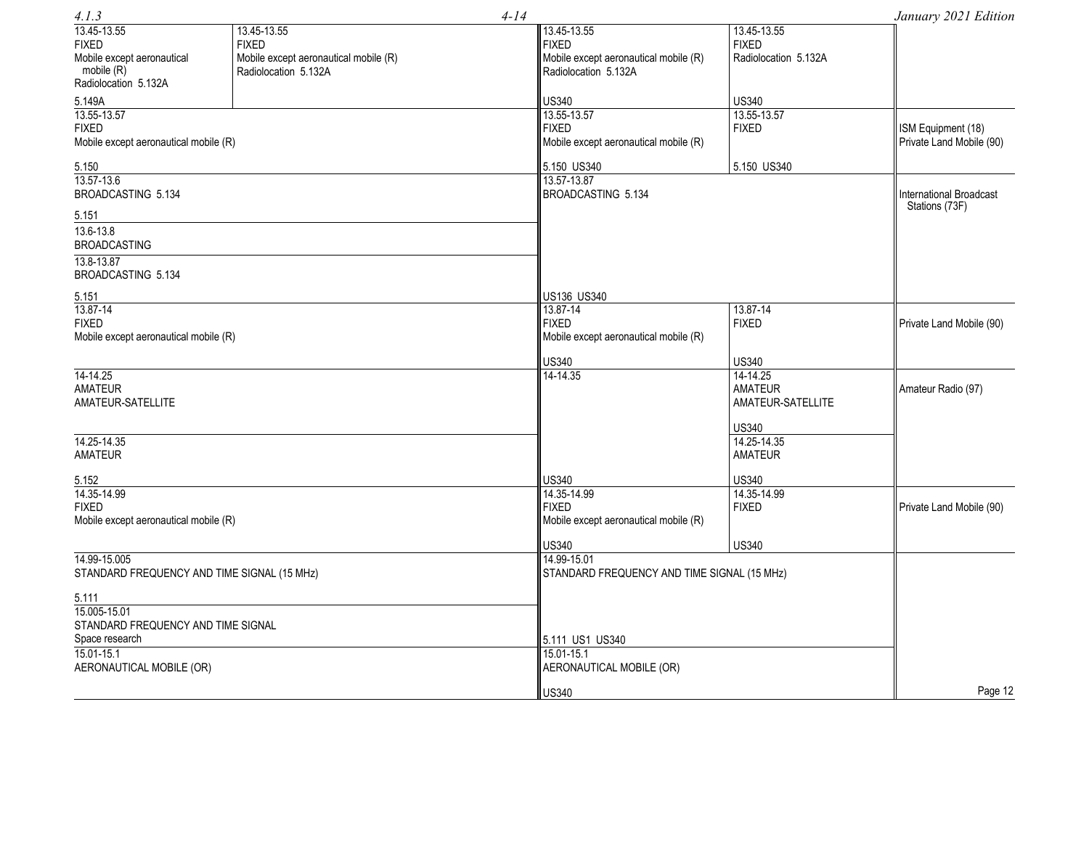| 4.1.3                                       |                                       | $4 - 14$                                              |                      |                          |  |
|---------------------------------------------|---------------------------------------|-------------------------------------------------------|----------------------|--------------------------|--|
| 13.45-13.55                                 | 13.45-13.55                           | 13.45-13.55                                           | 13.45-13.55          |                          |  |
| <b>FIXED</b>                                | <b>FIXED</b>                          | <b>FIXED</b>                                          | <b>FIXED</b>         |                          |  |
| Mobile except aeronautical                  | Mobile except aeronautical mobile (R) | Mobile except aeronautical mobile (R)                 | Radiolocation 5.132A |                          |  |
| mobile (R)                                  | Radiolocation 5.132A                  | Radiolocation 5.132A                                  |                      |                          |  |
| Radiolocation 5.132A                        |                                       |                                                       |                      |                          |  |
| 5.149A                                      |                                       | <b>US340</b>                                          | <b>US340</b>         |                          |  |
| 13.55-13.57                                 |                                       | 13.55-13.57                                           | 13.55-13.57          |                          |  |
| <b>FIXED</b>                                |                                       | <b>FIXED</b>                                          | <b>FIXED</b>         | ISM Equipment (18)       |  |
| Mobile except aeronautical mobile (R)       |                                       | Mobile except aeronautical mobile (R)                 |                      | Private Land Mobile (90) |  |
| 5.150                                       |                                       | 5.150 US340                                           | 5.150 US340          |                          |  |
| 13.57-13.6                                  |                                       | 13.57-13.87                                           |                      |                          |  |
| BROADCASTING 5.134                          |                                       | BROADCASTING 5.134                                    |                      | International Broadcast  |  |
| 5.151                                       |                                       |                                                       |                      | Stations (73F)           |  |
| 13.6-13.8                                   |                                       |                                                       |                      |                          |  |
| <b>BROADCASTING</b>                         |                                       |                                                       |                      |                          |  |
| 13.8-13.87                                  |                                       |                                                       |                      |                          |  |
| BROADCASTING 5.134                          |                                       |                                                       |                      |                          |  |
|                                             |                                       | US136 US340                                           |                      |                          |  |
| 5.151<br>13.87-14                           |                                       | 13.87-14                                              | 13.87-14             |                          |  |
| <b>FIXED</b>                                |                                       | <b>FIXED</b>                                          | <b>FIXED</b>         | Private Land Mobile (90) |  |
| Mobile except aeronautical mobile (R)       |                                       | Mobile except aeronautical mobile (R)                 |                      |                          |  |
|                                             |                                       |                                                       |                      |                          |  |
|                                             |                                       | <b>US340</b>                                          | <b>US340</b>         |                          |  |
| 14-14.25                                    |                                       | 14-14.35                                              | 14-14.25             |                          |  |
| <b>AMATEUR</b>                              |                                       |                                                       | <b>AMATEUR</b>       | Amateur Radio (97)       |  |
| AMATEUR-SATELLITE                           |                                       |                                                       | AMATEUR-SATELLITE    |                          |  |
|                                             |                                       |                                                       | <b>US340</b>         |                          |  |
| 14.25-14.35                                 |                                       |                                                       | 14.25-14.35          |                          |  |
| <b>AMATEUR</b>                              |                                       |                                                       | <b>AMATEUR</b>       |                          |  |
|                                             |                                       |                                                       |                      |                          |  |
| 5.152                                       |                                       | <b>US340</b>                                          | <b>US340</b>         |                          |  |
| 14.35-14.99                                 |                                       | 14.35-14.99                                           | 14.35-14.99          |                          |  |
| <b>FIXED</b>                                |                                       | <b>FIXED</b><br>Mobile except aeronautical mobile (R) | <b>FIXED</b>         | Private Land Mobile (90) |  |
| Mobile except aeronautical mobile (R)       |                                       |                                                       |                      |                          |  |
|                                             |                                       | <b>US340</b>                                          | <b>US340</b>         |                          |  |
| 14.99-15.005                                |                                       | 14.99-15.01                                           |                      |                          |  |
| STANDARD FREQUENCY AND TIME SIGNAL (15 MHz) |                                       | STANDARD FREQUENCY AND TIME SIGNAL (15 MHz)           |                      |                          |  |
| 5.111                                       |                                       |                                                       |                      |                          |  |
| 15.005-15.01                                |                                       |                                                       |                      |                          |  |
| STANDARD FREQUENCY AND TIME SIGNAL          |                                       |                                                       |                      |                          |  |
| Space research                              |                                       | 5.111 US1 US340                                       |                      |                          |  |
| $15.01 - 15.1$                              |                                       | 15.01-15.1                                            |                      |                          |  |
| AERONAUTICAL MOBILE (OR)                    |                                       | AERONAUTICAL MOBILE (OR)                              |                      |                          |  |
|                                             |                                       |                                                       |                      |                          |  |
|                                             |                                       | <b>US340</b>                                          |                      | Page 12                  |  |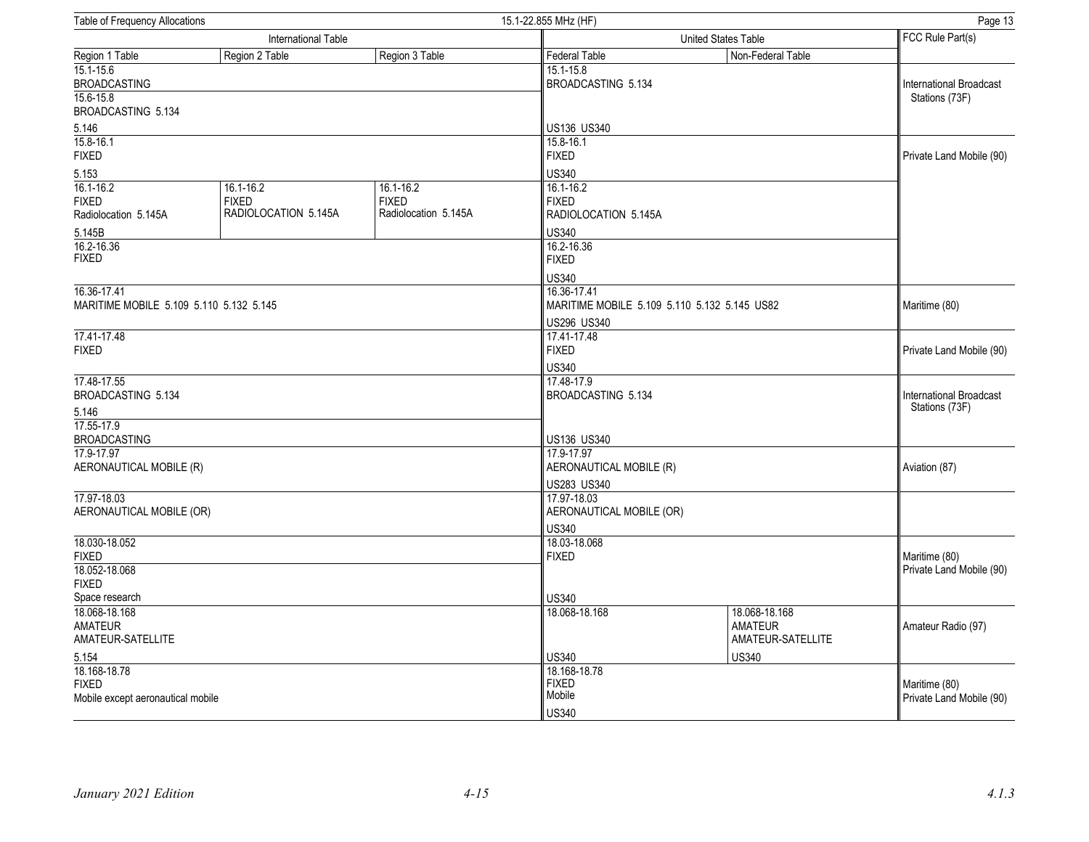| 15.1-22.855 MHz (HF)<br>Table of Frequency Allocations |                                                       |                                                       | Page 13                                           |                                                      |                                |  |
|--------------------------------------------------------|-------------------------------------------------------|-------------------------------------------------------|---------------------------------------------------|------------------------------------------------------|--------------------------------|--|
|                                                        | International Table                                   |                                                       |                                                   | United States Table                                  |                                |  |
| Region 1 Table                                         | Region 2 Table                                        | Region 3 Table                                        | <b>Federal Table</b>                              | Non-Federal Table                                    |                                |  |
| $15.1 - 15.6$<br><b>BROADCASTING</b>                   |                                                       |                                                       | 15.1-15.8<br><b>BROADCASTING 5.134</b>            |                                                      | <b>International Broadcast</b> |  |
| $15.6 - 15.8$<br>BROADCASTING 5.134                    |                                                       |                                                       |                                                   |                                                      | Stations (73F)                 |  |
| 5.146                                                  |                                                       |                                                       | US136 US340                                       |                                                      |                                |  |
| 15.8-16.1<br><b>FIXED</b>                              |                                                       |                                                       | 15.8-16.1<br><b>FIXED</b>                         |                                                      | Private Land Mobile (90)       |  |
| 5.153                                                  |                                                       |                                                       | <b>US340</b>                                      |                                                      |                                |  |
| $16.1 - 16.2$<br><b>FIXED</b><br>Radiolocation 5.145A  | $16.1 - 16.2$<br><b>FIXED</b><br>RADIOLOCATION 5.145A | $16.1 - 16.2$<br><b>FIXED</b><br>Radiolocation 5.145A | 16.1-16.2<br><b>FIXED</b><br>RADIOLOCATION 5.145A |                                                      |                                |  |
| 5.145B                                                 |                                                       |                                                       | <b>US340</b>                                      |                                                      |                                |  |
| 16.2-16.36<br><b>FIXED</b>                             |                                                       |                                                       | 16.2-16.36<br><b>FIXED</b>                        |                                                      |                                |  |
| 16.36-17.41<br>MARITIME MOBILE 5.109 5.110 5.132 5.145 |                                                       |                                                       | US340<br>16.36-17.41                              | MARITIME MOBILE 5.109 5.110 5.132 5.145 US82         | Maritime (80)                  |  |
|                                                        |                                                       |                                                       | US296 US340                                       |                                                      |                                |  |
| 17.41-17.48<br><b>FIXED</b>                            |                                                       | 17.41-17.48<br><b>FIXED</b>                           |                                                   |                                                      |                                |  |
|                                                        |                                                       |                                                       | US340                                             |                                                      |                                |  |
| 17.48-17.55<br>BROADCASTING 5.134                      |                                                       |                                                       | 17.48-17.9<br>BROADCASTING 5.134                  | International Broadcast                              |                                |  |
| 5.146                                                  |                                                       |                                                       |                                                   |                                                      | Stations (73F)                 |  |
| 17.55-17.9<br><b>BROADCASTING</b>                      |                                                       |                                                       | US136 US340                                       |                                                      |                                |  |
| 17.9-17.97                                             |                                                       |                                                       | 17.9-17.97                                        |                                                      | Aviation (87)                  |  |
| AERONAUTICAL MOBILE (R)                                |                                                       |                                                       |                                                   | AERONAUTICAL MOBILE (R)                              |                                |  |
| 17.97-18.03                                            |                                                       |                                                       | US283 US340                                       |                                                      |                                |  |
| AERONAUTICAL MOBILE (OR)                               |                                                       |                                                       |                                                   | 17.97-18.03<br>AERONAUTICAL MOBILE (OR)              |                                |  |
| 18.030-18.052                                          |                                                       |                                                       | <b>US340</b>                                      |                                                      |                                |  |
| <b>FIXED</b><br>18.052-18.068                          |                                                       | <b>FIXED</b>                                          | 18.03-18.068                                      |                                                      |                                |  |
| <b>FIXED</b>                                           |                                                       |                                                       |                                                   |                                                      | Private Land Mobile (90)       |  |
| Space research                                         |                                                       |                                                       | <b>US340</b>                                      |                                                      |                                |  |
| 18.068-18.168<br><b>AMATEUR</b><br>AMATEUR-SATELLITE   |                                                       |                                                       | 18.068-18.168                                     | 18.068-18.168<br><b>AMATEUR</b><br>AMATEUR-SATELLITE | Amateur Radio (97)             |  |
| 5.154                                                  |                                                       |                                                       | <b>US340</b>                                      | <b>US340</b>                                         |                                |  |
| 18.168-18.78<br><b>FIXED</b>                           |                                                       |                                                       | 18.168-18.78<br><b>FIXED</b>                      |                                                      | Maritime (80)                  |  |
| Mobile except aeronautical mobile                      |                                                       |                                                       | Mobile<br><b>US340</b>                            |                                                      | Private Land Mobile (90)       |  |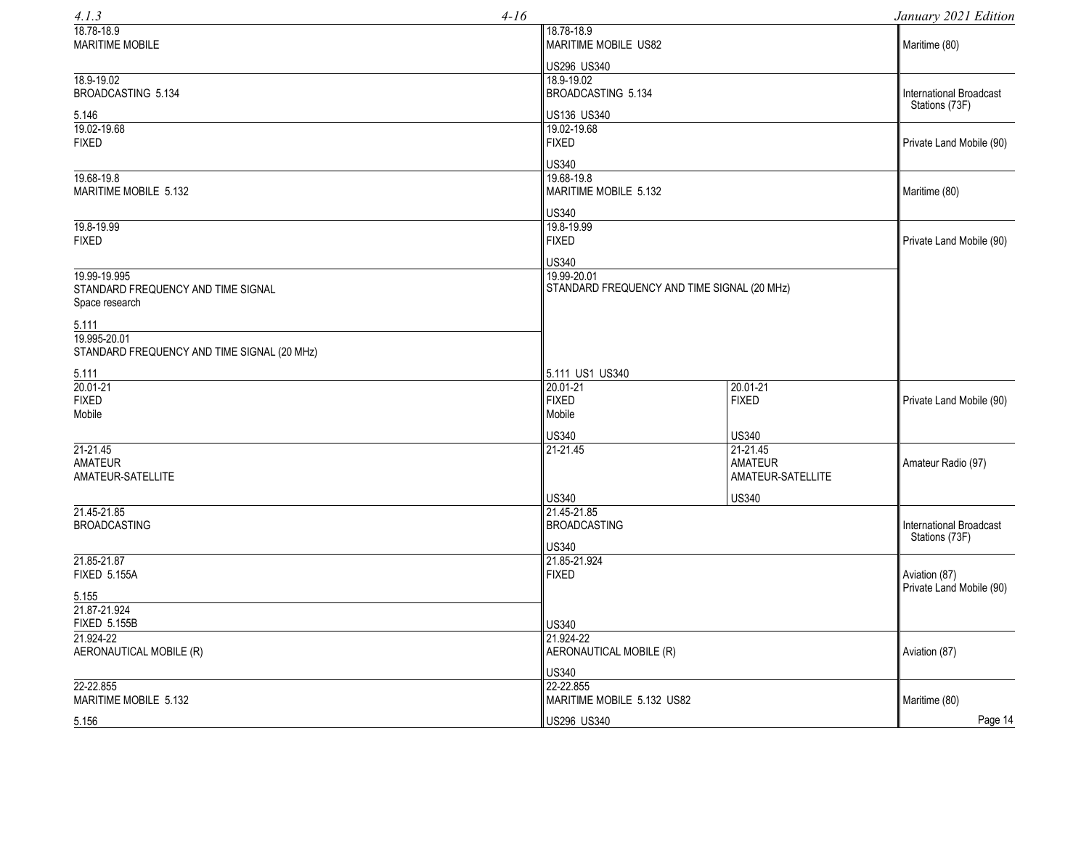| 4.1.3                                                                | $4-16$                                                  |                                             | January 2021 Edition                             |  |
|----------------------------------------------------------------------|---------------------------------------------------------|---------------------------------------------|--------------------------------------------------|--|
| 18.78-18.9<br><b>MARITIME MOBILE</b>                                 | 18.78-18.9                                              | <b>MARITIME MOBILE US82</b>                 |                                                  |  |
| 18.9-19.02<br>BROADCASTING 5.134                                     | US296 US340<br>18.9-19.02<br>BROADCASTING 5.134         |                                             | International Broadcast<br>Stations (73F)        |  |
| 5.146<br>19.02-19.68<br><b>FIXED</b>                                 | US136 US340<br>19.02-19.68<br><b>FIXED</b>              |                                             | Private Land Mobile (90)                         |  |
| 19.68-19.8<br>MARITIME MOBILE 5.132                                  | <b>US340</b><br>19.68-19.8<br>MARITIME MOBILE 5.132     |                                             | Maritime (80)                                    |  |
| 19.8-19.99<br><b>FIXED</b>                                           | <b>US340</b><br>19.8-19.99<br><b>FIXED</b>              |                                             | Private Land Mobile (90)                         |  |
| 19.99-19.995<br>STANDARD FREQUENCY AND TIME SIGNAL<br>Space research | <b>US340</b><br>19.99-20.01                             | STANDARD FREQUENCY AND TIME SIGNAL (20 MHz) |                                                  |  |
| 5.111<br>19.995-20.01<br>STANDARD FREQUENCY AND TIME SIGNAL (20 MHz) |                                                         |                                             |                                                  |  |
| 5.111                                                                | 5.111 US1 US340                                         |                                             |                                                  |  |
| 20.01-21<br><b>FIXED</b><br>Mobile                                   | 20.01-21<br><b>FIXED</b><br>Mobile                      | $20.01 - 21$<br><b>FIXED</b>                | Private Land Mobile (90)                         |  |
| $21 - 21.45$<br><b>AMATEUR</b>                                       | <b>US340</b><br>21-21.45                                | <b>US340</b><br>21-21.45<br><b>AMATEUR</b>  | Amateur Radio (97)                               |  |
| AMATEUR-SATELLITE<br>21.45-21.85                                     | <b>US340</b>                                            | AMATEUR-SATELLITE<br><b>US340</b>           |                                                  |  |
| <b>BROADCASTING</b>                                                  | 21.45-21.85<br><b>BROADCASTING</b><br><b>US340</b>      |                                             | <b>International Broadcast</b><br>Stations (73F) |  |
| 21.85-21.87<br><b>FIXED 5.155A</b>                                   | 21.85-21.924<br><b>FIXED</b>                            |                                             |                                                  |  |
| 5.155<br>21.87-21.924<br><b>FIXED 5.155B</b>                         | <b>US340</b>                                            |                                             | Private Land Mobile (90)                         |  |
| 21.924-22<br>AERONAUTICAL MOBILE (R)                                 | 21.924-22<br>AERONAUTICAL MOBILE (R)                    |                                             | Aviation (87)                                    |  |
| 22-22.855<br>MARITIME MOBILE 5.132                                   | <b>US340</b><br>22-22.855<br>MARITIME MOBILE 5.132 US82 |                                             | Maritime (80)                                    |  |
| 5.156                                                                | US296 US340                                             |                                             | Page 14                                          |  |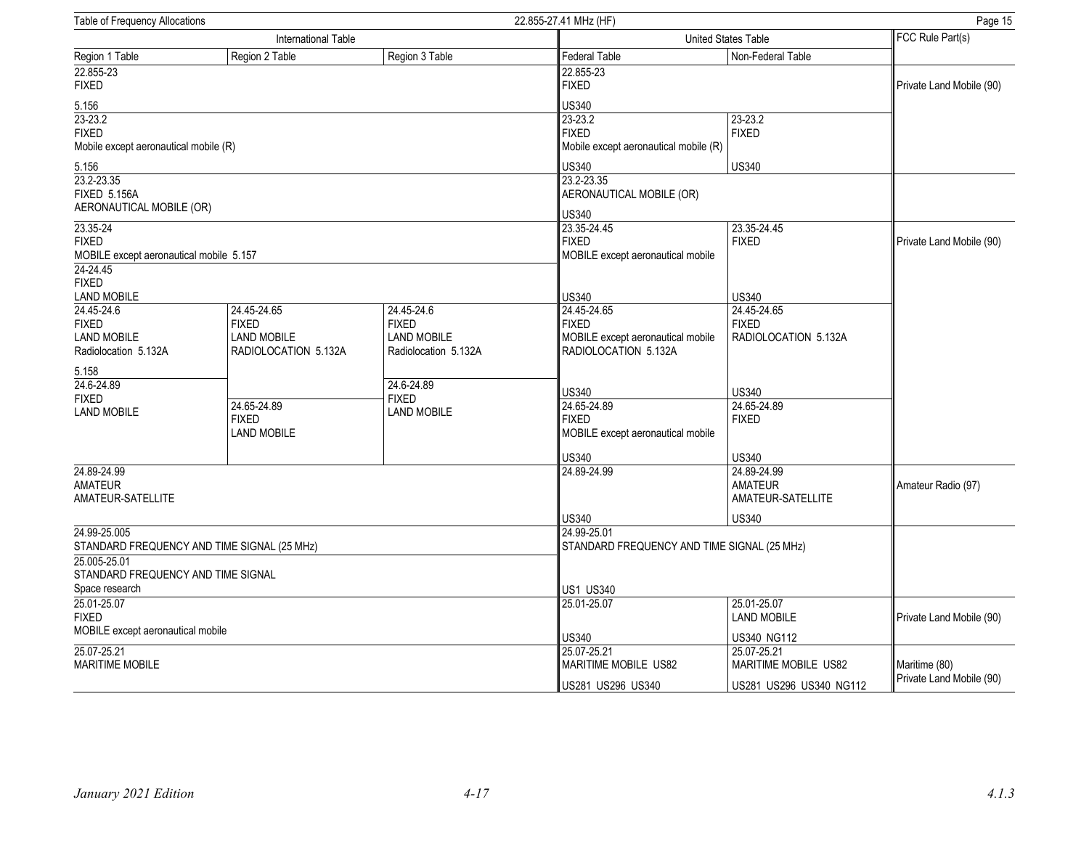| Table of Frequency Allocations              |                      |                      | 22.855-27.41 MHz (HF)                       | Page 15                           |                                           |  |
|---------------------------------------------|----------------------|----------------------|---------------------------------------------|-----------------------------------|-------------------------------------------|--|
| International Table                         |                      |                      |                                             | <b>United States Table</b>        |                                           |  |
| Region 1 Table                              | Region 2 Table       | Region 3 Table       | <b>Federal Table</b>                        | Non-Federal Table                 |                                           |  |
| 22.855-23<br><b>FIXED</b>                   |                      |                      | 22.855-23<br><b>FIXED</b>                   |                                   | Private Land Mobile (90)                  |  |
| 5.156                                       |                      |                      | <b>US340</b>                                |                                   |                                           |  |
| $23 - 23.2$                                 |                      |                      | 23-23.2                                     | 23-23.2                           |                                           |  |
| <b>FIXED</b>                                |                      |                      | <b>FIXED</b>                                | <b>FIXED</b>                      |                                           |  |
| Mobile except aeronautical mobile (R)       |                      |                      | Mobile except aeronautical mobile (R)       |                                   |                                           |  |
| 5.156                                       |                      |                      | <b>US340</b>                                | <b>US340</b>                      |                                           |  |
| 23.2-23.35                                  |                      |                      | 23.2-23.35                                  |                                   |                                           |  |
| <b>FIXED 5.156A</b>                         |                      |                      | AERONAUTICAL MOBILE (OR)                    |                                   |                                           |  |
| AERONAUTICAL MOBILE (OR)                    |                      |                      | <b>US340</b>                                |                                   |                                           |  |
| 23.35-24                                    |                      |                      | 23.35-24.45                                 | 23.35-24.45                       |                                           |  |
| <b>FIXED</b>                                |                      |                      | <b>FIXED</b>                                | <b>FIXED</b>                      | Private Land Mobile (90)                  |  |
| MOBILE except aeronautical mobile 5.157     |                      |                      | MOBILE except aeronautical mobile           |                                   |                                           |  |
| 24-24.45                                    |                      |                      |                                             |                                   |                                           |  |
| <b>FIXED</b><br><b>LAND MOBILE</b>          |                      |                      | <b>US340</b>                                | <b>US340</b>                      |                                           |  |
| 24.45-24.6                                  | 24.45-24.65          | 24.45-24.6           | 24.45-24.65                                 | 24.45-24.65                       |                                           |  |
| <b>FIXED</b>                                | <b>FIXED</b>         | <b>FIXED</b>         | <b>FIXED</b>                                | <b>FIXED</b>                      |                                           |  |
| <b>LAND MOBILE</b>                          | <b>LAND MOBILE</b>   | <b>LAND MOBILE</b>   | MOBILE except aeronautical mobile           | RADIOLOCATION 5.132A              |                                           |  |
| Radiolocation 5.132A                        | RADIOLOCATION 5.132A | Radiolocation 5.132A | RADIOLOCATION 5.132A                        |                                   |                                           |  |
| 5.158                                       |                      |                      |                                             |                                   |                                           |  |
| 24.6-24.89                                  |                      | 24.6-24.89           | <b>US340</b>                                | <b>US340</b>                      |                                           |  |
| <b>FIXED</b>                                | 24.65-24.89          | <b>FIXED</b>         | 24.65-24.89                                 | 24.65-24.89                       |                                           |  |
| <b>LAND MOBILE</b>                          | <b>FIXED</b>         | LAND MOBILE          | <b>FIXED</b>                                | <b>FIXED</b>                      |                                           |  |
|                                             | <b>LAND MOBILE</b>   |                      | MOBILE except aeronautical mobile           |                                   |                                           |  |
|                                             |                      |                      | <b>US340</b>                                | <b>US340</b>                      |                                           |  |
| 24.89-24.99                                 |                      |                      | 24.89-24.99                                 | 24.89-24.99                       |                                           |  |
| <b>AMATEUR</b>                              |                      |                      |                                             | <b>AMATEUR</b>                    | Amateur Radio (97)                        |  |
| AMATEUR-SATELLITE                           |                      |                      |                                             | AMATEUR-SATELLITE                 |                                           |  |
|                                             |                      |                      | <b>US340</b>                                | <b>US340</b>                      |                                           |  |
| 24.99-25.005                                |                      |                      | 24.99-25.01                                 |                                   |                                           |  |
| STANDARD FREQUENCY AND TIME SIGNAL (25 MHz) |                      |                      | STANDARD FREQUENCY AND TIME SIGNAL (25 MHz) |                                   |                                           |  |
| 25.005-25.01                                |                      |                      |                                             |                                   |                                           |  |
| STANDARD FREQUENCY AND TIME SIGNAL          |                      |                      |                                             |                                   |                                           |  |
| Space research                              |                      |                      | <b>US1 US340</b>                            |                                   |                                           |  |
| 25.01-25.07<br><b>FIXED</b>                 |                      |                      | 25.01-25.07                                 | 25.01-25.07<br><b>LAND MOBILE</b> | Private Land Mobile (90)                  |  |
| MOBILE except aeronautical mobile           |                      |                      |                                             |                                   |                                           |  |
|                                             |                      |                      | <b>US340</b>                                | <b>US340 NG112</b>                |                                           |  |
| 25.07-25.21                                 |                      |                      | 25.07-25.21                                 | 25.07-25.21                       |                                           |  |
| <b>MARITIME MOBILE</b>                      |                      |                      | <b>MARITIME MOBILE US82</b>                 | MARITIME MOBILE US82              | Maritime (80)<br>Private Land Mobile (90) |  |
|                                             |                      |                      | US281 US296 US340                           | US281 US296 US340 NG112           |                                           |  |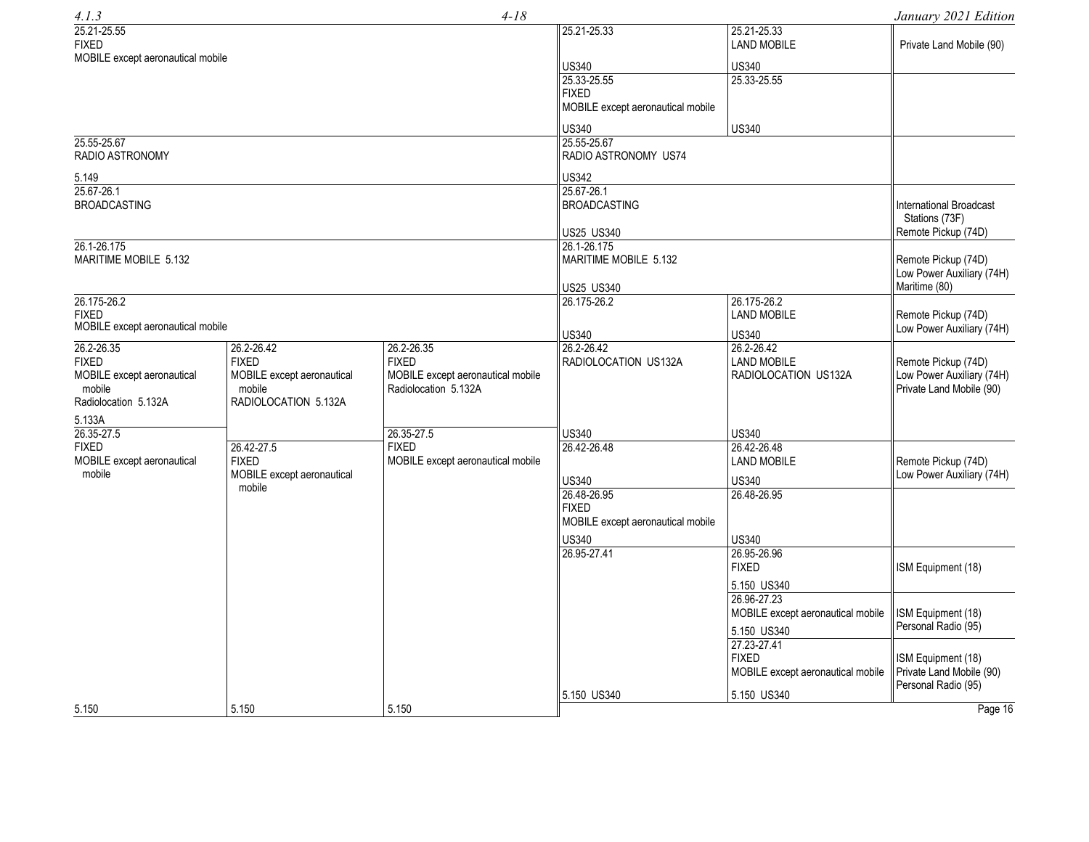| 4.1.3                             |                            | $4 - 18$                          |                                                   |                                   | January 2021 Edition           |
|-----------------------------------|----------------------------|-----------------------------------|---------------------------------------------------|-----------------------------------|--------------------------------|
| 25.21-25.55<br><b>FIXED</b>       |                            |                                   | 25.21-25.33                                       | 25.21-25.33<br><b>LAND MOBILE</b> | Private Land Mobile (90)       |
| MOBILE except aeronautical mobile |                            |                                   | <b>US340</b>                                      | <b>US340</b>                      |                                |
|                                   |                            |                                   | 25.33-25.55                                       | 25.33-25.55                       |                                |
|                                   |                            |                                   | <b>FIXED</b>                                      |                                   |                                |
|                                   |                            |                                   | MOBILE except aeronautical mobile                 |                                   |                                |
|                                   |                            |                                   | US340                                             | <b>US340</b>                      |                                |
| 25.55-25.67                       |                            |                                   | 25.55-25.67                                       |                                   |                                |
| <b>RADIO ASTRONOMY</b>            |                            |                                   | RADIO ASTRONOMY US74                              |                                   |                                |
| 5.149                             |                            |                                   | <b>US342</b>                                      |                                   |                                |
| 25.67-26.1                        |                            |                                   | 25.67-26.1                                        |                                   |                                |
| <b>BROADCASTING</b>               |                            |                                   | <b>BROADCASTING</b>                               |                                   | <b>International Broadcast</b> |
|                                   |                            |                                   |                                                   |                                   | Stations (73F)                 |
|                                   |                            |                                   | US25 US340                                        |                                   | Remote Pickup (74D)            |
| 26.1-26.175                       |                            |                                   | 26.1-26.175                                       |                                   |                                |
| MARITIME MOBILE 5.132             |                            |                                   | MARITIME MOBILE 5.132                             |                                   | Remote Pickup (74D)            |
|                                   |                            |                                   |                                                   |                                   | Low Power Auxiliary (74H)      |
|                                   |                            |                                   | US25 US340                                        | Maritime (80)                     |                                |
| 26.175-26.2                       |                            |                                   | 26.175-26.2                                       | 26.175-26.2                       |                                |
| <b>FIXED</b>                      |                            |                                   |                                                   | <b>LAND MOBILE</b>                | Remote Pickup (74D)            |
| MOBILE except aeronautical mobile |                            |                                   | US340                                             | <b>US340</b>                      | Low Power Auxiliary (74H)      |
| 26.2-26.35                        | 26.2-26.42                 | 26.2-26.35                        | 26.2-26.42                                        | 26.2-26.42                        |                                |
| <b>FIXED</b>                      | <b>FIXED</b>               | <b>FIXED</b>                      | RADIOLOCATION US132A                              | <b>LAND MOBILE</b>                | Remote Pickup (74D)            |
| MOBILE except aeronautical        | MOBILE except aeronautical | MOBILE except aeronautical mobile |                                                   | RADIOLOCATION US132A              | Low Power Auxiliary (74H)      |
| mobile                            | mobile                     | Radiolocation 5.132A              |                                                   |                                   | Private Land Mobile (90)       |
| Radiolocation 5.132A              | RADIOLOCATION 5.132A       |                                   |                                                   |                                   |                                |
| 5.133A                            |                            |                                   |                                                   |                                   |                                |
| 26.35-27.5                        |                            | 26.35-27.5                        | US340                                             | US340                             |                                |
| <b>FIXED</b>                      | 26.42-27.5                 | <b>FIXED</b>                      | 26.42-26.48                                       | 26.42-26.48                       |                                |
| MOBILE except aeronautical        | <b>FIXED</b>               | MOBILE except aeronautical mobile |                                                   | <b>LAND MOBILE</b>                | Remote Pickup (74D)            |
| mobile                            | MOBILE except aeronautical |                                   |                                                   |                                   | Low Power Auxiliary (74H)      |
|                                   | mobile                     |                                   | <b>US340</b>                                      | <b>US340</b>                      |                                |
|                                   |                            |                                   | 26.48-26.95                                       | 26.48-26.95                       |                                |
|                                   |                            |                                   | <b>FIXED</b><br>MOBILE except aeronautical mobile |                                   |                                |
|                                   |                            |                                   |                                                   |                                   |                                |
|                                   |                            |                                   | <b>US340</b>                                      | <b>US340</b>                      |                                |
|                                   |                            |                                   | 26.95-27.41                                       | 26.95-26.96                       |                                |
|                                   |                            |                                   |                                                   | <b>FIXED</b>                      | ISM Equipment (18)             |
|                                   |                            |                                   |                                                   | 5.150 US340                       |                                |
|                                   |                            |                                   |                                                   | 26.96-27.23                       |                                |
|                                   |                            |                                   |                                                   | MOBILE except aeronautical mobile | ISM Equipment (18)             |
|                                   |                            |                                   |                                                   | 5.150 US340                       | Personal Radio (95)            |
|                                   |                            |                                   |                                                   | 27.23-27.41                       |                                |
|                                   |                            |                                   |                                                   | <b>FIXED</b>                      | ISM Equipment (18)             |
|                                   |                            |                                   |                                                   | MOBILE except aeronautical mobile | Private Land Mobile (90)       |
|                                   |                            |                                   |                                                   |                                   | Personal Radio (95)            |
|                                   |                            |                                   | 5.150 US340                                       | 5.150 US340                       |                                |
| 5.150                             | 5.150                      | 5.150                             |                                                   |                                   | Page 16                        |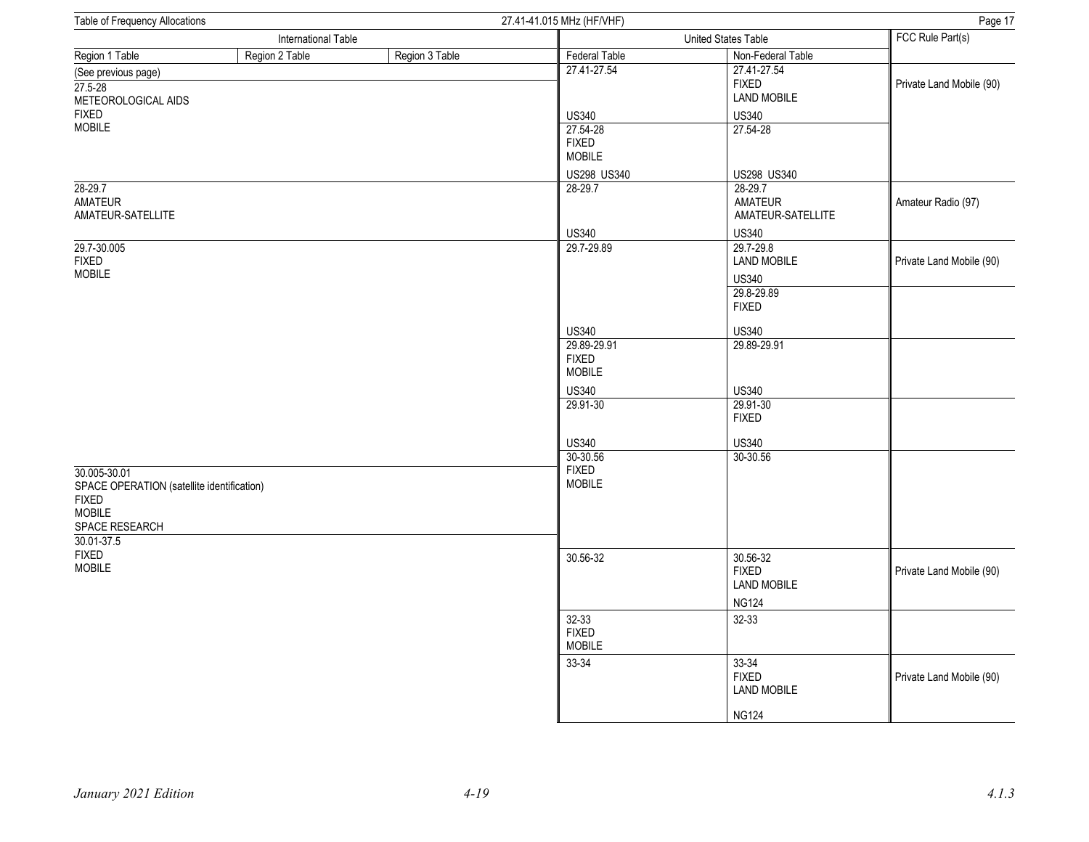| Table of Frequency Allocations                                                                                              |                |                | 27.41-41.015 MHz (HF/VHF)                    | Page 17                                                                       |                          |
|-----------------------------------------------------------------------------------------------------------------------------|----------------|----------------|----------------------------------------------|-------------------------------------------------------------------------------|--------------------------|
| International Table                                                                                                         |                |                |                                              | United States Table                                                           | FCC Rule Part(s)         |
| Region 1 Table                                                                                                              | Region 2 Table | Region 3 Table | Federal Table                                | Non-Federal Table                                                             |                          |
| (See previous page)<br>$27.5 - 28$<br>METEOROLOGICAL AIDS                                                                   |                |                | 27.41-27.54                                  | 27.41-27.54<br><b>FIXED</b><br><b>LAND MOBILE</b>                             | Private Land Mobile (90) |
| <b>FIXED</b>                                                                                                                |                |                | <b>US340</b>                                 | <b>US340</b>                                                                  |                          |
| <b>MOBILE</b>                                                                                                               |                |                | 27.54-28<br><b>FIXED</b><br>MOBILE           | 27.54-28                                                                      |                          |
|                                                                                                                             |                |                | US298 US340                                  | US298 US340                                                                   |                          |
| $28 - 29.7$<br>AMATEUR<br>AMATEUR-SATELLITE                                                                                 |                |                | 28-29.7                                      | 28-29.7<br>AMATEUR<br>AMATEUR-SATELLITE                                       | Amateur Radio (97)       |
|                                                                                                                             |                |                | <b>US340</b>                                 | <b>US340</b>                                                                  |                          |
| 29.7-30.005<br><b>FIXED</b><br><b>MOBILE</b>                                                                                |                |                | 29.7-29.89                                   | 29.7-29.8<br><b>LAND MOBILE</b><br><b>US340</b><br>29.8-29.89<br><b>FIXED</b> | Private Land Mobile (90) |
|                                                                                                                             |                |                | <b>US340</b>                                 | <b>US340</b>                                                                  |                          |
|                                                                                                                             |                |                | 29.89-29.91<br><b>FIXED</b><br><b>MOBILE</b> | 29.89-29.91                                                                   |                          |
|                                                                                                                             |                |                | <b>US340</b>                                 | <b>US340</b>                                                                  |                          |
|                                                                                                                             |                |                | 29.91-30                                     | 29.91-30<br><b>FIXED</b>                                                      |                          |
|                                                                                                                             |                |                | <b>US340</b>                                 | <b>US340</b>                                                                  |                          |
|                                                                                                                             |                |                | 30-30.56                                     | 30-30.56                                                                      |                          |
| 30.005-30.01<br>SPACE OPERATION (satellite identification)<br><b>FIXED</b><br><b>MOBILE</b><br>SPACE RESEARCH<br>30.01-37.5 |                |                | <b>FIXED</b><br>MOBILE                       |                                                                               |                          |
| <b>FIXED</b><br><b>MOBILE</b>                                                                                               |                |                | 30.56-32                                     | 30.56-32<br><b>FIXED</b><br><b>LAND MOBILE</b><br><b>NG124</b>                | Private Land Mobile (90) |
|                                                                                                                             |                |                | 32-33<br><b>FIXED</b><br><b>MOBILE</b>       | 32-33                                                                         |                          |
|                                                                                                                             |                |                | 33-34                                        | 33-34<br><b>FIXED</b><br><b>LAND MOBILE</b>                                   | Private Land Mobile (90) |
|                                                                                                                             |                |                |                                              | <b>NG124</b>                                                                  |                          |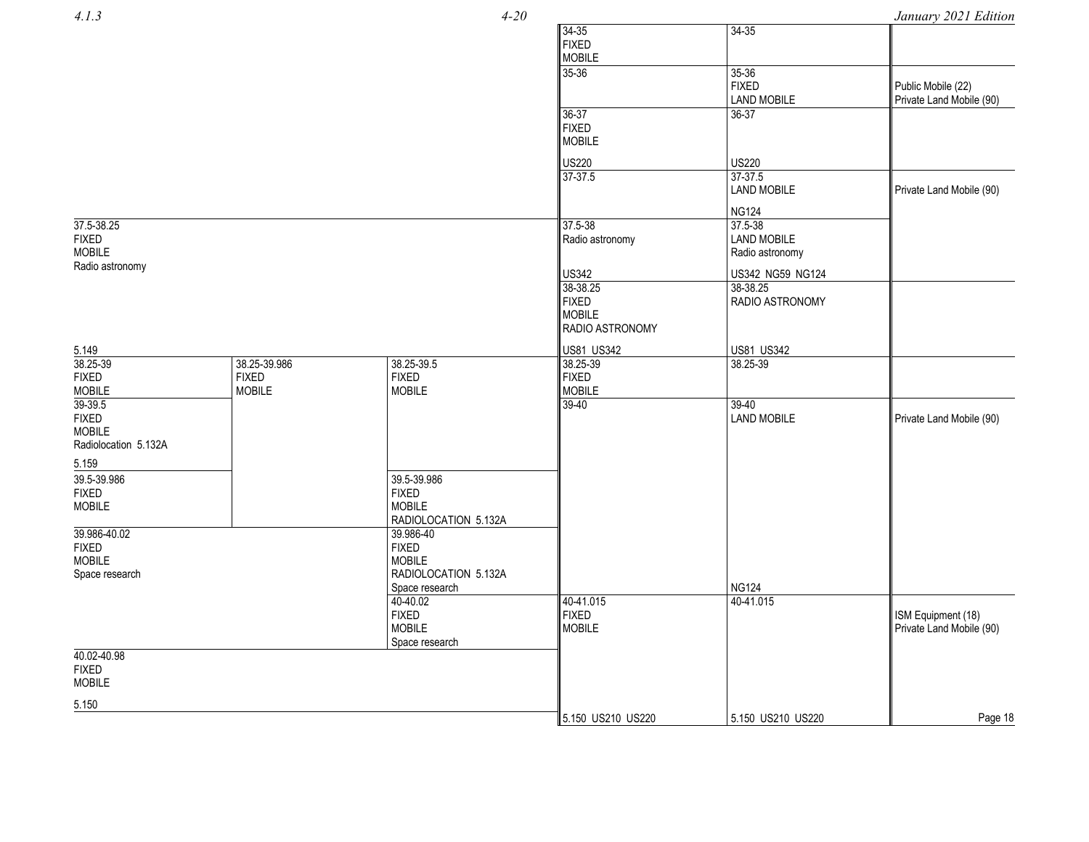*4.1.3*

*4*

*-20 January 2021 Edition*

| $\cdots$                      |               |                                   |                   |                           | , ,,,,,,,,,              |
|-------------------------------|---------------|-----------------------------------|-------------------|---------------------------|--------------------------|
|                               |               |                                   | 34-35             | $34 - 35$                 |                          |
|                               |               |                                   | <b>FIXED</b>      |                           |                          |
|                               |               |                                   | <b>MOBILE</b>     |                           |                          |
|                               |               |                                   | 35-36             | 35-36                     |                          |
|                               |               |                                   |                   | <b>FIXED</b>              | Public Mobile (22)       |
|                               |               |                                   |                   | <b>LAND MOBILE</b>        | Private Land Mobile (90) |
|                               |               |                                   | 36-37             | 36-37                     |                          |
|                               |               |                                   | <b>FIXED</b>      |                           |                          |
|                               |               |                                   | <b>MOBILE</b>     |                           |                          |
|                               |               |                                   | <b>US220</b>      | <b>US220</b>              |                          |
|                               |               |                                   | $37-37.5$         | 37-37.5                   |                          |
|                               |               |                                   |                   | <b>LAND MOBILE</b>        |                          |
|                               |               |                                   |                   |                           | Private Land Mobile (90) |
|                               |               |                                   |                   | <b>NG124</b>              |                          |
| 37.5-38.25                    |               |                                   | 37.5-38           | 37.5-38                   |                          |
| <b>FIXED</b>                  |               |                                   | Radio astronomy   | <b>LAND MOBILE</b>        |                          |
| <b>MOBILE</b>                 |               |                                   |                   | Radio astronomy           |                          |
| Radio astronomy               |               |                                   |                   |                           |                          |
|                               |               |                                   | <b>US342</b>      | US342 NG59 NG124          |                          |
|                               |               |                                   | 38-38.25          | 38-38.25                  |                          |
|                               |               |                                   | <b>FIXED</b>      | RADIO ASTRONOMY           |                          |
|                               |               |                                   | <b>MOBILE</b>     |                           |                          |
|                               |               |                                   | RADIO ASTRONOMY   |                           |                          |
| 5.149                         |               |                                   | <b>US81 US342</b> | <b>US81 US342</b>         |                          |
| 38.25-39                      | 38.25-39.986  | 38.25-39.5                        | 38.25-39          | 38.25-39                  |                          |
| <b>FIXED</b>                  | <b>FIXED</b>  | <b>FIXED</b>                      | <b>FIXED</b>      |                           |                          |
| <b>MOBILE</b>                 | <b>MOBILE</b> | <b>MOBILE</b>                     | <b>MOBILE</b>     |                           |                          |
| 39-39.5                       |               |                                   | $39 - 40$         | 39-40                     |                          |
| <b>FIXED</b>                  |               |                                   |                   | <b>LAND MOBILE</b>        | Private Land Mobile (90) |
| <b>MOBILE</b>                 |               |                                   |                   |                           |                          |
| Radiolocation 5.132A          |               |                                   |                   |                           |                          |
| 5.159                         |               |                                   |                   |                           |                          |
|                               |               |                                   |                   |                           |                          |
| 39.5-39.986                   |               | 39.5-39.986                       |                   |                           |                          |
| <b>FIXED</b>                  |               | <b>FIXED</b>                      |                   |                           |                          |
| <b>MOBILE</b>                 |               | <b>MOBILE</b>                     |                   |                           |                          |
| 39.986-40.02                  |               | RADIOLOCATION 5.132A<br>39.986-40 |                   |                           |                          |
|                               |               | <b>FIXED</b>                      |                   |                           |                          |
| <b>FIXED</b><br><b>MOBILE</b> |               | <b>MOBILE</b>                     |                   |                           |                          |
|                               |               | RADIOLOCATION 5.132A              |                   |                           |                          |
| Space research                |               |                                   |                   |                           |                          |
|                               |               | Space research<br>40-40.02        | 40-41.015         | <b>NG124</b><br>40-41.015 |                          |
|                               |               | <b>FIXED</b>                      | <b>FIXED</b>      |                           |                          |
|                               |               | <b>MOBILE</b>                     | <b>MOBILE</b>     |                           | ISM Equipment (18)       |
|                               |               |                                   |                   |                           | Private Land Mobile (90) |
| 40.02-40.98                   |               | Space research                    |                   |                           |                          |
| <b>FIXED</b>                  |               |                                   |                   |                           |                          |
| <b>MOBILE</b>                 |               |                                   |                   |                           |                          |
|                               |               |                                   |                   |                           |                          |
| 5.150                         |               |                                   |                   |                           |                          |
|                               |               |                                   | 5.150 US210 US220 | 5.150 US210 US220         | Page 18                  |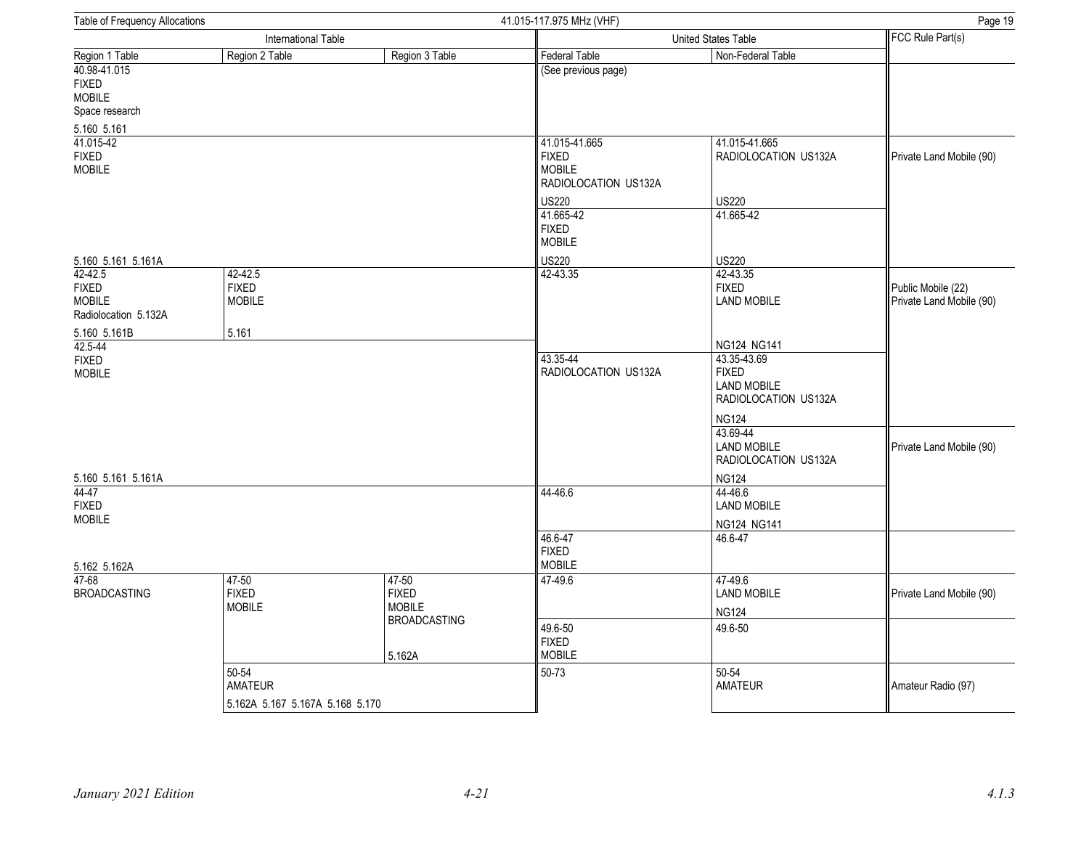| Table of Frequency Allocations<br>41.015-117.975 MHz (VHF)         |                                            |                                        |                                                                                                                     | Page 19                                                                                |                                                |
|--------------------------------------------------------------------|--------------------------------------------|----------------------------------------|---------------------------------------------------------------------------------------------------------------------|----------------------------------------------------------------------------------------|------------------------------------------------|
|                                                                    | International Table<br>United States Table |                                        |                                                                                                                     | FCC Rule Part(s)                                                                       |                                                |
| Region 1 Table                                                     | Region 2 Table                             | Region 3 Table                         | <b>Federal Table</b>                                                                                                | Non-Federal Table                                                                      |                                                |
| 40.98-41.015<br><b>FIXED</b><br><b>MOBILE</b><br>Space research    |                                            |                                        | (See previous page)                                                                                                 |                                                                                        |                                                |
| 5.160 5.161<br>41.015-42<br><b>FIXED</b><br><b>MOBILE</b>          |                                            |                                        | 41.015-41.665<br><b>FIXED</b><br><b>MOBILE</b><br>RADIOLOCATION US132A<br><b>US220</b><br>41.665-42<br><b>FIXED</b> | 41.015-41.665<br>RADIOLOCATION US132A<br><b>US220</b><br>41.665-42                     | Private Land Mobile (90)                       |
|                                                                    |                                            |                                        | <b>MOBILE</b>                                                                                                       |                                                                                        |                                                |
| 5.160 5.161 5.161A                                                 |                                            |                                        | <b>US220</b>                                                                                                        | <b>US220</b>                                                                           |                                                |
| 42-42.5<br><b>FIXED</b><br><b>MOBILE</b><br>Radiolocation 5.132A   | 42-42.5<br><b>FIXED</b><br><b>MOBILE</b>   |                                        | 42-43.35                                                                                                            | 42-43.35<br><b>FIXED</b><br><b>LAND MOBILE</b>                                         | Public Mobile (22)<br>Private Land Mobile (90) |
| 5.160 5.161B                                                       | 5.161                                      |                                        |                                                                                                                     |                                                                                        |                                                |
| $42.5 - 44$<br><b>FIXED</b><br><b>MOBILE</b><br>5.160 5.161 5.161A |                                            | 43.35-44<br>RADIOLOCATION US132A       | NG124 NG141<br>43.35-43.69<br><b>FIXED</b><br><b>LAND MOBILE</b><br>RADIOLOCATION US132A                            |                                                                                        |                                                |
|                                                                    |                                            |                                        |                                                                                                                     | <b>NG124</b><br>43.69-44<br><b>LAND MOBILE</b><br>RADIOLOCATION US132A<br><b>NG124</b> | Private Land Mobile (90)                       |
| 44-47<br><b>FIXED</b><br><b>MOBILE</b>                             |                                            |                                        | 44-46.6                                                                                                             | 44-46.6<br><b>LAND MOBILE</b><br>NG124 NG141                                           |                                                |
| 5.162 5.162A                                                       |                                            |                                        | 46.6-47<br><b>FIXED</b><br><b>MOBILE</b>                                                                            | 46.6-47                                                                                |                                                |
| $47 - 68$<br><b>BROADCASTING</b>                                   | 47-50<br><b>FIXED</b><br><b>MOBILE</b>     | 47-50<br><b>FIXED</b><br><b>MOBILE</b> | 47-49.6                                                                                                             | 47-49.6<br><b>LAND MOBILE</b><br><b>NG124</b>                                          | Private Land Mobile (90)                       |
|                                                                    |                                            | <b>BROADCASTING</b><br>5.162A          | 49.6-50<br><b>FIXED</b><br><b>MOBILE</b>                                                                            | 49.6-50                                                                                |                                                |
|                                                                    | 50-54<br>AMATEUR                           |                                        | 50-73                                                                                                               | 50-54<br><b>AMATEUR</b>                                                                | Amateur Radio (97)                             |
|                                                                    |                                            | 5.162A 5.167 5.167A 5.168 5.170        |                                                                                                                     |                                                                                        |                                                |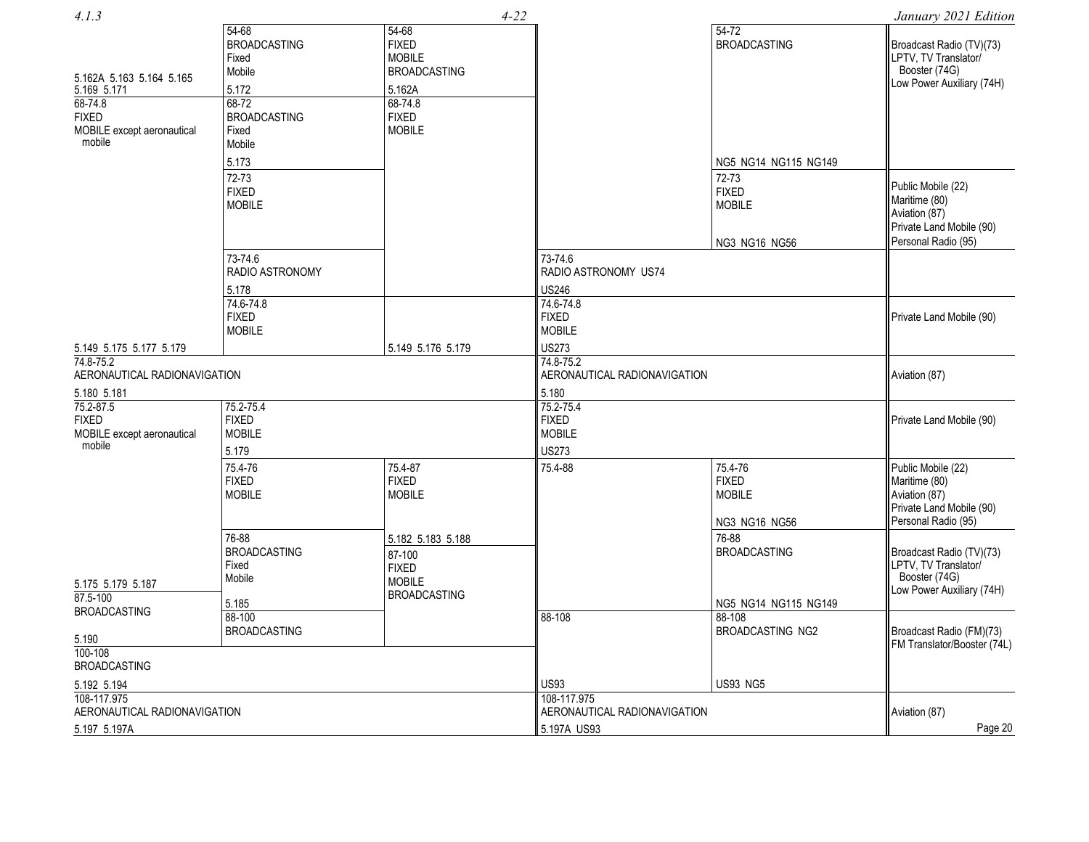| 4.1.3                                                                                                      |                                                                                                                     |                                                                                                                         | $4 - 22$                                                                                      |                                                                                 | January 2021 Edition                                                                                    |
|------------------------------------------------------------------------------------------------------------|---------------------------------------------------------------------------------------------------------------------|-------------------------------------------------------------------------------------------------------------------------|-----------------------------------------------------------------------------------------------|---------------------------------------------------------------------------------|---------------------------------------------------------------------------------------------------------|
| 5.162A 5.163 5.164 5.165<br>5.169 5.171<br>68-74.8<br><b>FIXED</b><br>MOBILE except aeronautical<br>mobile | $54 - 68$<br><b>BROADCASTING</b><br>Fixed<br>Mobile<br>5.172<br>$68 - 72$<br><b>BROADCASTING</b><br>Fixed<br>Mobile | $54 - 68$<br><b>FIXED</b><br><b>MOBILE</b><br><b>BROADCASTING</b><br>5.162A<br>68-74.8<br><b>FIXED</b><br><b>MOBILE</b> |                                                                                               | $54-72$<br><b>BROADCASTING</b>                                                  | Broadcast Radio (TV)(73)<br>LPTV, TV Translator/<br>Booster (74G)<br>Low Power Auxiliary (74H)          |
|                                                                                                            | 5.173<br>72-73<br><b>FIXED</b><br><b>MOBILE</b>                                                                     |                                                                                                                         |                                                                                               | NG5 NG14 NG115 NG149<br>72-73<br><b>FIXED</b><br><b>MOBILE</b><br>NG3 NG16 NG56 | Public Mobile (22)<br>Maritime (80)<br>Aviation (87)<br>Private Land Mobile (90)<br>Personal Radio (95) |
|                                                                                                            | 73-74.6<br>RADIO ASTRONOMY<br>5.178<br>74.6-74.8<br><b>FIXED</b><br><b>MOBILE</b>                                   |                                                                                                                         | 73-74.6<br>RADIO ASTRONOMY US74<br><b>US246</b><br>74.6-74.8<br><b>FIXED</b><br><b>MOBILE</b> |                                                                                 | Private Land Mobile (90)                                                                                |
| 5.149 5.175 5.177 5.179<br>74.8-75.2<br>AERONAUTICAL RADIONAVIGATION<br>5.180 5.181                        |                                                                                                                     | 5.149 5.176 5.179                                                                                                       | <b>US273</b><br>74.8-75.2<br>AERONAUTICAL RADIONAVIGATION<br>5.180                            |                                                                                 | Aviation (87)                                                                                           |
| 75.2-87.5<br><b>FIXED</b><br>MOBILE except aeronautical<br>mobile                                          | 75.2-75.4<br><b>FIXED</b><br><b>MOBILE</b><br>5.179                                                                 |                                                                                                                         | 75.2-75.4<br><b>FIXED</b><br><b>MOBILE</b><br><b>US273</b>                                    |                                                                                 | Private Land Mobile (90)                                                                                |
|                                                                                                            | 75.4-76<br><b>FIXED</b><br><b>MOBILE</b>                                                                            | 75.4-87<br><b>FIXED</b><br><b>MOBILE</b>                                                                                | 75.4-88                                                                                       | 75.4-76<br><b>FIXED</b><br><b>MOBILE</b><br>NG3 NG16 NG56                       | Public Mobile (22)<br>Maritime (80)<br>Aviation (87)<br>Private Land Mobile (90)<br>Personal Radio (95) |
| 5.175 5.179 5.187<br>87.5-100                                                                              | 76-88<br><b>BROADCASTING</b><br>Fixed<br>Mobile<br>5.185                                                            | 5.182 5.183 5.188<br>87-100<br><b>FIXED</b><br><b>MOBILE</b><br><b>BROADCASTING</b>                                     |                                                                                               | 76-88<br><b>BROADCASTING</b><br>NG5 NG14 NG115 NG149                            | Broadcast Radio (TV)(73)<br>LPTV, TV Translator/<br>Booster (74G)<br>Low Power Auxiliary (74H)          |
| <b>BROADCASTING</b><br>5.190<br>$100 - 108$<br><b>BROADCASTING</b>                                         | 88-100<br><b>BROADCASTING</b>                                                                                       |                                                                                                                         | 88-108                                                                                        | 88-108<br>BROADCASTING NG2                                                      | Broadcast Radio (FM)(73)<br>FM Translator/Booster (74L)                                                 |
| 5.192 5.194<br>108-117.975<br>AERONAUTICAL RADIONAVIGATION                                                 |                                                                                                                     |                                                                                                                         | <b>US93</b><br>108-117.975<br>AERONAUTICAL RADIONAVIGATION                                    | <b>US93 NG5</b>                                                                 | Aviation (87)                                                                                           |
| 5.197 5.197A                                                                                               |                                                                                                                     |                                                                                                                         | 5.197A US93                                                                                   |                                                                                 | Page 20                                                                                                 |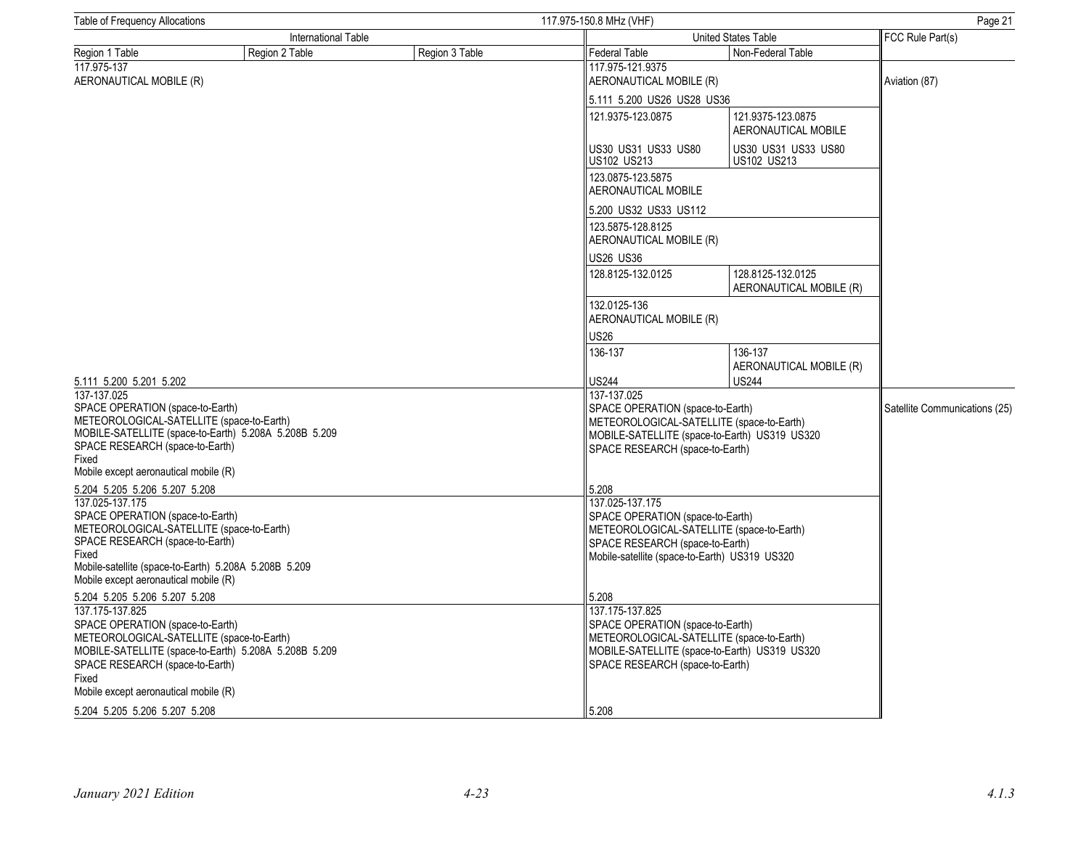| Table of Frequency Allocations                                                                                                                                                                                         |                                                       |                | 117.975-150.8 MHz (VHF)                                                                                                                                                              | Page 21                                       |                               |
|------------------------------------------------------------------------------------------------------------------------------------------------------------------------------------------------------------------------|-------------------------------------------------------|----------------|--------------------------------------------------------------------------------------------------------------------------------------------------------------------------------------|-----------------------------------------------|-------------------------------|
| International Table                                                                                                                                                                                                    |                                                       |                | United States Table                                                                                                                                                                  |                                               | FCC Rule Part(s)              |
| Region 1 Table                                                                                                                                                                                                         | Region 2 Table                                        | Region 3 Table | Federal Table                                                                                                                                                                        | Non-Federal Table                             |                               |
| 117.975-137<br>AERONAUTICAL MOBILE (R)                                                                                                                                                                                 |                                                       |                | 117.975-121.9375<br>AERONAUTICAL MOBILE (R)                                                                                                                                          |                                               | Aviation (87)                 |
|                                                                                                                                                                                                                        |                                                       |                | 5.111 5.200 US26 US28 US36                                                                                                                                                           |                                               |                               |
|                                                                                                                                                                                                                        |                                                       |                | 121.9375-123.0875                                                                                                                                                                    | 121.9375-123.0875<br>AERONAUTICAL MOBILE      |                               |
|                                                                                                                                                                                                                        |                                                       |                | US30 US31 US33 US80<br>US102 US213                                                                                                                                                   | US30 US31 US33 US80<br>US102 US213            |                               |
|                                                                                                                                                                                                                        |                                                       |                | 123.0875-123.5875<br>AERONAUTICAL MOBILE                                                                                                                                             |                                               |                               |
|                                                                                                                                                                                                                        |                                                       |                | 5.200 US32 US33 US112                                                                                                                                                                |                                               |                               |
|                                                                                                                                                                                                                        |                                                       |                | 123.5875-128.8125<br>AERONAUTICAL MOBILE (R)                                                                                                                                         |                                               |                               |
|                                                                                                                                                                                                                        |                                                       |                | <b>US26 US36</b>                                                                                                                                                                     |                                               |                               |
|                                                                                                                                                                                                                        |                                                       |                | 128.8125-132.0125                                                                                                                                                                    | 128.8125-132.0125<br>AERONAUTICAL MOBILE (R)  |                               |
|                                                                                                                                                                                                                        |                                                       |                | 132.0125-136<br>AERONAUTICAL MOBILE (R)                                                                                                                                              |                                               |                               |
|                                                                                                                                                                                                                        |                                                       |                | <b>US26</b>                                                                                                                                                                          |                                               |                               |
|                                                                                                                                                                                                                        |                                                       |                | 136-137                                                                                                                                                                              | 136-137<br>AERONAUTICAL MOBILE (R)            |                               |
| 5.111 5.200 5.201 5.202                                                                                                                                                                                                |                                                       |                | <b>US244</b>                                                                                                                                                                         | <b>US244</b>                                  |                               |
| 137-137.025<br>SPACE OPERATION (space-to-Earth)<br>METEOROLOGICAL-SATELLITE (space-to-Earth)<br>SPACE RESEARCH (space-to-Earth)<br>Fixed<br>Mobile except aeronautical mobile (R)                                      | MOBILE-SATELLITE (space-to-Earth) 5.208A 5.208B 5.209 |                | 137-137.025<br>SPACE OPERATION (space-to-Earth)<br>METEOROLOGICAL-SATELLITE (space-to-Earth)<br>SPACE RESEARCH (space-to-Earth)                                                      | MOBILE-SATELLITE (space-to-Earth) US319 US320 | Satellite Communications (25) |
| 5.204 5.205 5.206 5.207 5.208                                                                                                                                                                                          |                                                       |                | 5.208                                                                                                                                                                                |                                               |                               |
| 137.025-137.175<br>SPACE OPERATION (space-to-Earth)<br>METEOROLOGICAL-SATELLITE (space-to-Earth)<br>SPACE RESEARCH (space-to-Earth)<br>Fixed<br>Mobile except aeronautical mobile (R)                                  | Mobile-satellite (space-to-Earth) 5.208A 5.208B 5.209 |                | 137.025-137.175<br>SPACE OPERATION (space-to-Earth)<br>METEOROLOGICAL-SATELLITE (space-to-Earth)<br>SPACE RESEARCH (space-to-Earth)<br>Mobile-satellite (space-to-Earth) US319 US320 |                                               |                               |
| 5.204 5.205 5.206 5.207 5.208<br>137.175-137.825<br>SPACE OPERATION (space-to-Earth)<br>METEOROLOGICAL-SATELLITE (space-to-Earth)<br>SPACE RESEARCH (space-to-Earth)<br>Fixed<br>Mobile except aeronautical mobile (R) | MOBILE-SATELLITE (space-to-Earth) 5.208A 5.208B 5.209 |                | 5.208<br>137.175-137.825<br>SPACE OPERATION (space-to-Earth)<br>METEOROLOGICAL-SATELLITE (space-to-Earth)<br>SPACE RESEARCH (space-to-Earth)                                         | MOBILE-SATELLITE (space-to-Earth) US319 US320 |                               |
| 5.204 5.205 5.206 5.207 5.208                                                                                                                                                                                          |                                                       |                | 5.208                                                                                                                                                                                |                                               |                               |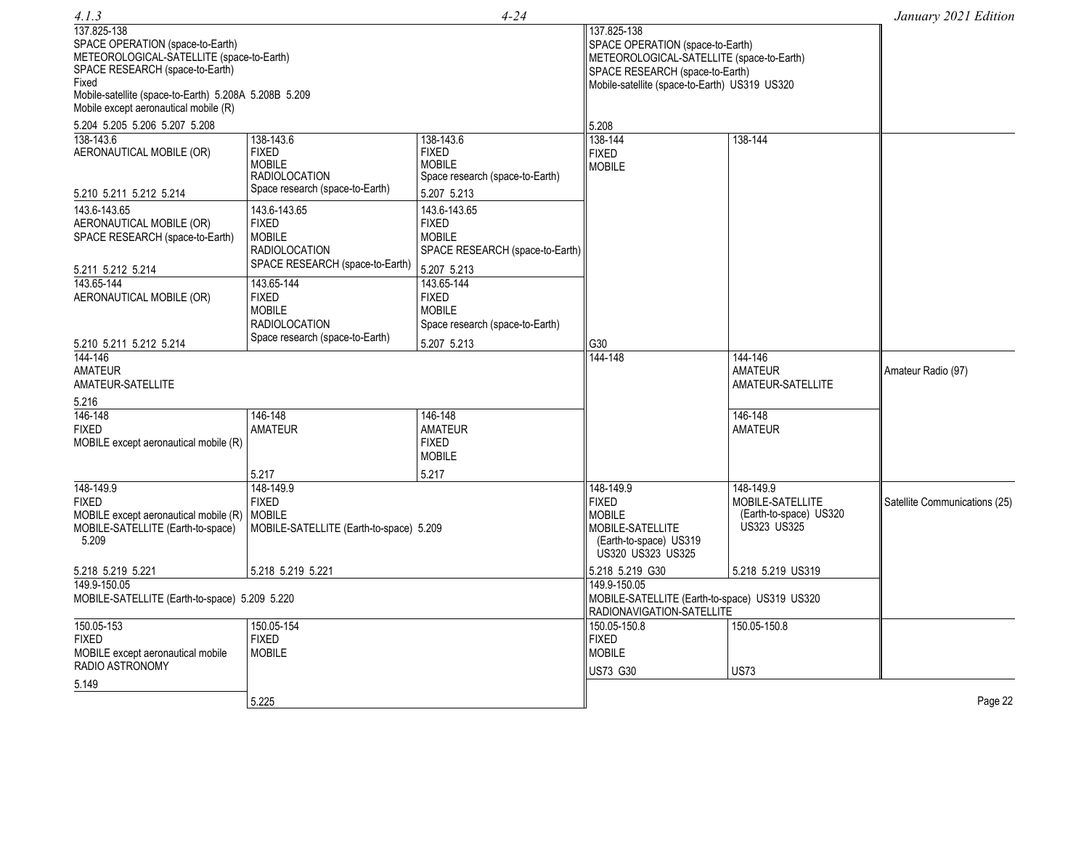| 4.1.3                                                                                                                                                                                                                                      |                                                                                                        | $4 - 24$                                                                                        |                                                                                                                                                                                  |                                                                        | January 2021 Edition          |
|--------------------------------------------------------------------------------------------------------------------------------------------------------------------------------------------------------------------------------------------|--------------------------------------------------------------------------------------------------------|-------------------------------------------------------------------------------------------------|----------------------------------------------------------------------------------------------------------------------------------------------------------------------------------|------------------------------------------------------------------------|-------------------------------|
| 137.825-138<br>SPACE OPERATION (space-to-Earth)<br>METEOROLOGICAL-SATELLITE (space-to-Earth)<br>SPACE RESEARCH (space-to-Earth)<br>Fixed<br>Mobile-satellite (space-to-Earth) 5.208A 5.208B 5.209<br>Mobile except aeronautical mobile (R) |                                                                                                        |                                                                                                 | 137.825-138<br>SPACE OPERATION (space-to-Earth)<br>METEOROLOGICAL-SATELLITE (space-to-Earth)<br>SPACE RESEARCH (space-to-Earth)<br>Mobile-satellite (space-to-Earth) US319 US320 |                                                                        |                               |
| 5.204 5.205 5.206 5.207 5.208                                                                                                                                                                                                              |                                                                                                        |                                                                                                 | 5.208                                                                                                                                                                            |                                                                        |                               |
| 138-143.6<br>AERONAUTICAL MOBILE (OR)<br>5.210 5.211 5.212 5.214                                                                                                                                                                           | 138-143.6<br><b>FIXED</b><br><b>MOBILE</b><br><b>RADIOLOCATION</b><br>Space research (space-to-Earth)  | 138-143.6<br><b>FIXED</b><br><b>MOBILE</b><br>Space research (space-to-Earth)<br>5.207 5.213    | 138-144<br><b>FIXED</b><br><b>MOBILE</b>                                                                                                                                         | 138-144                                                                |                               |
| 143.6-143.65<br>AERONAUTICAL MOBILE (OR)<br>SPACE RESEARCH (space-to-Earth)<br>5.211 5.212 5.214                                                                                                                                           | 143.6-143.65<br><b>FIXED</b><br><b>MOBILE</b><br>RADIOLOCATION<br>SPACE RESEARCH (space-to-Earth)      | 143.6-143.65<br><b>FIXED</b><br><b>MOBILE</b><br>SPACE RESEARCH (space-to-Earth)<br>5.207 5.213 |                                                                                                                                                                                  |                                                                        |                               |
| 143.65-144<br>AERONAUTICAL MOBILE (OR)                                                                                                                                                                                                     | 143.65-144<br><b>FIXED</b><br><b>MOBILE</b><br><b>RADIOLOCATION</b><br>Space research (space-to-Earth) | 143.65-144<br><b>FIXED</b><br><b>MOBILE</b><br>Space research (space-to-Earth)                  |                                                                                                                                                                                  |                                                                        |                               |
| 5.210 5.211 5.212 5.214                                                                                                                                                                                                                    |                                                                                                        | 5.207 5.213                                                                                     | G30                                                                                                                                                                              |                                                                        |                               |
| $144 - 146$<br><b>AMATEUR</b><br>AMATEUR-SATELLITE                                                                                                                                                                                         |                                                                                                        |                                                                                                 | 144-148                                                                                                                                                                          | 144-146<br><b>AMATEUR</b><br>AMATEUR-SATELLITE                         | Amateur Radio (97)            |
| 5.216                                                                                                                                                                                                                                      |                                                                                                        |                                                                                                 |                                                                                                                                                                                  |                                                                        |                               |
| 146-148<br><b>FIXED</b><br>MOBILE except aeronautical mobile (R)                                                                                                                                                                           | 146-148<br><b>AMATEUR</b>                                                                              | 146-148<br><b>AMATEUR</b><br><b>FIXED</b><br><b>MOBILE</b>                                      |                                                                                                                                                                                  | 146-148<br><b>AMATEUR</b>                                              |                               |
|                                                                                                                                                                                                                                            | 5.217                                                                                                  | 5.217                                                                                           |                                                                                                                                                                                  |                                                                        |                               |
| 148-149.9<br><b>FIXED</b><br>MOBILE except aeronautical mobile (R)   MOBILE<br>MOBILE-SATELLITE (Earth-to-space)<br>5.209                                                                                                                  | 148-149.9<br><b>FIXED</b><br>MOBILE-SATELLITE (Earth-to-space) 5.209                                   |                                                                                                 | 148-149.9<br><b>FIXED</b><br><b>MOBILE</b><br>MOBILE-SATELLITE<br>(Earth-to-space) US319<br>US320 US323 US325                                                                    | 148-149.9<br>MOBILE-SATELLITE<br>(Earth-to-space) US320<br>US323 US325 | Satellite Communications (25) |
| 5.218 5.219 5.221                                                                                                                                                                                                                          | 5.218 5.219 5.221                                                                                      |                                                                                                 | 5.218 5.219 G30                                                                                                                                                                  | 5.218 5.219 US319                                                      |                               |
| 149.9-150.05<br>MOBILE-SATELLITE (Earth-to-space) 5.209 5.220                                                                                                                                                                              |                                                                                                        |                                                                                                 | 149.9-150.05<br>MOBILE-SATELLITE (Earth-to-space) US319 US320<br>RADIONAVIGATION-SATELLITE                                                                                       |                                                                        |                               |
| 150.05-153                                                                                                                                                                                                                                 | 150.05-154                                                                                             |                                                                                                 | 150.05-150.8                                                                                                                                                                     | 150.05-150.8                                                           |                               |
| <b>FIXED</b>                                                                                                                                                                                                                               | <b>FIXED</b>                                                                                           |                                                                                                 | <b>FIXED</b>                                                                                                                                                                     |                                                                        |                               |
| MOBILE except aeronautical mobile<br>RADIO ASTRONOMY                                                                                                                                                                                       | <b>MOBILE</b>                                                                                          |                                                                                                 | <b>MOBILE</b>                                                                                                                                                                    |                                                                        |                               |
| 5.149                                                                                                                                                                                                                                      |                                                                                                        |                                                                                                 | US73 G30                                                                                                                                                                         | <b>US73</b>                                                            |                               |
|                                                                                                                                                                                                                                            | 5.225                                                                                                  |                                                                                                 |                                                                                                                                                                                  |                                                                        | Page 22                       |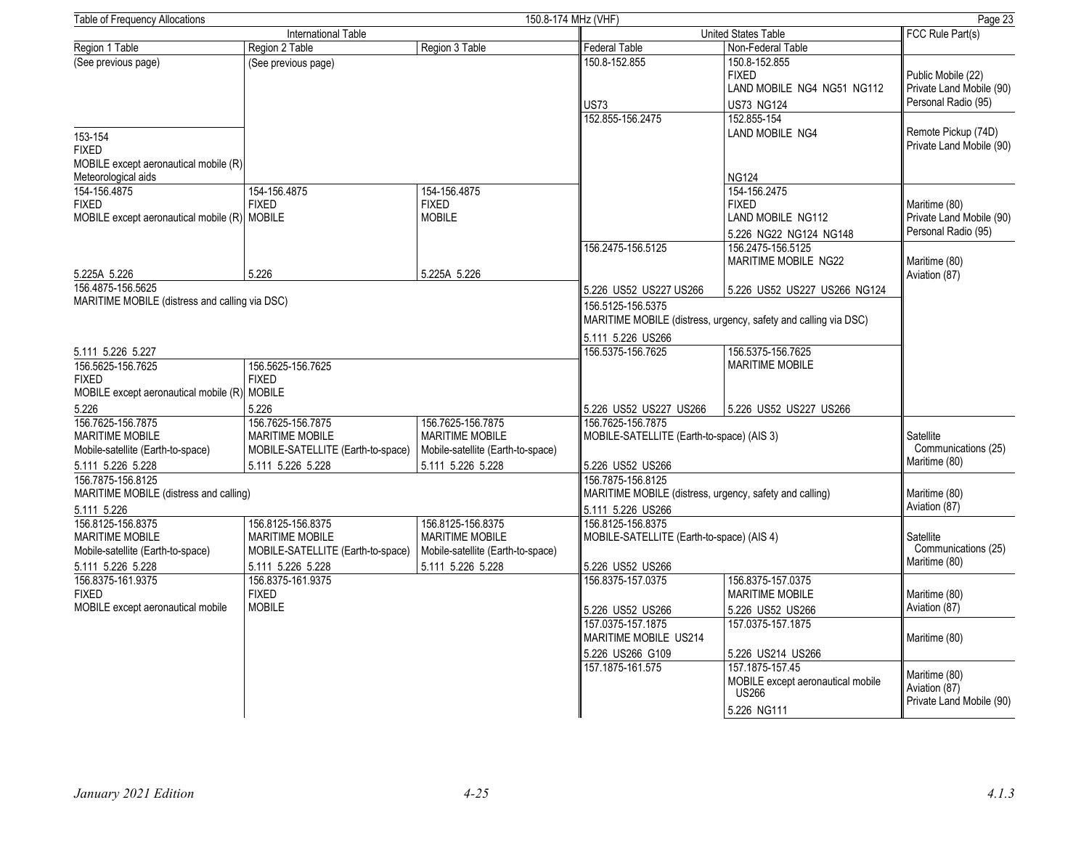| Table of Frequency Allocations                                                                        |                                                                                                       |                                                                                                       | 150.8-174 MHz (VHF)                                                                               |                                                                                     | Page 23                                                               |
|-------------------------------------------------------------------------------------------------------|-------------------------------------------------------------------------------------------------------|-------------------------------------------------------------------------------------------------------|---------------------------------------------------------------------------------------------------|-------------------------------------------------------------------------------------|-----------------------------------------------------------------------|
| <b>International Table</b>                                                                            |                                                                                                       |                                                                                                       | United States Table                                                                               | FCC Rule Part(s)                                                                    |                                                                       |
| Region 1 Table                                                                                        | Region 2 Table                                                                                        | Region 3 Table                                                                                        | Federal Table                                                                                     | Non-Federal Table                                                                   |                                                                       |
| (See previous page)                                                                                   | (See previous page)                                                                                   |                                                                                                       | 150.8-152.855<br>US73                                                                             | 150.8-152.855<br><b>FIXED</b><br>LAND MOBILE NG4 NG51 NG112<br><b>US73 NG124</b>    | Public Mobile (22)<br>Private Land Mobile (90)<br>Personal Radio (95) |
| 153-154<br><b>FIXED</b><br>MOBILE except aeronautical mobile (R)                                      |                                                                                                       |                                                                                                       | 152.855-156.2475                                                                                  | 152.855-154<br>LAND MOBILE NG4                                                      | Remote Pickup (74D)<br>Private Land Mobile (90)                       |
| Meteorological aids                                                                                   |                                                                                                       |                                                                                                       |                                                                                                   | <b>NG124</b>                                                                        |                                                                       |
| 154-156.4875<br><b>FIXED</b><br>MOBILE except aeronautical mobile (R)                                 | 154-156.4875<br><b>FIXED</b><br><b>MOBILE</b>                                                         | 154-156.4875<br><b>FIXED</b><br><b>MOBILE</b>                                                         |                                                                                                   | 154-156.2475<br><b>FIXED</b><br>LAND MOBILE NG112<br>5.226 NG22 NG124 NG148         | Maritime (80)<br>Private Land Mobile (90)<br>Personal Radio (95)      |
| 5.225A 5.226                                                                                          | 5.226                                                                                                 | 5.225A 5.226                                                                                          | 156.2475-156.5125                                                                                 | 156.2475-156.5125<br><b>MARITIME MOBILE NG22</b>                                    | Maritime (80)<br>Aviation (87)                                        |
| 156.4875-156.5625                                                                                     |                                                                                                       |                                                                                                       | 5.226 US52 US227 US266                                                                            | 5.226 US52 US227 US266 NG124                                                        |                                                                       |
| MARITIME MOBILE (distress and calling via DSC)                                                        |                                                                                                       |                                                                                                       | 156.5125-156.5375                                                                                 | MARITIME MOBILE (distress, urgency, safety and calling via DSC)                     |                                                                       |
|                                                                                                       |                                                                                                       |                                                                                                       | 5.111 5.226 US266                                                                                 |                                                                                     |                                                                       |
| 5.111 5.226 5.227<br>156.5625-156.7625                                                                | 156.5625-156.7625                                                                                     |                                                                                                       | 156.5375-156.7625                                                                                 | 156.5375-156.7625<br><b>MARITIME MOBILE</b>                                         |                                                                       |
| <b>FIXED</b><br>MOBILE except aeronautical mobile (R)                                                 | <b>FIXED</b><br><b>MOBILE</b>                                                                         |                                                                                                       |                                                                                                   |                                                                                     |                                                                       |
| 5.226                                                                                                 | 5.226                                                                                                 |                                                                                                       | 5.226 US52 US227 US266                                                                            | 5.226 US52 US227 US266                                                              |                                                                       |
| 156.7625-156.7875<br><b>MARITIME MOBILE</b><br>Mobile-satellite (Earth-to-space)                      | 156.7625-156.7875<br><b>MARITIME MOBILE</b><br>MOBILE-SATELLITE (Earth-to-space)                      | 156.7625-156.7875<br><b>MARITIME MOBILE</b><br>Mobile-satellite (Earth-to-space)                      | 156.7625-156.7875<br>MOBILE-SATELLITE (Earth-to-space) (AIS 3)                                    |                                                                                     | Satellite<br>Communications (25)<br>Maritime (80)                     |
| 5.111 5.226 5.228                                                                                     | 5.111 5.226 5.228                                                                                     | 5.111 5.226 5.228                                                                                     | 5.226 US52 US266                                                                                  |                                                                                     |                                                                       |
| 156.7875-156.8125<br>MARITIME MOBILE (distress and calling)<br>5.111 5.226                            |                                                                                                       |                                                                                                       | 156.7875-156.8125<br>MARITIME MOBILE (distress, urgency, safety and calling)<br>5.111 5.226 US266 |                                                                                     | Maritime (80)<br>Aviation (87)                                        |
| 156.8125-156.8375<br><b>MARITIME MOBILE</b><br>Mobile-satellite (Earth-to-space)<br>5.111 5.226 5.228 | 156.8125-156.8375<br><b>MARITIME MOBILE</b><br>MOBILE-SATELLITE (Earth-to-space)<br>5.111 5.226 5.228 | 156.8125-156.8375<br><b>MARITIME MOBILE</b><br>Mobile-satellite (Earth-to-space)<br>5.111 5.226 5.228 | 156.8125-156.8375<br>MOBILE-SATELLITE (Earth-to-space) (AIS 4)<br>5.226 US52 US266                |                                                                                     | Satellite<br>Communications (25)<br>Maritime (80)                     |
| 156.8375-161.9375<br><b>FIXED</b>                                                                     | 156.8375-161.9375<br><b>FIXED</b>                                                                     |                                                                                                       | 156.8375-157.0375                                                                                 | 156.8375-157.0375<br><b>MARITIME MOBILE</b>                                         | Maritime (80)                                                         |
| MOBILE except aeronautical mobile                                                                     | <b>MOBILE</b>                                                                                         |                                                                                                       | 5.226 US52 US266<br>157.0375-157.1875<br>MARITIME MOBILE US214<br>5.226 US266 G109                | 5.226 US52 US266<br>157.0375-157.1875<br>5.226 US214 US266                          | Aviation (87)<br>Maritime (80)                                        |
|                                                                                                       |                                                                                                       |                                                                                                       | 157.1875-161.575                                                                                  | 157.1875-157.45<br>MOBILE except aeronautical mobile<br><b>US266</b><br>5.226 NG111 | Maritime (80)<br>Aviation (87)<br>Private Land Mobile (90)            |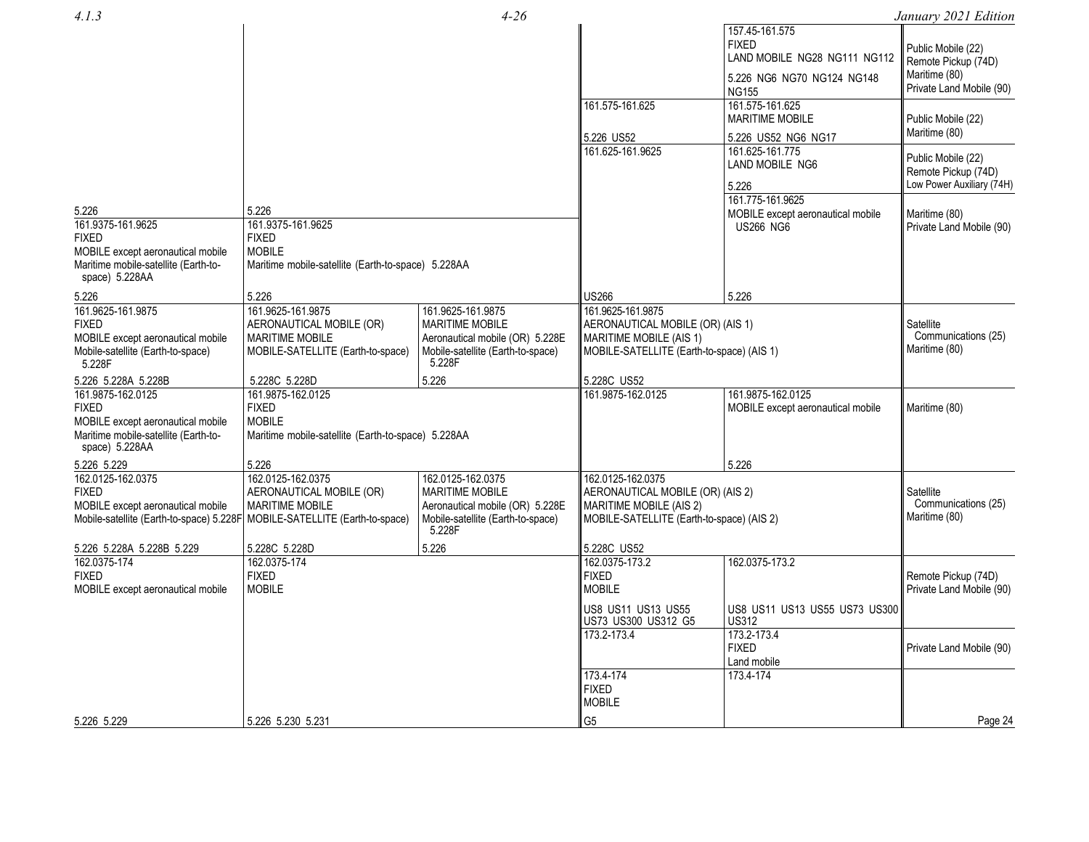| 4.1.3                                                                      |                                                    | $4 - 26$                          |                                           |                                               | January 2021 Edition      |
|----------------------------------------------------------------------------|----------------------------------------------------|-----------------------------------|-------------------------------------------|-----------------------------------------------|---------------------------|
|                                                                            |                                                    |                                   |                                           | 157.45-161.575                                |                           |
|                                                                            |                                                    |                                   |                                           | <b>FIXED</b>                                  | Public Mobile (22)        |
|                                                                            |                                                    |                                   |                                           | LAND MOBILE NG28 NG111 NG112                  | Remote Pickup (74D)       |
|                                                                            |                                                    |                                   |                                           | 5.226 NG6 NG70 NG124 NG148                    | Maritime (80)             |
|                                                                            |                                                    |                                   |                                           | <b>NG155</b>                                  | Private Land Mobile (90)  |
|                                                                            |                                                    |                                   | 161.575-161.625                           | 161.575-161.625                               |                           |
|                                                                            |                                                    |                                   |                                           | <b>MARITIME MOBILE</b>                        | Public Mobile (22)        |
|                                                                            |                                                    |                                   |                                           |                                               | Maritime (80)             |
|                                                                            |                                                    |                                   | 5.226 US52                                | 5.226 US52 NG6 NG17                           |                           |
|                                                                            |                                                    |                                   | 161.625-161.9625                          | 161.625-161.775                               | Public Mobile (22)        |
|                                                                            |                                                    |                                   |                                           | LAND MOBILE NG6                               | Remote Pickup (74D)       |
|                                                                            |                                                    |                                   |                                           | 5.226                                         | Low Power Auxiliary (74H) |
|                                                                            |                                                    |                                   |                                           | 161.775-161.9625                              |                           |
| 5.226                                                                      | 5.226                                              |                                   |                                           | MOBILE except aeronautical mobile             | Maritime (80)             |
| 161.9375-161.9625                                                          | 161.9375-161.9625                                  |                                   |                                           | <b>US266 NG6</b>                              | Private Land Mobile (90)  |
| <b>FIXED</b>                                                               | <b>FIXED</b>                                       |                                   |                                           |                                               |                           |
| MOBILE except aeronautical mobile                                          | <b>MOBILE</b>                                      |                                   |                                           |                                               |                           |
| Maritime mobile-satellite (Earth-to-                                       | Maritime mobile-satellite (Earth-to-space) 5.228AA |                                   |                                           |                                               |                           |
| space) 5.228AA                                                             |                                                    |                                   |                                           |                                               |                           |
| 5.226                                                                      | 5.226                                              |                                   | US266                                     | 5.226                                         |                           |
| 161.9625-161.9875                                                          | 161.9625-161.9875                                  | 161.9625-161.9875                 | 161.9625-161.9875                         |                                               |                           |
| <b>FIXED</b>                                                               | AERONAUTICAL MOBILE (OR)                           | <b>MARITIME MOBILE</b>            | AERONAUTICAL MOBILE (OR) (AIS 1)          |                                               | Satellite                 |
| MOBILE except aeronautical mobile                                          | <b>MARITIME MOBILE</b>                             | Aeronautical mobile (OR) 5.228E   | MARITIME MOBILE (AIS 1)                   |                                               | Communications (25)       |
| Mobile-satellite (Earth-to-space)                                          | MOBILE-SATELLITE (Earth-to-space)                  | Mobile-satellite (Earth-to-space) | MOBILE-SATELLITE (Earth-to-space) (AIS 1) |                                               | Maritime (80)             |
| 5.228F                                                                     |                                                    | 5.228F                            |                                           |                                               |                           |
| 5.226 5.228A 5.228B                                                        | 5.228C 5.228D                                      | 5.226                             | 5.228C US52                               |                                               |                           |
| 161.9875-162.0125                                                          | 161.9875-162.0125                                  |                                   | 161.9875-162.0125                         | 161.9875-162.0125                             |                           |
| <b>FIXED</b>                                                               | <b>FIXED</b>                                       |                                   |                                           | MOBILE except aeronautical mobile             | Maritime (80)             |
| MOBILE except aeronautical mobile                                          | <b>MOBILE</b>                                      |                                   |                                           |                                               |                           |
| Maritime mobile-satellite (Earth-to-                                       | Maritime mobile-satellite (Earth-to-space) 5.228AA |                                   |                                           |                                               |                           |
| space) 5.228AA                                                             |                                                    |                                   |                                           |                                               |                           |
| 5.226 5.229                                                                | 5.226                                              |                                   |                                           | 5.226                                         |                           |
| 162.0125-162.0375                                                          | 162.0125-162.0375                                  | 162.0125-162.0375                 | 162.0125-162.0375                         |                                               |                           |
| <b>FIXED</b>                                                               | AERONAUTICAL MOBILE (OR)                           | <b>MARITIME MOBILE</b>            | AERONAUTICAL MOBILE (OR) (AIS 2)          |                                               | Satellite                 |
| MOBILE except aeronautical mobile                                          | <b>MARITIME MOBILE</b>                             | Aeronautical mobile (OR) 5.228E   | <b>MARITIME MOBILE (AIS 2)</b>            |                                               | Communications (25)       |
| Mobile-satellite (Earth-to-space) 5.228F MOBILE-SATELLITE (Earth-to-space) |                                                    | Mobile-satellite (Earth-to-space) | MOBILE-SATELLITE (Earth-to-space) (AIS 2) |                                               | Maritime (80)             |
|                                                                            |                                                    | 5.228F                            |                                           |                                               |                           |
| 5.226 5.228A 5.228B 5.229                                                  | 5.228C 5.228D                                      | 5.226                             | 5.228C US52                               |                                               |                           |
| 162.0375-174                                                               | 162.0375-174                                       |                                   | 162.0375-173.2                            | 162.0375-173.2                                |                           |
| FIXED                                                                      | <b>FIXED</b>                                       |                                   | <b>FIXED</b>                              |                                               | Remote Pickup (74D)       |
| MOBILE except aeronautical mobile                                          | <b>MOBILE</b>                                      |                                   | <b>MOBILE</b>                             |                                               | Private Land Mobile (90)  |
|                                                                            |                                                    |                                   |                                           |                                               |                           |
|                                                                            |                                                    |                                   | US8 US11 US13 US55                        | US8 US11 US13 US55 US73 US300<br><b>US312</b> |                           |
|                                                                            |                                                    |                                   | US73 US300 US312 G5<br>173.2-173.4        | 173.2-173.4                                   |                           |
|                                                                            |                                                    |                                   |                                           | <b>FIXED</b>                                  | Private Land Mobile (90)  |
|                                                                            |                                                    |                                   |                                           | Land mobile                                   |                           |
|                                                                            |                                                    |                                   | 173.4-174                                 | 173.4-174                                     |                           |
|                                                                            |                                                    |                                   | <b>FIXED</b>                              |                                               |                           |
|                                                                            |                                                    |                                   | <b>MOBILE</b>                             |                                               |                           |
|                                                                            |                                                    |                                   |                                           |                                               |                           |
| 5.226 5.229                                                                | 5.226 5.230 5.231                                  |                                   | G <sub>5</sub>                            |                                               | Page 24                   |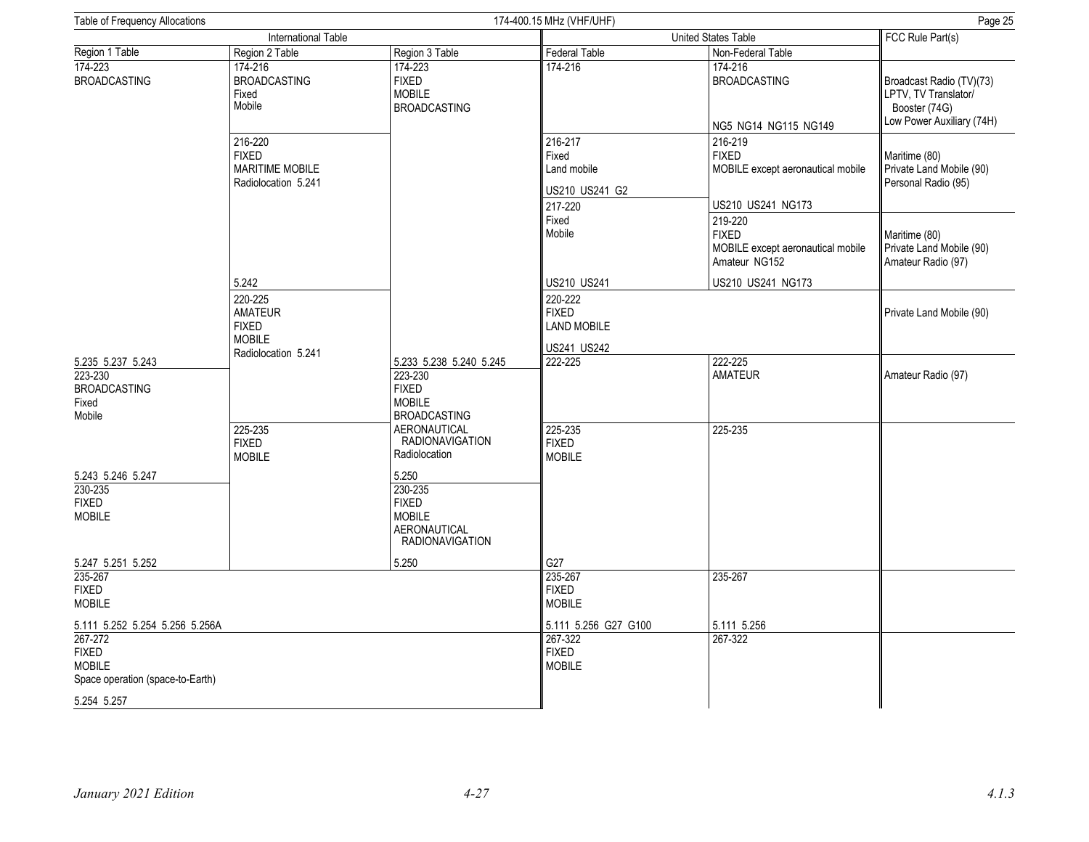| Table of Frequency Allocations                                               |                                                                                   |                                                                                             | 174-400.15 MHz (VHF/UHF)                                     | Page 25                                                                           |                                                                                                |
|------------------------------------------------------------------------------|-----------------------------------------------------------------------------------|---------------------------------------------------------------------------------------------|--------------------------------------------------------------|-----------------------------------------------------------------------------------|------------------------------------------------------------------------------------------------|
|                                                                              | International Table                                                               |                                                                                             |                                                              | United States Table                                                               | FCC Rule Part(s)                                                                               |
| Region 1 Table                                                               | Region 2 Table                                                                    | Region 3 Table                                                                              | <b>Federal Table</b>                                         | Non-Federal Table                                                                 |                                                                                                |
| 174-223<br><b>BROADCASTING</b>                                               | 174-216<br><b>BROADCASTING</b><br>Fixed<br>Mobile                                 | 174-223<br><b>FIXED</b><br><b>MOBILE</b><br><b>BROADCASTING</b>                             | 174-216                                                      | 174-216<br><b>BROADCASTING</b><br>NG5 NG14 NG115 NG149                            | Broadcast Radio (TV)(73)<br>LPTV, TV Translator/<br>Booster (74G)<br>Low Power Auxiliary (74H) |
|                                                                              | 216-220<br><b>FIXED</b><br><b>MARITIME MOBILE</b><br>Radiolocation 5.241          |                                                                                             | 216-217<br>Fixed<br>Land mobile<br>US210 US241 G2<br>217-220 | 216-219<br><b>FIXED</b><br>MOBILE except aeronautical mobile<br>US210 US241 NG173 | Maritime (80)<br>Private Land Mobile (90)<br>Personal Radio (95)                               |
|                                                                              |                                                                                   |                                                                                             | Fixed<br>Mobile                                              | 219-220<br><b>FIXED</b><br>MOBILE except aeronautical mobile<br>Amateur NG152     | Maritime (80)<br>Private Land Mobile (90)<br>Amateur Radio (97)                                |
|                                                                              | 5.242                                                                             |                                                                                             | US210 US241                                                  | US210 US241 NG173                                                                 |                                                                                                |
|                                                                              | 220-225<br><b>AMATEUR</b><br><b>FIXED</b><br><b>MOBILE</b><br>Radiolocation 5.241 |                                                                                             | 220-222<br><b>FIXED</b><br><b>LAND MOBILE</b><br>US241 US242 |                                                                                   | Private Land Mobile (90)                                                                       |
| 5.235 5.237 5.243<br>223-230<br><b>BROADCASTING</b><br>Fixed<br>Mobile       |                                                                                   | 5.233 5.238 5.240 5.245<br>223-230<br><b>FIXED</b><br><b>MOBILE</b><br><b>BROADCASTING</b>  | 222-225                                                      | 222-225<br><b>AMATEUR</b>                                                         | Amateur Radio (97)                                                                             |
|                                                                              | 225-235<br><b>FIXED</b><br><b>MOBILE</b>                                          | AERONAUTICAL<br><b>RADIONAVIGATION</b><br>Radiolocation                                     | 225-235<br><b>FIXED</b><br><b>MOBILE</b>                     | 225-235                                                                           |                                                                                                |
| 5.243 5.246 5.247<br>230-235<br><b>FIXED</b><br><b>MOBILE</b>                |                                                                                   | 5.250<br>230-235<br><b>FIXED</b><br><b>MOBILE</b><br>AERONAUTICAL<br><b>RADIONAVIGATION</b> |                                                              |                                                                                   |                                                                                                |
| 5.247 5.251 5.252                                                            |                                                                                   | 5.250                                                                                       | G27                                                          |                                                                                   |                                                                                                |
| 235-267<br><b>FIXED</b><br><b>MOBILE</b>                                     |                                                                                   |                                                                                             | 235-267<br><b>FIXED</b><br><b>MOBILE</b>                     | 235-267                                                                           |                                                                                                |
| 5.111 5.252 5.254 5.256 5.256A                                               |                                                                                   |                                                                                             | 5.111 5.256 G27 G100                                         | 5.111 5.256                                                                       |                                                                                                |
| 267-272<br><b>FIXED</b><br><b>MOBILE</b><br>Space operation (space-to-Earth) |                                                                                   |                                                                                             | 267-322<br><b>FIXED</b><br><b>MOBILE</b>                     | 267-322                                                                           |                                                                                                |
| 5.254 5.257                                                                  |                                                                                   |                                                                                             |                                                              |                                                                                   |                                                                                                |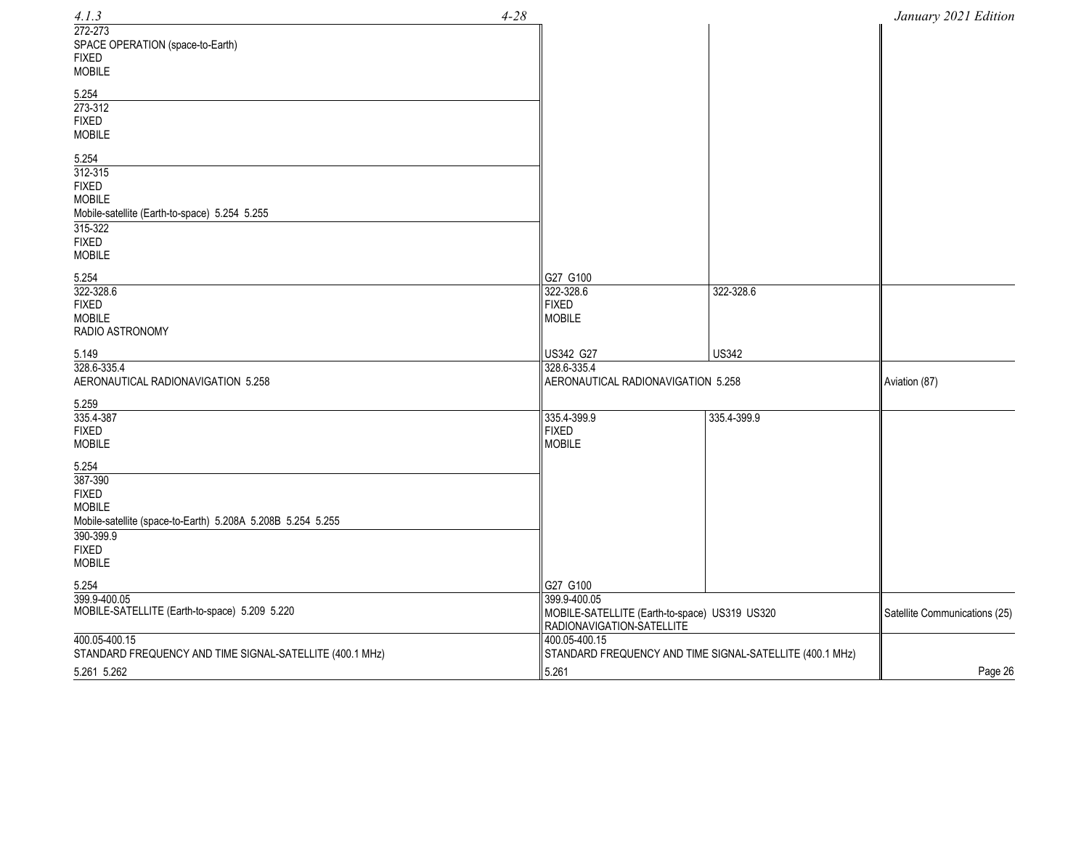| $4 - 28$<br>4.1.3                                                                                                                                              |                                                                                            |                                                          | January 2021 Edition          |
|----------------------------------------------------------------------------------------------------------------------------------------------------------------|--------------------------------------------------------------------------------------------|----------------------------------------------------------|-------------------------------|
| 272-273<br>SPACE OPERATION (space-to-Earth)<br><b>FIXED</b><br><b>MOBILE</b>                                                                                   |                                                                                            |                                                          |                               |
| 5.254<br>273-312<br><b>FIXED</b><br><b>MOBILE</b>                                                                                                              |                                                                                            |                                                          |                               |
| 5.254<br>312-315<br><b>FIXED</b><br><b>MOBILE</b><br>Mobile-satellite (Earth-to-space) 5.254 5.255<br>315-322<br><b>FIXED</b><br><b>MOBILE</b>                 |                                                                                            |                                                          |                               |
| 5.254                                                                                                                                                          | G27 G100                                                                                   |                                                          |                               |
| 322-328.6<br><b>FIXED</b><br><b>MOBILE</b><br>RADIO ASTRONOMY                                                                                                  | 322-328.6<br><b>FIXED</b><br><b>MOBILE</b>                                                 | 322-328.6                                                |                               |
| 5.149                                                                                                                                                          | US342 G27                                                                                  | <b>US342</b>                                             |                               |
| 328.6-335.4<br>AERONAUTICAL RADIONAVIGATION 5.258                                                                                                              | 328.6-335.4<br>AERONAUTICAL RADIONAVIGATION 5.258                                          |                                                          | Aviation (87)                 |
| 5.259                                                                                                                                                          |                                                                                            |                                                          |                               |
| 335.4-387<br><b>FIXED</b><br><b>MOBILE</b>                                                                                                                     | 335.4-399.9<br><b>FIXED</b><br><b>MOBILE</b>                                               | 335.4-399.9                                              |                               |
| 5.254<br>387-390<br><b>FIXED</b><br><b>MOBILE</b><br>Mobile-satellite (space-to-Earth) 5.208A 5.208B 5.254 5.255<br>390-399.9<br><b>FIXED</b><br><b>MOBILE</b> |                                                                                            |                                                          |                               |
| 5.254                                                                                                                                                          | G27 G100                                                                                   |                                                          |                               |
| 399.9-400.05<br>MOBILE-SATELLITE (Earth-to-space) 5.209 5.220                                                                                                  | 399.9-400.05<br>MOBILE-SATELLITE (Earth-to-space) US319 US320<br>RADIONAVIGATION-SATELLITE |                                                          | Satellite Communications (25) |
| 400.05-400.15<br>STANDARD FREQUENCY AND TIME SIGNAL-SATELLITE (400.1 MHz)                                                                                      | 400.05-400.15                                                                              | STANDARD FREQUENCY AND TIME SIGNAL-SATELLITE (400.1 MHz) |                               |
| 5.261 5.262                                                                                                                                                    | 5.261                                                                                      |                                                          | Page 26                       |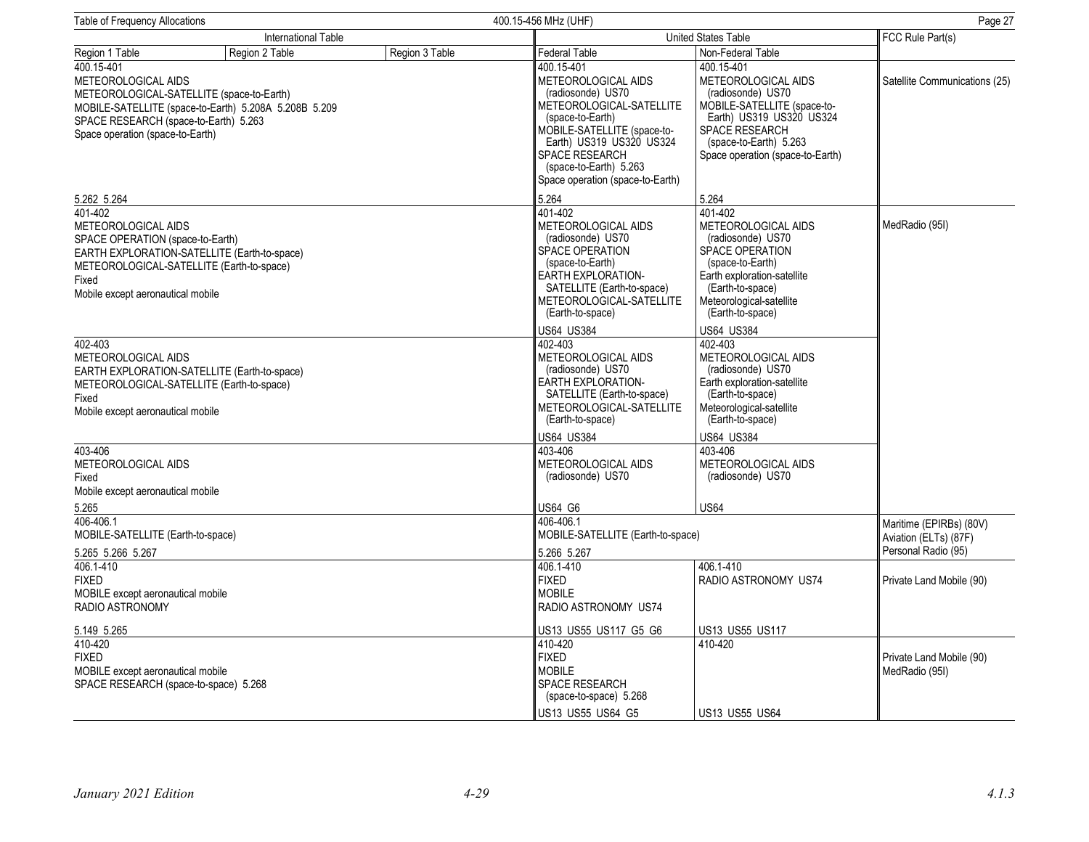| <b>Table of Frequency Allocations</b>                                                                                                                         |                                                       |                | 400.15-456 MHz (UHF)                                                                                                                                                                                                                                     | Page 27                                                                                                                                                                                                     |                                                                         |  |
|---------------------------------------------------------------------------------------------------------------------------------------------------------------|-------------------------------------------------------|----------------|----------------------------------------------------------------------------------------------------------------------------------------------------------------------------------------------------------------------------------------------------------|-------------------------------------------------------------------------------------------------------------------------------------------------------------------------------------------------------------|-------------------------------------------------------------------------|--|
|                                                                                                                                                               | International Table                                   |                |                                                                                                                                                                                                                                                          | <b>United States Table</b>                                                                                                                                                                                  |                                                                         |  |
| Region 1 Table                                                                                                                                                | Region 2 Table                                        | Region 3 Table | Federal Table                                                                                                                                                                                                                                            | Non-Federal Table                                                                                                                                                                                           |                                                                         |  |
| 400.15-401<br>METEOROLOGICAL AIDS<br>METEOROLOGICAL-SATELLITE (space-to-Earth)<br>SPACE RESEARCH (space-to-Earth) 5.263<br>Space operation (space-to-Earth)   | MOBILE-SATELLITE (space-to-Earth) 5.208A 5.208B 5.209 |                | 400.15-401<br>METEOROLOGICAL AIDS<br>(radiosonde) US70<br>METEOROLOGICAL-SATELLITE<br>(space-to-Earth)<br>MOBILE-SATELLITE (space-to-<br>Earth) US319 US320 US324<br><b>SPACE RESEARCH</b><br>(space-to-Earth) 5.263<br>Space operation (space-to-Earth) | 400.15-401<br>METEOROLOGICAL AIDS<br>(radiosonde) US70<br>MOBILE-SATELLITE (space-to-<br>Earth) US319 US320 US324<br>SPACE RESEARCH<br>(space-to-Earth) 5.263<br>Space operation (space-to-Earth)           | Satellite Communications (25)                                           |  |
| 5.262 5.264                                                                                                                                                   |                                                       |                | 5.264                                                                                                                                                                                                                                                    | 5.264                                                                                                                                                                                                       |                                                                         |  |
| 401-402<br>METEOROLOGICAL AIDS<br>SPACE OPERATION (space-to-Earth)<br>METEOROLOGICAL-SATELLITE (Earth-to-space)<br>Fixed<br>Mobile except aeronautical mobile | EARTH EXPLORATION-SATELLITE (Earth-to-space)          |                | 401-402<br><b>METEOROLOGICAL AIDS</b><br>(radiosonde) US70<br><b>SPACE OPERATION</b><br>(space-to-Earth)<br><b>EARTH EXPLORATION-</b><br>SATELLITE (Earth-to-space)<br>METEOROLOGICAL-SATELLITE<br>(Earth-to-space)                                      | 401-402<br><b>METEOROLOGICAL AIDS</b><br>(radiosonde) US70<br><b>SPACE OPERATION</b><br>(space-to-Earth)<br>Earth exploration-satellite<br>(Earth-to-space)<br>Meteorological-satellite<br>(Earth-to-space) | MedRadio (95I)                                                          |  |
|                                                                                                                                                               |                                                       |                | US64 US384                                                                                                                                                                                                                                               | <b>US64 US384</b>                                                                                                                                                                                           |                                                                         |  |
| 402-403<br>METEOROLOGICAL AIDS<br>METEOROLOGICAL-SATELLITE (Earth-to-space)<br>Fixed<br>Mobile except aeronautical mobile                                     | EARTH EXPLORATION-SATELLITE (Earth-to-space)          |                | 402-403<br>METEOROLOGICAL AIDS<br>(radiosonde) US70<br><b>EARTH EXPLORATION-</b><br>SATELLITE (Earth-to-space)<br>METEOROLOGICAL-SATELLITE<br>(Earth-to-space)                                                                                           | 402-403<br>METEOROLOGICAL AIDS<br>(radiosonde) US70<br>Earth exploration-satellite<br>(Earth-to-space)<br>Meteorological-satellite<br>(Earth-to-space)                                                      |                                                                         |  |
|                                                                                                                                                               |                                                       |                | <b>US64 US384</b>                                                                                                                                                                                                                                        | <b>US64 US384</b>                                                                                                                                                                                           |                                                                         |  |
| 403-406<br>METEOROLOGICAL AIDS<br>Fixed<br>Mobile except aeronautical mobile                                                                                  |                                                       |                | 403-406<br><b>METEOROLOGICAL AIDS</b><br>(radiosonde) US70                                                                                                                                                                                               | 403-406<br><b>METEOROLOGICAL AIDS</b><br>(radiosonde) US70                                                                                                                                                  |                                                                         |  |
| 5.265                                                                                                                                                         |                                                       |                | US64 G6                                                                                                                                                                                                                                                  | <b>US64</b>                                                                                                                                                                                                 |                                                                         |  |
| 406-406.1<br>MOBILE-SATELLITE (Earth-to-space)<br>5.265 5.266 5.267                                                                                           |                                                       |                | 406-406.1<br>MOBILE-SATELLITE (Earth-to-space)<br>5.266 5.267                                                                                                                                                                                            |                                                                                                                                                                                                             | Maritime (EPIRBs) (80V)<br>Aviation (ELTs) (87F)<br>Personal Radio (95) |  |
| 406.1-410<br><b>FIXED</b><br>MOBILE except aeronautical mobile<br>RADIO ASTRONOMY                                                                             |                                                       |                | 406.1-410<br><b>FIXED</b><br><b>MOBILE</b><br>RADIO ASTRONOMY US74                                                                                                                                                                                       | 406.1-410<br>RADIO ASTRONOMY US74                                                                                                                                                                           | Private Land Mobile (90)                                                |  |
| 5.149 5.265                                                                                                                                                   |                                                       |                | US13 US55 US117 G5 G6                                                                                                                                                                                                                                    | US13 US55 US117                                                                                                                                                                                             |                                                                         |  |
| 410-420<br><b>FIXED</b><br>MOBILE except aeronautical mobile<br>SPACE RESEARCH (space-to-space) 5.268                                                         |                                                       |                | 410-420<br><b>FIXED</b><br><b>MOBILE</b><br><b>SPACE RESEARCH</b><br>(space-to-space) 5.268                                                                                                                                                              | 410-420                                                                                                                                                                                                     | Private Land Mobile (90)<br>MedRadio (95I)                              |  |
|                                                                                                                                                               |                                                       |                | US13 US55 US64 G5                                                                                                                                                                                                                                        | <b>US13 US55 US64</b>                                                                                                                                                                                       |                                                                         |  |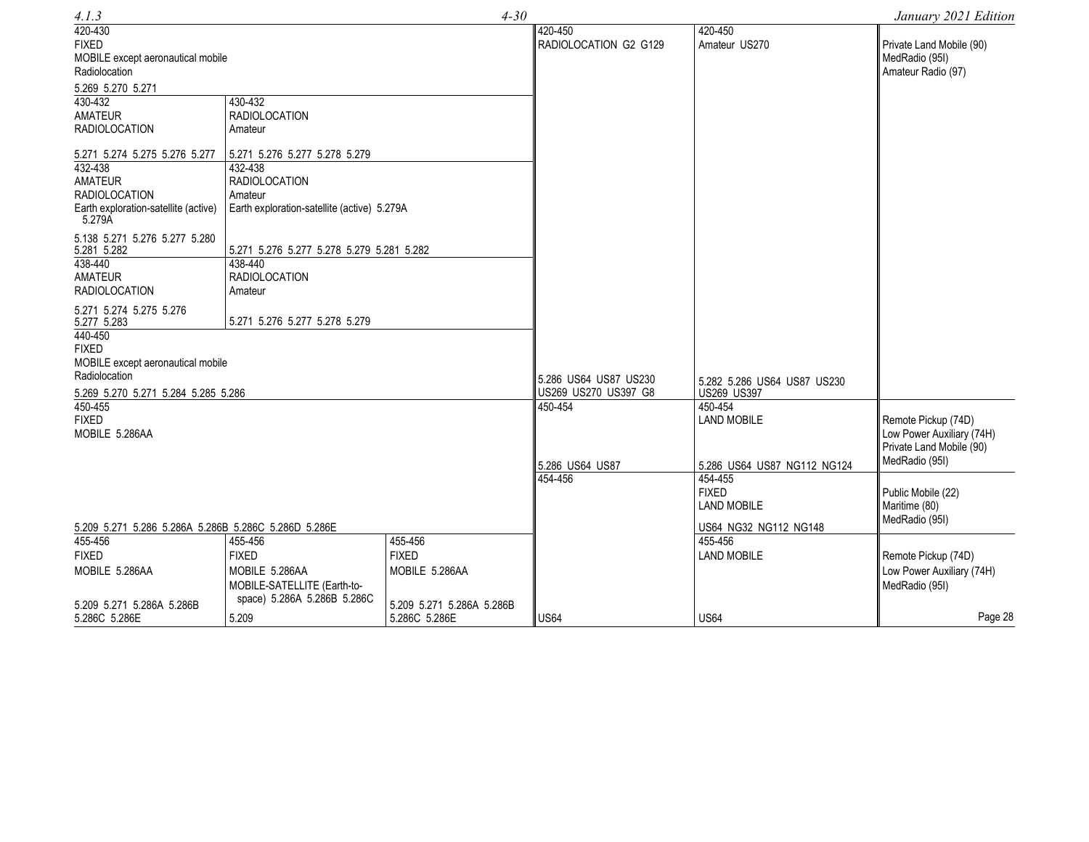| 4.1.3                                                                                                                                                                                                   |                                                                                                                                                                          | $4 - 30$                                           |                                                                                   |                                                                                                | January 2021 Edition                                               |
|---------------------------------------------------------------------------------------------------------------------------------------------------------------------------------------------------------|--------------------------------------------------------------------------------------------------------------------------------------------------------------------------|----------------------------------------------------|-----------------------------------------------------------------------------------|------------------------------------------------------------------------------------------------|--------------------------------------------------------------------|
| 420-430<br><b>FIXED</b><br>MOBILE except aeronautical mobile<br>Radiolocation                                                                                                                           |                                                                                                                                                                          |                                                    | 420-450<br>RADIOLOCATION G2 G129                                                  | 420-450<br>Amateur US270                                                                       | Private Land Mobile (90)<br>MedRadio (95I)<br>Amateur Radio (97)   |
| 5.269 5.270 5.271<br>430-432<br>AMATEUR<br><b>RADIOLOCATION</b><br>5.271 5.274 5.275 5.276 5.277<br>432-438<br><b>AMATEUR</b><br><b>RADIOLOCATION</b><br>Earth exploration-satellite (active)<br>5.279A | 430-432<br><b>RADIOLOCATION</b><br>Amateur<br>5.271 5.276 5.277 5.278 5.279<br>432-438<br><b>RADIOLOCATION</b><br>Amateur<br>Earth exploration-satellite (active) 5.279A |                                                    |                                                                                   |                                                                                                |                                                                    |
| 5.138 5.271 5.276 5.277 5.280<br>5.281 5.282<br>438-440<br>AMATEUR<br><b>RADIOLOCATION</b>                                                                                                              | 5.271 5.276 5.277 5.278 5.279 5.281 5.282<br>438-440<br><b>RADIOLOCATION</b><br>Amateur                                                                                  |                                                    |                                                                                   |                                                                                                |                                                                    |
| 5.271 5.274 5.275 5.276<br>5.271 5.276 5.277 5.278 5.279<br>5.277 5.283<br>440-450<br><b>FIXED</b><br>MOBILE except aeronautical mobile<br>Radiolocation                                                |                                                                                                                                                                          | 5.286 US64 US87 US230                              | 5.282 5.286 US64 US87 US230                                                       |                                                                                                |                                                                    |
| 5.269 5.270 5.271 5.284 5.285 5.286<br>450-455<br><b>FIXED</b><br>MOBILE 5.286AA<br>5.209 5.271 5.286 5.286A 5.286B 5.286C 5.286D 5.286E<br>455-456<br>455-456<br>455-456                               |                                                                                                                                                                          | US269 US270 US397 G8<br>450-454<br>5.286 US64 US87 | US269 US397<br>450-454<br><b>LAND MOBILE</b><br>5.286 US64 US87 NG112 NG124       | Remote Pickup (74D)<br>Low Power Auxiliary (74H)<br>Private Land Mobile (90)<br>MedRadio (95I) |                                                                    |
|                                                                                                                                                                                                         |                                                                                                                                                                          | 454-456                                            | 454-455<br><b>FIXED</b><br><b>LAND MOBILE</b><br>US64 NG32 NG112 NG148<br>455-456 | Public Mobile (22)<br>Maritime (80)<br>MedRadio (95I)                                          |                                                                    |
| <b>FIXED</b><br>MOBILE 5.286AA                                                                                                                                                                          | <b>FIXED</b><br>MOBILE 5.286AA<br>MOBILE-SATELLITE (Earth-to-<br>space) 5.286A 5.286B 5.286C                                                                             | <b>FIXED</b><br>MOBILE 5.286AA                     |                                                                                   | <b>LAND MOBILE</b>                                                                             | Remote Pickup (74D)<br>Low Power Auxiliary (74H)<br>MedRadio (95I) |
| 5.209 5.271 5.286A 5.286B<br>5.286C 5.286E                                                                                                                                                              | 5.209                                                                                                                                                                    | 5.209 5.271 5.286A 5.286B<br>5.286C 5.286E         | <b>US64</b>                                                                       | <b>US64</b>                                                                                    | Page 28                                                            |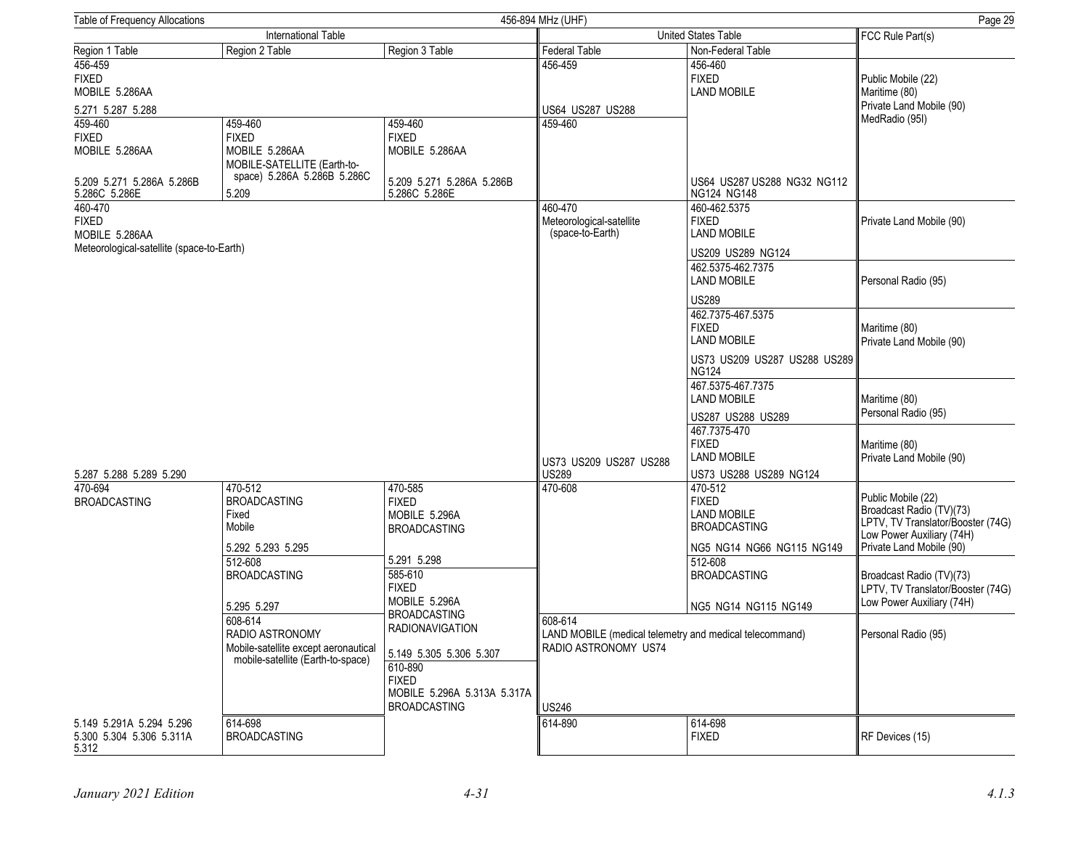| Table of Frequency Allocations<br>456-894 MHz (UHF)                                     |                                                                                                                  |                                                                                         |                                                                                            |                                                                                                              | Page 29                                                                                                                                      |
|-----------------------------------------------------------------------------------------|------------------------------------------------------------------------------------------------------------------|-----------------------------------------------------------------------------------------|--------------------------------------------------------------------------------------------|--------------------------------------------------------------------------------------------------------------|----------------------------------------------------------------------------------------------------------------------------------------------|
| International Table                                                                     |                                                                                                                  |                                                                                         | United States Table                                                                        |                                                                                                              | FCC Rule Part(s)                                                                                                                             |
| Region 1 Table                                                                          | Region 2 Table                                                                                                   | Region 3 Table                                                                          | <b>Federal Table</b>                                                                       | Non-Federal Table                                                                                            |                                                                                                                                              |
| 456-459<br><b>FIXED</b><br>MOBILE 5.286AA                                               |                                                                                                                  |                                                                                         | 456-459                                                                                    | 456-460<br><b>FIXED</b><br><b>LAND MOBILE</b>                                                                | Public Mobile (22)<br>Maritime (80)<br>Private Land Mobile (90)                                                                              |
| 5.271 5.287 5.288                                                                       |                                                                                                                  |                                                                                         | US64 US287 US288                                                                           |                                                                                                              | MedRadio (95I)                                                                                                                               |
| 459-460<br><b>FIXED</b><br>MOBILE 5.286AA<br>5.209 5.271 5.286A 5.286B<br>5.286C 5.286E | 459-460<br><b>FIXED</b><br>MOBILE 5.286AA<br>MOBILE-SATELLITE (Earth-to-<br>space) 5.286A 5.286B 5.286C<br>5.209 | 459-460<br><b>FIXED</b><br>MOBILE 5.286AA<br>5.209 5.271 5.286A 5.286B<br>5.286C 5.286E | 459-460                                                                                    | US64 US287 US288 NG32 NG112<br>NG124 NG148                                                                   |                                                                                                                                              |
| 460-470<br><b>FIXED</b><br>MOBILE 5.286AA<br>Meteorological-satellite (space-to-Earth)  |                                                                                                                  |                                                                                         | 460-470<br>Meteorological-satellite<br>(space-to-Earth)                                    | 460-462.5375<br><b>FIXED</b><br><b>LAND MOBILE</b><br>US209 US289 NG124                                      | Private Land Mobile (90)                                                                                                                     |
|                                                                                         |                                                                                                                  |                                                                                         |                                                                                            | 462.5375-462.7375<br><b>LAND MOBILE</b><br><b>US289</b>                                                      | Personal Radio (95)                                                                                                                          |
|                                                                                         |                                                                                                                  |                                                                                         |                                                                                            | 462.7375-467.5375<br><b>FIXED</b><br><b>LAND MOBILE</b><br>US73 US209 US287 US288 US289                      | Maritime (80)<br>Private Land Mobile (90)                                                                                                    |
|                                                                                         |                                                                                                                  |                                                                                         |                                                                                            | <b>NG124</b><br>467.5375-467.7375<br><b>LAND MOBILE</b><br>US287 US288 US289<br>467.7375-470<br><b>FIXED</b> | Maritime (80)<br>Personal Radio (95)                                                                                                         |
| 5.287 5.288 5.289 5.290                                                                 |                                                                                                                  |                                                                                         | US73 US209 US287 US288<br><b>US289</b>                                                     | <b>LAND MOBILE</b><br>US73 US288 US289 NG124                                                                 | Maritime (80)<br>Private Land Mobile (90)                                                                                                    |
| 470-694<br><b>BROADCASTING</b>                                                          | 470-512<br><b>BROADCASTING</b><br>Fixed<br>Mobile<br>5.292 5.293 5.295                                           | 470-585<br><b>FIXED</b><br>MOBILE 5.296A<br><b>BROADCASTING</b>                         | 470-608                                                                                    | 470-512<br><b>FIXED</b><br><b>LAND MOBILE</b><br><b>BROADCASTING</b><br>NG5 NG14 NG66 NG115 NG149            | Public Mobile (22)<br>Broadcast Radio (TV)(73)<br>LPTV, TV Translator/Booster (74G)<br>Low Power Auxiliary (74H)<br>Private Land Mobile (90) |
|                                                                                         | 512-608<br><b>BROADCASTING</b><br>5.295 5.297                                                                    | 5.291 5.298<br>585-610<br><b>FIXED</b><br>MOBILE 5.296A<br><b>BROADCASTING</b>          |                                                                                            | 512-608<br><b>BROADCASTING</b><br>NG5 NG14 NG115 NG149                                                       | Broadcast Radio (TV)(73)<br>LPTV, TV Translator/Booster (74G)<br>Low Power Auxiliary (74H)                                                   |
|                                                                                         | 608-614<br>RADIO ASTRONOMY<br>Mobile-satellite except aeronautical<br>mobile-satellite (Earth-to-space)          | <b>RADIONAVIGATION</b><br>5.149 5.305 5.306 5.307<br>610-890                            | 608-614<br>LAND MOBILE (medical telemetry and medical telecommand)<br>RADIO ASTRONOMY US74 |                                                                                                              | Personal Radio (95)                                                                                                                          |
|                                                                                         |                                                                                                                  | <b>FIXED</b><br>MOBILE 5.296A 5.313A 5.317A<br><b>BROADCASTING</b>                      | <b>US246</b>                                                                               |                                                                                                              |                                                                                                                                              |
| 5.149 5.291A 5.294 5.296<br>5.300 5.304 5.306 5.311A<br>5.312                           | 614-698<br><b>BROADCASTING</b>                                                                                   |                                                                                         | 614-890                                                                                    | 614-698<br><b>FIXED</b>                                                                                      | RF Devices (15)                                                                                                                              |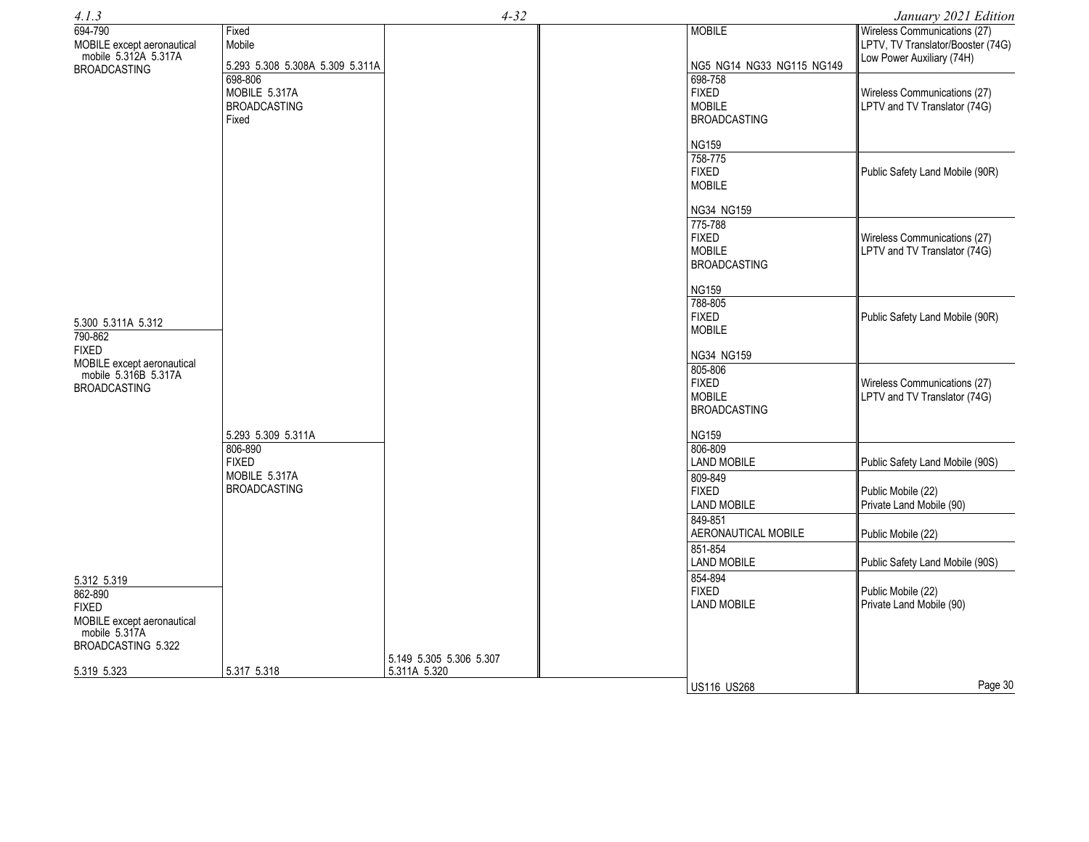| 4.1.3                                                                                |                                                          | $4 - 32$                                |                                                                 | January 2021 Edition                                                                           |
|--------------------------------------------------------------------------------------|----------------------------------------------------------|-----------------------------------------|-----------------------------------------------------------------|------------------------------------------------------------------------------------------------|
| 694-790<br>MOBILE except aeronautical<br>mobile 5.312A 5.317A<br><b>BROADCASTING</b> | Fixed<br>Mobile<br>5.293 5.308 5.308A 5.309 5.311A       |                                         | <b>MOBILE</b><br>NG5 NG14 NG33 NG115 NG149                      | Wireless Communications (27)<br>LPTV, TV Translator/Booster (74G)<br>Low Power Auxiliary (74H) |
|                                                                                      | 698-806<br>MOBILE 5.317A<br><b>BROADCASTING</b><br>Fixed |                                         | 698-758<br><b>FIXED</b><br><b>MOBILE</b><br><b>BROADCASTING</b> | Wireless Communications (27)<br>LPTV and TV Translator (74G)                                   |
|                                                                                      |                                                          |                                         | <b>NG159</b>                                                    |                                                                                                |
|                                                                                      |                                                          |                                         | 758-775<br><b>FIXED</b>                                         | Public Safety Land Mobile (90R)                                                                |
|                                                                                      |                                                          |                                         | <b>MOBILE</b><br>NG34 NG159                                     |                                                                                                |
|                                                                                      |                                                          |                                         | 775-788<br><b>FIXED</b><br><b>MOBILE</b><br><b>BROADCASTING</b> | Wireless Communications (27)<br>LPTV and TV Translator (74G)                                   |
|                                                                                      |                                                          |                                         | <b>NG159</b>                                                    |                                                                                                |
| 5.300 5.311A 5.312<br>790-862                                                        |                                                          |                                         | 788-805<br><b>FIXED</b><br><b>MOBILE</b>                        | Public Safety Land Mobile (90R)                                                                |
| <b>FIXED</b>                                                                         |                                                          |                                         | NG34 NG159                                                      |                                                                                                |
| MOBILE except aeronautical<br>mobile 5.316B 5.317A<br><b>BROADCASTING</b>            |                                                          |                                         | 805-806<br><b>FIXED</b><br><b>MOBILE</b><br><b>BROADCASTING</b> | Wireless Communications (27)<br>LPTV and TV Translator (74G)                                   |
|                                                                                      | 5.293 5.309 5.311A                                       |                                         | <b>NG159</b>                                                    |                                                                                                |
|                                                                                      | 806-890<br><b>FIXED</b>                                  |                                         | 806-809<br><b>LAND MOBILE</b>                                   | Public Safety Land Mobile (90S)                                                                |
|                                                                                      | MOBILE 5.317A<br><b>BROADCASTING</b>                     |                                         | 809-849<br><b>FIXED</b><br><b>LAND MOBILE</b>                   | Public Mobile (22)<br>Private Land Mobile (90)                                                 |
|                                                                                      |                                                          |                                         | 849-851<br>AERONAUTICAL MOBILE                                  | Public Mobile (22)                                                                             |
|                                                                                      |                                                          |                                         | 851-854<br><b>LAND MOBILE</b>                                   | Public Safety Land Mobile (90S)                                                                |
| 5.312 5.319<br>862-890<br><b>FIXED</b>                                               |                                                          |                                         | 854-894<br><b>FIXED</b><br><b>LAND MOBILE</b>                   | Public Mobile (22)<br>Private Land Mobile (90)                                                 |
| MOBILE except aeronautical<br>mobile 5.317A<br>BROADCASTING 5.322                    |                                                          |                                         |                                                                 |                                                                                                |
| 5.319 5.323                                                                          | 5.317 5.318                                              | 5.149 5.305 5.306 5.307<br>5.311A 5.320 |                                                                 |                                                                                                |
|                                                                                      |                                                          |                                         | <b>US116 US268</b>                                              | Page 30                                                                                        |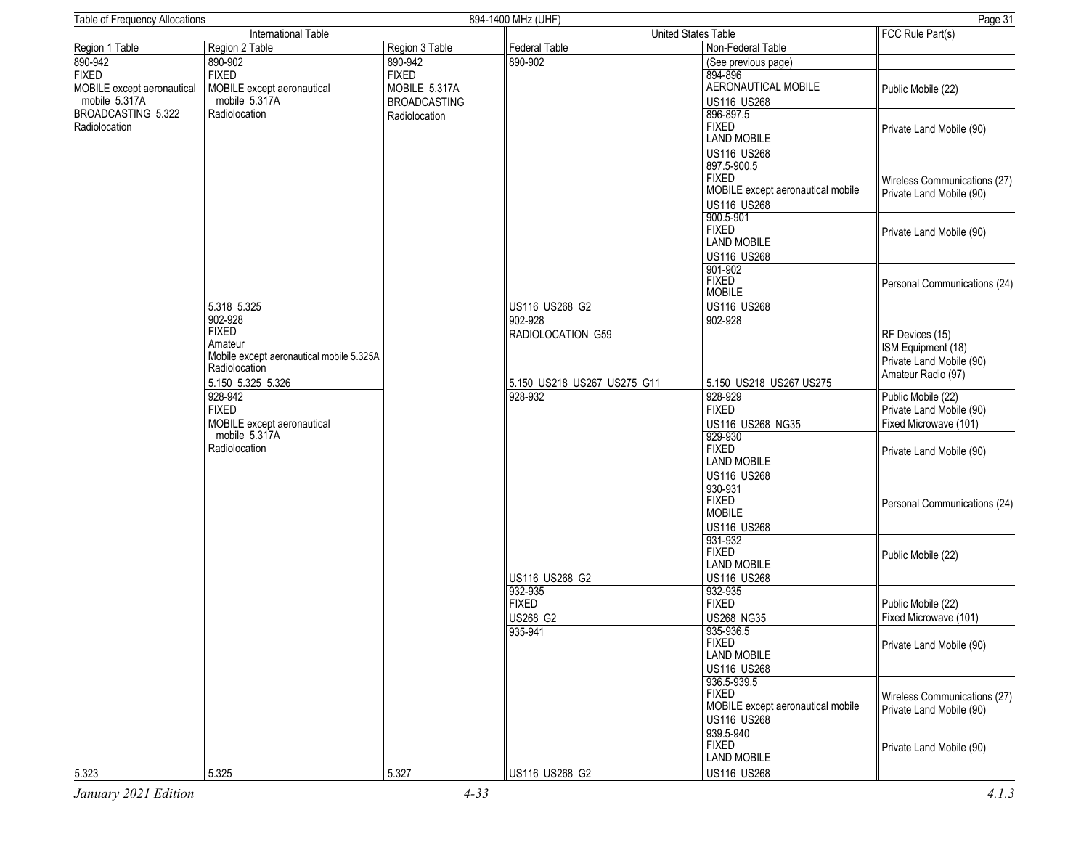| <b>Table of Frequency Allocations</b> |                                          |                     | 894-1400 MHz (UHF)          |                                   | Page 31                      |
|---------------------------------------|------------------------------------------|---------------------|-----------------------------|-----------------------------------|------------------------------|
| International Table                   |                                          |                     | United States Table         | FCC Rule Part(s)                  |                              |
| Region 1 Table                        | Region 2 Table                           | Region 3 Table      | <b>Federal Table</b>        | Non-Federal Table                 |                              |
| 890-942                               | 890-902                                  | 890-942             | 890-902                     | (See previous page)               |                              |
| <b>FIXED</b>                          | <b>FIXED</b>                             | <b>FIXED</b>        |                             | 894-896                           |                              |
| MOBILE except aeronautical            | MOBILE except aeronautical               | MOBILE 5.317A       |                             | AERONAUTICAL MOBILE               | Public Mobile (22)           |
| mobile 5.317A                         | mobile 5.317A                            | <b>BROADCASTING</b> |                             | US116 US268                       |                              |
| BROADCASTING 5.322                    | Radiolocation                            |                     |                             | 896-897.5                         |                              |
| Radiolocation                         |                                          | Radiolocation       |                             | <b>FIXED</b>                      |                              |
|                                       |                                          |                     |                             | <b>LAND MOBILE</b>                | Private Land Mobile (90)     |
|                                       |                                          |                     |                             |                                   |                              |
|                                       |                                          |                     |                             | <b>US116 US268</b>                |                              |
|                                       |                                          |                     |                             | 897.5-900.5                       |                              |
|                                       |                                          |                     |                             | <b>FIXED</b>                      | Wireless Communications (27) |
|                                       |                                          |                     |                             | MOBILE except aeronautical mobile | Private Land Mobile (90)     |
|                                       |                                          |                     |                             | US116 US268                       |                              |
|                                       |                                          |                     |                             | 900.5-901                         |                              |
|                                       |                                          |                     |                             | <b>FIXED</b>                      | Private Land Mobile (90)     |
|                                       |                                          |                     |                             | <b>LAND MOBILE</b>                |                              |
|                                       |                                          |                     |                             | US116 US268                       |                              |
|                                       |                                          |                     |                             | 901-902                           |                              |
|                                       |                                          |                     |                             | FIXED<br>MOBILE                   | Personal Communications (24) |
|                                       |                                          |                     |                             |                                   |                              |
|                                       | 5.318 5.325                              |                     | US116 US268 G2              | <b>US116 US268</b>                |                              |
|                                       | 902-928                                  |                     | 902-928                     | 902-928                           |                              |
|                                       | <b>FIXED</b><br>Amateur                  |                     | RADIOLOCATION G59           |                                   | RF Devices (15)              |
|                                       |                                          |                     |                             |                                   | ISM Equipment (18)           |
|                                       | Mobile except aeronautical mobile 5.325A |                     |                             |                                   | Private Land Mobile (90)     |
|                                       | Radiolocation                            |                     |                             |                                   | Amateur Radio (97)           |
|                                       | 5.150 5.325 5.326                        |                     | 5.150 US218 US267 US275 G11 | 5.150 US218 US267 US275           |                              |
|                                       | 928-942                                  |                     | 928-932                     | 928-929                           | Public Mobile (22)           |
|                                       | <b>FIXED</b>                             |                     |                             | <b>FIXED</b>                      | Private Land Mobile (90)     |
|                                       | MOBILE except aeronautical               |                     |                             | US116 US268 NG35                  | Fixed Microwave (101)        |
|                                       | mobile 5.317A                            |                     |                             | 929-930                           |                              |
|                                       | Radiolocation                            |                     |                             | <b>FIXED</b>                      | Private Land Mobile (90)     |
|                                       |                                          |                     |                             | <b>LAND MOBILE</b>                |                              |
|                                       |                                          |                     |                             | US116 US268                       |                              |
|                                       |                                          |                     |                             | 930-931                           |                              |
|                                       |                                          |                     |                             | <b>FIXED</b>                      | Personal Communications (24) |
|                                       |                                          |                     |                             | <b>MOBILE</b>                     |                              |
|                                       |                                          |                     |                             | US116 US268                       |                              |
|                                       |                                          |                     |                             | 931-932                           |                              |
|                                       |                                          |                     |                             | <b>FIXED</b>                      | Public Mobile (22)           |
|                                       |                                          |                     |                             | <b>LAND MOBILE</b>                |                              |
|                                       |                                          |                     | US116 US268 G2              | US116 US268                       |                              |
|                                       |                                          |                     | 932-935                     | 932-935                           |                              |
|                                       |                                          |                     | <b>FIXED</b>                | <b>FIXED</b>                      | Public Mobile (22)           |
|                                       |                                          |                     | US268 G2                    | <b>US268 NG35</b>                 | Fixed Microwave (101)        |
|                                       |                                          |                     | 935-941                     | 935-936.5                         |                              |
|                                       |                                          |                     |                             | <b>FIXED</b>                      |                              |
|                                       |                                          |                     |                             | <b>LAND MOBILE</b>                | Private Land Mobile (90)     |
|                                       |                                          |                     |                             |                                   |                              |
|                                       |                                          |                     |                             | US116 US268<br>936.5-939.5        |                              |
|                                       |                                          |                     |                             | <b>FIXED</b>                      |                              |
|                                       |                                          |                     |                             | MOBILE except aeronautical mobile | Wireless Communications (27) |
|                                       |                                          |                     |                             | US116 US268                       | Private Land Mobile (90)     |
|                                       |                                          |                     |                             |                                   |                              |
|                                       |                                          |                     |                             | 939.5-940                         |                              |
|                                       |                                          |                     |                             | <b>FIXED</b>                      | Private Land Mobile (90)     |
|                                       |                                          |                     |                             | <b>LAND MOBILE</b>                |                              |
| 5.323                                 | 5.325                                    | 5.327               | US116 US268 G2              | US116 US268                       |                              |
| January 2021 Edition                  |                                          | $4 - 33$            |                             |                                   | 4.1.3                        |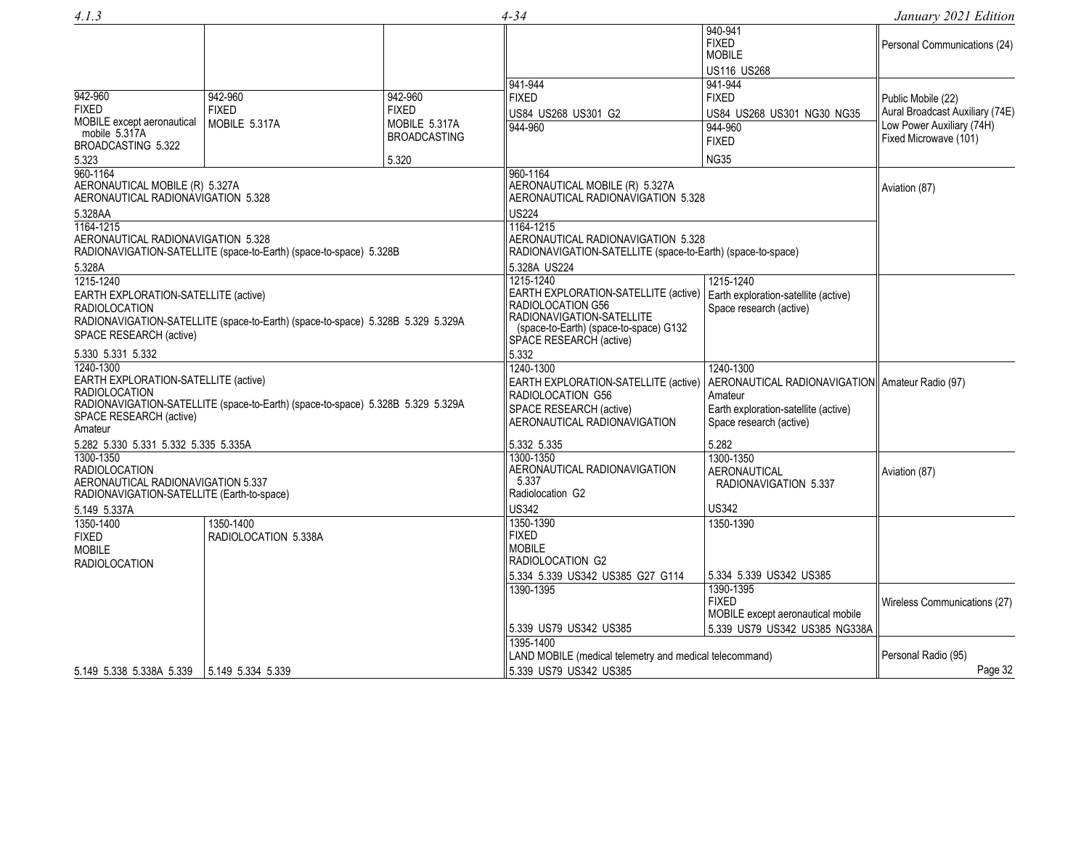*4.1.3 4-34 January 2021 Edition*

|                                                                                                                                                                                                    |                                                                    |                                                                                                                                                                          |                                                                                                                                                | 940-941<br><b>FIXED</b><br><b>MOBILE</b><br>US116 US268                                         | Personal Communications (24)                                                                                |
|----------------------------------------------------------------------------------------------------------------------------------------------------------------------------------------------------|--------------------------------------------------------------------|--------------------------------------------------------------------------------------------------------------------------------------------------------------------------|------------------------------------------------------------------------------------------------------------------------------------------------|-------------------------------------------------------------------------------------------------|-------------------------------------------------------------------------------------------------------------|
| 942-960<br><b>FIXED</b><br>MOBILE except aeronautical<br>mobile 5.317A<br>BROADCASTING 5.322                                                                                                       | 942-960<br><b>FIXED</b><br>MOBILE 5.317A                           | 942-960<br><b>FIXED</b><br>MOBILE 5.317A<br><b>BROADCASTING</b>                                                                                                          | 941-944<br><b>FIXED</b><br>US84 US268 US301 G2<br>944-960                                                                                      | 941-944<br><b>FIXED</b><br>US84 US268 US301 NG30 NG35<br>944-960<br><b>FIXED</b>                | Public Mobile (22)<br>Aural Broadcast Auxiliary (74E)<br>Low Power Auxiliary (74H)<br>Fixed Microwave (101) |
| 5.323                                                                                                                                                                                              |                                                                    | 5.320                                                                                                                                                                    |                                                                                                                                                | <b>NG35</b>                                                                                     |                                                                                                             |
| 960-1164<br>AERONAUTICAL MOBILE (R) 5.327A<br>AERONAUTICAL RADIONAVIGATION 5.328                                                                                                                   |                                                                    |                                                                                                                                                                          | 960-1164<br>AERONAUTICAL MOBILE (R) 5.327A<br>AERONAUTICAL RADIONAVIGATION 5.328                                                               |                                                                                                 | Aviation (87)                                                                                               |
| 5.328AA<br>1164-1215<br>AERONAUTICAL RADIONAVIGATION 5.328<br>5.328A                                                                                                                               | RADIONAVIGATION-SATELLITE (space-to-Earth) (space-to-space) 5.328B |                                                                                                                                                                          | <b>US224</b><br>1164-1215<br>AERONAUTICAL RADIONAVIGATION 5.328<br>RADIONAVIGATION-SATELLITE (space-to-Earth) (space-to-space)<br>5.328A US224 |                                                                                                 |                                                                                                             |
| 1215-1240<br>EARTH EXPLORATION-SATELLITE (active)<br><b>RADIOLOCATION</b><br>RADIONAVIGATION-SATELLITE (space-to-Earth) (space-to-space) 5.328B 5.329 5.329A<br>SPACE RESEARCH (active)            |                                                                    | 1215-1240<br>EARTH EXPLORATION-SATELLITE (active)<br>RADIOLOCATION G56<br>RADIONAVIGATION-SATELLITE<br>(space-to-Earth) (space-to-space) G132<br>SPACE RESEARCH (active) | 1215-1240<br>Earth exploration-satellite (active)<br>Space research (active)                                                                   |                                                                                                 |                                                                                                             |
| 5.330 5.331 5.332                                                                                                                                                                                  |                                                                    |                                                                                                                                                                          | 5.332                                                                                                                                          |                                                                                                 |                                                                                                             |
| 1240-1300<br>EARTH EXPLORATION-SATELLITE (active)<br><b>RADIOLOCATION</b><br>RADIONAVIGATION-SATELLITE (space-to-Earth) (space-to-space) 5.328B 5.329 5.329A<br>SPACE RESEARCH (active)<br>Amateur |                                                                    | 1240-1300<br>EARTH EXPLORATION-SATELLITE (active)<br>RADIOLOCATION G56<br>SPACE RESEARCH (active)<br>AERONAUTICAL RADIONAVIGATION                                        | 1240-1300<br>AERONAUTICAL RADIONAVIGATION Amateur Radio (97)<br>Amateur<br>Earth exploration-satellite (active)<br>Space research (active)     |                                                                                                 |                                                                                                             |
| 5.282 5.330 5.331 5.332 5.335 5.335A                                                                                                                                                               |                                                                    |                                                                                                                                                                          | 5.332 5.335                                                                                                                                    | 5.282                                                                                           |                                                                                                             |
| 1300-1350<br><b>RADIOLOCATION</b><br>AERONAUTICAL RADIONAVIGATION 5.337<br>RADIONAVIGATION-SATELLITE (Earth-to-space)                                                                              |                                                                    |                                                                                                                                                                          | 1300-1350<br>AERONAUTICAL RADIONAVIGATION<br>5.337<br>Radiolocation G2                                                                         | 1300-1350<br>AERONAUTICAL<br>RADIONAVIGATION 5.337                                              | Aviation (87)                                                                                               |
| 5.149 5.337A                                                                                                                                                                                       |                                                                    |                                                                                                                                                                          | <b>US342</b>                                                                                                                                   | <b>US342</b>                                                                                    |                                                                                                             |
| 1350-1400<br>1350-1400<br>RADIOLOCATION 5.338A<br><b>FIXED</b><br><b>MOBILE</b><br><b>RADIOLOCATION</b>                                                                                            |                                                                    | 1350-1390<br><b>FIXED</b><br><b>MOBILE</b><br>RADIOLOCATION G2<br>5.334 5.339 US342 US385 G27 G114                                                                       | 1350-1390<br>5.334 5.339 US342 US385                                                                                                           |                                                                                                 |                                                                                                             |
|                                                                                                                                                                                                    |                                                                    |                                                                                                                                                                          | 1390-1395<br>5.339 US79 US342 US385                                                                                                            | 1390-1395<br><b>FIXED</b><br>MOBILE except aeronautical mobile<br>5.339 US79 US342 US385 NG338A | Wireless Communications (27)                                                                                |
|                                                                                                                                                                                                    |                                                                    |                                                                                                                                                                          | 1395-1400                                                                                                                                      |                                                                                                 |                                                                                                             |
|                                                                                                                                                                                                    |                                                                    |                                                                                                                                                                          | LAND MOBILE (medical telemetry and medical telecommand)                                                                                        |                                                                                                 | Personal Radio (95)<br>Page 32                                                                              |
| 5.149 5.338 5.338A 5.339                                                                                                                                                                           | 5.149 5.334 5.339                                                  |                                                                                                                                                                          | 5.339 US79 US342 US385                                                                                                                         |                                                                                                 |                                                                                                             |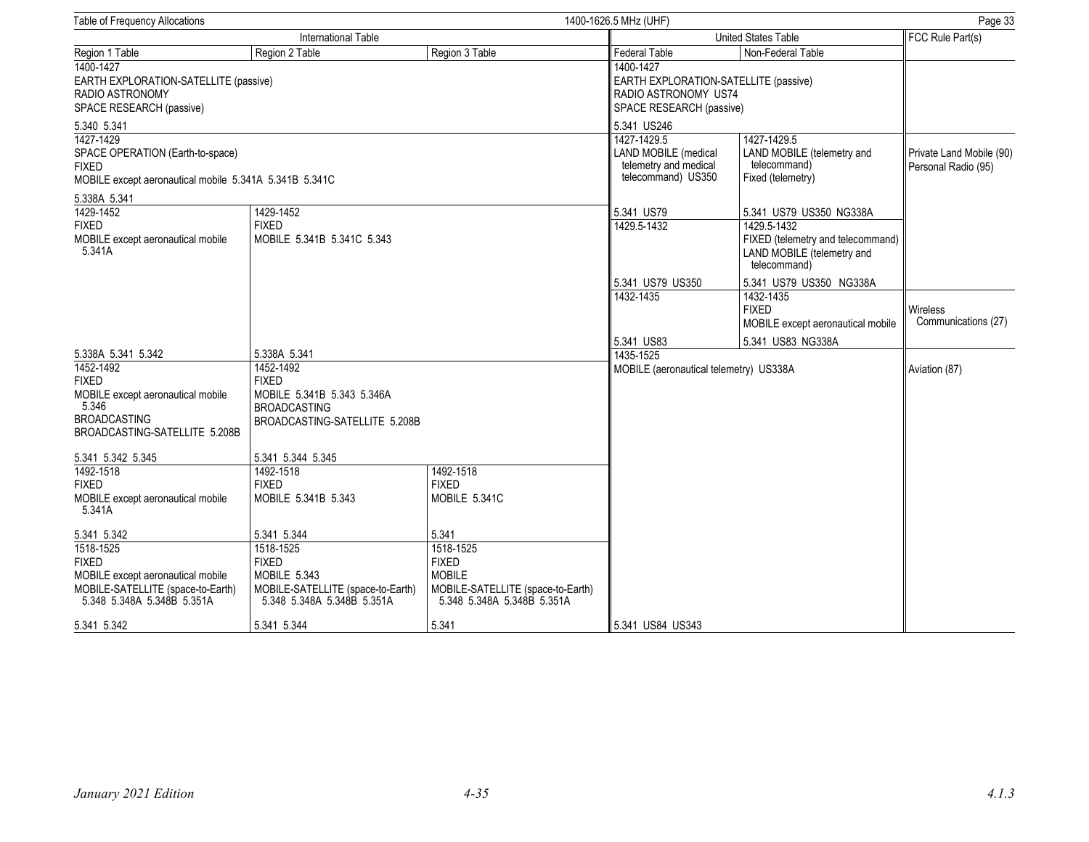| Table of Frequency Allocations                                                                                                  |                                                                                                                 |                                                                                                  | 1400-1626.5 MHz (UHF)                                                                                  | Page 33                                                                                        |                                                 |
|---------------------------------------------------------------------------------------------------------------------------------|-----------------------------------------------------------------------------------------------------------------|--------------------------------------------------------------------------------------------------|--------------------------------------------------------------------------------------------------------|------------------------------------------------------------------------------------------------|-------------------------------------------------|
| International Table                                                                                                             |                                                                                                                 |                                                                                                  | <b>United States Table</b>                                                                             | FCC Rule Part(s)                                                                               |                                                 |
| Region 1 Table                                                                                                                  | Region 2 Table                                                                                                  | Region 3 Table                                                                                   | <b>Federal Table</b>                                                                                   | Non-Federal Table                                                                              |                                                 |
| 1400-1427<br>EARTH EXPLORATION-SATELLITE (passive)<br>RADIO ASTRONOMY<br>SPACE RESEARCH (passive)                               |                                                                                                                 |                                                                                                  | 1400-1427<br>EARTH EXPLORATION-SATELLITE (passive)<br>RADIO ASTRONOMY US74<br>SPACE RESEARCH (passive) |                                                                                                |                                                 |
| 5.340 5.341                                                                                                                     |                                                                                                                 |                                                                                                  | 5.341 US246                                                                                            |                                                                                                |                                                 |
| 1427-1429<br>SPACE OPERATION (Earth-to-space)<br><b>FIXED</b><br>MOBILE except aeronautical mobile 5.341A 5.341B 5.341C         |                                                                                                                 |                                                                                                  | 1427-1429.5<br>LAND MOBILE (medical<br>telemetry and medical<br>telecommand) US350                     | 1427-1429.5<br>LAND MOBILE (telemetry and<br>telecommand)<br>Fixed (telemetry)                 | Private Land Mobile (90)<br>Personal Radio (95) |
| 5.338A 5.341                                                                                                                    |                                                                                                                 |                                                                                                  |                                                                                                        |                                                                                                |                                                 |
| 1429-1452                                                                                                                       | 1429-1452                                                                                                       |                                                                                                  | 5.341 US79                                                                                             | 5.341 US79 US350 NG338A                                                                        |                                                 |
| <b>FIXED</b><br>MOBILE except aeronautical mobile<br>5.341A                                                                     | <b>FIXED</b><br>MOBILE 5.341B 5.341C 5.343                                                                      |                                                                                                  | 1429.5-1432                                                                                            | 1429.5-1432<br>FIXED (telemetry and telecommand)<br>LAND MOBILE (telemetry and<br>telecommand) |                                                 |
|                                                                                                                                 |                                                                                                                 |                                                                                                  | 5.341 US79 US350                                                                                       | 5.341 US79 US350 NG338A                                                                        |                                                 |
|                                                                                                                                 |                                                                                                                 |                                                                                                  | 1432-1435                                                                                              | 1432-1435<br><b>FIXED</b><br>MOBILE except aeronautical mobile                                 | Wireless<br>Communications (27)                 |
|                                                                                                                                 |                                                                                                                 |                                                                                                  | 5.341 US83                                                                                             | 5.341 US83 NG338A                                                                              |                                                 |
| 5.338A 5.341 5.342                                                                                                              | 5.338A 5.341                                                                                                    |                                                                                                  | 1435-1525                                                                                              |                                                                                                |                                                 |
| 1452-1492<br><b>FIXED</b><br>MOBILE except aeronautical mobile<br>5.346<br><b>BROADCASTING</b><br>BROADCASTING-SATELLITE 5.208B | 1452-1492<br><b>FIXED</b><br>MOBILE 5.341B 5.343 5.346A<br><b>BROADCASTING</b><br>BROADCASTING-SATELLITE 5.208B |                                                                                                  | MOBILE (aeronautical telemetry) US338A                                                                 |                                                                                                | Aviation (87)                                   |
| 5.341 5.342 5.345                                                                                                               | 5.341 5.344 5.345                                                                                               |                                                                                                  |                                                                                                        |                                                                                                |                                                 |
| 1492-1518<br><b>FIXED</b><br>MOBILE except aeronautical mobile<br>5.341A                                                        | 1492-1518<br><b>FIXED</b><br>MOBILE 5.341B 5.343                                                                | 1492-1518<br><b>FIXED</b><br>MOBILE 5.341C                                                       |                                                                                                        |                                                                                                |                                                 |
| 5.341 5.342                                                                                                                     | 5.341 5.344                                                                                                     | 5.341                                                                                            |                                                                                                        |                                                                                                |                                                 |
| 1518-1525                                                                                                                       | 1518-1525                                                                                                       | 1518-1525                                                                                        |                                                                                                        |                                                                                                |                                                 |
| <b>FIXED</b><br>MOBILE except aeronautical mobile<br>MOBILE-SATELLITE (space-to-Earth)<br>5.348 5.348A 5.348B 5.351A            | <b>FIXED</b><br>MOBILE 5.343<br>MOBILE-SATELLITE (space-to-Earth)<br>5.348 5.348A 5.348B 5.351A                 | <b>FIXED</b><br><b>MOBILE</b><br>MOBILE-SATELLITE (space-to-Earth)<br>5.348 5.348A 5.348B 5.351A |                                                                                                        |                                                                                                |                                                 |
| 5.341 5.342                                                                                                                     | 5.341 5.344                                                                                                     | 5.341                                                                                            | 5.341 US84 US343                                                                                       |                                                                                                |                                                 |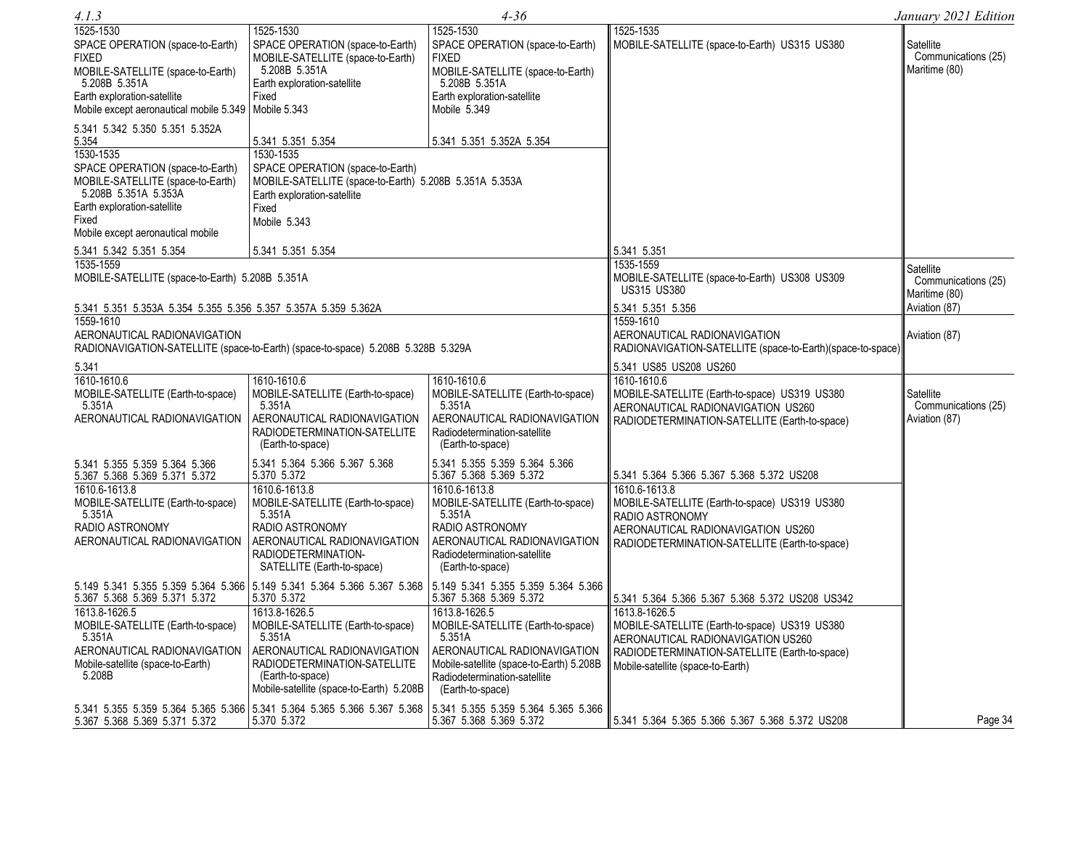| 4.1.3                                                                                                                                                                                                                                                                                                                                                                                                                               |                                                                                                                                                                                                                                                                                                                                                     | 4-36                                                                                                                                                                                           |                                                                                                                                                                                            | January 2021 Edition                                               |
|-------------------------------------------------------------------------------------------------------------------------------------------------------------------------------------------------------------------------------------------------------------------------------------------------------------------------------------------------------------------------------------------------------------------------------------|-----------------------------------------------------------------------------------------------------------------------------------------------------------------------------------------------------------------------------------------------------------------------------------------------------------------------------------------------------|------------------------------------------------------------------------------------------------------------------------------------------------------------------------------------------------|--------------------------------------------------------------------------------------------------------------------------------------------------------------------------------------------|--------------------------------------------------------------------|
| 1525-1530<br>SPACE OPERATION (space-to-Earth)<br><b>FIXED</b><br>MOBILE-SATELLITE (space-to-Earth)<br>5.208B 5.351A<br>Earth exploration-satellite<br>Mobile except aeronautical mobile 5.349<br>5.341 5.342 5.350 5.351 5.352A<br>5.354<br>1530-1535<br>SPACE OPERATION (space-to-Earth)<br>MOBILE-SATELLITE (space-to-Earth)<br>5.208B 5.351A 5.353A<br>Earth exploration-satellite<br>Fixed<br>Mobile except aeronautical mobile | 1525-1530<br>SPACE OPERATION (space-to-Earth)<br>MOBILE-SATELLITE (space-to-Earth)<br>5.208B 5.351A<br>Earth exploration-satellite<br>Fixed<br>Mobile 5.343<br>5.341 5.351 5.354<br>1530-1535<br>SPACE OPERATION (space-to-Earth)<br>MOBILE-SATELLITE (space-to-Earth) 5.208B 5.351A 5.353A<br>Earth exploration-satellite<br>Fixed<br>Mobile 5.343 | 1525-1530<br>SPACE OPERATION (space-to-Earth)<br><b>FIXED</b><br>MOBILE-SATELLITE (space-to-Earth)<br>5.208B 5.351A<br>Earth exploration-satellite<br>Mobile 5.349<br>5.341 5.351 5.352A 5.354 | 1525-1535<br>MOBILE-SATELLITE (space-to-Earth) US315 US380                                                                                                                                 | Satellite<br>Communications (25)<br>Maritime (80)                  |
| 5.341 5.342 5.351 5.354                                                                                                                                                                                                                                                                                                                                                                                                             | 5.341 5.351 5.354                                                                                                                                                                                                                                                                                                                                   |                                                                                                                                                                                                | 5.341 5.351                                                                                                                                                                                |                                                                    |
| 1535-1559<br>MOBILE-SATELLITE (space-to-Earth) 5.208B 5.351A<br>5.341 5.351 5.353A 5.354 5.355 5.356 5.357 5.357A 5.359 5.362A                                                                                                                                                                                                                                                                                                      |                                                                                                                                                                                                                                                                                                                                                     |                                                                                                                                                                                                | 1535-1559<br>MOBILE-SATELLITE (space-to-Earth) US308 US309<br><b>US315 US380</b><br>5.341 5.351 5.356                                                                                      | Satellite<br>Communications (25)<br>Maritime (80)<br>Aviation (87) |
| 1559-1610<br>AERONAUTICAL RADIONAVIGATION                                                                                                                                                                                                                                                                                                                                                                                           | RADIONAVIGATION-SATELLITE (space-to-Earth) (space-to-space) 5.208B 5.328B 5.329A                                                                                                                                                                                                                                                                    |                                                                                                                                                                                                | 1559-1610<br>AERONAUTICAL RADIONAVIGATION<br>RADIONAVIGATION-SATELLITE (space-to-Earth)(space-to-space)                                                                                    | Aviation (87)                                                      |
| 5.341                                                                                                                                                                                                                                                                                                                                                                                                                               |                                                                                                                                                                                                                                                                                                                                                     |                                                                                                                                                                                                | 5.341 US85 US208 US260                                                                                                                                                                     |                                                                    |
| 1610-1610.6<br>MOBILE-SATELLITE (Earth-to-space)<br>5.351A<br>AERONAUTICAL RADIONAVIGATION                                                                                                                                                                                                                                                                                                                                          | 1610-1610.6<br>MOBILE-SATELLITE (Earth-to-space)<br>5.351A<br>AERONAUTICAL RADIONAVIGATION<br>RADIODETERMINATION-SATELLITE<br>(Earth-to-space)                                                                                                                                                                                                      | 1610-1610.6<br>MOBILE-SATELLITE (Earth-to-space)<br>5.351A<br>AERONAUTICAL RADIONAVIGATION<br>Radiodetermination-satellite<br>(Earth-to-space)                                                 | 1610-1610.6<br>MOBILE-SATELLITE (Earth-to-space) US319 US380<br>AERONAUTICAL RADIONAVIGATION US260<br>RADIODETERMINATION-SATELLITE (Earth-to-space)                                        | Satellite<br>Communications (25)<br>Aviation (87)                  |
| 5.341 5.355 5.359 5.364 5.366<br>5.367 5.368 5.369 5.371 5.372                                                                                                                                                                                                                                                                                                                                                                      | 5.341 5.364 5.366 5.367 5.368<br>5.370 5.372                                                                                                                                                                                                                                                                                                        | 5.341 5.355 5.359 5.364 5.366<br>5.367 5.368 5.369 5.372                                                                                                                                       | 5.341 5.364 5.366 5.367 5.368 5.372 US208                                                                                                                                                  |                                                                    |
| 1610.6-1613.8<br>MOBILE-SATELLITE (Earth-to-space)<br>5.351A<br>RADIO ASTRONOMY<br>AERONAUTICAL RADIONAVIGATION                                                                                                                                                                                                                                                                                                                     | 1610.6-1613.8<br>MOBILE-SATELLITE (Earth-to-space)<br>5.351A<br>RADIO ASTRONOMY<br>AERONAUTICAL RADIONAVIGATION<br>RADIODETERMINATION-<br>SATELLITE (Earth-to-space)                                                                                                                                                                                | 1610.6-1613.8<br>MOBILE-SATELLITE (Earth-to-space)<br>5.351A<br>RADIO ASTRONOMY<br>AERONAUTICAL RADIONAVIGATION<br>Radiodetermination-satellite<br>(Earth-to-space)                            | 1610.6-1613.8<br>MOBILE-SATELLITE (Earth-to-space) US319 US380<br>RADIO ASTRONOMY<br>AERONAUTICAL RADIONAVIGATION US260<br>RADIODETERMINATION-SATELLITE (Earth-to-space)                   |                                                                    |
| 5.367 5.368 5.369 5.371 5.372                                                                                                                                                                                                                                                                                                                                                                                                       | 5.149 5.341 5.355 5.359 5.364 5.366 5.149 5.341 5.364 5.366 5.367 5.368<br>5.370 5.372                                                                                                                                                                                                                                                              | 5.149 5.341 5.355 5.359 5.364 5.366<br>5.367 5.368 5.369 5.372                                                                                                                                 | 5.341 5.364 5.366 5.367 5.368 5.372 US208 US342                                                                                                                                            |                                                                    |
| 1613.8-1626.5<br>MOBILE-SATELLITE (Earth-to-space)<br>5.351A<br>AERONAUTICAL RADIONAVIGATION<br>Mobile-satellite (space-to-Earth)<br>5.208B                                                                                                                                                                                                                                                                                         | 1613.8-1626.5<br>MOBILE-SATELLITE (Earth-to-space)<br>5.351A<br>AERONAUTICAL RADIONAVIGATION<br>RADIODETERMINATION-SATELLITE<br>(Earth-to-space)<br>Mobile-satellite (space-to-Earth) 5.208B                                                                                                                                                        | 1613.8-1626.5<br>MOBILE-SATELLITE (Earth-to-space)<br>5.351A<br>AERONAUTICAL RADIONAVIGATION<br>Mobile-satellite (space-to-Earth) 5.208B<br>Radiodetermination-satellite<br>(Earth-to-space)   | 1613.8-1626.5<br>MOBILE-SATELLITE (Earth-to-space) US319 US380<br>AERONAUTICAL RADIONAVIGATION US260<br>RADIODETERMINATION-SATELLITE (Earth-to-space)<br>Mobile-satellite (space-to-Earth) |                                                                    |
| 5.367 5.368 5.369 5.371 5.372                                                                                                                                                                                                                                                                                                                                                                                                       | 5.341 5.355 5.359 5.364 5.365 5.366 5.341 5.364 5.365 5.366 5.367 5.368<br>5.370 5.372                                                                                                                                                                                                                                                              | 5.341 5.355 5.359 5.364 5.365 5.366<br>5.367 5.368 5.369 5.372                                                                                                                                 | 5.341 5.364 5.365 5.366 5.367 5.368 5.372 US208                                                                                                                                            | Page 34                                                            |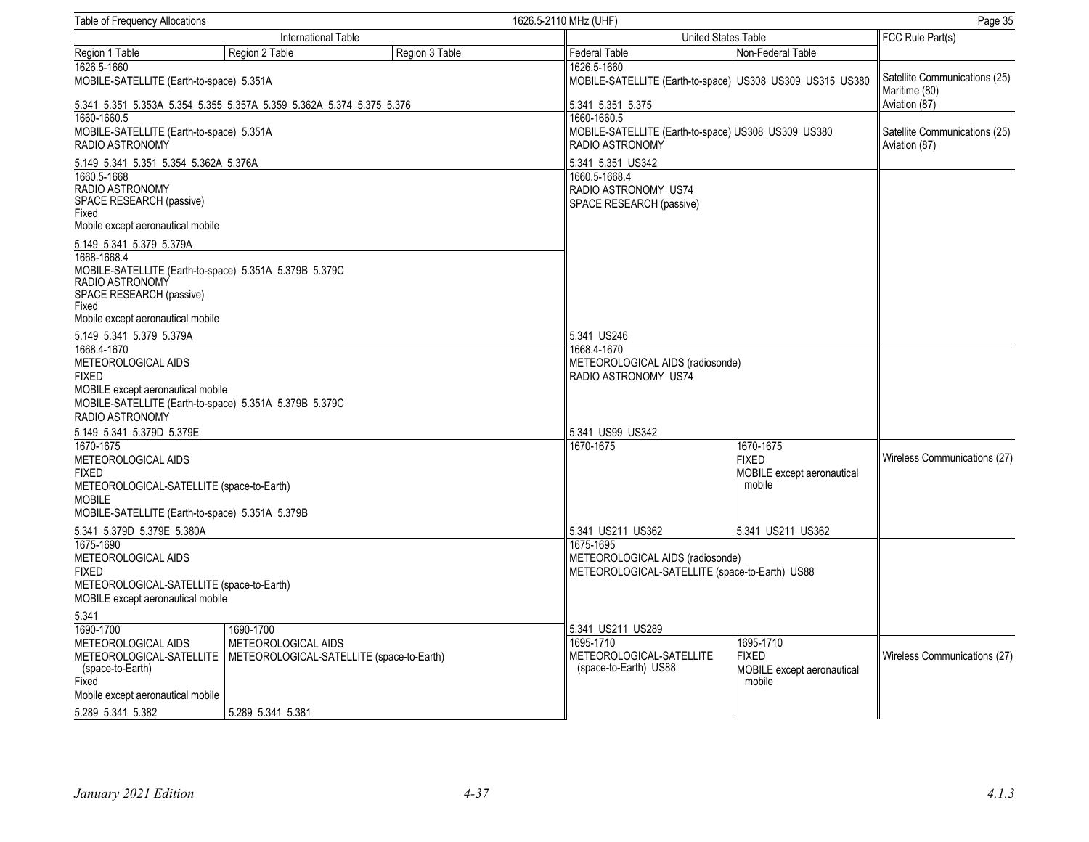| Table of Frequency Allocations                                                                                                                                       |                                                                                             |                                                          | 1626.5-2110 MHz (UHF)                                                              |                                                                   |                                                |  |
|----------------------------------------------------------------------------------------------------------------------------------------------------------------------|---------------------------------------------------------------------------------------------|----------------------------------------------------------|------------------------------------------------------------------------------------|-------------------------------------------------------------------|------------------------------------------------|--|
|                                                                                                                                                                      | International Table                                                                         |                                                          |                                                                                    | <b>United States Table</b>                                        |                                                |  |
| Region 1 Table                                                                                                                                                       | Region 2 Table                                                                              | Region 3 Table                                           | Federal Table                                                                      | Non-Federal Table                                                 |                                                |  |
| 1626.5-1660<br>MOBILE-SATELLITE (Earth-to-space) 5.351A                                                                                                              |                                                                                             |                                                          | 1626.5-1660                                                                        | MOBILE-SATELLITE (Earth-to-space) US308 US309 US315 US380         | Satellite Communications (25)<br>Maritime (80) |  |
| 1660-1660.5                                                                                                                                                          | 5.341 5.351 5.353A 5.354 5.355 5.357A 5.359 5.362A 5.374 5.375 5.376                        |                                                          | 5.341 5.351 5.375<br>1660-1660.5                                                   |                                                                   | Aviation (87)                                  |  |
| MOBILE-SATELLITE (Earth-to-space) 5.351A<br>RADIO ASTRONOMY                                                                                                          |                                                                                             |                                                          | RADIO ASTRONOMY                                                                    | MOBILE-SATELLITE (Earth-to-space) US308 US309 US380               | Satellite Communications (25)<br>Aviation (87) |  |
| 5.149 5.341 5.351 5.354 5.362A 5.376A                                                                                                                                |                                                                                             |                                                          | 5.341 5.351 US342                                                                  |                                                                   |                                                |  |
| 1660.5-1668<br>RADIO ASTRONOMY<br>SPACE RESEARCH (passive)<br>Fixed<br>Mobile except aeronautical mobile                                                             |                                                                                             |                                                          | 1660.5-1668.4<br>RADIO ASTRONOMY US74<br>SPACE RESEARCH (passive)                  |                                                                   |                                                |  |
| 5.149 5.341 5.379 5.379A                                                                                                                                             |                                                                                             |                                                          |                                                                                    |                                                                   |                                                |  |
| 1668-1668.4<br>RADIO ASTRONOMY<br>SPACE RESEARCH (passive)<br>Fixed                                                                                                  | MOBILE-SATELLITE (Earth-to-space) 5.351A 5.379B 5.379C                                      |                                                          |                                                                                    |                                                                   |                                                |  |
| Mobile except aeronautical mobile                                                                                                                                    |                                                                                             |                                                          |                                                                                    |                                                                   |                                                |  |
| 5.149 5.341 5.379 5.379A                                                                                                                                             |                                                                                             |                                                          | 5.341 US246<br>1668.4-1670                                                         |                                                                   |                                                |  |
| 1668.4-1670<br>METEOROLOGICAL AIDS<br><b>FIXED</b><br>MOBILE except aeronautical mobile<br>MOBILE-SATELLITE (Earth-to-space) 5.351A 5.379B 5.379C<br>RADIO ASTRONOMY |                                                                                             | METEOROLOGICAL AIDS (radiosonde)<br>RADIO ASTRONOMY US74 |                                                                                    |                                                                   |                                                |  |
| 5.149 5.341 5.379D 5.379E                                                                                                                                            |                                                                                             |                                                          | 5.341 US99 US342                                                                   |                                                                   |                                                |  |
| 1670-1675<br>METEOROLOGICAL AIDS<br><b>FIXED</b><br>METEOROLOGICAL-SATELLITE (space-to-Earth)<br><b>MOBILE</b><br>MOBILE-SATELLITE (Earth-to-space) 5.351A 5.379B    |                                                                                             |                                                          | 1670-1675                                                                          | 1670-1675<br><b>FIXED</b><br>MOBILE except aeronautical<br>mobile | Wireless Communications (27)                   |  |
| 5.341 5.379D 5.379E 5.380A                                                                                                                                           |                                                                                             |                                                          | 5.341 US211 US362                                                                  | 5.341 US211 US362                                                 |                                                |  |
| 1675-1690<br>METEOROLOGICAL AIDS<br><b>FIXED</b><br>METEOROLOGICAL-SATELLITE (space-to-Earth)<br>MOBILE except aeronautical mobile                                   |                                                                                             | 1675-1695                                                | METEOROLOGICAL AIDS (radiosonde)<br>METEOROLOGICAL-SATELLITE (space-to-Earth) US88 |                                                                   |                                                |  |
| 5.341                                                                                                                                                                |                                                                                             |                                                          |                                                                                    |                                                                   |                                                |  |
| 1690-1700                                                                                                                                                            | 1690-1700                                                                                   |                                                          | 5.341 US211 US289                                                                  |                                                                   |                                                |  |
| METEOROLOGICAL AIDS<br>(space-to-Earth)<br>Fixed<br>Mobile except aeronautical mobile                                                                                | METEOROLOGICAL AIDS<br>METEOROLOGICAL-SATELLITE   METEOROLOGICAL-SATELLITE (space-to-Earth) |                                                          | 1695-1710<br>METEOROLOGICAL-SATELLITE<br>(space-to-Earth) US88                     | 1695-1710<br><b>FIXED</b><br>MOBILE except aeronautical<br>mobile | Wireless Communications (27)                   |  |
| 5.289 5.341 5.382                                                                                                                                                    | 5.289 5.341 5.381                                                                           |                                                          |                                                                                    |                                                                   |                                                |  |
|                                                                                                                                                                      |                                                                                             |                                                          |                                                                                    |                                                                   |                                                |  |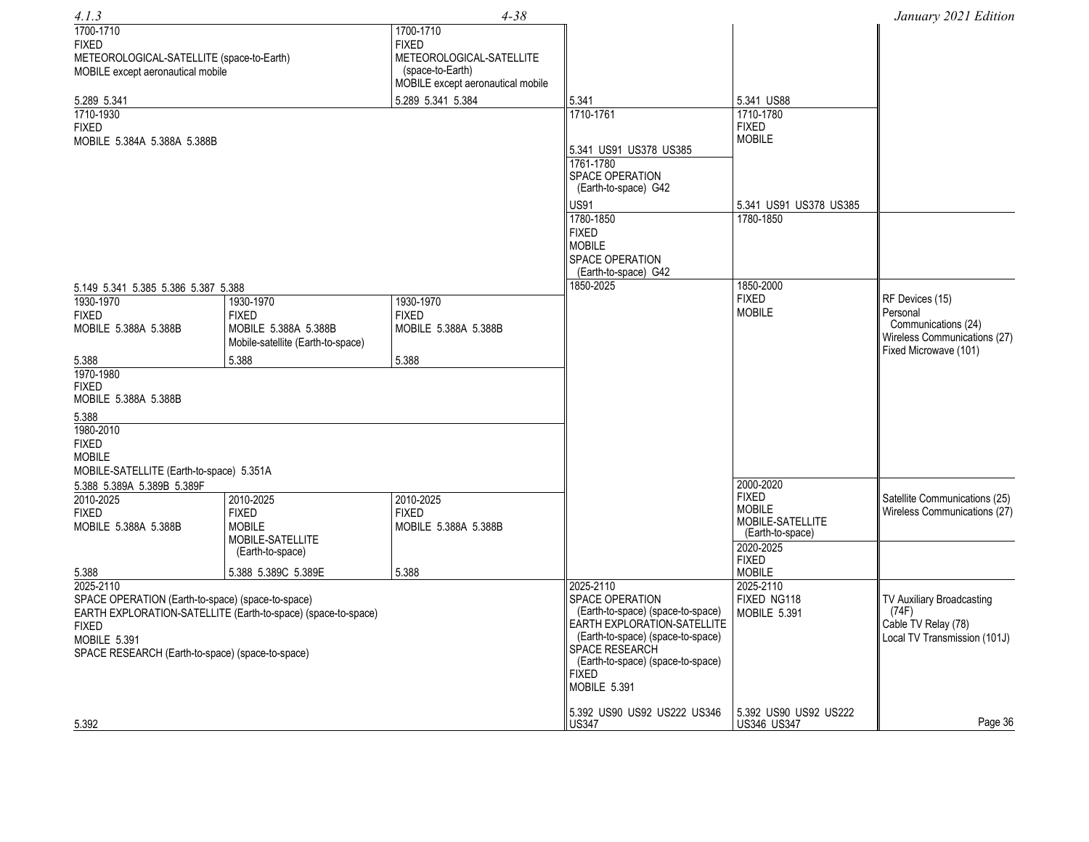| 4.1.3                                                            |                                   | $4 - 38$                          |                                                                  |                                   | January 2021 Edition          |
|------------------------------------------------------------------|-----------------------------------|-----------------------------------|------------------------------------------------------------------|-----------------------------------|-------------------------------|
| 1700-1710                                                        |                                   | 1700-1710                         |                                                                  |                                   |                               |
| <b>FIXED</b>                                                     |                                   | <b>FIXED</b>                      |                                                                  |                                   |                               |
| METEOROLOGICAL-SATELLITE (space-to-Earth)                        |                                   | METEOROLOGICAL-SATELLITE          |                                                                  |                                   |                               |
| MOBILE except aeronautical mobile                                |                                   | (space-to-Earth)                  |                                                                  |                                   |                               |
|                                                                  |                                   | MOBILE except aeronautical mobile |                                                                  |                                   |                               |
| 5.289 5.341                                                      |                                   | 5.289 5.341 5.384                 | 5.341                                                            | 5.341 US88                        |                               |
| 1710-1930                                                        |                                   |                                   | 1710-1761                                                        | 1710-1780                         |                               |
| <b>FIXED</b>                                                     |                                   |                                   |                                                                  | <b>FIXED</b><br><b>MOBILE</b>     |                               |
| MOBILE 5.384A 5.388A 5.388B                                      |                                   |                                   | 5.341 US91 US378 US385                                           |                                   |                               |
|                                                                  |                                   |                                   | 1761-1780                                                        |                                   |                               |
|                                                                  |                                   |                                   | SPACE OPERATION                                                  |                                   |                               |
|                                                                  |                                   |                                   | (Earth-to-space) G42                                             |                                   |                               |
|                                                                  |                                   |                                   | <b>US91</b>                                                      | 5.341 US91 US378 US385            |                               |
|                                                                  |                                   |                                   | 1780-1850                                                        | 1780-1850                         |                               |
|                                                                  |                                   |                                   | <b>FIXED</b>                                                     |                                   |                               |
|                                                                  |                                   |                                   | <b>MOBILE</b>                                                    |                                   |                               |
|                                                                  |                                   |                                   | SPACE OPERATION                                                  |                                   |                               |
|                                                                  |                                   |                                   | (Earth-to-space) G42<br>1850-2025                                | 1850-2000                         |                               |
| 5.149 5.341 5.385 5.386 5.387 5.388                              |                                   |                                   |                                                                  | <b>FIXED</b>                      | RF Devices (15)               |
| 1930-1970<br><b>FIXED</b>                                        | 1930-1970<br><b>FIXED</b>         | 1930-1970<br><b>FIXED</b>         |                                                                  | <b>MOBILE</b>                     | Personal                      |
| MOBILE 5.388A 5.388B                                             | MOBILE 5.388A 5.388B              | MOBILE 5.388A 5.388B              |                                                                  |                                   | Communications (24)           |
|                                                                  | Mobile-satellite (Earth-to-space) |                                   |                                                                  |                                   | Wireless Communications (27)  |
|                                                                  |                                   |                                   |                                                                  |                                   | Fixed Microwave (101)         |
| 5.388<br>1970-1980                                               | 5.388                             | 5.388                             |                                                                  |                                   |                               |
| <b>FIXED</b>                                                     |                                   |                                   |                                                                  |                                   |                               |
| MOBILE 5.388A 5.388B                                             |                                   |                                   |                                                                  |                                   |                               |
| 5.388                                                            |                                   |                                   |                                                                  |                                   |                               |
| 1980-2010                                                        |                                   |                                   |                                                                  |                                   |                               |
| <b>FIXED</b>                                                     |                                   |                                   |                                                                  |                                   |                               |
| <b>MOBILE</b>                                                    |                                   |                                   |                                                                  |                                   |                               |
| MOBILE-SATELLITE (Earth-to-space) 5.351A                         |                                   |                                   |                                                                  |                                   |                               |
| 5.388 5.389A 5.389B 5.389F                                       |                                   |                                   |                                                                  | 2000-2020                         |                               |
| 2010-2025                                                        | 2010-2025                         | 2010-2025                         |                                                                  | <b>FIXED</b>                      | Satellite Communications (25) |
| <b>FIXED</b>                                                     | <b>FIXED</b>                      | <b>FIXED</b>                      |                                                                  | <b>MOBILE</b><br>MOBILE-SATELLITE | Wireless Communications (27)  |
| MOBILE 5.388A 5.388B                                             | <b>MOBILE</b>                     | MOBILE 5.388A 5.388B              |                                                                  | (Earth-to-space)                  |                               |
|                                                                  | MOBILE-SATELLITE                  |                                   |                                                                  | 2020-2025                         |                               |
|                                                                  | (Earth-to-space)                  |                                   |                                                                  | <b>FIXED</b>                      |                               |
| 5.388                                                            | 5.388 5.389C 5.389E               | 5.388                             |                                                                  | <b>MOBILE</b>                     |                               |
| 2025-2110                                                        |                                   |                                   | 2025-2110                                                        | 2025-2110                         |                               |
| SPACE OPERATION (Earth-to-space) (space-to-space)                |                                   |                                   | SPACE OPERATION                                                  | FIXED NG118                       | TV Auxiliary Broadcasting     |
| EARTH EXPLORATION-SATELLITE (Earth-to-space) (space-to-space)    |                                   |                                   | (Earth-to-space) (space-to-space)<br>EARTH EXPLORATION-SATELLITE | MOBILE 5.391                      | (74F)<br>Cable TV Relay (78)  |
| <b>FIXED</b>                                                     |                                   |                                   | (Earth-to-space) (space-to-space)                                |                                   | Local TV Transmission (101J)  |
| MOBILE 5.391<br>SPACE RESEARCH (Earth-to-space) (space-to-space) |                                   |                                   | SPACE RESEARCH                                                   |                                   |                               |
|                                                                  |                                   |                                   | (Earth-to-space) (space-to-space)                                |                                   |                               |
|                                                                  |                                   |                                   | FIXED                                                            |                                   |                               |
|                                                                  |                                   |                                   | MOBILE 5.391                                                     |                                   |                               |
|                                                                  |                                   |                                   | 5.392 US90 US92 US222 US346                                      | 5.392 US90 US92 US222             |                               |
| 5.392                                                            |                                   |                                   | <b>US347</b>                                                     | US346 US347                       | Page 36                       |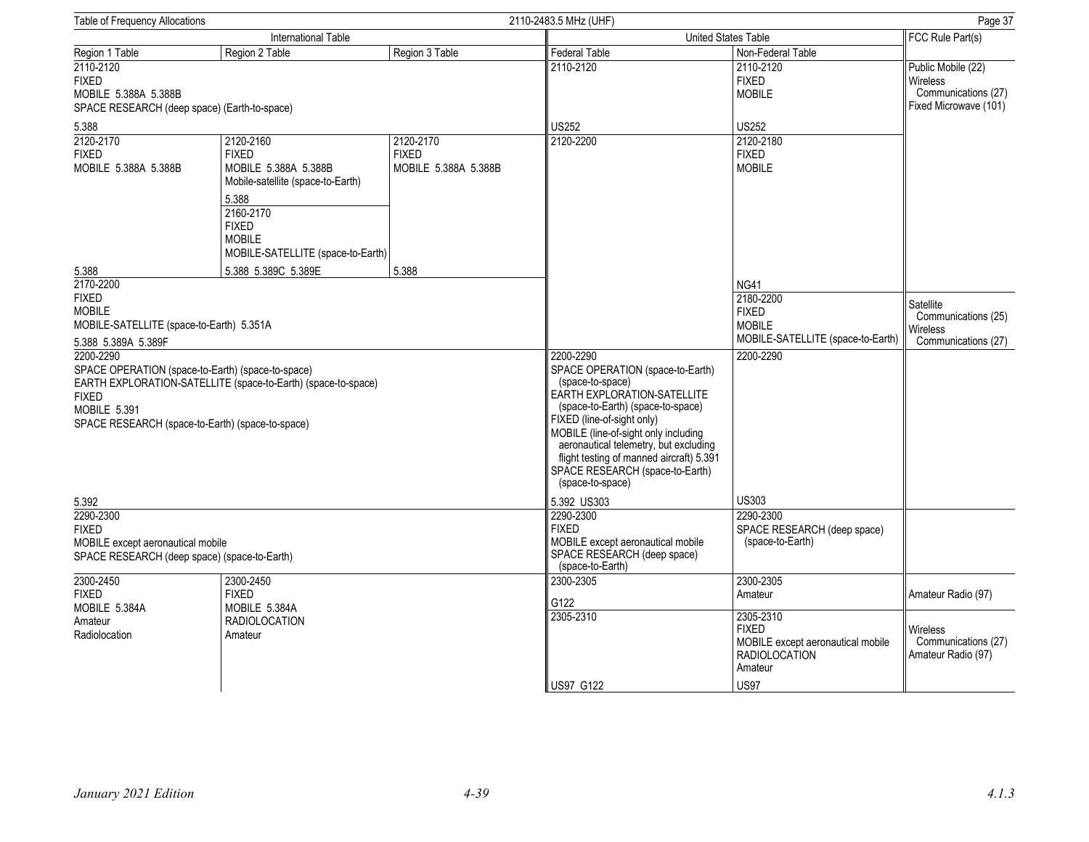| Table of Frequency Allocations                                                                                                                                                                                                                                                                                                       |                                                                                                                                                                                    |                                                                                                                                                                                                                                                                                                  | 2110-2483.5 MHz (UHF)                                                                                             |                                                                                                                  | Page 37                                                                        |
|--------------------------------------------------------------------------------------------------------------------------------------------------------------------------------------------------------------------------------------------------------------------------------------------------------------------------------------|------------------------------------------------------------------------------------------------------------------------------------------------------------------------------------|--------------------------------------------------------------------------------------------------------------------------------------------------------------------------------------------------------------------------------------------------------------------------------------------------|-------------------------------------------------------------------------------------------------------------------|------------------------------------------------------------------------------------------------------------------|--------------------------------------------------------------------------------|
|                                                                                                                                                                                                                                                                                                                                      | International Table                                                                                                                                                                |                                                                                                                                                                                                                                                                                                  |                                                                                                                   | <b>United States Table</b>                                                                                       | FCC Rule Part(s)                                                               |
| Region 1 Table                                                                                                                                                                                                                                                                                                                       | Region 2 Table                                                                                                                                                                     | Region 3 Table                                                                                                                                                                                                                                                                                   | Federal Table                                                                                                     | Non-Federal Table                                                                                                |                                                                                |
| 2110-2120<br><b>FIXED</b><br>MOBILE 5.388A 5.388B<br>SPACE RESEARCH (deep space) (Earth-to-space)                                                                                                                                                                                                                                    |                                                                                                                                                                                    |                                                                                                                                                                                                                                                                                                  | 2110-2120                                                                                                         | 2110-2120<br><b>FIXED</b><br><b>MOBILE</b>                                                                       | Public Mobile (22)<br>Wireless<br>Communications (27)<br>Fixed Microwave (101) |
| 5.388                                                                                                                                                                                                                                                                                                                                |                                                                                                                                                                                    |                                                                                                                                                                                                                                                                                                  | <b>US252</b>                                                                                                      | <b>US252</b>                                                                                                     |                                                                                |
| 2120-2170<br><b>FIXED</b><br>MOBILE 5.388A 5.388B                                                                                                                                                                                                                                                                                    | 2120-2160<br><b>FIXED</b><br>MOBILE 5.388A 5.388B<br>Mobile-satellite (space-to-Earth)<br>5.388<br>2160-2170<br><b>FIXED</b><br><b>MOBILE</b><br>MOBILE-SATELLITE (space-to-Earth) | 2120-2170<br><b>FIXED</b><br>MOBILE 5.388A 5.388B                                                                                                                                                                                                                                                | 2120-2200                                                                                                         | 2120-2180<br><b>FIXED</b><br><b>MOBILE</b>                                                                       |                                                                                |
| 5.388                                                                                                                                                                                                                                                                                                                                | 5.388 5.389C 5.389E                                                                                                                                                                | 5.388                                                                                                                                                                                                                                                                                            |                                                                                                                   |                                                                                                                  |                                                                                |
| 2170-2200<br><b>FIXED</b><br><b>MOBILE</b><br>MOBILE-SATELLITE (space-to-Earth) 5.351A<br>5.388 5.389A 5.389F<br>2200-2290<br>SPACE OPERATION (space-to-Earth) (space-to-space)<br>EARTH EXPLORATION-SATELLITE (space-to-Earth) (space-to-space)<br><b>FIXED</b><br>MOBILE 5.391<br>SPACE RESEARCH (space-to-Earth) (space-to-space) |                                                                                                                                                                                    | 2200-2290<br>SPACE OPERATION (space-to-Earth)<br>(space-to-space)<br>EARTH EXPLORATION-SATELLITE<br>(space-to-Earth) (space-to-space)<br>FIXED (line-of-sight only)<br>MOBILE (line-of-sight only including<br>aeronautical telemetry, but excluding<br>flight testing of manned aircraft) 5.391 | <b>NG41</b><br>2180-2200<br><b>FIXED</b><br><b>MOBILE</b><br>MOBILE-SATELLITE (space-to-Earth)<br>2200-2290       | Satellite<br>Communications (25)<br><b>Wireless</b><br>Communications (27)                                       |                                                                                |
| 5.392                                                                                                                                                                                                                                                                                                                                |                                                                                                                                                                                    |                                                                                                                                                                                                                                                                                                  | SPACE RESEARCH (space-to-Earth)<br>(space-to-space)<br>5.392 US303                                                | <b>US303</b>                                                                                                     |                                                                                |
| 2290-2300<br><b>FIXED</b><br>MOBILE except aeronautical mobile<br>SPACE RESEARCH (deep space) (space-to-Earth)                                                                                                                                                                                                                       |                                                                                                                                                                                    |                                                                                                                                                                                                                                                                                                  | 2290-2300<br><b>FIXED</b><br>MOBILE except aeronautical mobile<br>SPACE RESEARCH (deep space)<br>(space-to-Earth) | 2290-2300<br>SPACE RESEARCH (deep space)<br>(space-to-Earth)                                                     |                                                                                |
| 2300-2450<br><b>FIXED</b><br>MOBILE 5.384A                                                                                                                                                                                                                                                                                           | 2300-2450<br><b>FIXED</b><br>MOBILE 5.384A                                                                                                                                         |                                                                                                                                                                                                                                                                                                  | 2300-2305<br>G122                                                                                                 | 2300-2305<br>Amateur                                                                                             | Amateur Radio (97)                                                             |
| Amateur<br>Radiolocation                                                                                                                                                                                                                                                                                                             | <b>RADIOLOCATION</b><br>Amateur                                                                                                                                                    |                                                                                                                                                                                                                                                                                                  | 2305-2310<br><b>US97 G122</b>                                                                                     | 2305-2310<br><b>FIXED</b><br>MOBILE except aeronautical mobile<br><b>RADIOLOCATION</b><br>Amateur<br><b>US97</b> | <b>Wireless</b><br>Communications (27)<br>Amateur Radio (97)                   |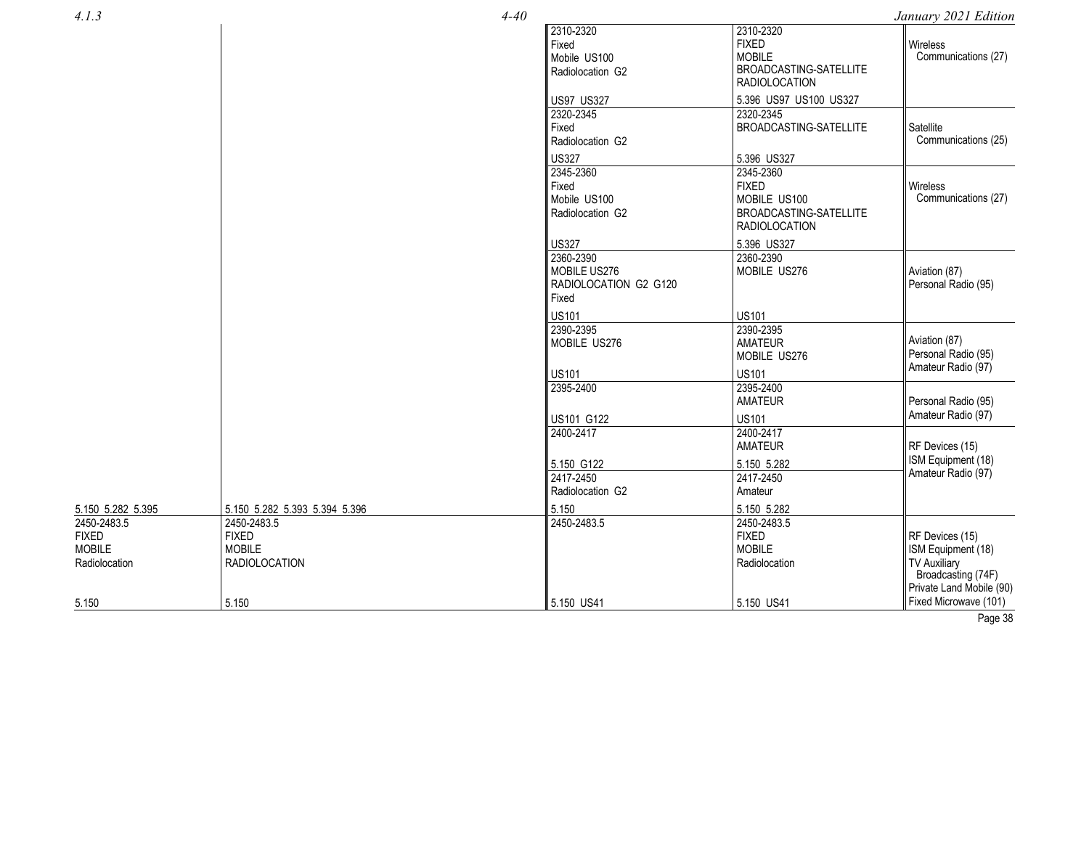|  | ۰.<br>×<br>I |
|--|--------------|
|  |              |

2450 -2483.5 FIXED MOBILE Radiolocation

5.150

 $4 - 40$ 

| January 2021 Edition |  |  |
|----------------------|--|--|
|----------------------|--|--|

| 4.1.3                                                  |                                                                      | $4 - 40$                                                    |                                                                                              | January 2021 Edition                                                                                           |
|--------------------------------------------------------|----------------------------------------------------------------------|-------------------------------------------------------------|----------------------------------------------------------------------------------------------|----------------------------------------------------------------------------------------------------------------|
|                                                        |                                                                      | 2310-2320<br>Fixed<br>Mobile US100<br>Radiolocation G2      | 2310-2320<br><b>FIXED</b><br><b>MOBILE</b><br>BROADCASTING-SATELLITE<br><b>RADIOLOCATION</b> | <b>Wireless</b><br>Communications (27)                                                                         |
|                                                        |                                                                      | <b>US97 US327</b>                                           | 5.396 US97 US100 US327                                                                       |                                                                                                                |
|                                                        |                                                                      | 2320-2345<br>Fixed<br>Radiolocation G2                      | 2320-2345<br>BROADCASTING-SATELLITE                                                          | Satellite<br>Communications (25)                                                                               |
|                                                        |                                                                      | <b>US327</b>                                                | 5.396 US327                                                                                  |                                                                                                                |
|                                                        |                                                                      | 2345-2360<br>Fixed<br>Mobile US100<br>Radiolocation G2      | 2345-2360<br><b>FIXED</b><br>MOBILE US100<br>BROADCASTING-SATELLITE<br><b>RADIOLOCATION</b>  | Wireless<br>Communications (27)                                                                                |
|                                                        |                                                                      | <b>US327</b>                                                | 5.396 US327                                                                                  |                                                                                                                |
|                                                        |                                                                      | 2360-2390<br>MOBILE US276<br>RADIOLOCATION G2 G120<br>Fixed | 2360-2390<br>MOBILE US276                                                                    | Aviation (87)<br>Personal Radio (95)                                                                           |
|                                                        |                                                                      | <b>US101</b>                                                | <b>US101</b>                                                                                 |                                                                                                                |
|                                                        |                                                                      | 2390-2395<br>MOBILE US276<br><b>US101</b>                   | 2390-2395<br><b>AMATEUR</b><br>MOBILE US276<br><b>US101</b>                                  | Aviation (87)<br>Personal Radio (95)<br>Amateur Radio (97)                                                     |
|                                                        |                                                                      | 2395-2400                                                   | 2395-2400<br><b>AMATEUR</b>                                                                  | Personal Radio (95)<br>Amateur Radio (97)                                                                      |
|                                                        |                                                                      | US101 G122<br>2400-2417                                     | <b>US101</b><br>2400-2417<br><b>AMATEUR</b>                                                  | RF Devices (15)                                                                                                |
|                                                        |                                                                      | 5.150 G122<br>2417-2450<br>Radiolocation G2                 | 5.150 5.282<br>2417-2450<br>Amateur                                                          | ISM Equipment (18)<br>Amateur Radio (97)                                                                       |
| 5.150 5.282 5.395                                      | 5.150 5.282 5.393 5.394 5.396                                        | 5.150                                                       | 5.150 5.282                                                                                  |                                                                                                                |
| 2450-2483.5<br><b>FIXED</b><br>MOBILE<br>Radiolocation | 2450-2483.5<br><b>FIXED</b><br><b>MOBILE</b><br><b>RADIOLOCATION</b> | 2450-2483.5                                                 | 2450-2483.5<br><b>FIXED</b><br><b>MOBILE</b><br>Radiolocation                                | RF Devices (15)<br>ISM Equipment (18)<br><b>TV Auxiliary</b><br>Broadcasting (74F)<br>Private Land Mobile (90) |
| 5.150                                                  | 5.150                                                                | 5.150 US41                                                  | 5.150 US41                                                                                   | Fixed Microwave (101)                                                                                          |

Page 38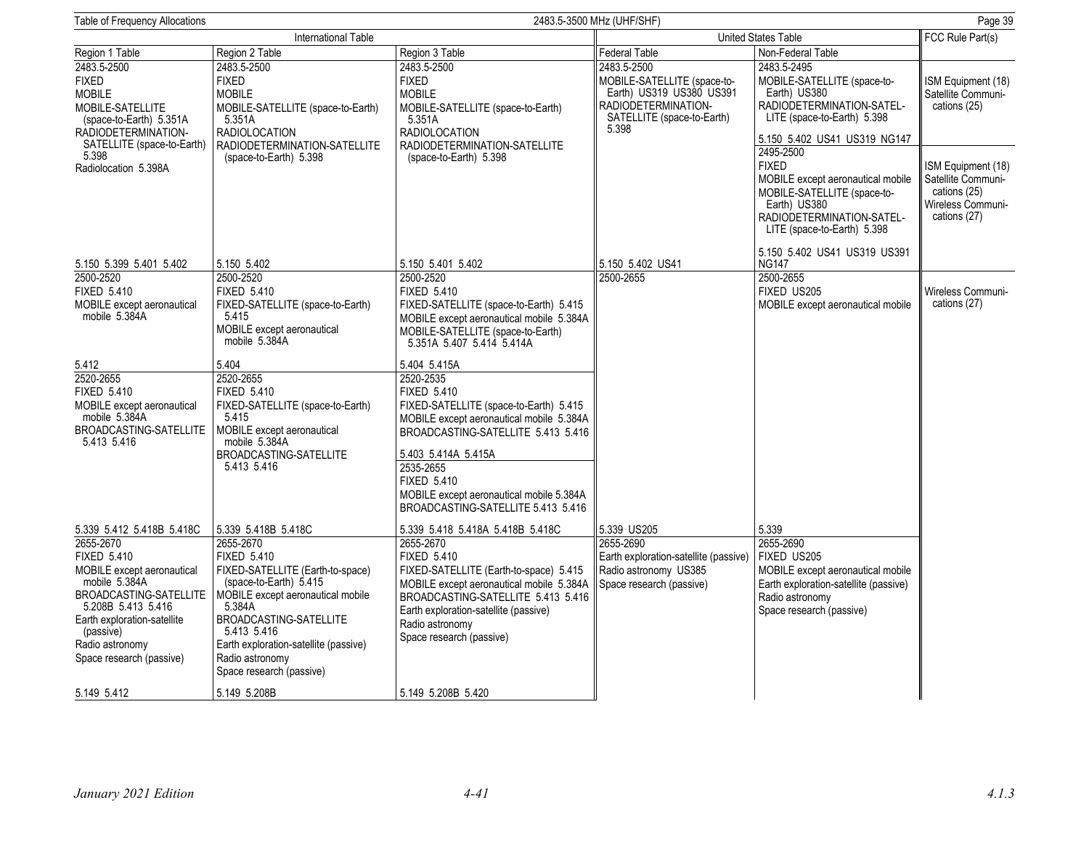| Page 39<br>Table of Frequency Allocations<br>2483.5-3500 MHz (UHF/SHF)                                                                                                                                       |                                                                                                                                                                                                                                                                  |                                                                                                                                                                                                                                                                                                         |                                                                                                                                      |                                                                                                                                                                           |                                                                                               |
|--------------------------------------------------------------------------------------------------------------------------------------------------------------------------------------------------------------|------------------------------------------------------------------------------------------------------------------------------------------------------------------------------------------------------------------------------------------------------------------|---------------------------------------------------------------------------------------------------------------------------------------------------------------------------------------------------------------------------------------------------------------------------------------------------------|--------------------------------------------------------------------------------------------------------------------------------------|---------------------------------------------------------------------------------------------------------------------------------------------------------------------------|-----------------------------------------------------------------------------------------------|
|                                                                                                                                                                                                              | International Table                                                                                                                                                                                                                                              |                                                                                                                                                                                                                                                                                                         | United States Table                                                                                                                  |                                                                                                                                                                           | FCC Rule Part(s)                                                                              |
| Region 1 Table                                                                                                                                                                                               | Region 2 Table                                                                                                                                                                                                                                                   | Region 3 Table                                                                                                                                                                                                                                                                                          | Federal Table                                                                                                                        | Non-Federal Table                                                                                                                                                         |                                                                                               |
| 2483.5-2500<br><b>FIXED</b><br><b>MOBILE</b><br>MOBILE-SATELLITE<br>(space-to-Earth) 5.351A<br>RADIODETERMINATION-                                                                                           | 2483.5-2500<br><b>FIXED</b><br><b>MOBILE</b><br>MOBILE-SATELLITE (space-to-Earth)<br>5.351A<br><b>RADIOLOCATION</b>                                                                                                                                              | 2483.5-2500<br><b>FIXED</b><br><b>MOBILE</b><br>MOBILE-SATELLITE (space-to-Earth)<br>5.351A<br><b>RADIOLOCATION</b>                                                                                                                                                                                     | 2483.5-2500<br>MOBILE-SATELLITE (space-to-<br>Earth) US319 US380 US391<br>RADIODETERMINATION-<br>SATELLITE (space-to-Earth)<br>5.398 | 2483.5-2495<br>MOBILE-SATELLITE (space-to-<br>Earth) US380<br>RADIODETERMINATION-SATEL-<br>LITE (space-to-Earth) 5.398<br>5.150 5.402 US41 US319 NG147                    | ISM Equipment (18)<br>Satellite Communi-<br>cations (25)                                      |
| SATELLITE (space-to-Earth)<br>5.398<br>Radiolocation 5.398A                                                                                                                                                  | RADIODETERMINATION-SATELLITE<br>(space-to-Earth) 5.398                                                                                                                                                                                                           | RADIODETERMINATION-SATELLITE<br>(space-to-Earth) 5.398                                                                                                                                                                                                                                                  |                                                                                                                                      | 2495-2500<br><b>FIXED</b><br>MOBILE except aeronautical mobile<br>MOBILE-SATELLITE (space-to-<br>Earth) US380<br>RADIODETERMINATION-SATEL-<br>LITE (space-to-Earth) 5.398 | ISM Equipment (18)<br>Satellite Communi-<br>cations (25)<br>Wireless Communi-<br>cations (27) |
| 5.150 5.399 5.401 5.402                                                                                                                                                                                      | 5.150 5.402                                                                                                                                                                                                                                                      | 5.150 5.401 5.402                                                                                                                                                                                                                                                                                       | 5.150 5.402 US41                                                                                                                     | 5.150 5.402 US41 US319 US391<br><b>NG147</b>                                                                                                                              |                                                                                               |
| 2500-2520<br><b>FIXED 5.410</b><br>MOBILE except aeronautical<br>mobile 5.384A                                                                                                                               | 2500-2520<br><b>FIXED 5.410</b><br>FIXED-SATELLITE (space-to-Earth)<br>5.415<br>MOBILE except aeronautical<br>mobile 5.384A                                                                                                                                      | 2500-2520<br><b>FIXED 5.410</b><br>FIXED-SATELLITE (space-to-Earth) 5.415<br>MOBILE except aeronautical mobile 5.384A<br>MOBILE-SATELLITE (space-to-Earth)<br>5.351A 5.407 5.414 5.414A                                                                                                                 | 2500-2655                                                                                                                            | 2500-2655<br>FIXED US205<br>MOBILE except aeronautical mobile                                                                                                             | Wireless Communi-<br>cations (27)                                                             |
| 5.412                                                                                                                                                                                                        | 5.404                                                                                                                                                                                                                                                            | 5.404 5.415A                                                                                                                                                                                                                                                                                            |                                                                                                                                      |                                                                                                                                                                           |                                                                                               |
| 2520-2655<br><b>FIXED 5.410</b><br>MOBILE except aeronautical<br>mobile 5.384A<br>BROADCASTING-SATELLITE<br>5.413 5.416                                                                                      | 2520-2655<br><b>FIXED 5.410</b><br>FIXED-SATELLITE (space-to-Earth)<br>5.415<br>MOBILE except aeronautical<br>mobile 5.384A<br>BROADCASTING-SATELLITE<br>5.413 5.416                                                                                             | 2520-2535<br><b>FIXED 5.410</b><br>FIXED-SATELLITE (space-to-Earth) 5.415<br>MOBILE except aeronautical mobile 5.384A<br>BROADCASTING-SATELLITE 5.413 5.416<br>5.403 5.414A 5.415A<br>2535-2655<br><b>FIXED 5.410</b><br>MOBILE except aeronautical mobile 5.384A<br>BROADCASTING-SATELLITE 5.413 5.416 |                                                                                                                                      |                                                                                                                                                                           |                                                                                               |
| 5.339 5.412 5.418B 5.418C<br>2655-2670                                                                                                                                                                       | 5.339 5.418B 5.418C<br>2655-2670                                                                                                                                                                                                                                 | 5.339 5.418 5.418A 5.418B 5.418C<br>2655-2670                                                                                                                                                                                                                                                           | 5.339 US205<br>2655-2690                                                                                                             | 5.339<br>2655-2690                                                                                                                                                        |                                                                                               |
| <b>FIXED 5.410</b><br>MOBILE except aeronautical<br>mobile 5.384A<br>BROADCASTING-SATELLITE<br>5.208B 5.413 5.416<br>Earth exploration-satellite<br>(passive)<br>Radio astronomy<br>Space research (passive) | <b>FIXED 5.410</b><br>FIXED-SATELLITE (Earth-to-space)<br>(space-to-Earth) 5.415<br>MOBILE except aeronautical mobile<br>5.384A<br>BROADCASTING-SATELLITE<br>5.413 5.416<br>Earth exploration-satellite (passive)<br>Radio astronomy<br>Space research (passive) | <b>FIXED 5.410</b><br>FIXED-SATELLITE (Earth-to-space) 5.415<br>MOBILE except aeronautical mobile 5.384A<br>BROADCASTING-SATELLITE 5.413 5.416<br>Earth exploration-satellite (passive)<br>Radio astronomy<br>Space research (passive)                                                                  | Earth exploration-satellite (passive)<br>Radio astronomy US385<br>Space research (passive)                                           | FIXED US205<br>MOBILE except aeronautical mobile<br>Earth exploration-satellite (passive)<br>Radio astronomy<br>Space research (passive)                                  |                                                                                               |
| 5.149 5.412                                                                                                                                                                                                  | 5.149 5.208B                                                                                                                                                                                                                                                     | 5.149 5.208B 5.420                                                                                                                                                                                                                                                                                      |                                                                                                                                      |                                                                                                                                                                           |                                                                                               |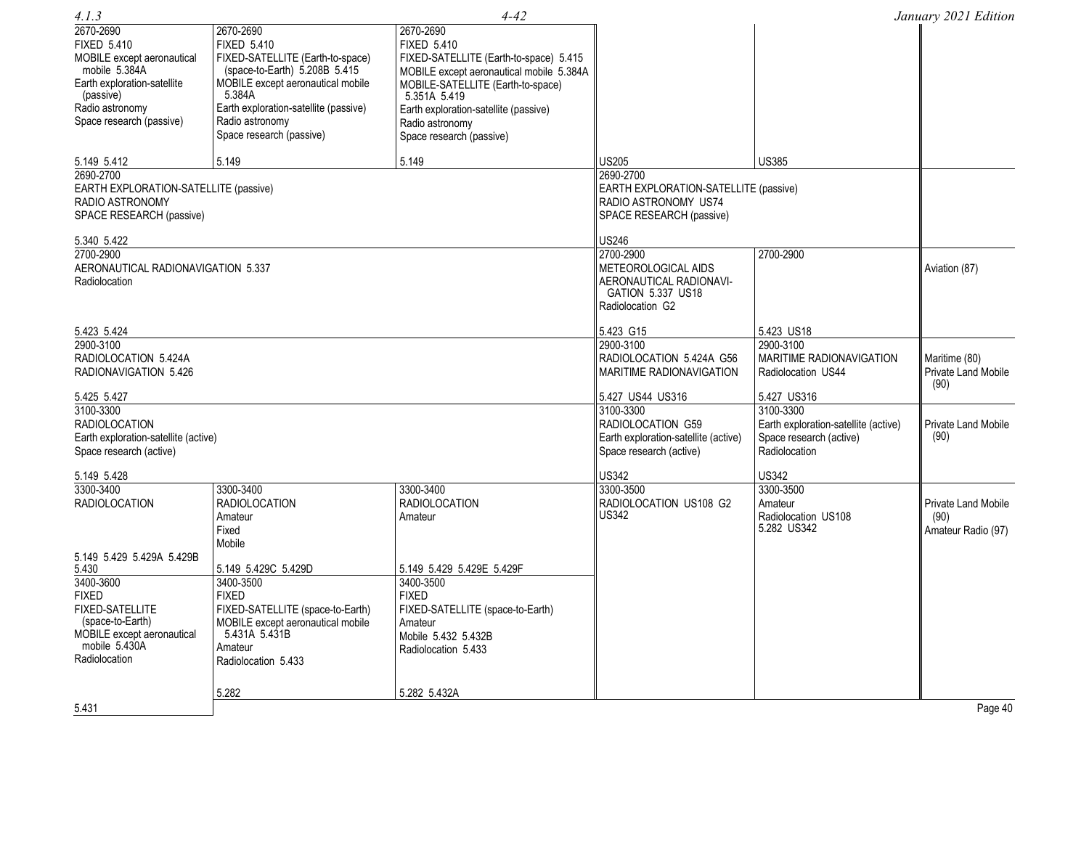| 4.1.3                                 |                                       | $4 - 42$                                 |                                       |                                      | January 2021 Edition               |
|---------------------------------------|---------------------------------------|------------------------------------------|---------------------------------------|--------------------------------------|------------------------------------|
| 2670-2690                             | 2670-2690                             | 2670-2690                                |                                       |                                      |                                    |
| <b>FIXED 5.410</b>                    | <b>FIXED 5.410</b>                    | <b>FIXED 5.410</b>                       |                                       |                                      |                                    |
| MOBILE except aeronautical            | FIXED-SATELLITE (Earth-to-space)      | FIXED-SATELLITE (Earth-to-space) 5.415   |                                       |                                      |                                    |
| mobile 5.384A                         | (space-to-Earth) 5.208B 5.415         | MOBILE except aeronautical mobile 5.384A |                                       |                                      |                                    |
| Earth exploration-satellite           | MOBILE except aeronautical mobile     | MOBILE-SATELLITE (Earth-to-space)        |                                       |                                      |                                    |
| (passive)                             | 5.384A                                | 5.351A 5.419                             |                                       |                                      |                                    |
| Radio astronomy                       | Earth exploration-satellite (passive) | Earth exploration-satellite (passive)    |                                       |                                      |                                    |
| Space research (passive)              | Radio astronomy                       | Radio astronomy                          |                                       |                                      |                                    |
|                                       | Space research (passive)              | Space research (passive)                 |                                       |                                      |                                    |
| 5.149 5.412                           | 5.149                                 | 5.149                                    | US205                                 | <b>US385</b>                         |                                    |
| 2690-2700                             |                                       |                                          | 2690-2700                             |                                      |                                    |
| EARTH EXPLORATION-SATELLITE (passive) |                                       |                                          | EARTH EXPLORATION-SATELLITE (passive) |                                      |                                    |
| RADIO ASTRONOMY                       |                                       |                                          | RADIO ASTRONOMY US74                  |                                      |                                    |
| SPACE RESEARCH (passive)              |                                       |                                          | SPACE RESEARCH (passive)              |                                      |                                    |
|                                       |                                       |                                          |                                       |                                      |                                    |
| 5.340 5.422                           |                                       |                                          | US246                                 |                                      |                                    |
| 2700-2900                             |                                       |                                          | 2700-2900                             | 2700-2900                            |                                    |
| AERONAUTICAL RADIONAVIGATION 5.337    |                                       |                                          | METEOROLOGICAL AIDS                   |                                      | Aviation (87)                      |
| Radiolocation                         |                                       |                                          | AERONAUTICAL RADIONAVI-               |                                      |                                    |
|                                       |                                       |                                          | GATION 5.337 US18                     |                                      |                                    |
|                                       |                                       |                                          | Radiolocation G2                      |                                      |                                    |
| 5.423 5.424                           |                                       |                                          | 5.423 G15                             | 5.423 US18                           |                                    |
| 2900-3100                             |                                       |                                          | 2900-3100                             | 2900-3100                            |                                    |
| RADIOLOCATION 5.424A                  |                                       |                                          | RADIOLOCATION 5.424A G56              | <b>MARITIME RADIONAVIGATION</b>      | Maritime (80)                      |
| RADIONAVIGATION 5.426                 |                                       |                                          | <b>MARITIME RADIONAVIGATION</b>       | Radiolocation US44                   | <b>Private Land Mobile</b><br>(90) |
| 5.425 5.427                           |                                       |                                          | 5.427 US44 US316                      | 5.427 US316                          |                                    |
| 3100-3300                             |                                       |                                          | 3100-3300                             | 3100-3300                            |                                    |
| <b>RADIOLOCATION</b>                  |                                       |                                          | RADIOLOCATION G59                     | Earth exploration-satellite (active) | Private Land Mobile                |
| Earth exploration-satellite (active)  |                                       |                                          | Earth exploration-satellite (active)  | Space research (active)              | (90)                               |
| Space research (active)               |                                       |                                          | Space research (active)               | Radiolocation                        |                                    |
| 5.149 5.428                           |                                       |                                          | US342                                 | <b>US342</b>                         |                                    |
| 3300-3400                             | 3300-3400                             | 3300-3400                                | 3300-3500                             | 3300-3500                            |                                    |
| <b>RADIOLOCATION</b>                  | <b>RADIOLOCATION</b>                  | <b>RADIOLOCATION</b>                     | RADIOLOCATION US108 G2                | Amateur                              | Private Land Mobile                |
|                                       | Amateur                               | Amateur                                  | US342                                 | Radiolocation US108                  | (90)                               |
|                                       | Fixed                                 |                                          |                                       | 5.282 US342                          | Amateur Radio (97)                 |
|                                       | Mobile                                |                                          |                                       |                                      |                                    |
| 5.149 5.429 5.429A 5.429B             |                                       |                                          |                                       |                                      |                                    |
| 5.430                                 | 5.149 5.429C 5.429D                   | 5.149 5.429 5.429E 5.429F                |                                       |                                      |                                    |
| 3400-3600                             | 3400-3500                             | 3400-3500                                |                                       |                                      |                                    |
| <b>FIXED</b>                          | <b>FIXED</b>                          | <b>FIXED</b>                             |                                       |                                      |                                    |
| <b>FIXED-SATELLITE</b>                | FIXED-SATELLITE (space-to-Earth)      | FIXED-SATELLITE (space-to-Earth)         |                                       |                                      |                                    |
| (space-to-Earth)                      | MOBILE except aeronautical mobile     | Amateur                                  |                                       |                                      |                                    |
| MOBILE except aeronautical            | 5.431A 5.431B                         | Mobile 5.432 5.432B                      |                                       |                                      |                                    |
| mobile 5.430A                         | Amateur                               | Radiolocation 5.433                      |                                       |                                      |                                    |
| Radiolocation                         | Radiolocation 5.433                   |                                          |                                       |                                      |                                    |
|                                       |                                       |                                          |                                       |                                      |                                    |
|                                       | 5.282                                 | 5.282 5.432A                             |                                       |                                      |                                    |
| 5.431                                 |                                       |                                          |                                       |                                      | Page 40                            |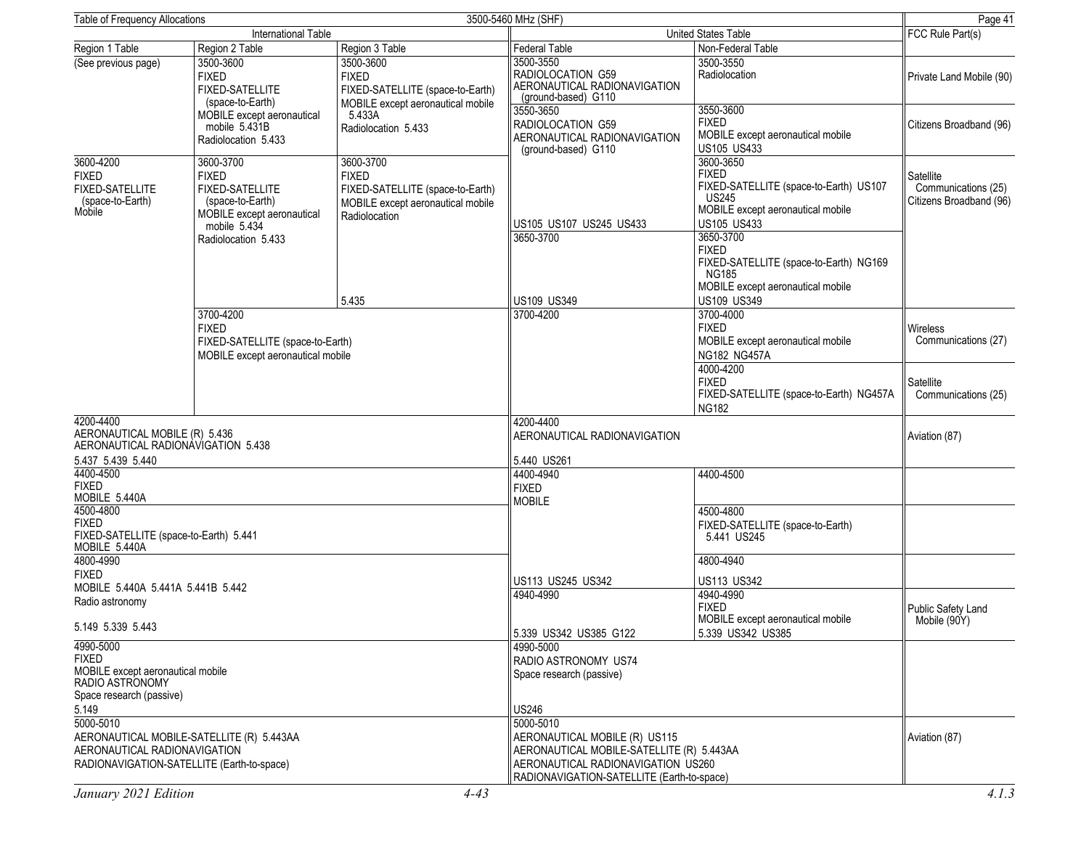| Table of Frequency Allocations                                                                                |                                                                                                                                       |                                                                                                                     | 3500-5460 MHz (SHF)                                                                                                                                                                  |                                                                                                                                                                                                                                                                     | Page 41                                                     |
|---------------------------------------------------------------------------------------------------------------|---------------------------------------------------------------------------------------------------------------------------------------|---------------------------------------------------------------------------------------------------------------------|--------------------------------------------------------------------------------------------------------------------------------------------------------------------------------------|---------------------------------------------------------------------------------------------------------------------------------------------------------------------------------------------------------------------------------------------------------------------|-------------------------------------------------------------|
|                                                                                                               | International Table                                                                                                                   |                                                                                                                     |                                                                                                                                                                                      | United States Table                                                                                                                                                                                                                                                 | FCC Rule Part(s)                                            |
| Region 1 Table                                                                                                | Region 2 Table                                                                                                                        | Region 3 Table                                                                                                      | <b>Federal Table</b>                                                                                                                                                                 | Non-Federal Table                                                                                                                                                                                                                                                   |                                                             |
| (See previous page)                                                                                           | 3500-3600<br><b>FIXED</b><br><b>FIXED-SATELLITE</b><br>(space-to-Earth)                                                               | 3500-3600<br><b>FIXED</b><br>FIXED-SATELLITE (space-to-Earth)                                                       | 3500-3550<br>RADIOLOCATION G59<br>AERONAUTICAL RADIONAVIGATION<br>(ground-based) G110                                                                                                | 3500-3550<br>Radiolocation                                                                                                                                                                                                                                          | Private Land Mobile (90)                                    |
|                                                                                                               | MOBILE except aeronautical<br>mobile 5.431B<br>Radiolocation 5.433                                                                    | MOBILE except aeronautical mobile<br>5.433A<br>Radiolocation 5.433                                                  | 3550-3650<br>RADIOLOCATION G59<br>AERONAUTICAL RADIONAVIGATION<br>(ground-based) G110                                                                                                | 3550-3600<br><b>FIXED</b><br>MOBILE except aeronautical mobile<br>US105 US433                                                                                                                                                                                       | Citizens Broadband (96)                                     |
| 3600-4200<br><b>FIXED</b><br><b>FIXED-SATELLITE</b><br>(space-to-Earth)<br>Mobile                             | 3600-3700<br><b>FIXED</b><br>FIXED-SATELLITE<br>(space-to-Earth)<br>MOBILE except aeronautical<br>mobile 5.434<br>Radiolocation 5.433 | 3600-3700<br><b>FIXED</b><br>FIXED-SATELLITE (space-to-Earth)<br>MOBILE except aeronautical mobile<br>Radiolocation | US105 US107 US245 US433<br>3650-3700                                                                                                                                                 | 3600-3650<br><b>FIXED</b><br>FIXED-SATELLITE (space-to-Earth) US107<br><b>US245</b><br>MOBILE except aeronautical mobile<br><b>US105 US433</b><br>3650-3700<br><b>FIXED</b><br>FIXED-SATELLITE (space-to-Earth) NG169<br>NG185<br>MOBILE except aeronautical mobile | Satellite<br>Communications (25)<br>Citizens Broadband (96) |
|                                                                                                               |                                                                                                                                       | 5.435                                                                                                               | US109 US349                                                                                                                                                                          | US109 US349                                                                                                                                                                                                                                                         |                                                             |
|                                                                                                               | 3700-4200<br><b>FIXED</b><br>FIXED-SATELLITE (space-to-Earth)<br>MOBILE except aeronautical mobile                                    |                                                                                                                     | 3700-4200                                                                                                                                                                            | 3700-4000<br><b>FIXED</b><br>MOBILE except aeronautical mobile<br>NG182 NG457A                                                                                                                                                                                      | <b>Wireless</b><br>Communications (27)                      |
|                                                                                                               |                                                                                                                                       |                                                                                                                     |                                                                                                                                                                                      | 4000-4200<br><b>FIXED</b><br>FIXED-SATELLITE (space-to-Earth) NG457A<br><b>NG182</b>                                                                                                                                                                                | Satellite<br>Communications (25)                            |
| 4200-4400<br>AERONAUTICAL MOBILE (R) 5.436<br>AERONAUTICAL RADIONAVIGATION 5.438                              |                                                                                                                                       |                                                                                                                     | 4200-4400<br>AERONAUTICAL RADIONAVIGATION                                                                                                                                            |                                                                                                                                                                                                                                                                     | Aviation (87)                                               |
| 5.437 5.439 5.440<br>4400-4500<br><b>FIXED</b><br>MOBILE 5.440A                                               |                                                                                                                                       |                                                                                                                     | 5.440 US261<br>4400-4940<br><b>FIXED</b><br><b>MOBILE</b>                                                                                                                            | 4400-4500                                                                                                                                                                                                                                                           |                                                             |
| 4500-4800<br><b>FIXED</b><br>FIXED-SATELLITE (space-to-Earth) 5.441<br>MOBILE 5.440A                          |                                                                                                                                       |                                                                                                                     |                                                                                                                                                                                      | 4500-4800<br>FIXED-SATELLITE (space-to-Earth)<br>5.441 US245                                                                                                                                                                                                        |                                                             |
| 4800-4990<br><b>FIXED</b>                                                                                     |                                                                                                                                       |                                                                                                                     |                                                                                                                                                                                      | 4800-4940                                                                                                                                                                                                                                                           |                                                             |
| MOBILE 5.440A 5.441A 5.441B 5.442<br>Radio astronomy                                                          |                                                                                                                                       |                                                                                                                     | US113 US245 US342<br>4940-4990                                                                                                                                                       | US113 US342<br>4940-4990                                                                                                                                                                                                                                            |                                                             |
| 5.149 5.339 5.443                                                                                             |                                                                                                                                       |                                                                                                                     | 5.339 US342 US385 G122                                                                                                                                                               | <b>FIXED</b><br>MOBILE except aeronautical mobile<br>5.339 US342 US385                                                                                                                                                                                              | Public Safety Land<br>Mobile (90Y)                          |
| 4990-5000<br><b>FIXED</b><br>MOBILE except aeronautical mobile<br>RADIO ASTRONOMY<br>Space research (passive) |                                                                                                                                       |                                                                                                                     | 4990-5000<br>RADIO ASTRONOMY US74<br>Space research (passive)                                                                                                                        |                                                                                                                                                                                                                                                                     |                                                             |
| 5.149<br>5000-5010<br>AERONAUTICAL RADIONAVIGATION<br>RADIONAVIGATION-SATELLITE (Earth-to-space)              | AERONAUTICAL MOBILE-SATELLITE (R) 5.443AA                                                                                             |                                                                                                                     | US246<br>5000-5010<br>AERONAUTICAL MOBILE (R) US115<br>AERONAUTICAL MOBILE-SATELLITE (R) 5.443AA<br>AERONAUTICAL RADIONAVIGATION US260<br>RADIONAVIGATION-SATELLITE (Earth-to-space) |                                                                                                                                                                                                                                                                     | Aviation (87)                                               |
| January 2021 Edition                                                                                          |                                                                                                                                       | $4 - 43$                                                                                                            |                                                                                                                                                                                      |                                                                                                                                                                                                                                                                     | 4.1.3                                                       |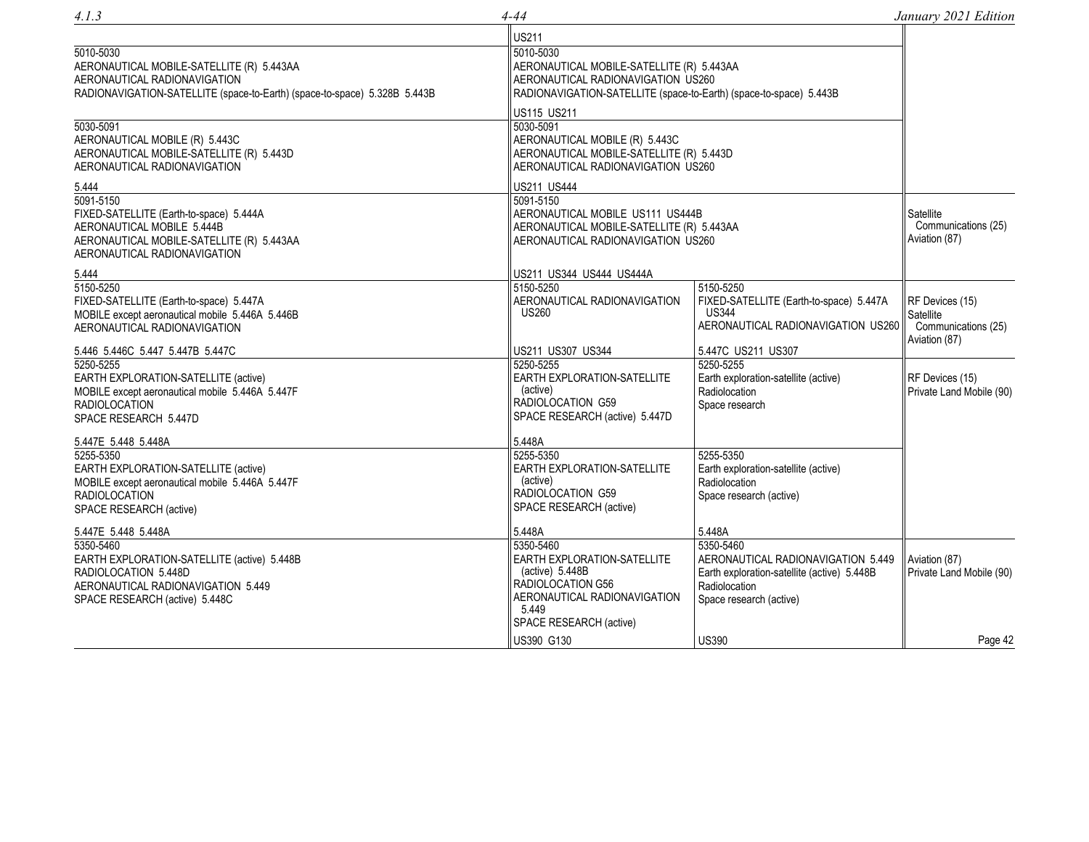| 4.1.3                                                                                                                                                           | 4-44                                                                                                                                                 |                                                                                                                                            | January 2021 Edition                                                 |
|-----------------------------------------------------------------------------------------------------------------------------------------------------------------|------------------------------------------------------------------------------------------------------------------------------------------------------|--------------------------------------------------------------------------------------------------------------------------------------------|----------------------------------------------------------------------|
| 5010-5030<br>AERONAUTICAL MOBILE-SATELLITE (R) 5.443AA<br>AERONAUTICAL RADIONAVIGATION                                                                          | <b>US211</b><br>5010-5030<br>AERONAUTICAL MOBILE-SATELLITE (R) 5.443AA<br>AERONAUTICAL RADIONAVIGATION US260                                         |                                                                                                                                            |                                                                      |
| RADIONAVIGATION-SATELLITE (space-to-Earth) (space-to-space) 5.328B 5.443B<br>5030-5091<br>AERONAUTICAL MOBILE (R) 5.443C                                        | RADIONAVIGATION-SATELLITE (space-to-Earth) (space-to-space) 5.443B<br>US115 US211<br>5030-5091<br>AERONAUTICAL MOBILE (R) 5.443C                     |                                                                                                                                            |                                                                      |
| AERONAUTICAL MOBILE-SATELLITE (R) 5.443D<br>AERONAUTICAL RADIONAVIGATION<br>5.444                                                                               | AERONAUTICAL MOBILE-SATELLITE (R) 5.443D<br>AERONAUTICAL RADIONAVIGATION US260<br>US211 US444                                                        |                                                                                                                                            |                                                                      |
| 5091-5150<br>FIXED-SATELLITE (Earth-to-space) 5.444A<br>AERONAUTICAL MOBILE 5.444B<br>AERONAUTICAL MOBILE-SATELLITE (R) 5.443AA<br>AERONAUTICAL RADIONAVIGATION | 5091-5150<br>AERONAUTICAL MOBILE US111 US444B<br>AERONAUTICAL MOBILE-SATELLITE (R) 5.443AA<br>AERONAUTICAL RADIONAVIGATION US260                     |                                                                                                                                            | Satellite<br>Communications (25)<br>Aviation (87)                    |
| 5.444                                                                                                                                                           | US211 US344 US444 US444A                                                                                                                             |                                                                                                                                            |                                                                      |
| 5150-5250<br>FIXED-SATELLITE (Earth-to-space) 5.447A<br>MOBILE except aeronautical mobile 5.446A 5.446B<br>AERONAUTICAL RADIONAVIGATION                         | 5150-5250<br>AERONAUTICAL RADIONAVIGATION<br><b>US260</b>                                                                                            | 5150-5250<br>FIXED-SATELLITE (Earth-to-space) 5.447A<br><b>US344</b><br>AERONAUTICAL RADIONAVIGATION US260                                 | RF Devices (15)<br>Satellite<br>Communications (25)<br>Aviation (87) |
| 5.446 5.446C 5.447 5.447B 5.447C                                                                                                                                | US211 US307 US344                                                                                                                                    | 5.447C US211 US307                                                                                                                         |                                                                      |
| 5250-5255<br>EARTH EXPLORATION-SATELLITE (active)<br>MOBILE except aeronautical mobile 5.446A 5.447F<br><b>RADIOLOCATION</b><br>SPACE RESEARCH 5.447D           | 5250-5255<br>EARTH EXPLORATION-SATELLITE<br>(active)<br>RADIOLOCATION G59<br>SPACE RESEARCH (active) 5.447D                                          | 5250-5255<br>Earth exploration-satellite (active)<br>Radiolocation<br>Space research                                                       | RF Devices (15)<br>Private Land Mobile (90)                          |
| 5.447E 5.448 5.448A                                                                                                                                             | 5.448A                                                                                                                                               |                                                                                                                                            |                                                                      |
| 5255-5350<br>EARTH EXPLORATION-SATELLITE (active)<br>MOBILE except aeronautical mobile 5.446A 5.447F<br><b>RADIOLOCATION</b><br>SPACE RESEARCH (active)         | 5255-5350<br>EARTH EXPLORATION-SATELLITE<br>(active)<br>RADIOLOCATION G59<br>SPACE RESEARCH (active)                                                 | 5255-5350<br>Earth exploration-satellite (active)<br>Radiolocation<br>Space research (active)                                              |                                                                      |
| 5.447E 5.448 5.448A                                                                                                                                             | 5.448A                                                                                                                                               | 5.448A                                                                                                                                     |                                                                      |
| 5350-5460<br>EARTH EXPLORATION-SATELLITE (active) 5.448B<br>RADIOLOCATION 5.448D<br>AERONAUTICAL RADIONAVIGATION 5.449<br>SPACE RESEARCH (active) 5.448C        | 5350-5460<br>EARTH EXPLORATION-SATELLITE<br>(active) 5.448B<br>RADIOLOCATION G56<br>AERONAUTICAL RADIONAVIGATION<br>5.449<br>SPACE RESEARCH (active) | 5350-5460<br>AERONAUTICAL RADIONAVIGATION 5.449<br>Earth exploration-satellite (active) 5.448B<br>Radiolocation<br>Space research (active) | Aviation (87)<br>Private Land Mobile (90)                            |
|                                                                                                                                                                 | US390 G130                                                                                                                                           | <b>US390</b>                                                                                                                               | Page 42                                                              |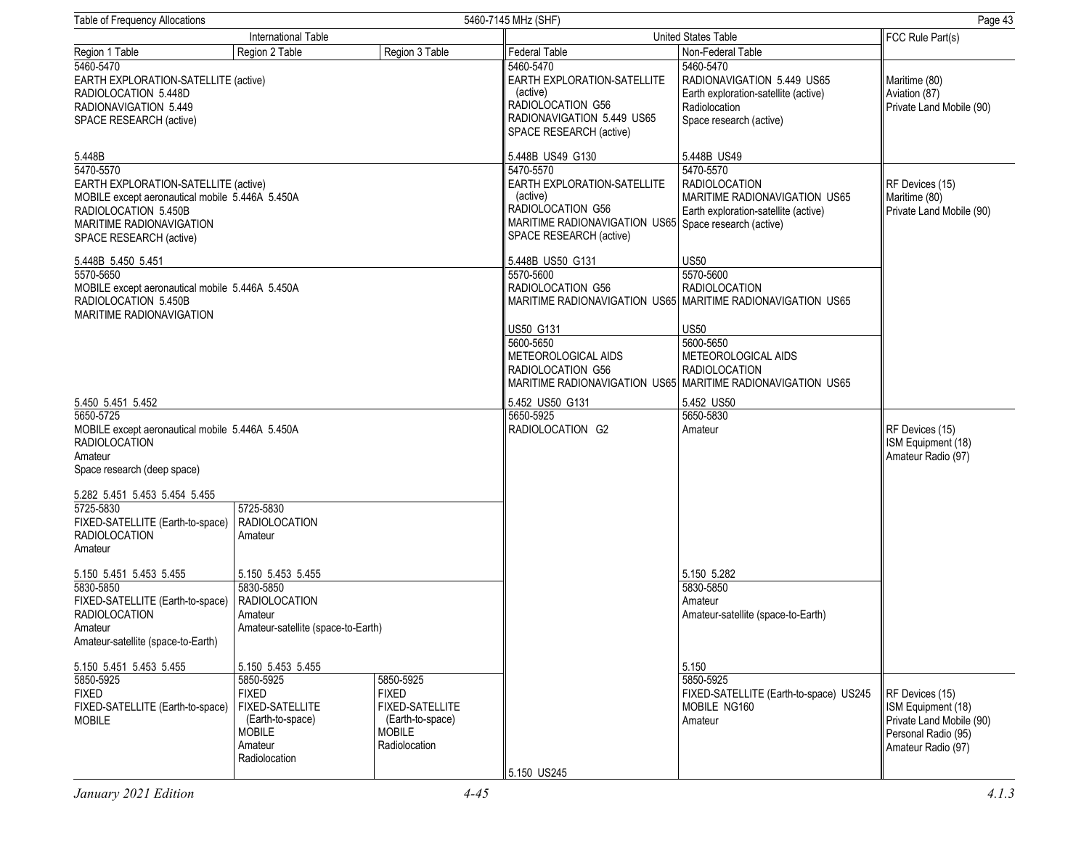| Page 43<br>Table of Frequency Allocations<br>5460-7145 MHz (SHF)                                                                                                                    |                                                                                                                      |                                                                                                    |                                                                                                                                                               |                                                                                                                                        |                                                                                                                |
|-------------------------------------------------------------------------------------------------------------------------------------------------------------------------------------|----------------------------------------------------------------------------------------------------------------------|----------------------------------------------------------------------------------------------------|---------------------------------------------------------------------------------------------------------------------------------------------------------------|----------------------------------------------------------------------------------------------------------------------------------------|----------------------------------------------------------------------------------------------------------------|
|                                                                                                                                                                                     | International Table                                                                                                  |                                                                                                    |                                                                                                                                                               | United States Table                                                                                                                    | FCC Rule Part(s)                                                                                               |
| Region 1 Table                                                                                                                                                                      | Region 2 Table                                                                                                       | Region 3 Table                                                                                     | <b>Federal Table</b>                                                                                                                                          | Non-Federal Table                                                                                                                      |                                                                                                                |
| 5460-5470<br>EARTH EXPLORATION-SATELLITE (active)<br>RADIOLOCATION 5.448D<br>RADIONAVIGATION 5.449<br>SPACE RESEARCH (active)                                                       |                                                                                                                      |                                                                                                    | 5460-5470<br>EARTH EXPLORATION-SATELLITE<br>(active)<br>RADIOLOCATION G56<br>RADIONAVIGATION 5.449 US65<br>SPACE RESEARCH (active)                            | 5460-5470<br>RADIONAVIGATION 5.449 US65<br>Earth exploration-satellite (active)<br>Radiolocation<br>Space research (active)            | Maritime (80)<br>Aviation (87)<br>Private Land Mobile (90)                                                     |
| 5.448B                                                                                                                                                                              |                                                                                                                      |                                                                                                    | 5.448B US49 G130                                                                                                                                              | 5.448B US49                                                                                                                            |                                                                                                                |
| 5470-5570<br>EARTH EXPLORATION-SATELLITE (active)<br>MOBILE except aeronautical mobile 5.446A 5.450A<br>RADIOLOCATION 5.450B<br>MARITIME RADIONAVIGATION<br>SPACE RESEARCH (active) |                                                                                                                      |                                                                                                    | 5470-5570<br>EARTH EXPLORATION-SATELLITE<br>(active)<br>RADIOLOCATION G56<br>MARITIME RADIONAVIGATION US65 Space research (active)<br>SPACE RESEARCH (active) | 5470-5570<br><b>RADIOLOCATION</b><br>MARITIME RADIONAVIGATION US65<br>Earth exploration-satellite (active)                             | RF Devices (15)<br>Maritime (80)<br>Private Land Mobile (90)                                                   |
| 5.448B 5.450 5.451<br>5570-5650<br>MOBILE except aeronautical mobile 5.446A 5.450A<br>RADIOLOCATION 5.450B<br>MARITIME RADIONAVIGATION                                              |                                                                                                                      |                                                                                                    | 5.448B US50 G131<br>5570-5600<br>RADIOLOCATION G56                                                                                                            | <b>US50</b><br>5570-5600<br><b>RADIOLOCATION</b><br>MARITIME RADIONAVIGATION US65 MARITIME RADIONAVIGATION US65                        |                                                                                                                |
|                                                                                                                                                                                     |                                                                                                                      |                                                                                                    | <b>US50 G131</b><br>5600-5650<br>METEOROLOGICAL AIDS<br>RADIOLOCATION G56                                                                                     | <b>US50</b><br>5600-5650<br>METEOROLOGICAL AIDS<br><b>RADIOLOCATION</b><br>MARITIME RADIONAVIGATION US65 MARITIME RADIONAVIGATION US65 |                                                                                                                |
| 5.450 5.451 5.452                                                                                                                                                                   |                                                                                                                      |                                                                                                    | 5.452 US50 G131                                                                                                                                               | 5.452 US50                                                                                                                             |                                                                                                                |
| 5650-5725<br>MOBILE except aeronautical mobile 5.446A 5.450A<br><b>RADIOLOCATION</b><br>Amateur<br>Space research (deep space)                                                      |                                                                                                                      |                                                                                                    | 5650-5925<br>RADIOLOCATION G2                                                                                                                                 | 5650-5830<br>Amateur                                                                                                                   | RF Devices (15)<br>ISM Equipment (18)<br>Amateur Radio (97)                                                    |
| 5.282 5.451 5.453 5.454 5.455                                                                                                                                                       |                                                                                                                      |                                                                                                    |                                                                                                                                                               |                                                                                                                                        |                                                                                                                |
| 5725-5830<br>FIXED-SATELLITE (Earth-to-space)<br><b>RADIOLOCATION</b><br>Amateur                                                                                                    | 5725-5830<br><b>RADIOLOCATION</b><br>Amateur                                                                         |                                                                                                    |                                                                                                                                                               |                                                                                                                                        |                                                                                                                |
| 5.150 5.451 5.453 5.455                                                                                                                                                             | 5.150 5.453 5.455                                                                                                    |                                                                                                    |                                                                                                                                                               | 5.150 5.282                                                                                                                            |                                                                                                                |
| 5830-5850<br>FIXED-SATELLITE (Earth-to-space)<br><b>RADIOLOCATION</b><br>Amateur<br>Amateur-satellite (space-to-Earth)                                                              | 5830-5850<br><b>RADIOLOCATION</b><br>Amateur<br>Amateur-satellite (space-to-Earth)                                   |                                                                                                    |                                                                                                                                                               | 5830-5850<br>Amateur<br>Amateur-satellite (space-to-Earth)                                                                             |                                                                                                                |
| 5.150 5.451 5.453 5.455                                                                                                                                                             | 5.150 5.453 5.455                                                                                                    |                                                                                                    |                                                                                                                                                               | 5.150                                                                                                                                  |                                                                                                                |
| 5850-5925<br><b>FIXED</b><br>FIXED-SATELLITE (Earth-to-space)<br><b>MOBILE</b>                                                                                                      | 5850-5925<br><b>FIXED</b><br><b>FIXED-SATELLITE</b><br>(Earth-to-space)<br><b>MOBILE</b><br>Amateur<br>Radiolocation | 5850-5925<br><b>FIXED</b><br>FIXED-SATELLITE<br>(Earth-to-space)<br><b>MOBILE</b><br>Radiolocation | 5.150 US245                                                                                                                                                   | 5850-5925<br>FIXED-SATELLITE (Earth-to-space) US245<br>MOBILE NG160<br>Amateur                                                         | RF Devices (15)<br>ISM Equipment (18)<br>Private Land Mobile (90)<br>Personal Radio (95)<br>Amateur Radio (97) |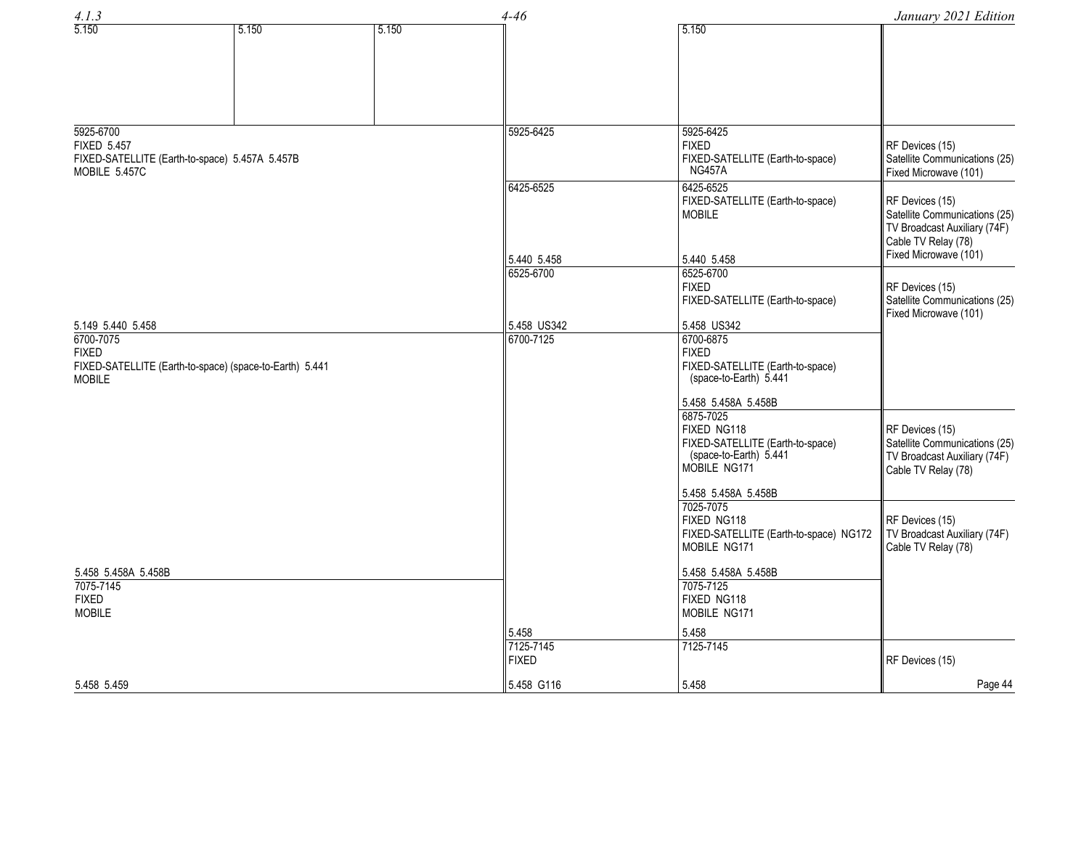| 4.1.3                                                             |                                                         | $4 - 46$ |                                    |                                                                                                                                                           |                                                                                                                                                               |
|-------------------------------------------------------------------|---------------------------------------------------------|----------|------------------------------------|-----------------------------------------------------------------------------------------------------------------------------------------------------------|---------------------------------------------------------------------------------------------------------------------------------------------------------------|
| 5.150                                                             | 5.150                                                   | 5.150    |                                    | 5.150                                                                                                                                                     | January 2021 Edition                                                                                                                                          |
| 5925-6700<br><b>FIXED 5.457</b><br>MOBILE 5.457C                  | FIXED-SATELLITE (Earth-to-space) 5.457A 5.457B          |          | 5925-6425<br>6425-6525             | 5925-6425<br><b>FIXED</b><br>FIXED-SATELLITE (Earth-to-space)<br><b>NG457A</b><br>6425-6525<br>FIXED-SATELLITE (Earth-to-space)<br><b>MOBILE</b>          | RF Devices (15)<br>Satellite Communications (25)<br>Fixed Microwave (101)<br>RF Devices (15)<br>Satellite Communications (25)<br>TV Broadcast Auxiliary (74F) |
|                                                                   |                                                         |          | 5.440 5.458                        | 5.440 5.458                                                                                                                                               | Cable TV Relay (78)<br>Fixed Microwave (101)                                                                                                                  |
|                                                                   |                                                         |          | 6525-6700                          | 6525-6700<br><b>FIXED</b><br>FIXED-SATELLITE (Earth-to-space)                                                                                             | RF Devices (15)<br>Satellite Communications (25)<br>Fixed Microwave (101)                                                                                     |
| 5.149 5.440 5.458<br>6700-7075<br><b>FIXED</b><br><b>MOBILE</b>   | FIXED-SATELLITE (Earth-to-space) (space-to-Earth) 5.441 |          | 5.458 US342<br>6700-7125           | 5.458 US342<br>6700-6875<br><b>FIXED</b><br>FIXED-SATELLITE (Earth-to-space)<br>(space-to-Earth) 5.441<br>5.458 5.458A 5.458B<br>6875-7025<br>FIXED NG118 | RF Devices (15)                                                                                                                                               |
|                                                                   |                                                         |          |                                    | FIXED-SATELLITE (Earth-to-space)<br>(space-to-Earth) 5.441<br>MOBILE NG171<br>5.458 5.458A 5.458B                                                         | Satellite Communications (25)<br>TV Broadcast Auxiliary (74F)<br>Cable TV Relay (78)                                                                          |
|                                                                   |                                                         |          |                                    | 7025-7075<br>FIXED NG118<br>FIXED-SATELLITE (Earth-to-space) NG172<br>MOBILE NG171                                                                        | RF Devices (15)<br>TV Broadcast Auxiliary (74F)<br>Cable TV Relay (78)                                                                                        |
| 5.458 5.458A 5.458B<br>7075-7145<br><b>FIXED</b><br><b>MOBILE</b> |                                                         |          |                                    | 5.458 5.458A 5.458B<br>7075-7125<br>FIXED NG118<br>MOBILE NG171                                                                                           |                                                                                                                                                               |
|                                                                   |                                                         |          | 5.458<br>7125-7145<br><b>FIXED</b> | 5.458<br>7125-7145                                                                                                                                        | RF Devices (15)                                                                                                                                               |
| 5.458 5.459                                                       |                                                         |          | 5.458 G116                         | 5.458                                                                                                                                                     | Page 44                                                                                                                                                       |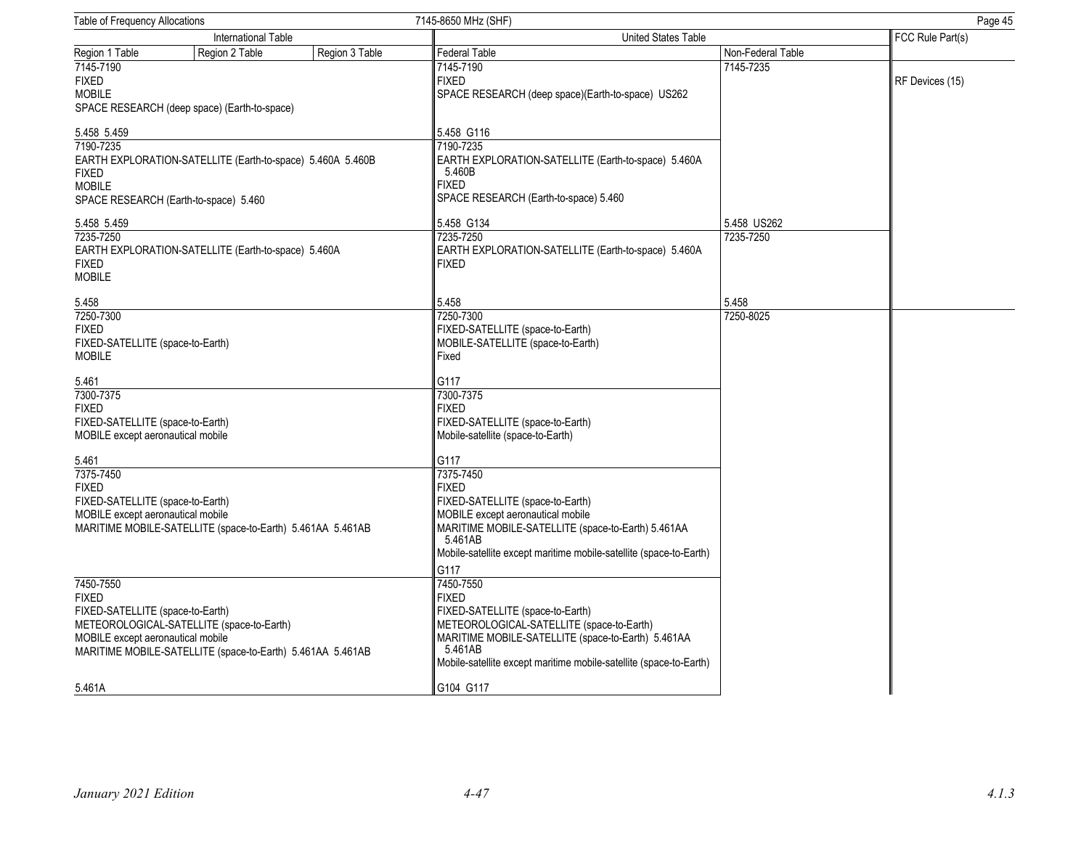| <b>Table of Frequency Allocations</b>                                                           | 7145-8650 MHz (SHF)                                                                     |                   | Page 45          |
|-------------------------------------------------------------------------------------------------|-----------------------------------------------------------------------------------------|-------------------|------------------|
| International Table                                                                             | United States Table                                                                     |                   | FCC Rule Part(s) |
| Region 1 Table<br>Region 2 Table<br>Region 3 Table                                              | Federal Table                                                                           | Non-Federal Table |                  |
| 7145-7190                                                                                       | 7145-7190                                                                               | 7145-7235         |                  |
| <b>FIXED</b>                                                                                    | <b>FIXED</b>                                                                            |                   | RF Devices (15)  |
| <b>MOBILE</b>                                                                                   | SPACE RESEARCH (deep space)(Earth-to-space) US262                                       |                   |                  |
| SPACE RESEARCH (deep space) (Earth-to-space)                                                    |                                                                                         |                   |                  |
| 5.458 5.459                                                                                     | 5.458 G116                                                                              |                   |                  |
| 7190-7235                                                                                       | 7190-7235                                                                               |                   |                  |
| EARTH EXPLORATION-SATELLITE (Earth-to-space) 5.460A 5.460B                                      | EARTH EXPLORATION-SATELLITE (Earth-to-space) 5.460A                                     |                   |                  |
| <b>FIXED</b>                                                                                    | 5.460B                                                                                  |                   |                  |
| <b>MOBILE</b>                                                                                   | <b>FIXED</b>                                                                            |                   |                  |
| SPACE RESEARCH (Earth-to-space) 5.460                                                           | SPACE RESEARCH (Earth-to-space) 5.460                                                   |                   |                  |
| 5.458 5.459                                                                                     | 5.458 G134                                                                              | 5.458 US262       |                  |
| 7235-7250                                                                                       | 7235-7250                                                                               | 7235-7250         |                  |
| EARTH EXPLORATION-SATELLITE (Earth-to-space) 5.460A                                             | EARTH EXPLORATION-SATELLITE (Earth-to-space) 5.460A                                     |                   |                  |
| <b>FIXED</b>                                                                                    | <b>FIXED</b>                                                                            |                   |                  |
| <b>MOBILE</b>                                                                                   |                                                                                         |                   |                  |
| 5.458                                                                                           | 5.458                                                                                   | 5.458             |                  |
| 7250-7300                                                                                       | 7250-7300                                                                               | 7250-8025         |                  |
| <b>FIXED</b>                                                                                    | FIXED-SATELLITE (space-to-Earth)                                                        |                   |                  |
| FIXED-SATELLITE (space-to-Earth)                                                                | MOBILE-SATELLITE (space-to-Earth)                                                       |                   |                  |
| <b>MOBILE</b>                                                                                   | Fixed                                                                                   |                   |                  |
|                                                                                                 |                                                                                         |                   |                  |
| 5.461                                                                                           | G117                                                                                    |                   |                  |
| 7300-7375                                                                                       | 7300-7375<br><b>FIXED</b>                                                               |                   |                  |
| <b>FIXED</b><br>FIXED-SATELLITE (space-to-Earth)                                                | FIXED-SATELLITE (space-to-Earth)                                                        |                   |                  |
| MOBILE except aeronautical mobile                                                               | Mobile-satellite (space-to-Earth)                                                       |                   |                  |
|                                                                                                 |                                                                                         |                   |                  |
| 5.461                                                                                           | G117                                                                                    |                   |                  |
| 7375-7450                                                                                       | 7375-7450                                                                               |                   |                  |
| <b>FIXED</b>                                                                                    | <b>FIXED</b>                                                                            |                   |                  |
| FIXED-SATELLITE (space-to-Earth)                                                                | FIXED-SATELLITE (space-to-Earth)                                                        |                   |                  |
| MOBILE except aeronautical mobile<br>MARITIME MOBILE-SATELLITE (space-to-Earth) 5.461AA 5.461AB | MOBILE except aeronautical mobile<br>MARITIME MOBILE-SATELLITE (space-to-Earth) 5.461AA |                   |                  |
|                                                                                                 | 5.461AB                                                                                 |                   |                  |
|                                                                                                 | Mobile-satellite except maritime mobile-satellite (space-to-Earth)                      |                   |                  |
|                                                                                                 | G117                                                                                    |                   |                  |
| 7450-7550                                                                                       | 7450-7550                                                                               |                   |                  |
| <b>FIXED</b>                                                                                    | <b>FIXED</b>                                                                            |                   |                  |
| FIXED-SATELLITE (space-to-Earth)                                                                | FIXED-SATELLITE (space-to-Earth)                                                        |                   |                  |
| METEOROLOGICAL-SATELLITE (space-to-Earth)                                                       | METEOROLOGICAL-SATELLITE (space-to-Earth)                                               |                   |                  |
| MOBILE except aeronautical mobile                                                               | MARITIME MOBILE-SATELLITE (space-to-Earth) 5.461AA                                      |                   |                  |
| MARITIME MOBILE-SATELLITE (space-to-Earth) 5.461AA 5.461AB                                      | 5.461AB                                                                                 |                   |                  |
|                                                                                                 | Mobile-satellite except maritime mobile-satellite (space-to-Earth)                      |                   |                  |
| 5.461A                                                                                          | G104 G117                                                                               |                   |                  |
|                                                                                                 |                                                                                         |                   |                  |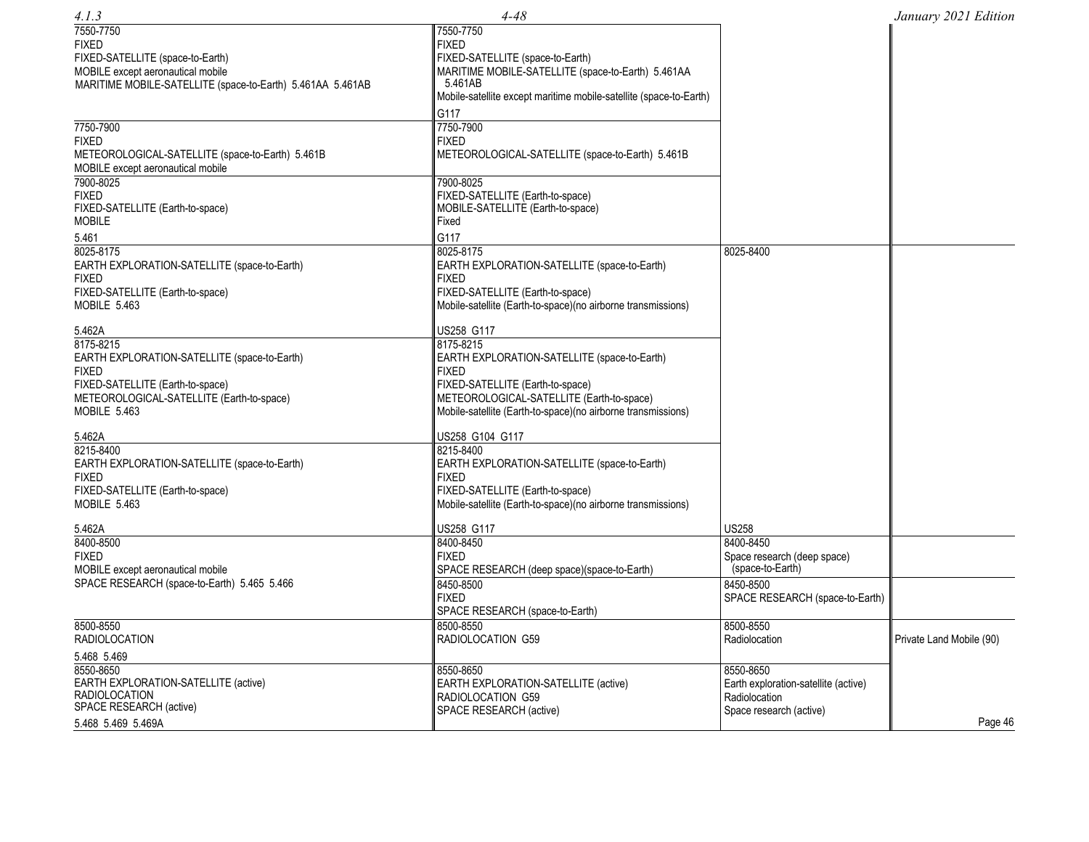| 4.1.3                                                            | $4 - 48$                                                                                                  |                                      | January 2021 Edition     |
|------------------------------------------------------------------|-----------------------------------------------------------------------------------------------------------|--------------------------------------|--------------------------|
| 7550-7750<br><b>FIXED</b>                                        | 7550-7750<br><b>FIXED</b>                                                                                 |                                      |                          |
| FIXED-SATELLITE (space-to-Earth)                                 | FIXED-SATELLITE (space-to-Earth)                                                                          |                                      |                          |
| MOBILE except aeronautical mobile                                | MARITIME MOBILE-SATELLITE (space-to-Earth) 5.461AA                                                        |                                      |                          |
| MARITIME MOBILE-SATELLITE (space-to-Earth) 5.461AA 5.461AB       | 5.461AB                                                                                                   |                                      |                          |
|                                                                  | Mobile-satellite except maritime mobile-satellite (space-to-Earth)                                        |                                      |                          |
|                                                                  | G117                                                                                                      |                                      |                          |
| 7750-7900                                                        | 7750-7900<br><b>FIXED</b>                                                                                 |                                      |                          |
| <b>FIXED</b><br>METEOROLOGICAL-SATELLITE (space-to-Earth) 5.461B | METEOROLOGICAL-SATELLITE (space-to-Earth) 5.461B                                                          |                                      |                          |
| MOBILE except aeronautical mobile                                |                                                                                                           |                                      |                          |
| 7900-8025                                                        | 7900-8025                                                                                                 |                                      |                          |
| <b>FIXED</b>                                                     | FIXED-SATELLITE (Earth-to-space)                                                                          |                                      |                          |
| FIXED-SATELLITE (Earth-to-space)                                 | MOBILE-SATELLITE (Earth-to-space)                                                                         |                                      |                          |
| <b>MOBILE</b>                                                    | Fixed                                                                                                     |                                      |                          |
| 5.461                                                            | G117                                                                                                      |                                      |                          |
| 8025-8175                                                        | 8025-8175                                                                                                 | 8025-8400                            |                          |
| EARTH EXPLORATION-SATELLITE (space-to-Earth)                     | EARTH EXPLORATION-SATELLITE (space-to-Earth)                                                              |                                      |                          |
| <b>FIXED</b>                                                     | <b>FIXED</b>                                                                                              |                                      |                          |
| FIXED-SATELLITE (Earth-to-space)                                 | FIXED-SATELLITE (Earth-to-space)                                                                          |                                      |                          |
| MOBILE 5.463                                                     | Mobile-satellite (Earth-to-space)(no airborne transmissions)                                              |                                      |                          |
| 5.462A                                                           | US258 G117                                                                                                |                                      |                          |
| 8175-8215                                                        | 8175-8215                                                                                                 |                                      |                          |
| EARTH EXPLORATION-SATELLITE (space-to-Earth)                     | EARTH EXPLORATION-SATELLITE (space-to-Earth)                                                              |                                      |                          |
| <b>FIXED</b>                                                     | <b>FIXED</b>                                                                                              |                                      |                          |
| FIXED-SATELLITE (Earth-to-space)                                 | FIXED-SATELLITE (Earth-to-space)                                                                          |                                      |                          |
| METEOROLOGICAL-SATELLITE (Earth-to-space)<br>MOBILE 5.463        | METEOROLOGICAL-SATELLITE (Earth-to-space)<br>Mobile-satellite (Earth-to-space)(no airborne transmissions) |                                      |                          |
|                                                                  |                                                                                                           |                                      |                          |
| 5.462A                                                           | US258 G104 G117                                                                                           |                                      |                          |
| 8215-8400                                                        | 8215-8400                                                                                                 |                                      |                          |
| EARTH EXPLORATION-SATELLITE (space-to-Earth)                     | EARTH EXPLORATION-SATELLITE (space-to-Earth)                                                              |                                      |                          |
| <b>FIXED</b>                                                     | <b>FIXED</b>                                                                                              |                                      |                          |
| FIXED-SATELLITE (Earth-to-space)                                 | FIXED-SATELLITE (Earth-to-space)                                                                          |                                      |                          |
| MOBILE 5.463                                                     | Mobile-satellite (Earth-to-space)(no airborne transmissions)                                              |                                      |                          |
| 5.462A                                                           | US258 G117                                                                                                | <b>US258</b>                         |                          |
| 8400-8500                                                        | 8400-8450                                                                                                 | 8400-8450                            |                          |
| <b>FIXED</b>                                                     | <b>FIXED</b>                                                                                              | Space research (deep space)          |                          |
| MOBILE except aeronautical mobile                                | SPACE RESEARCH (deep space)(space-to-Earth)                                                               | (space-to-Earth)                     |                          |
| SPACE RESEARCH (space-to-Earth) 5.465 5.466                      | 8450-8500                                                                                                 | 8450-8500                            |                          |
|                                                                  | <b>FIXED</b>                                                                                              | SPACE RESEARCH (space-to-Earth)      |                          |
|                                                                  | SPACE RESEARCH (space-to-Earth)                                                                           |                                      |                          |
| 8500-8550<br><b>RADIOLOCATION</b>                                | 8500-8550<br>RADIOLOCATION G59                                                                            | 8500-8550<br>Radiolocation           | Private Land Mobile (90) |
|                                                                  |                                                                                                           |                                      |                          |
| 5.468 5.469<br>8550-8650                                         | 8550-8650                                                                                                 | 8550-8650                            |                          |
| EARTH EXPLORATION-SATELLITE (active)                             | EARTH EXPLORATION-SATELLITE (active)                                                                      | Earth exploration-satellite (active) |                          |
| <b>RADIOLOCATION</b>                                             | RADIOLOCATION G59                                                                                         | Radiolocation                        |                          |
| SPACE RESEARCH (active)                                          | SPACE RESEARCH (active)                                                                                   | Space research (active)              |                          |
| 5.468 5.469 5.469A                                               |                                                                                                           |                                      | Page 46                  |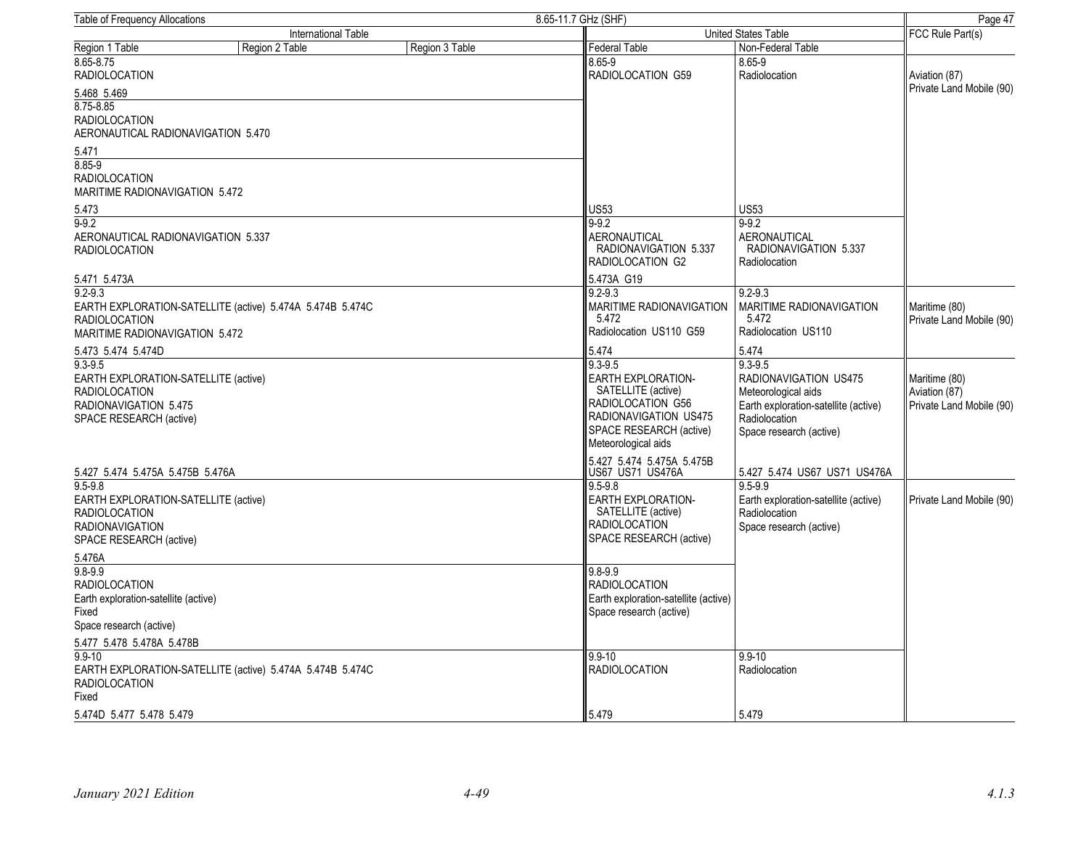| Table of Frequency Allocations                                                                                                   |                                                           |                | 8.65-11.7 GHz (SHF)                                                                                                                                     | Page 47                                                                                                                                         |                                                            |
|----------------------------------------------------------------------------------------------------------------------------------|-----------------------------------------------------------|----------------|---------------------------------------------------------------------------------------------------------------------------------------------------------|-------------------------------------------------------------------------------------------------------------------------------------------------|------------------------------------------------------------|
| International Table                                                                                                              |                                                           |                |                                                                                                                                                         | United States Table                                                                                                                             | FCC Rule Part(s)                                           |
| Region 1 Table                                                                                                                   | Region 2 Table                                            | Region 3 Table | Federal Table                                                                                                                                           | Non-Federal Table                                                                                                                               |                                                            |
| 8.65-8.75<br><b>RADIOLOCATION</b>                                                                                                |                                                           |                | 8.65-9<br>RADIOLOCATION G59                                                                                                                             | 8.65-9<br>Radiolocation                                                                                                                         | Aviation (87)                                              |
| 5.468 5.469                                                                                                                      |                                                           |                |                                                                                                                                                         |                                                                                                                                                 | Private Land Mobile (90)                                   |
| $8.75 - 8.85$<br><b>RADIOLOCATION</b><br>AERONAUTICAL RADIONAVIGATION 5.470                                                      |                                                           |                |                                                                                                                                                         |                                                                                                                                                 |                                                            |
| 5.471                                                                                                                            |                                                           |                |                                                                                                                                                         |                                                                                                                                                 |                                                            |
| 8.85-9<br><b>RADIOLOCATION</b><br>MARITIME RADIONAVIGATION 5.472                                                                 |                                                           |                |                                                                                                                                                         |                                                                                                                                                 |                                                            |
| 5.473                                                                                                                            |                                                           |                | <b>US53</b>                                                                                                                                             | <b>US53</b>                                                                                                                                     |                                                            |
| $9 - 9.2$                                                                                                                        |                                                           |                | $9 - 9.2$                                                                                                                                               | $9 - 9.2$                                                                                                                                       |                                                            |
| AERONAUTICAL RADIONAVIGATION 5.337<br><b>RADIOLOCATION</b>                                                                       |                                                           |                | <b>AERONAUTICAL</b><br>RADIONAVIGATION 5.337<br>RADIOLOCATION G2                                                                                        | AERONAUTICAL<br>RADIONAVIGATION 5.337<br>Radiolocation                                                                                          |                                                            |
| 5.471 5.473A                                                                                                                     |                                                           |                | 5.473A G19                                                                                                                                              |                                                                                                                                                 |                                                            |
| $9.2 - 9.3$<br><b>RADIOLOCATION</b><br><b>MARITIME RADIONAVIGATION 5.472</b>                                                     | EARTH EXPLORATION-SATELLITE (active) 5.474A 5.474B 5.474C |                | $9.2 - 9.3$<br>MARITIME RADIONAVIGATION<br>5.472<br>Radiolocation US110 G59                                                                             | $9.2 - 9.3$<br>MARITIME RADIONAVIGATION<br>5.472<br>Radiolocation US110                                                                         | Maritime (80)<br>Private Land Mobile (90)                  |
| 5.473 5.474 5.474D                                                                                                               |                                                           |                | 5.474                                                                                                                                                   | 5.474                                                                                                                                           |                                                            |
| $9.3 - 9.5$<br>EARTH EXPLORATION-SATELLITE (active)<br><b>RADIOLOCATION</b><br>RADIONAVIGATION 5.475<br>SPACE RESEARCH (active)  |                                                           |                | $9.3 - 9.5$<br>EARTH EXPLORATION-<br>SATELLITE (active)<br>RADIOLOCATION G56<br>RADIONAVIGATION US475<br>SPACE RESEARCH (active)<br>Meteorological aids | $9.3 - 9.5$<br>RADIONAVIGATION US475<br>Meteorological aids<br>Earth exploration-satellite (active)<br>Radiolocation<br>Space research (active) | Maritime (80)<br>Aviation (87)<br>Private Land Mobile (90) |
| 5.427 5.474 5.475A 5.475B 5.476A                                                                                                 |                                                           |                | 5.427 5.474 5.475A 5.475B<br>US67 US71 US476A                                                                                                           | 5.427 5.474 US67 US71 US476A                                                                                                                    |                                                            |
| $9.5 - 9.8$<br>EARTH EXPLORATION-SATELLITE (active)<br><b>RADIOLOCATION</b><br><b>RADIONAVIGATION</b><br>SPACE RESEARCH (active) |                                                           |                | $9.5 - 9.8$<br><b>EARTH EXPLORATION-</b><br>SATELLITE (active)<br><b>RADIOLOCATION</b><br>SPACE RESEARCH (active)                                       | $9.5 - 9.9$<br>Earth exploration-satellite (active)<br>Radiolocation<br>Space research (active)                                                 | Private Land Mobile (90)                                   |
| 5.476A                                                                                                                           |                                                           |                |                                                                                                                                                         |                                                                                                                                                 |                                                            |
| $9.8 - 9.9$<br><b>RADIOLOCATION</b><br>Earth exploration-satellite (active)<br>Fixed<br>Space research (active)                  |                                                           |                | $9.8 - 9.9$<br><b>RADIOLOCATION</b><br>Earth exploration-satellite (active)<br>Space research (active)                                                  |                                                                                                                                                 |                                                            |
| 5.477 5.478 5.478A 5.478B                                                                                                        |                                                           |                |                                                                                                                                                         |                                                                                                                                                 |                                                            |
| $9.9 - 10$<br><b>RADIOLOCATION</b><br>Fixed                                                                                      | EARTH EXPLORATION-SATELLITE (active) 5.474A 5.474B 5.474C |                | $9.9 - 10$<br><b>RADIOLOCATION</b>                                                                                                                      | $9.9 - 10$<br>Radiolocation                                                                                                                     |                                                            |
| 5.474D 5.477 5.478 5.479                                                                                                         |                                                           |                | 5.479                                                                                                                                                   | 5.479                                                                                                                                           |                                                            |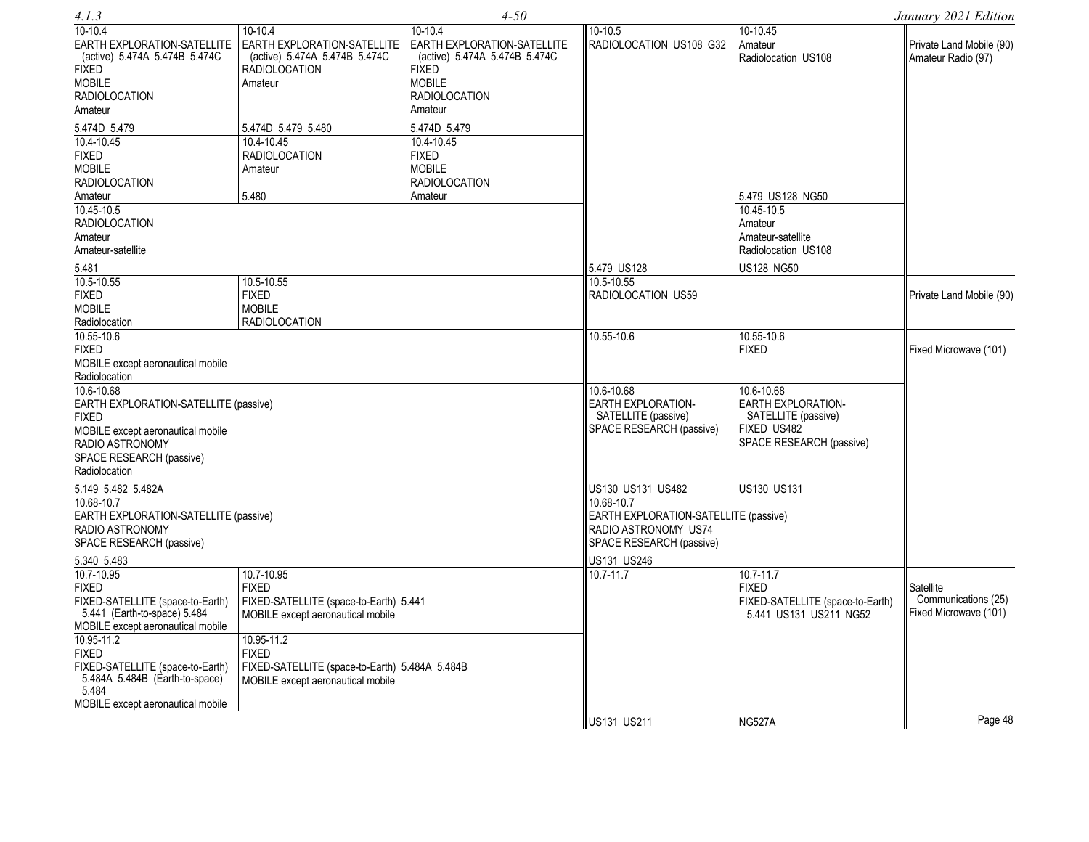| 4.1.3                                                                        |                                                                                      | $4 - 50$                                                                     |                                                 |                                          | January 2021 Edition                           |
|------------------------------------------------------------------------------|--------------------------------------------------------------------------------------|------------------------------------------------------------------------------|-------------------------------------------------|------------------------------------------|------------------------------------------------|
| $10-10.4$                                                                    | 10-10.4                                                                              | 10-10.4                                                                      | 10-10.5                                         | 10-10.45                                 |                                                |
| EARTH EXPLORATION-SATELLITE<br>(active) 5.474A 5.474B 5.474C<br><b>FIXED</b> | EARTH EXPLORATION-SATELLITE<br>(active) 5.474A 5.474B 5.474C<br><b>RADIOLOCATION</b> | EARTH EXPLORATION-SATELLITE<br>(active) 5.474A 5.474B 5.474C<br><b>FIXED</b> | RADIOLOCATION US108 G32                         | Amateur<br>Radiolocation US108           | Private Land Mobile (90)<br>Amateur Radio (97) |
| <b>MOBILE</b>                                                                | Amateur                                                                              | <b>MOBILE</b>                                                                |                                                 |                                          |                                                |
| <b>RADIOLOCATION</b>                                                         |                                                                                      | <b>RADIOLOCATION</b>                                                         |                                                 |                                          |                                                |
| Amateur                                                                      |                                                                                      | Amateur                                                                      |                                                 |                                          |                                                |
| 5.474D 5.479                                                                 | 5.474D 5.479 5.480                                                                   | 5.474D 5.479                                                                 |                                                 |                                          |                                                |
| 10.4-10.45                                                                   | 10.4-10.45                                                                           | 10.4-10.45                                                                   |                                                 |                                          |                                                |
| <b>FIXED</b>                                                                 | <b>RADIOLOCATION</b>                                                                 | <b>FIXED</b>                                                                 |                                                 |                                          |                                                |
| <b>MOBILE</b>                                                                | Amateur                                                                              | <b>MOBILE</b>                                                                |                                                 |                                          |                                                |
| <b>RADIOLOCATION</b>                                                         |                                                                                      | <b>RADIOLOCATION</b>                                                         |                                                 |                                          |                                                |
| Amateur                                                                      | 5.480                                                                                | Amateur                                                                      |                                                 | 5.479 US128 NG50                         |                                                |
| 10.45-10.5                                                                   |                                                                                      |                                                                              |                                                 | 10.45-10.5                               |                                                |
| <b>RADIOLOCATION</b>                                                         |                                                                                      |                                                                              |                                                 | Amateur                                  |                                                |
| Amateur                                                                      |                                                                                      |                                                                              |                                                 | Amateur-satellite<br>Radiolocation US108 |                                                |
| Amateur-satellite                                                            |                                                                                      |                                                                              |                                                 |                                          |                                                |
| 5.481<br>10.5-10.55                                                          |                                                                                      |                                                                              | 5.479 US128<br>10.5-10.55                       | <b>US128 NG50</b>                        |                                                |
| <b>FIXED</b>                                                                 | 10.5-10.55<br><b>FIXED</b>                                                           |                                                                              | RADIOLOCATION US59                              |                                          | Private Land Mobile (90)                       |
| <b>MOBILE</b>                                                                | <b>MOBILE</b>                                                                        |                                                                              |                                                 |                                          |                                                |
| Radiolocation                                                                | <b>RADIOLOCATION</b>                                                                 |                                                                              |                                                 |                                          |                                                |
| 10.55-10.6                                                                   |                                                                                      |                                                                              | 10.55-10.6                                      | 10.55-10.6                               |                                                |
| <b>FIXED</b>                                                                 |                                                                                      |                                                                              |                                                 | <b>FIXED</b>                             | Fixed Microwave (101)                          |
| MOBILE except aeronautical mobile                                            |                                                                                      |                                                                              |                                                 |                                          |                                                |
| Radiolocation                                                                |                                                                                      |                                                                              |                                                 |                                          |                                                |
| 10.6-10.68                                                                   |                                                                                      |                                                                              | 10.6-10.68                                      | 10.6-10.68                               |                                                |
| EARTH EXPLORATION-SATELLITE (passive)                                        |                                                                                      |                                                                              | EARTH EXPLORATION-                              | <b>EARTH EXPLORATION-</b>                |                                                |
| <b>FIXED</b>                                                                 |                                                                                      |                                                                              | SATELLITE (passive)<br>SPACE RESEARCH (passive) | SATELLITE (passive)<br>FIXED US482       |                                                |
| MOBILE except aeronautical mobile<br>RADIO ASTRONOMY                         |                                                                                      |                                                                              |                                                 | SPACE RESEARCH (passive)                 |                                                |
| SPACE RESEARCH (passive)                                                     |                                                                                      |                                                                              |                                                 |                                          |                                                |
| Radiolocation                                                                |                                                                                      |                                                                              |                                                 |                                          |                                                |
| 5.149 5.482 5.482A                                                           |                                                                                      |                                                                              | US130 US131 US482                               | <b>US130 US131</b>                       |                                                |
| 10.68-10.7                                                                   |                                                                                      |                                                                              | 10.68-10.7                                      |                                          |                                                |
| EARTH EXPLORATION-SATELLITE (passive)                                        |                                                                                      |                                                                              | EARTH EXPLORATION-SATELLITE (passive)           |                                          |                                                |
| RADIO ASTRONOMY                                                              |                                                                                      |                                                                              | RADIO ASTRONOMY US74                            |                                          |                                                |
| SPACE RESEARCH (passive)                                                     |                                                                                      |                                                                              | SPACE RESEARCH (passive)                        |                                          |                                                |
| 5.340 5.483                                                                  |                                                                                      |                                                                              | US131 US246                                     |                                          |                                                |
| 10.7-10.95                                                                   | 10.7-10.95                                                                           |                                                                              | 10.7-11.7                                       | 10.7-11.7                                |                                                |
| <b>FIXED</b>                                                                 | <b>FIXED</b>                                                                         |                                                                              |                                                 | <b>FIXED</b>                             | Satellite                                      |
| FIXED-SATELLITE (space-to-Earth)                                             | FIXED-SATELLITE (space-to-Earth) 5.441                                               |                                                                              |                                                 | FIXED-SATELLITE (space-to-Earth)         | Communications (25)                            |
| 5.441 (Earth-to-space) 5.484<br>MOBILE except aeronautical mobile            | MOBILE except aeronautical mobile                                                    |                                                                              |                                                 | 5.441 US131 US211 NG52                   | Fixed Microwave (101)                          |
| $10.95 - 11.2$                                                               | 10.95-11.2                                                                           |                                                                              |                                                 |                                          |                                                |
| <b>FIXED</b>                                                                 | <b>FIXED</b>                                                                         |                                                                              |                                                 |                                          |                                                |
| FIXED-SATELLITE (space-to-Earth)                                             | FIXED-SATELLITE (space-to-Earth) 5.484A 5.484B                                       |                                                                              |                                                 |                                          |                                                |
| 5.484A 5.484B (Earth-to-space)                                               | MOBILE except aeronautical mobile                                                    |                                                                              |                                                 |                                          |                                                |
| 5.484                                                                        |                                                                                      |                                                                              |                                                 |                                          |                                                |
| MOBILE except aeronautical mobile                                            |                                                                                      |                                                                              |                                                 |                                          |                                                |
|                                                                              |                                                                                      |                                                                              | US131 US211                                     | <b>NG527A</b>                            | Page 48                                        |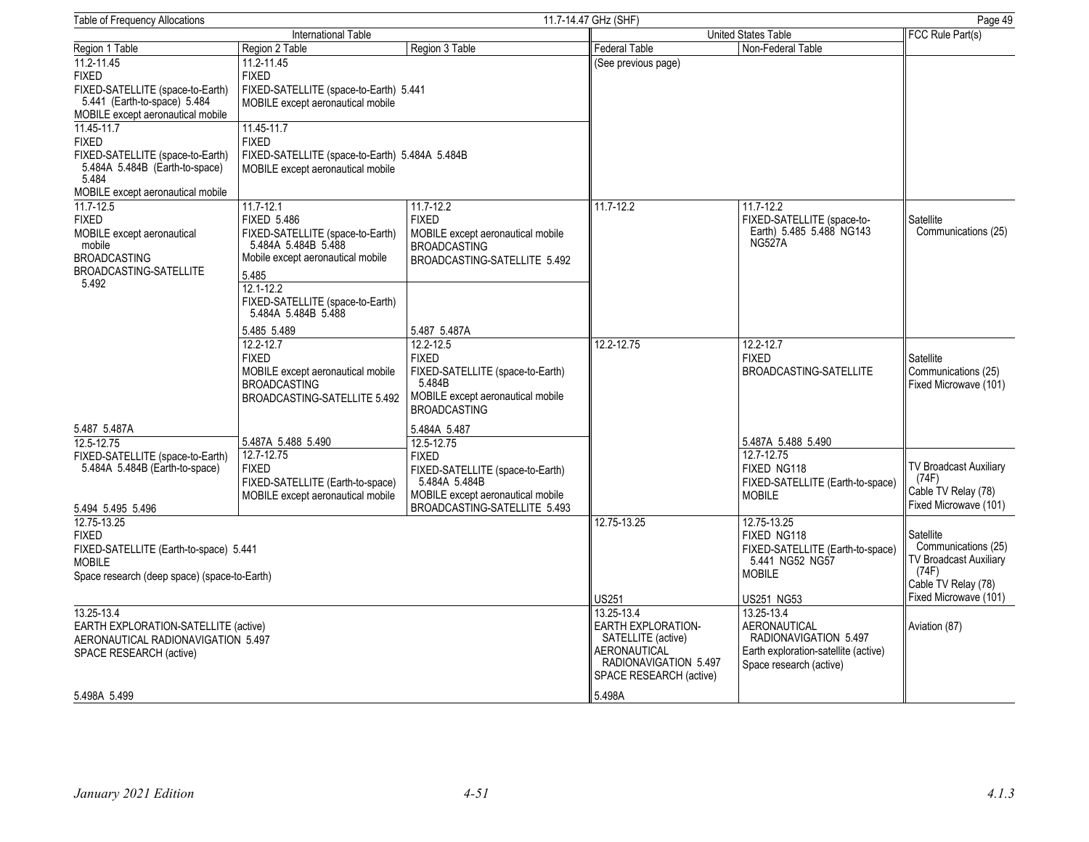| <b>Table of Frequency Allocations</b>                              |                                                |                                   | 11.7-14.47 GHz (SHF)<br>Page 49 |                                                     |                                              |
|--------------------------------------------------------------------|------------------------------------------------|-----------------------------------|---------------------------------|-----------------------------------------------------|----------------------------------------------|
|                                                                    | International Table                            |                                   |                                 | <b>United States Table</b>                          | FCC Rule Part(s)                             |
| Region 1 Table                                                     | Region 2 Table                                 | Region 3 Table                    | Federal Table                   | Non-Federal Table                                   |                                              |
| 11.2-11.45                                                         | 11.2-11.45                                     |                                   | (See previous page)             |                                                     |                                              |
| <b>FIXED</b>                                                       | <b>FIXED</b>                                   |                                   |                                 |                                                     |                                              |
| FIXED-SATELLITE (space-to-Earth)                                   | FIXED-SATELLITE (space-to-Earth) 5.441         |                                   |                                 |                                                     |                                              |
| 5.441 (Earth-to-space) 5.484                                       | MOBILE except aeronautical mobile              |                                   |                                 |                                                     |                                              |
| MOBILE except aeronautical mobile                                  |                                                |                                   |                                 |                                                     |                                              |
| 11.45-11.7                                                         | 11.45-11.7                                     |                                   |                                 |                                                     |                                              |
| <b>FIXED</b>                                                       | <b>FIXED</b>                                   |                                   |                                 |                                                     |                                              |
| FIXED-SATELLITE (space-to-Earth)<br>5.484A 5.484B (Earth-to-space) | FIXED-SATELLITE (space-to-Earth) 5.484A 5.484B |                                   |                                 |                                                     |                                              |
| 5.484                                                              | MOBILE except aeronautical mobile              |                                   |                                 |                                                     |                                              |
| MOBILE except aeronautical mobile                                  |                                                |                                   |                                 |                                                     |                                              |
| $11.7 - 12.5$                                                      | $11.7 - 12.1$                                  | $11.7 - 12.2$                     | 11.7-12.2                       | 11.7-12.2                                           |                                              |
| <b>FIXED</b>                                                       | <b>FIXED 5.486</b>                             | <b>FIXED</b>                      |                                 | FIXED-SATELLITE (space-to-                          | Satellite                                    |
| MOBILE except aeronautical                                         | FIXED-SATELLITE (space-to-Earth)               | MOBILE except aeronautical mobile |                                 | Earth) 5.485 5.488 NG143                            | Communications (25)                          |
| mobile                                                             | 5.484A 5.484B 5.488                            | <b>BROADCASTING</b>               |                                 | <b>NG527A</b>                                       |                                              |
| <b>BROADCASTING</b>                                                | Mobile except aeronautical mobile              | BROADCASTING-SATELLITE 5.492      |                                 |                                                     |                                              |
| <b>BROADCASTING-SATELLITE</b>                                      | 5.485                                          |                                   |                                 |                                                     |                                              |
| 5.492                                                              | $12.1 - 12.2$                                  |                                   |                                 |                                                     |                                              |
|                                                                    | FIXED-SATELLITE (space-to-Earth)               |                                   |                                 |                                                     |                                              |
|                                                                    | 5.484A 5.484B 5.488                            |                                   |                                 |                                                     |                                              |
|                                                                    | 5.485 5.489                                    | 5.487 5.487A                      |                                 |                                                     |                                              |
|                                                                    | 12.2-12.7                                      | $12.2 - 12.5$                     | 12.2-12.75                      | $12.2 - 12.7$                                       |                                              |
|                                                                    | <b>FIXED</b>                                   | <b>FIXED</b>                      |                                 | <b>FIXED</b>                                        | Satellite                                    |
|                                                                    | MOBILE except aeronautical mobile              | FIXED-SATELLITE (space-to-Earth)  |                                 | BROADCASTING-SATELLITE                              | Communications (25)                          |
|                                                                    | <b>BROADCASTING</b>                            | 5.484B                            |                                 |                                                     | Fixed Microwave (101)                        |
|                                                                    | BROADCASTING-SATELLITE 5.492                   | MOBILE except aeronautical mobile |                                 |                                                     |                                              |
|                                                                    |                                                | <b>BROADCASTING</b>               |                                 |                                                     |                                              |
| 5.487 5.487A                                                       |                                                | 5.484A 5.487                      |                                 |                                                     |                                              |
| 12.5-12.75                                                         | 5.487A 5.488 5.490                             | 12.5-12.75                        |                                 | 5.487A 5.488 5.490                                  |                                              |
| FIXED-SATELLITE (space-to-Earth)                                   | 12.7-12.75                                     | <b>FIXED</b>                      |                                 | 12.7-12.75                                          |                                              |
| 5.484A 5.484B (Earth-to-space)                                     | <b>FIXED</b>                                   | FIXED-SATELLITE (space-to-Earth)  |                                 | FIXED NG118                                         | TV Broadcast Auxiliary                       |
|                                                                    | FIXED-SATELLITE (Earth-to-space)               | 5.484A 5.484B                     |                                 | FIXED-SATELLITE (Earth-to-space)                    | (74F)                                        |
|                                                                    | MOBILE except aeronautical mobile              | MOBILE except aeronautical mobile |                                 | <b>MOBILE</b>                                       | Cable TV Relay (78)<br>Fixed Microwave (101) |
| 5.494 5.495 5.496                                                  |                                                | BROADCASTING-SATELLITE 5.493      |                                 |                                                     |                                              |
| 12.75-13.25                                                        |                                                |                                   | 12.75-13.25                     | 12.75-13.25                                         |                                              |
| <b>FIXED</b>                                                       |                                                |                                   |                                 | FIXED NG118                                         | Satellite<br>Communications (25)             |
| FIXED-SATELLITE (Earth-to-space) 5.441<br><b>MOBILE</b>            |                                                |                                   |                                 | FIXED-SATELLITE (Earth-to-space)<br>5.441 NG52 NG57 | TV Broadcast Auxiliary                       |
|                                                                    |                                                |                                   |                                 | <b>MOBILE</b>                                       | (74F)                                        |
| Space research (deep space) (space-to-Earth)                       |                                                |                                   |                                 |                                                     | Cable TV Relay (78)                          |
|                                                                    |                                                |                                   | US251                           | <b>US251 NG53</b>                                   | Fixed Microwave (101)                        |
| 13.25-13.4                                                         |                                                |                                   | 13.25-13.4                      | 13.25-13.4                                          |                                              |
| EARTH EXPLORATION-SATELLITE (active)                               |                                                |                                   | EARTH EXPLORATION-              | <b>AERONAUTICAL</b>                                 | Aviation (87)                                |
| AERONAUTICAL RADIONAVIGATION 5.497                                 |                                                |                                   | SATELLITE (active)              | RADIONAVIGATION 5.497                               |                                              |
| SPACE RESEARCH (active)                                            |                                                |                                   | AERONAUTICAL                    | Earth exploration-satellite (active)                |                                              |
|                                                                    |                                                |                                   | RADIONAVIGATION 5.497           | Space research (active)                             |                                              |
|                                                                    |                                                |                                   | SPACE RESEARCH (active)         |                                                     |                                              |
| 5.498A 5.499                                                       |                                                |                                   | 5.498A                          |                                                     |                                              |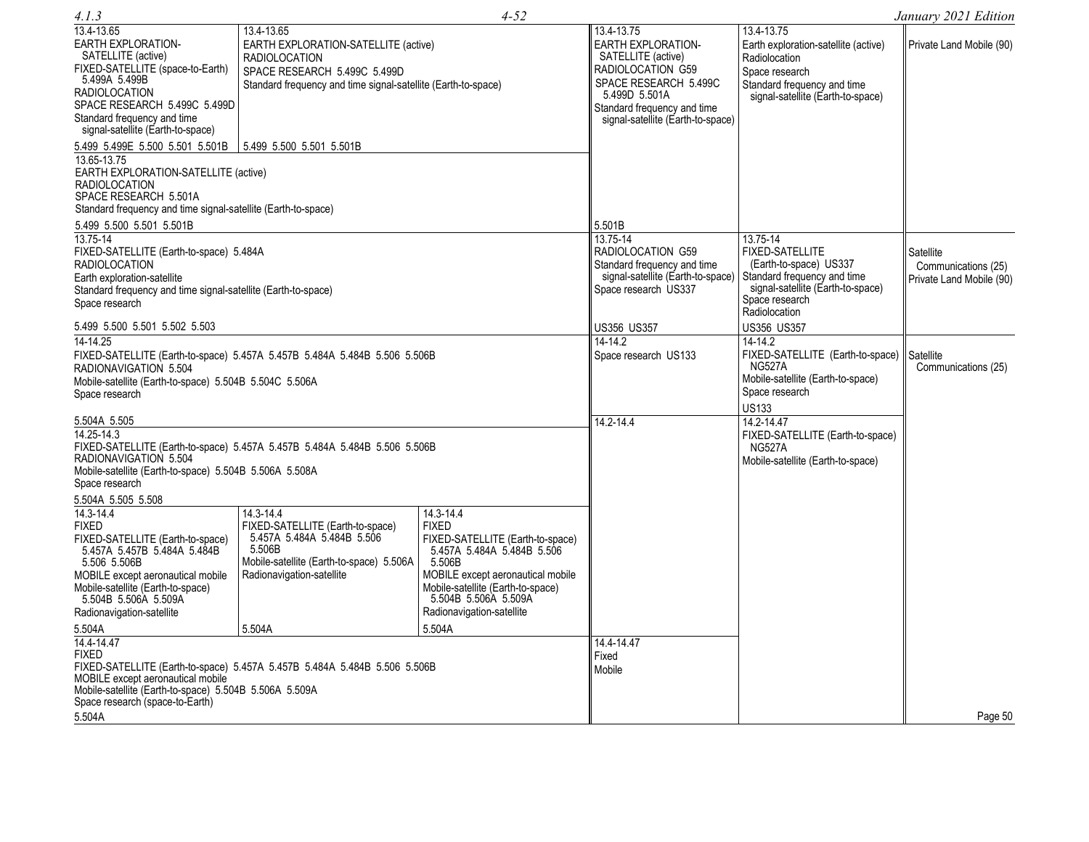| 4.1.3                                                                                                |                                                                           | $4 - 52$                                    |                                                                  |                                                       | January 2021 Edition                            |
|------------------------------------------------------------------------------------------------------|---------------------------------------------------------------------------|---------------------------------------------|------------------------------------------------------------------|-------------------------------------------------------|-------------------------------------------------|
| 13.4-13.65                                                                                           | 13.4-13.65                                                                |                                             | 13.4-13.75                                                       | 13.4-13.75                                            |                                                 |
| EARTH EXPLORATION-<br>SATELLITE (active)                                                             | EARTH EXPLORATION-SATELLITE (active)<br><b>RADIOLOCATION</b>              |                                             | <b>EARTH EXPLORATION-</b><br>SATELLITE (active)                  | Earth exploration-satellite (active)<br>Radiolocation | Private Land Mobile (90)                        |
| FIXED-SATELLITE (space-to-Earth)                                                                     | SPACE RESEARCH 5.499C 5.499D                                              |                                             | RADIOLOCATION G59                                                | Space research                                        |                                                 |
| 5.499A 5.499B<br><b>RADIOLOCATION</b>                                                                | Standard frequency and time signal-satellite (Earth-to-space)             |                                             | SPACE RESEARCH 5.499C                                            | Standard frequency and time                           |                                                 |
| SPACE RESEARCH 5.499C 5.499D                                                                         |                                                                           |                                             | 5.499D 5.501A<br>Standard frequency and time                     | signal-satellite (Earth-to-space)                     |                                                 |
| Standard frequency and time                                                                          |                                                                           |                                             | signal-satellite (Earth-to-space)                                |                                                       |                                                 |
| signal-satellite (Earth-to-space)                                                                    |                                                                           |                                             |                                                                  |                                                       |                                                 |
| 5.499 5.499E 5.500 5.501 5.501B                                                                      | 5.499 5.500 5.501 5.501B                                                  |                                             |                                                                  |                                                       |                                                 |
| 13.65-13.75<br>EARTH EXPLORATION-SATELLITE (active)<br><b>RADIOLOCATION</b><br>SPACE RESEARCH 5.501A |                                                                           |                                             |                                                                  |                                                       |                                                 |
| Standard frequency and time signal-satellite (Earth-to-space)                                        |                                                                           |                                             |                                                                  |                                                       |                                                 |
| 5.499 5.500 5.501 5.501B                                                                             |                                                                           |                                             | 5.501B                                                           |                                                       |                                                 |
| 13.75-14                                                                                             |                                                                           |                                             | 13.75-14                                                         | 13.75-14                                              |                                                 |
| FIXED-SATELLITE (Earth-to-space) 5.484A                                                              |                                                                           |                                             | RADIOLOCATION G59                                                | <b>FIXED-SATELLITE</b>                                | Satellite                                       |
| <b>RADIOLOCATION</b><br>Earth exploration-satellite                                                  |                                                                           |                                             | Standard frequency and time<br>signal-satellite (Earth-to-space) | (Earth-to-space) US337<br>Standard frequency and time | Communications (25)<br>Private Land Mobile (90) |
| Standard frequency and time signal-satellite (Earth-to-space)                                        |                                                                           |                                             | Space research US337                                             | signal-satellite (Earth-to-space)                     |                                                 |
| Space research                                                                                       |                                                                           |                                             |                                                                  | Space research<br>Radiolocation                       |                                                 |
| 5.499 5.500 5.501 5.502 5.503                                                                        |                                                                           |                                             | <b>US356 US357</b>                                               | <b>US356 US357</b>                                    |                                                 |
| $14 - 14.25$                                                                                         |                                                                           |                                             | $14 - 14.2$                                                      | $14 - 14.2$                                           |                                                 |
|                                                                                                      | FIXED-SATELLITE (Earth-to-space) 5.457A 5.457B 5.484A 5.484B 5.506 5.506B |                                             | Space research US133                                             | FIXED-SATELLITE (Earth-to-space)                      | Satellite                                       |
| RADIONAVIGATION 5.504                                                                                |                                                                           |                                             |                                                                  | <b>NG527A</b>                                         | Communications (25)                             |
| Mobile-satellite (Earth-to-space) 5.504B 5.504C 5.506A<br>Space research                             |                                                                           |                                             |                                                                  | Mobile-satellite (Earth-to-space)<br>Space research   |                                                 |
|                                                                                                      |                                                                           |                                             |                                                                  | <b>US133</b>                                          |                                                 |
| 5.504A 5.505                                                                                         |                                                                           |                                             | $14.2 - 14.4$                                                    | 14.2-14.47                                            |                                                 |
| $14.25 - 14.3$                                                                                       |                                                                           |                                             |                                                                  | FIXED-SATELLITE (Earth-to-space)                      |                                                 |
| RADIONAVIGATION 5.504                                                                                | FIXED-SATELLITE (Earth-to-space) 5.457A 5.457B 5.484A 5.484B 5.506 5.506B |                                             |                                                                  | <b>NG527A</b><br>Mobile-satellite (Earth-to-space)    |                                                 |
| Mobile-satellite (Earth-to-space) 5.504B 5.506A 5.508A                                               |                                                                           |                                             |                                                                  |                                                       |                                                 |
| Space research                                                                                       |                                                                           |                                             |                                                                  |                                                       |                                                 |
| 5.504A 5.505 5.508                                                                                   |                                                                           |                                             |                                                                  |                                                       |                                                 |
| 14.3-14.4<br><b>FIXED</b>                                                                            | 14.3-14.4<br>FIXED-SATELLITE (Earth-to-space)                             | 14.3-14.4<br><b>FIXED</b>                   |                                                                  |                                                       |                                                 |
| FIXED-SATELLITE (Earth-to-space)                                                                     | 5.457A 5.484A 5.484B 5.506                                                | FIXED-SATELLITE (Earth-to-space)            |                                                                  |                                                       |                                                 |
| 5.457A 5.457B 5.484A 5.484B                                                                          | 5.506B                                                                    | 5.457A 5.484A 5.484B 5.506                  |                                                                  |                                                       |                                                 |
| 5.506 5.506B<br>MOBILE except aeronautical mobile                                                    | Mobile-satellite (Earth-to-space) 5.506A<br>Radionavigation-satellite     | 5.506B<br>MOBILE except aeronautical mobile |                                                                  |                                                       |                                                 |
| Mobile-satellite (Earth-to-space)                                                                    |                                                                           | Mobile-satellite (Earth-to-space)           |                                                                  |                                                       |                                                 |
| 5.504B 5.506A 5.509A                                                                                 |                                                                           | 5.504B 5.506A 5.509A                        |                                                                  |                                                       |                                                 |
| Radionavigation-satellite                                                                            |                                                                           | Radionavigation-satellite                   |                                                                  |                                                       |                                                 |
| 5.504A<br>14.4-14.47                                                                                 | 5.504A                                                                    | 5.504A                                      | 14.4-14.47                                                       |                                                       |                                                 |
| <b>FIXED</b>                                                                                         |                                                                           |                                             | Fixed                                                            |                                                       |                                                 |
|                                                                                                      | FIXED-SATELLITE (Earth-to-space) 5.457A 5.457B 5.484A 5.484B 5.506 5.506B |                                             | Mobile                                                           |                                                       |                                                 |
| MOBILE except aeronautical mobile<br>Mobile-satellite (Earth-to-space) 5.504B 5.506A 5.509A          |                                                                           |                                             |                                                                  |                                                       |                                                 |
| Space research (space-to-Earth)                                                                      |                                                                           |                                             |                                                                  |                                                       |                                                 |
| 5.504A                                                                                               |                                                                           |                                             |                                                                  |                                                       | Page 50                                         |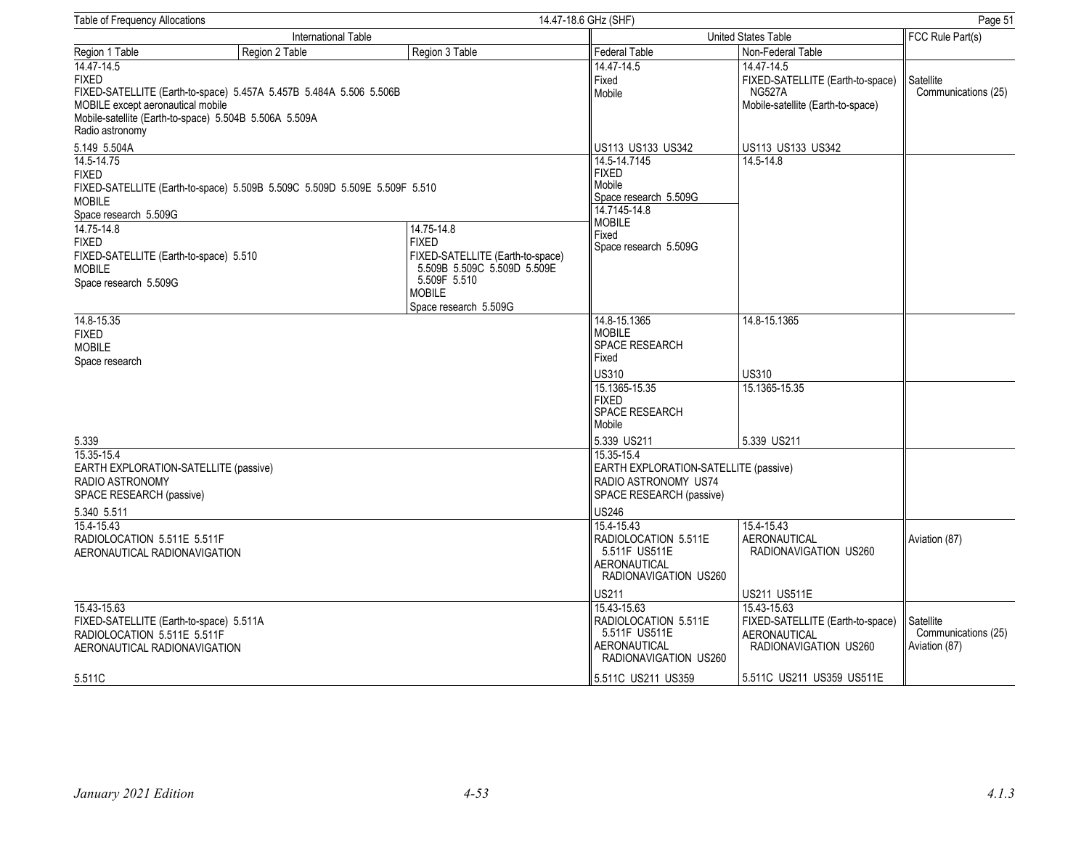| <b>Table of Frequency Allocations</b>                                                                                                                                                  |                                                                                                                              |                                                                                                                                                         | 14.47-18.6 GHz (SHF)                                                                                                               |                                                                                                                                       |                                                   |  |
|----------------------------------------------------------------------------------------------------------------------------------------------------------------------------------------|------------------------------------------------------------------------------------------------------------------------------|---------------------------------------------------------------------------------------------------------------------------------------------------------|------------------------------------------------------------------------------------------------------------------------------------|---------------------------------------------------------------------------------------------------------------------------------------|---------------------------------------------------|--|
|                                                                                                                                                                                        | <b>International Table</b>                                                                                                   |                                                                                                                                                         |                                                                                                                                    | United States Table                                                                                                                   |                                                   |  |
| Region 1 Table                                                                                                                                                                         | Region 2 Table                                                                                                               | Region 3 Table                                                                                                                                          | <b>Federal Table</b>                                                                                                               | Non-Federal Table                                                                                                                     |                                                   |  |
| 14.47-14.5<br><b>FIXED</b><br>MOBILE except aeronautical mobile<br>Radio astronomy                                                                                                     | FIXED-SATELLITE (Earth-to-space) 5.457A 5.457B 5.484A 5.506 5.506B<br>Mobile-satellite (Earth-to-space) 5.504B 5.506A 5.509A |                                                                                                                                                         | 14.47-14.5<br>Fixed<br>Mobile                                                                                                      | 14.47-14.5<br>FIXED-SATELLITE (Earth-to-space)<br><b>NG527A</b><br>Mobile-satellite (Earth-to-space)                                  | Satellite<br>Communications (25)                  |  |
| 5.149 5.504A                                                                                                                                                                           |                                                                                                                              |                                                                                                                                                         | US113 US133 US342                                                                                                                  | US113 US133 US342                                                                                                                     |                                                   |  |
| 14.5-14.75<br><b>FIXED</b><br><b>MOBILE</b><br>Space research 5.509G<br>14.75-14.8<br><b>FIXED</b><br>FIXED-SATELLITE (Earth-to-space) 5.510<br><b>MOBILE</b><br>Space research 5.509G | FIXED-SATELLITE (Earth-to-space) 5.509B 5.509C 5.509D 5.509E 5.509F 5.510                                                    | 14.75-14.8<br><b>FIXED</b><br>FIXED-SATELLITE (Earth-to-space)<br>5.509B 5.509C 5.509D 5.509E<br>5.509F 5.510<br><b>MOBILE</b><br>Space research 5.509G | 14.5-14.7145<br><b>FIXED</b><br>Mobile<br>Space research 5.509G<br>14.7145-14.8<br><b>MOBILE</b><br>Fixed<br>Space research 5.509G | 14.5-14.8                                                                                                                             |                                                   |  |
| 14.8-15.35<br><b>FIXED</b><br><b>MOBILE</b><br>Space research                                                                                                                          |                                                                                                                              |                                                                                                                                                         | 14.8-15.1365<br><b>MOBILE</b><br>SPACE RESEARCH<br>Fixed                                                                           | 14.8-15.1365                                                                                                                          |                                                   |  |
|                                                                                                                                                                                        |                                                                                                                              |                                                                                                                                                         | <b>US310</b>                                                                                                                       | <b>US310</b>                                                                                                                          |                                                   |  |
|                                                                                                                                                                                        |                                                                                                                              |                                                                                                                                                         | 15.1365-15.35<br><b>FIXED</b><br>SPACE RESEARCH<br>Mobile                                                                          | 15.1365-15.35                                                                                                                         |                                                   |  |
| 5.339                                                                                                                                                                                  |                                                                                                                              |                                                                                                                                                         | 5.339 US211                                                                                                                        | 5.339 US211                                                                                                                           |                                                   |  |
| 15.35-15.4<br>EARTH EXPLORATION-SATELLITE (passive)<br>RADIO ASTRONOMY<br>SPACE RESEARCH (passive)<br>5.340 5.511                                                                      |                                                                                                                              |                                                                                                                                                         | 15.35-15.4<br>EARTH EXPLORATION-SATELLITE (passive)<br>RADIO ASTRONOMY US74<br>SPACE RESEARCH (passive)<br><b>US246</b>            |                                                                                                                                       |                                                   |  |
| 15.4-15.43<br>RADIOLOCATION 5.511E 5.511F<br>AERONAUTICAL RADIONAVIGATION                                                                                                              |                                                                                                                              |                                                                                                                                                         | 15.4-15.43<br>RADIOLOCATION 5.511E<br>5.511F US511E<br>AERONAUTICAL<br>RADIONAVIGATION US260                                       | 15.4-15.43<br><b>AERONAUTICAL</b><br>RADIONAVIGATION US260                                                                            | Aviation (87)                                     |  |
| 15.43-15.63<br>FIXED-SATELLITE (Earth-to-space) 5.511A<br>RADIOLOCATION 5.511E 5.511F<br>AERONAUTICAL RADIONAVIGATION                                                                  |                                                                                                                              |                                                                                                                                                         | US211<br>15.43-15.63<br>RADIOLOCATION 5.511E<br>5.511F US511E<br><b>AERONAUTICAL</b><br>RADIONAVIGATION US260                      | US211 US511E<br>15.43-15.63<br>FIXED-SATELLITE (Earth-to-space)<br>AERONAUTICAL<br>RADIONAVIGATION US260<br>5.511C US211 US359 US511E | Satellite<br>Communications (25)<br>Aviation (87) |  |
| 5.511C                                                                                                                                                                                 |                                                                                                                              |                                                                                                                                                         | 5.511C US211 US359                                                                                                                 |                                                                                                                                       |                                                   |  |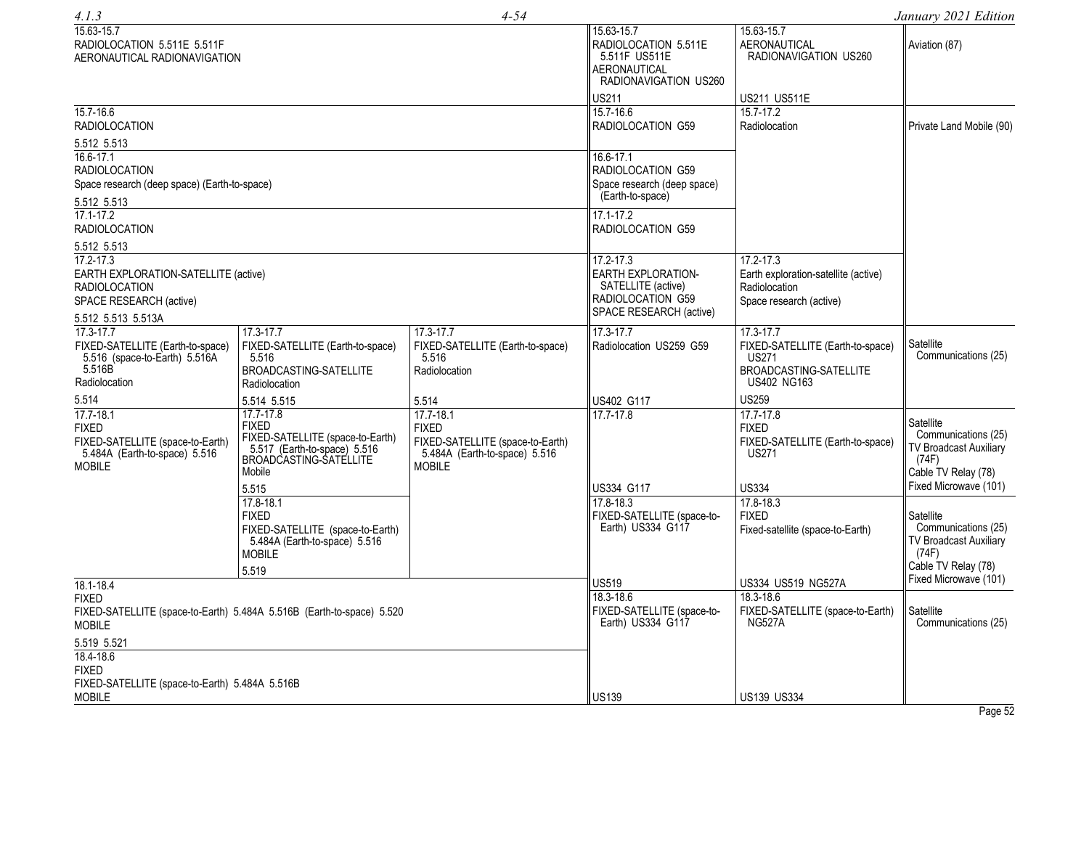| 4.1.3                                                                                                               |                                                                                                                                            | $4 - 54$                                                                                                            |                                                                                                                     |                                                                                                   | January 2021 Edition                                                                                                |
|---------------------------------------------------------------------------------------------------------------------|--------------------------------------------------------------------------------------------------------------------------------------------|---------------------------------------------------------------------------------------------------------------------|---------------------------------------------------------------------------------------------------------------------|---------------------------------------------------------------------------------------------------|---------------------------------------------------------------------------------------------------------------------|
| 15.63-15.7<br>RADIOLOCATION 5.511E 5.511F<br>AERONAUTICAL RADIONAVIGATION                                           |                                                                                                                                            |                                                                                                                     | 15.63-15.7<br>RADIOLOCATION 5.511E<br>5.511F US511E<br>AERONAUTICAL<br>RADIONAVIGATION US260                        | $\overline{15.63}$ -15.7<br>AERONAUTICAL<br>RADIONAVIGATION US260                                 | Aviation (87)                                                                                                       |
|                                                                                                                     |                                                                                                                                            |                                                                                                                     | US211                                                                                                               | US211 US511E                                                                                      |                                                                                                                     |
| 15.7-16.6<br><b>RADIOLOCATION</b>                                                                                   |                                                                                                                                            |                                                                                                                     | 15.7-16.6<br>RADIOLOCATION G59                                                                                      | 15.7-17.2<br>Radiolocation                                                                        | Private Land Mobile (90)                                                                                            |
| 5.512 5.513                                                                                                         |                                                                                                                                            |                                                                                                                     |                                                                                                                     |                                                                                                   |                                                                                                                     |
| $16.6 - 17.1$<br><b>RADIOLOCATION</b><br>Space research (deep space) (Earth-to-space)                               |                                                                                                                                            |                                                                                                                     | 16.6-17.1<br>RADIOLOCATION G59<br>Space research (deep space)<br>(Earth-to-space)                                   |                                                                                                   |                                                                                                                     |
| 5.512 5.513                                                                                                         |                                                                                                                                            |                                                                                                                     |                                                                                                                     |                                                                                                   |                                                                                                                     |
| $17.1 - 17.2$<br><b>RADIOLOCATION</b>                                                                               |                                                                                                                                            |                                                                                                                     | 17.1-17.2<br>RADIOLOCATION G59                                                                                      |                                                                                                   |                                                                                                                     |
| 5.512 5.513                                                                                                         |                                                                                                                                            |                                                                                                                     |                                                                                                                     |                                                                                                   |                                                                                                                     |
| 17.2-17.3<br>EARTH EXPLORATION-SATELLITE (active)<br><b>RADIOLOCATION</b><br>SPACE RESEARCH (active)                |                                                                                                                                            |                                                                                                                     | 17.2-17.3<br><b>EARTH EXPLORATION-</b><br>SATELLITE (active)<br><b>RADIOLOCATION G59</b><br>SPACE RESEARCH (active) | 17.2-17.3<br>Earth exploration-satellite (active)<br>Radiolocation<br>Space research (active)     |                                                                                                                     |
| 5.512 5.513 5.513A<br>17.3-17.7                                                                                     | 17.3-17.7                                                                                                                                  | 17.3-17.7                                                                                                           | 17.3-17.7                                                                                                           | 17.3-17.7                                                                                         |                                                                                                                     |
| FIXED-SATELLITE (Earth-to-space)<br>5.516 (space-to-Earth) 5.516A<br>5.516B<br>Radiolocation                        | FIXED-SATELLITE (Earth-to-space)<br>5.516<br>BROADCASTING-SATELLITE<br>Radiolocation                                                       | FIXED-SATELLITE (Earth-to-space)<br>5.516<br>Radiolocation                                                          | Radiolocation US259 G59                                                                                             | FIXED-SATELLITE (Earth-to-space)<br><b>US271</b><br>BROADCASTING-SATELLITE<br><b>US402 NG163</b>  | Satellite<br>Communications (25)                                                                                    |
| 5.514                                                                                                               | 5.514 5.515                                                                                                                                | 5.514                                                                                                               | US402 G117                                                                                                          | <b>US259</b>                                                                                      |                                                                                                                     |
| $17.7 - 18.1$<br><b>FIXED</b><br>FIXED-SATELLITE (space-to-Earth)<br>5.484A (Earth-to-space) 5.516<br><b>MOBILE</b> | 17.7-17.8<br><b>FIXED</b><br>FIXED-SATELLITE (space-to-Earth)<br>5.517 (Earth-to-space) 5.516<br>BROADCASTING-SATELLITE<br>Mobile<br>5.515 | $17.7 - 18.1$<br><b>FIXED</b><br>FIXED-SATELLITE (space-to-Earth)<br>5.484A (Earth-to-space) 5.516<br><b>MOBILE</b> | 17.7-17.8<br>US334 G117                                                                                             | $17.7 - 17.8$<br><b>FIXED</b><br>FIXED-SATELLITE (Earth-to-space)<br><b>US271</b><br><b>US334</b> | Satellite<br>Communications (25)<br>TV Broadcast Auxiliary<br>(74F)<br>Cable TV Relay (78)<br>Fixed Microwave (101) |
|                                                                                                                     | 17.8-18.1                                                                                                                                  |                                                                                                                     | 17.8-18.3                                                                                                           | 17.8-18.3                                                                                         |                                                                                                                     |
|                                                                                                                     | <b>FIXED</b><br>FIXED-SATELLITE (space-to-Earth)<br>5.484A (Earth-to-space) 5.516<br><b>MOBILE</b>                                         |                                                                                                                     | FIXED-SATELLITE (space-to-<br>Earth) US334 G117                                                                     | <b>FIXED</b><br>Fixed-satellite (space-to-Earth)                                                  | Satellite<br>Communications (25)<br><b>TV Broadcast Auxiliary</b><br>(74F)                                          |
|                                                                                                                     | 5.519                                                                                                                                      |                                                                                                                     |                                                                                                                     |                                                                                                   | Cable TV Relay (78)                                                                                                 |
| 18.1-18.4                                                                                                           |                                                                                                                                            |                                                                                                                     | US519                                                                                                               | US334 US519 NG527A                                                                                | Fixed Microwave (101)                                                                                               |
| <b>FIXED</b><br>FIXED-SATELLITE (space-to-Earth) 5.484A 5.516B (Earth-to-space) 5.520<br><b>MOBILE</b>              |                                                                                                                                            |                                                                                                                     | 18.3-18.6<br>FIXED-SATELLITE (space-to-<br>Earth) US334 G117                                                        | 18.3-18.6<br>FIXED-SATELLITE (space-to-Earth)<br><b>NG527A</b>                                    | Satellite<br>Communications (25)                                                                                    |
| 5.519 5.521                                                                                                         |                                                                                                                                            |                                                                                                                     |                                                                                                                     |                                                                                                   |                                                                                                                     |
| 18.4-18.6<br><b>FIXED</b><br>FIXED-SATELLITE (space-to-Earth) 5.484A 5.516B                                         |                                                                                                                                            |                                                                                                                     |                                                                                                                     |                                                                                                   |                                                                                                                     |
| <b>MOBILE</b>                                                                                                       |                                                                                                                                            |                                                                                                                     | <b>US139</b>                                                                                                        | <b>US139 US334</b>                                                                                |                                                                                                                     |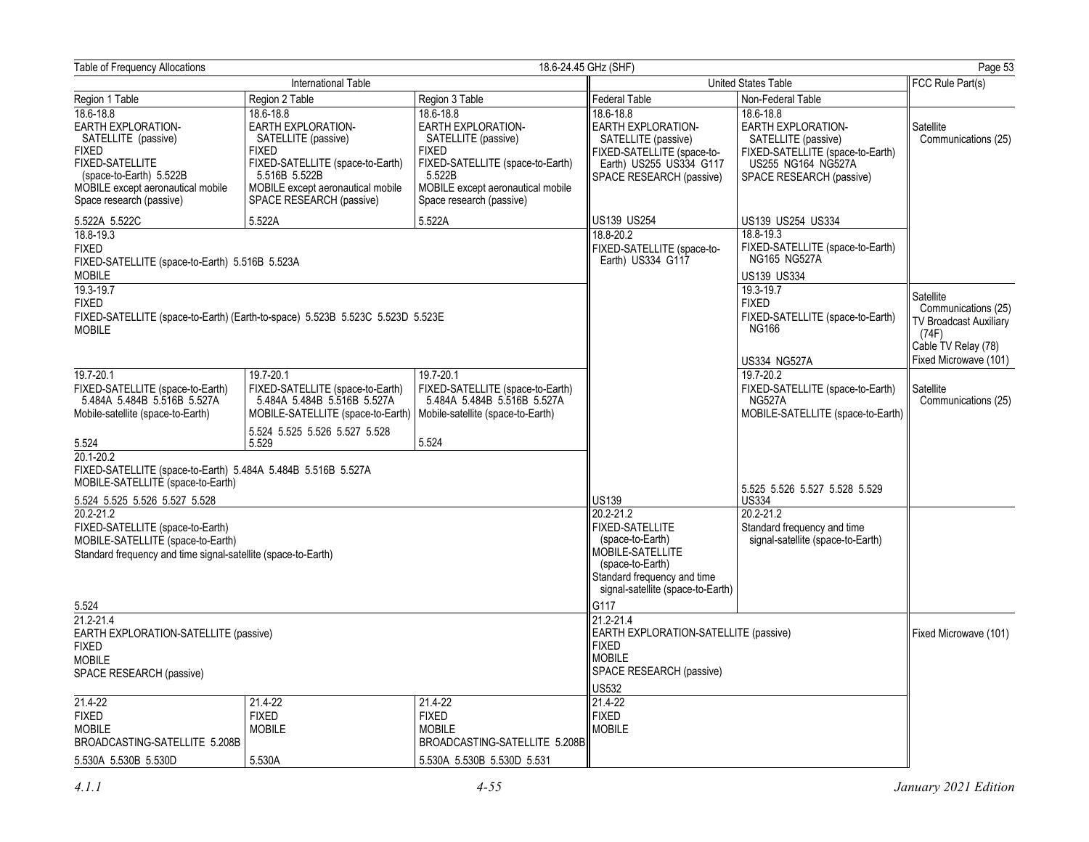| <b>Table of Frequency Allocations</b>                                                                                                                                                        |                                                                                                                                                                                              |                                                                                                                                                                                       | 18.6-24.45 GHz (SHF)                                                                                                                                                | Page 53                                                                                                                                             |                                                                                                                            |
|----------------------------------------------------------------------------------------------------------------------------------------------------------------------------------------------|----------------------------------------------------------------------------------------------------------------------------------------------------------------------------------------------|---------------------------------------------------------------------------------------------------------------------------------------------------------------------------------------|---------------------------------------------------------------------------------------------------------------------------------------------------------------------|-----------------------------------------------------------------------------------------------------------------------------------------------------|----------------------------------------------------------------------------------------------------------------------------|
|                                                                                                                                                                                              | International Table                                                                                                                                                                          |                                                                                                                                                                                       |                                                                                                                                                                     | United States Table                                                                                                                                 | FCC Rule Part(s)                                                                                                           |
| Region 1 Table                                                                                                                                                                               | Region 2 Table                                                                                                                                                                               | Region 3 Table                                                                                                                                                                        | Federal Table                                                                                                                                                       | Non-Federal Table                                                                                                                                   |                                                                                                                            |
| 18.6-18.8<br>EARTH EXPLORATION-<br>SATELLITE (passive)<br><b>FIXED</b><br><b>FIXED-SATELLITE</b><br>(space-to-Earth) 5.522B<br>MOBILE except aeronautical mobile<br>Space research (passive) | 18.6-18.8<br>EARTH EXPLORATION-<br>SATELLITE (passive)<br><b>FIXED</b><br>FIXED-SATELLITE (space-to-Earth)<br>5.516B 5.522B<br>MOBILE except aeronautical mobile<br>SPACE RESEARCH (passive) | 18.6-18.8<br>EARTH EXPLORATION-<br>SATELLITE (passive)<br><b>FIXED</b><br>FIXED-SATELLITE (space-to-Earth)<br>5.522B<br>MOBILE except aeronautical mobile<br>Space research (passive) | 18.6-18.8<br><b>EARTH EXPLORATION-</b><br>SATELLITE (passive)<br>FIXED-SATELLITE (space-to-<br>Earth) US255 US334 G117<br>SPACE RESEARCH (passive)                  | 18.6-18.8<br><b>EARTH EXPLORATION-</b><br>SATELLITE (passive)<br>FIXED-SATELLITE (space-to-Earth)<br>US255 NG164 NG527A<br>SPACE RESEARCH (passive) | Satellite<br>Communications (25)                                                                                           |
| 5.522A 5.522C                                                                                                                                                                                | 5.522A                                                                                                                                                                                       | 5.522A                                                                                                                                                                                | US139 US254                                                                                                                                                         | US139 US254 US334                                                                                                                                   |                                                                                                                            |
| 18.8-19.3<br><b>FIXED</b><br>FIXED-SATELLITE (space-to-Earth) 5.516B 5.523A<br><b>MOBILE</b><br>19.3-19.7                                                                                    |                                                                                                                                                                                              |                                                                                                                                                                                       | 18.8-20.2<br>FIXED-SATELLITE (space-to-<br>Earth) US334 G117                                                                                                        | 18.8-19.3<br>FIXED-SATELLITE (space-to-Earth)<br>NG165 NG527A<br>US139 US334<br>19.3-19.7                                                           |                                                                                                                            |
| <b>FIXED</b><br><b>MOBILE</b>                                                                                                                                                                | FIXED-SATELLITE (space-to-Earth) (Earth-to-space) 5.523B 5.523C 5.523D 5.523E                                                                                                                |                                                                                                                                                                                       |                                                                                                                                                                     | <b>FIXED</b><br>FIXED-SATELLITE (space-to-Earth)<br><b>NG166</b><br>US334 NG527A                                                                    | Satellite<br>Communications (25)<br><b>TV Broadcast Auxiliary</b><br>(74F)<br>Cable TV Relay (78)<br>Fixed Microwave (101) |
| 19.7-20.1<br>FIXED-SATELLITE (space-to-Earth)<br>5.484A 5.484B 5.516B 5.527A<br>Mobile-satellite (space-to-Earth)                                                                            | 19.7-20.1<br>FIXED-SATELLITE (space-to-Earth)<br>5.484A 5.484B 5.516B 5.527A<br>MOBILE-SATELLITE (space-to-Earth)                                                                            | 19.7-20.1<br>FIXED-SATELLITE (space-to-Earth)<br>5.484A 5.484B 5.516B 5.527A<br>Mobile-satellite (space-to-Earth)                                                                     |                                                                                                                                                                     | 19.7-20.2<br>FIXED-SATELLITE (space-to-Earth)<br>NG527A<br>MOBILE-SATELLITE (space-to-Earth)                                                        | Satellite<br>Communications (25)                                                                                           |
| 5.524                                                                                                                                                                                        | 5.524 5.525 5.526 5.527 5.528<br>5.529                                                                                                                                                       | 5.524                                                                                                                                                                                 |                                                                                                                                                                     |                                                                                                                                                     |                                                                                                                            |
| 20.1-20.2<br>FIXED-SATELLITE (space-to-Earth) 5.484A 5.484B 5.516B 5.527A<br>MOBILE-SATELLITE (space-to-Earth)                                                                               |                                                                                                                                                                                              |                                                                                                                                                                                       |                                                                                                                                                                     | 5.525 5.526 5.527 5.528 5.529                                                                                                                       |                                                                                                                            |
| 5.524 5.525 5.526 5.527 5.528                                                                                                                                                                |                                                                                                                                                                                              |                                                                                                                                                                                       | US139                                                                                                                                                               | <b>US334</b>                                                                                                                                        |                                                                                                                            |
| $20.2 - 21.2$<br>FIXED-SATELLITE (space-to-Earth)<br>MOBILE-SATELLITE (space-to-Earth)<br>Standard frequency and time signal-satellite (space-to-Earth)                                      |                                                                                                                                                                                              |                                                                                                                                                                                       | 20.2-21.2<br><b>FIXED-SATELLITE</b><br>(space-to-Earth)<br>MOBILE-SATELLITE<br>(space-to-Earth)<br>Standard frequency and time<br>signal-satellite (space-to-Earth) | 20.2-21.2<br>Standard frequency and time<br>signal-satellite (space-to-Earth)                                                                       |                                                                                                                            |
| 5.524                                                                                                                                                                                        |                                                                                                                                                                                              |                                                                                                                                                                                       | G117                                                                                                                                                                |                                                                                                                                                     |                                                                                                                            |
| 21.2-21.4<br>EARTH EXPLORATION-SATELLITE (passive)<br><b>FIXED</b><br><b>MOBILE</b><br>SPACE RESEARCH (passive)                                                                              |                                                                                                                                                                                              |                                                                                                                                                                                       | 21.2-21.4<br><b>EARTH EXPLORATION-SATELLITE (passive)</b><br><b>FIXED</b><br><b>MOBILE</b><br>SPACE RESEARCH (passive)<br>US532                                     |                                                                                                                                                     | Fixed Microwave (101)                                                                                                      |
| $21.4 - 22$                                                                                                                                                                                  | 21.4-22<br><b>FIXED</b>                                                                                                                                                                      | 21.4-22                                                                                                                                                                               | 21.4-22<br><b>FIXED</b>                                                                                                                                             |                                                                                                                                                     |                                                                                                                            |
| <b>FIXED</b><br><b>MOBILE</b><br>BROADCASTING-SATELLITE 5.208B                                                                                                                               | <b>MOBILE</b>                                                                                                                                                                                | <b>FIXED</b><br><b>MOBILE</b><br>BROADCASTING-SATELLITE 5.208B                                                                                                                        | <b>MOBILE</b>                                                                                                                                                       |                                                                                                                                                     |                                                                                                                            |
| 5.530A 5.530B 5.530D                                                                                                                                                                         | 5.530A                                                                                                                                                                                       | 5.530A 5.530B 5.530D 5.531                                                                                                                                                            |                                                                                                                                                                     |                                                                                                                                                     |                                                                                                                            |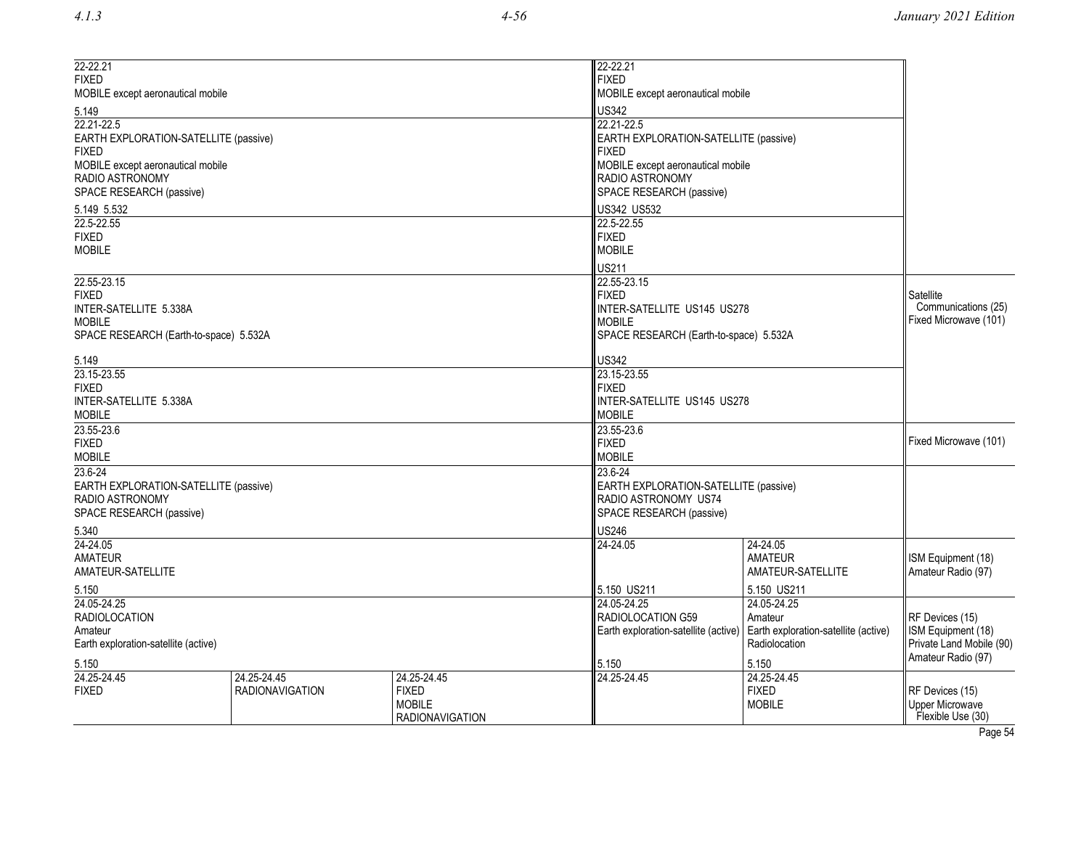| 22-22.21<br><b>FIXED</b><br>MOBILE except aeronautical mobile                    |                                       |                             | 22-22.21<br><b>FIXED</b><br>MOBILE except aeronautical mobile                    |                                                                           |                                              |  |
|----------------------------------------------------------------------------------|---------------------------------------|-----------------------------|----------------------------------------------------------------------------------|---------------------------------------------------------------------------|----------------------------------------------|--|
| 5.149                                                                            |                                       |                             | <b>US342</b>                                                                     |                                                                           |                                              |  |
| 22.21-22.5<br>EARTH EXPLORATION-SATELLITE (passive)<br><b>FIXED</b>              |                                       |                             | 22.21-22.5<br>EARTH EXPLORATION-SATELLITE (passive)<br><b>FIXED</b>              |                                                                           |                                              |  |
| MOBILE except aeronautical mobile<br>RADIO ASTRONOMY<br>SPACE RESEARCH (passive) |                                       |                             | MOBILE except aeronautical mobile<br>RADIO ASTRONOMY<br>SPACE RESEARCH (passive) |                                                                           |                                              |  |
| 5.149 5.532                                                                      |                                       |                             | US342 US532                                                                      |                                                                           |                                              |  |
| 22.5-22.55                                                                       |                                       |                             | 22.5-22.55                                                                       |                                                                           |                                              |  |
| <b>FIXED</b><br><b>MOBILE</b>                                                    |                                       |                             | <b>FIXED</b><br><b>MOBILE</b>                                                    |                                                                           |                                              |  |
|                                                                                  |                                       |                             | US211                                                                            |                                                                           |                                              |  |
| 22.55-23.15                                                                      |                                       |                             | 22.55-23.15                                                                      |                                                                           |                                              |  |
| <b>FIXED</b>                                                                     |                                       |                             | <b>FIXED</b>                                                                     |                                                                           | Satellite                                    |  |
| INTER-SATELLITE 5.338A                                                           |                                       |                             | INTER-SATELLITE US145 US278                                                      |                                                                           | Communications (25)<br>Fixed Microwave (101) |  |
| <b>MOBILE</b><br>SPACE RESEARCH (Earth-to-space) 5.532A                          |                                       |                             | <b>MOBILE</b><br>SPACE RESEARCH (Earth-to-space) 5.532A                          |                                                                           |                                              |  |
|                                                                                  |                                       |                             |                                                                                  |                                                                           |                                              |  |
| 5.149                                                                            |                                       |                             | <b>US342</b>                                                                     |                                                                           |                                              |  |
| 23.15-23.55<br><b>FIXED</b>                                                      |                                       |                             | 23.15-23.55                                                                      | <b>FIXED</b>                                                              |                                              |  |
| INTER-SATELLITE 5.338A                                                           |                                       |                             |                                                                                  | INTER-SATELLITE US145 US278                                               |                                              |  |
| <b>MOBILE</b>                                                                    |                                       |                             | <b>MOBILE</b>                                                                    |                                                                           |                                              |  |
| 23.55-23.6                                                                       |                                       |                             | 23.55-23.6                                                                       |                                                                           |                                              |  |
| <b>FIXED</b>                                                                     |                                       |                             | <b>FIXED</b>                                                                     |                                                                           |                                              |  |
| <b>MOBILE</b><br>23.6-24                                                         |                                       |                             | <b>MOBILE</b><br>23.6-24                                                         |                                                                           |                                              |  |
| EARTH EXPLORATION-SATELLITE (passive)                                            |                                       |                             | EARTH EXPLORATION-SATELLITE (passive)                                            |                                                                           |                                              |  |
| RADIO ASTRONOMY                                                                  |                                       |                             | RADIO ASTRONOMY US74                                                             |                                                                           |                                              |  |
| SPACE RESEARCH (passive)                                                         |                                       |                             |                                                                                  | SPACE RESEARCH (passive)                                                  |                                              |  |
| 5.340                                                                            |                                       |                             | <b>US246</b>                                                                     |                                                                           |                                              |  |
| 24-24.05                                                                         |                                       |                             | 24-24.05                                                                         | 24-24.05                                                                  |                                              |  |
| <b>AMATEUR</b><br>AMATEUR-SATELLITE                                              |                                       |                             |                                                                                  | <b>AMATEUR</b><br>AMATEUR-SATELLITE                                       | ISM Equipment (18)<br>Amateur Radio (97)     |  |
| 5.150                                                                            |                                       |                             | 5.150 US211                                                                      | 5.150 US211                                                               |                                              |  |
| 24.05-24.25                                                                      |                                       |                             | 24.05-24.25                                                                      | 24.05-24.25                                                               |                                              |  |
| <b>RADIOLOCATION</b>                                                             |                                       |                             | RADIOLOCATION G59                                                                | Amateur                                                                   | RF Devices (15)                              |  |
| Amateur                                                                          |                                       |                             |                                                                                  | Earth exploration-satellite (active) Earth exploration-satellite (active) | ISM Equipment (18)                           |  |
| Earth exploration-satellite (active)                                             |                                       |                             | Radiolocation                                                                    | Private Land Mobile (90)<br>Amateur Radio (97)                            |                                              |  |
| 5.150                                                                            |                                       |                             | 5.150                                                                            | 5.150                                                                     |                                              |  |
| 24.25-24.45<br><b>FIXED</b>                                                      | 24.25-24.45<br><b>RADIONAVIGATION</b> | 24.25-24.45<br><b>FIXED</b> | 24.25-24.45                                                                      | 24.25-24.45<br><b>FIXED</b>                                               | RF Devices (15)                              |  |
|                                                                                  |                                       | <b>MOBILE</b>               |                                                                                  | <b>MOBILE</b>                                                             | <b>Upper Microwave</b>                       |  |
|                                                                                  |                                       | <b>RADIONAVIGATION</b>      |                                                                                  |                                                                           | Flexible Use (30)                            |  |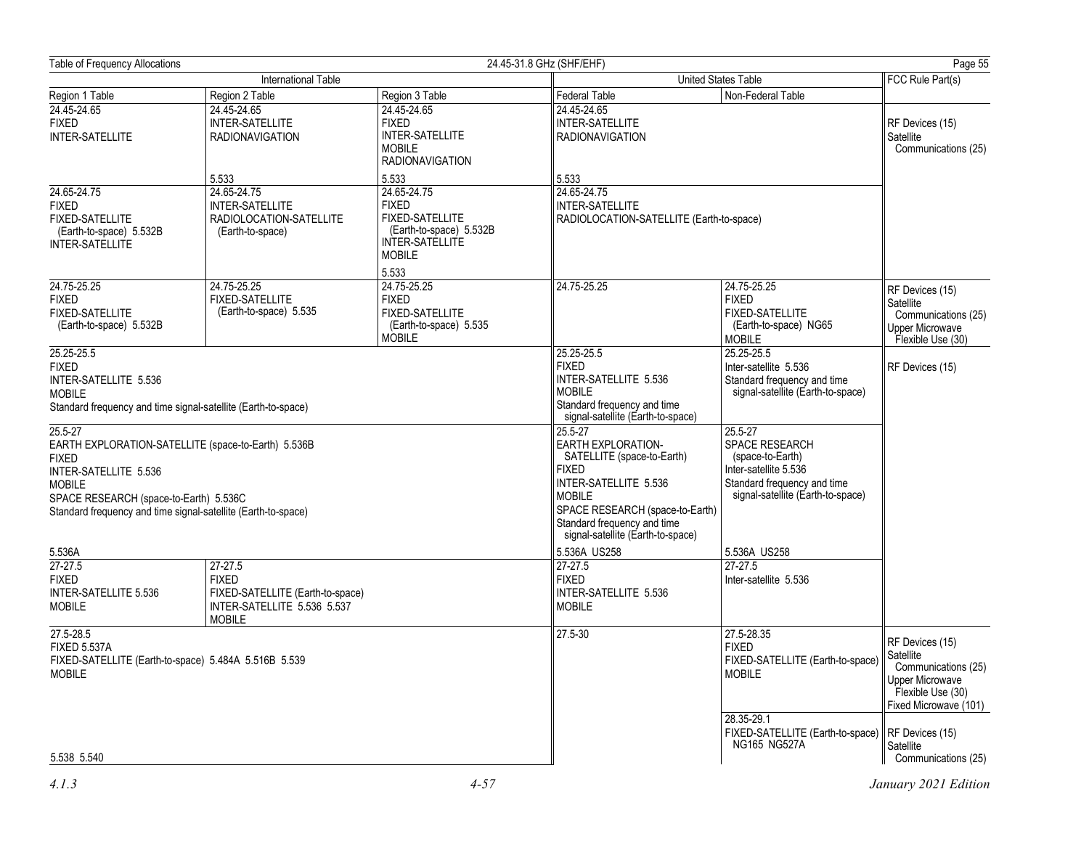|                                                                                                                                                                                                                                                                                                                                                                                        |                                                                                                                 |                                                                                                                                               | 24.45-31.8 GHz (SHF/EHF)                                                                                                                                                                                                                                                                                                                                                                        |                                                                                                                                                                                                                                                                              | Page 55                                                                                                                                                         |
|----------------------------------------------------------------------------------------------------------------------------------------------------------------------------------------------------------------------------------------------------------------------------------------------------------------------------------------------------------------------------------------|-----------------------------------------------------------------------------------------------------------------|-----------------------------------------------------------------------------------------------------------------------------------------------|-------------------------------------------------------------------------------------------------------------------------------------------------------------------------------------------------------------------------------------------------------------------------------------------------------------------------------------------------------------------------------------------------|------------------------------------------------------------------------------------------------------------------------------------------------------------------------------------------------------------------------------------------------------------------------------|-----------------------------------------------------------------------------------------------------------------------------------------------------------------|
| International Table                                                                                                                                                                                                                                                                                                                                                                    |                                                                                                                 |                                                                                                                                               | <b>United States Table</b>                                                                                                                                                                                                                                                                                                                                                                      |                                                                                                                                                                                                                                                                              |                                                                                                                                                                 |
| Region 1 Table                                                                                                                                                                                                                                                                                                                                                                         | Region 2 Table                                                                                                  | Region 3 Table                                                                                                                                | <b>Federal Table</b>                                                                                                                                                                                                                                                                                                                                                                            | Non-Federal Table                                                                                                                                                                                                                                                            |                                                                                                                                                                 |
| 24.45-24.65<br><b>FIXED</b><br><b>INTER-SATELLITE</b>                                                                                                                                                                                                                                                                                                                                  | 24.45-24.65<br><b>INTER-SATELLITE</b><br><b>RADIONAVIGATION</b>                                                 | 24.45-24.65<br><b>FIXED</b><br><b>INTER-SATELLITE</b><br><b>MOBILE</b><br><b>RADIONAVIGATION</b>                                              | 24.45-24.65<br><b>INTER-SATELLITE</b><br><b>RADIONAVIGATION</b>                                                                                                                                                                                                                                                                                                                                 |                                                                                                                                                                                                                                                                              | RF Devices (15)<br>Satellite<br>Communications (25)                                                                                                             |
| 24.65-24.75<br><b>FIXED</b><br><b>FIXED-SATELLITE</b><br>(Earth-to-space) 5.532B<br><b>INTER-SATELLITE</b>                                                                                                                                                                                                                                                                             | 5.533<br>24.65-24.75<br><b>INTER-SATELLITE</b><br>RADIOLOCATION-SATELLITE<br>(Earth-to-space)                   | 5.533<br>24.65-24.75<br><b>FIXED</b><br><b>FIXED-SATELLITE</b><br>(Earth-to-space) 5.532B<br><b>INTER-SATELLITE</b><br><b>MOBILE</b><br>5.533 | 5.533<br>24.65-24.75<br>INTER-SATELLITE<br>RADIOLOCATION-SATELLITE (Earth-to-space)                                                                                                                                                                                                                                                                                                             |                                                                                                                                                                                                                                                                              |                                                                                                                                                                 |
| 24.75-25.25<br><b>FIXED</b><br>FIXED-SATELLITE<br>(Earth-to-space) 5.532B                                                                                                                                                                                                                                                                                                              | 24.75-25.25<br><b>FIXED-SATELLITE</b><br>(Earth-to-space) 5.535                                                 | 24.75-25.25<br><b>FIXED</b><br>FIXED-SATELLITE<br>(Earth-to-space) 5.535<br><b>MOBILE</b>                                                     | 24.75-25.25                                                                                                                                                                                                                                                                                                                                                                                     | 24.75-25.25<br><b>FIXED</b><br>FIXED-SATELLITE<br>(Earth-to-space) NG65<br><b>MOBILE</b>                                                                                                                                                                                     | RF Devices (15)<br>Satellite<br>Communications (25)<br><b>Upper Microwave</b><br>Flexible Use (30)                                                              |
| 25.25-25.5<br><b>FIXED</b><br>INTER-SATELLITE 5.536<br><b>MOBILE</b><br>Standard frequency and time signal-satellite (Earth-to-space)<br>25.5-27<br>EARTH EXPLORATION-SATELLITE (space-to-Earth) 5.536B<br><b>FIXED</b><br>INTER-SATELLITE 5.536<br><b>MOBILE</b><br>SPACE RESEARCH (space-to-Earth) 5.536C<br>Standard frequency and time signal-satellite (Earth-to-space)<br>5.536A |                                                                                                                 |                                                                                                                                               | 25.25-25.5<br><b>FIXED</b><br>INTER-SATELLITE 5.536<br><b>MOBILE</b><br>Standard frequency and time<br>signal-satellite (Earth-to-space)<br>25.5-27<br><b>EARTH EXPLORATION-</b><br>SATELLITE (space-to-Earth)<br><b>FIXED</b><br>INTER-SATELLITE 5.536<br><b>MOBILE</b><br>SPACE RESEARCH (space-to-Earth)<br>Standard frequency and time<br>signal-satellite (Earth-to-space)<br>5.536A US258 | 25.25-25.5<br>Inter-satellite 5.536<br>Standard frequency and time<br>signal-satellite (Earth-to-space)<br>25.5-27<br><b>SPACE RESEARCH</b><br>(space-to-Earth)<br>Inter-satellite 5.536<br>Standard frequency and time<br>signal-satellite (Earth-to-space)<br>5.536A US258 | RF Devices (15)                                                                                                                                                 |
| $27-27.5$<br><b>FIXED</b><br><b>INTER-SATELLITE 5.536</b><br><b>MOBILE</b>                                                                                                                                                                                                                                                                                                             | $27 - 27.5$<br><b>FIXED</b><br>FIXED-SATELLITE (Earth-to-space)<br>INTER-SATELLITE 5.536 5.537<br><b>MOBILE</b> |                                                                                                                                               | $27-27.5$<br><b>FIXED</b><br>INTER-SATELLITE 5.536<br><b>MOBILE</b>                                                                                                                                                                                                                                                                                                                             | 27-27.5<br>Inter-satellite 5.536                                                                                                                                                                                                                                             |                                                                                                                                                                 |
| 27.5-28.5<br><b>FIXED 5.537A</b><br>FIXED-SATELLITE (Earth-to-space) 5.484A 5.516B 5.539<br><b>MOBILE</b><br>5.538 5.540                                                                                                                                                                                                                                                               |                                                                                                                 |                                                                                                                                               | 27.5-30                                                                                                                                                                                                                                                                                                                                                                                         | 27.5-28.35<br><b>FIXED</b><br>FIXED-SATELLITE (Earth-to-space)<br><b>MOBILE</b><br>28.35-29.1<br>FIXED-SATELLITE (Earth-to-space)    RF Devices (15)<br><b>NG165 NG527A</b>                                                                                                  | RF Devices (15)<br>Satellite<br>Communications (25)<br><b>Jpper Microwave</b><br>Flexible Use (30)<br>Fixed Microwave (101)<br>Satellite<br>Communications (25) |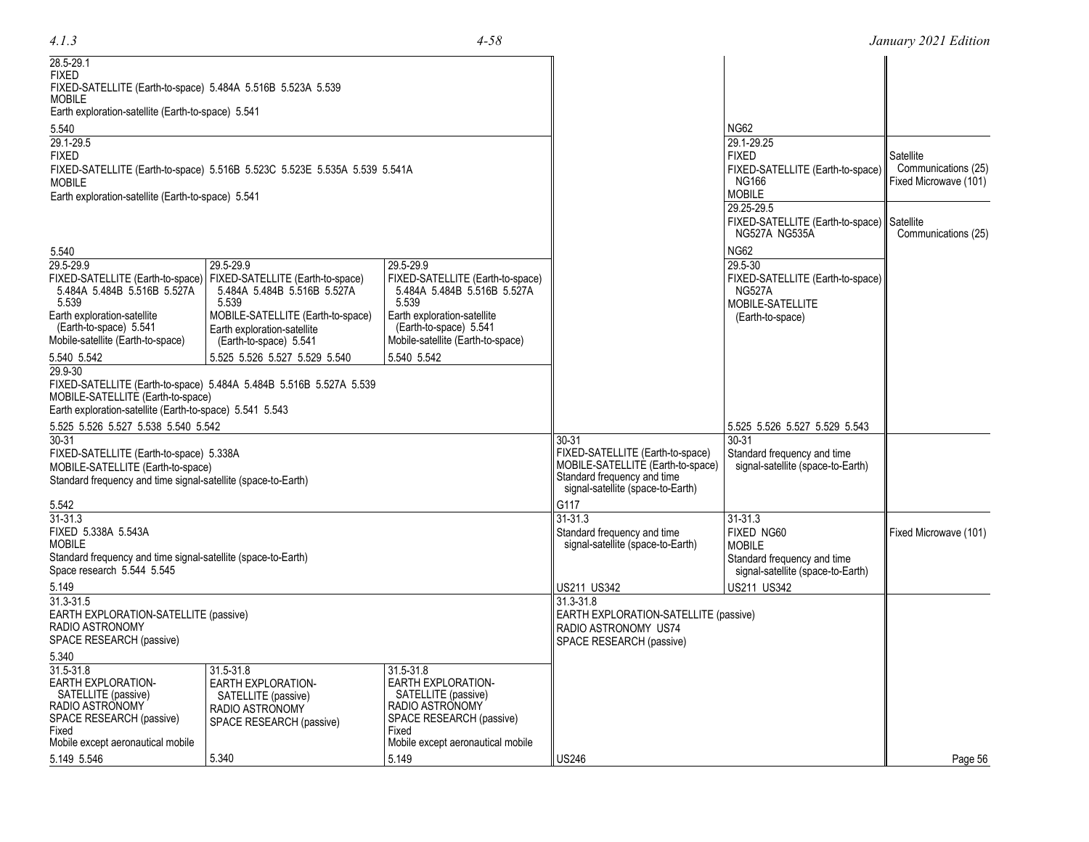|  | ۰. |
|--|----|

| 28.5-29.1<br><b>FIXED</b><br>FIXED-SATELLITE (Earth-to-space) 5.484A 5.516B 5.523A 5.539<br><b>MOBILE</b><br>Earth exploration-satellite (Earth-to-space) 5.541<br>5.540<br>29.1-29.5<br><b>FIXED</b> | FIXED-SATELLITE (Earth-to-space) 5.516B 5.523C 5.523E 5.535A 5.539 5.541A                                    |                                                                                                                       |                                                                                                                                                        | <b>NG62</b><br>29.1-29.25<br><b>FIXED</b><br>FIXED-SATELLITE (Earth-to-space) | Satellite<br>Communications (25) |
|-------------------------------------------------------------------------------------------------------------------------------------------------------------------------------------------------------|--------------------------------------------------------------------------------------------------------------|-----------------------------------------------------------------------------------------------------------------------|--------------------------------------------------------------------------------------------------------------------------------------------------------|-------------------------------------------------------------------------------|----------------------------------|
| <b>MOBILE</b><br>Earth exploration-satellite (Earth-to-space) 5.541                                                                                                                                   |                                                                                                              |                                                                                                                       |                                                                                                                                                        | NG166<br><b>MOBILE</b>                                                        | Fixed Microwave (101)            |
|                                                                                                                                                                                                       |                                                                                                              |                                                                                                                       |                                                                                                                                                        | 29.25-29.5<br>FIXED-SATELLITE (Earth-to-space)<br>NG527A NG535A               | Satellite<br>Communications (25) |
| 5.540                                                                                                                                                                                                 |                                                                                                              |                                                                                                                       |                                                                                                                                                        | <b>NG62</b>                                                                   |                                  |
| 29.5-29.9<br>FIXED-SATELLITE (Earth-to-space)<br>5.484A 5.484B 5.516B 5.527A<br>5.539                                                                                                                 | 29.5-29.9<br>FIXED-SATELLITE (Earth-to-space)<br>5.484A 5.484B 5.516B 5.527A<br>5.539                        | 29.5-29.9<br>FIXED-SATELLITE (Earth-to-space)<br>5.484A 5.484B 5.516B 5.527A<br>5.539                                 |                                                                                                                                                        | 29.5-30<br>FIXED-SATELLITE (Earth-to-space)<br>NG527A<br>MOBILE-SATELLITE     |                                  |
| Earth exploration-satellite<br>(Earth-to-space) 5.541<br>Mobile-satellite (Earth-to-space)                                                                                                            | MOBILE-SATELLITE (Earth-to-space)<br>Earth exploration-satellite<br>(Earth-to-space) 5.541                   | Earth exploration-satellite<br>(Earth-to-space) 5.541<br>Mobile-satellite (Earth-to-space)                            |                                                                                                                                                        | (Earth-to-space)                                                              |                                  |
| 5.540 5.542                                                                                                                                                                                           | 5.525 5.526 5.527 5.529 5.540                                                                                | 5.540 5.542                                                                                                           |                                                                                                                                                        |                                                                               |                                  |
| 29.9-30<br>MOBILE-SATELLITE (Earth-to-space)<br>Earth exploration-satellite (Earth-to-space) 5.541 5.543                                                                                              | FIXED-SATELLITE (Earth-to-space) 5.484A 5.484B 5.516B 5.527A 5.539                                           |                                                                                                                       |                                                                                                                                                        |                                                                               |                                  |
| 5.525 5.526 5.527 5.538 5.540 5.542                                                                                                                                                                   |                                                                                                              |                                                                                                                       |                                                                                                                                                        | 5.525 5.526 5.527 5.529 5.543                                                 |                                  |
| $30 - 31$<br>FIXED-SATELLITE (Earth-to-space) 5.338A<br>MOBILE-SATELLITE (Earth-to-space)<br>Standard frequency and time signal-satellite (space-to-Earth)                                            |                                                                                                              |                                                                                                                       | $30 - 31$<br>FIXED-SATELLITE (Earth-to-space)<br>MOBILE-SATELLITE (Earth-to-space)<br>Standard frequency and time<br>signal-satellite (space-to-Earth) | 30-31<br>Standard frequency and time<br>signal-satellite (space-to-Earth)     |                                  |
| 5.542                                                                                                                                                                                                 |                                                                                                              |                                                                                                                       | G117                                                                                                                                                   |                                                                               |                                  |
| 31-31.3<br>FIXED 5.338A 5.543A<br><b>MOBILE</b><br>Standard frequency and time signal-satellite (space-to-Earth)                                                                                      |                                                                                                              |                                                                                                                       | 31-31.3<br>Standard frequency and time<br>signal-satellite (space-to-Earth)                                                                            | 31-31.3<br>FIXED NG60<br><b>MOBILE</b><br>Standard frequency and time         | Fixed Microwave (101)            |
| Space research 5.544 5.545<br>5.149                                                                                                                                                                   |                                                                                                              |                                                                                                                       | US211 US342                                                                                                                                            | signal-satellite (space-to-Earth)<br>US211 US342                              |                                  |
| $31.3 - 31.5$<br>EARTH EXPLORATION-SATELLITE (passive)<br>RADIO ASTRONOMY<br>SPACE RESEARCH (passive)                                                                                                 |                                                                                                              |                                                                                                                       | 31.3-31.8<br>EARTH EXPLORATION-SATELLITE (passive)<br>RADIO ASTRONOMY US74<br>SPACE RESEARCH (passive)                                                 |                                                                               |                                  |
| 5.340                                                                                                                                                                                                 |                                                                                                              |                                                                                                                       |                                                                                                                                                        |                                                                               |                                  |
| 31.5-31.8<br><b>EARTH EXPLORATION-</b><br>SATELLITE (passive)<br>RADIO ASTRONOMY<br>SPACE RESEARCH (passive)<br>Fixed                                                                                 | 31.5-31.8<br><b>EARTH EXPLORATION-</b><br>SATELLITE (passive)<br>RADIO ASTRONOMY<br>SPACE RESEARCH (passive) | 31.5-31.8<br><b>EARTH EXPLORATION-</b><br>SATELLITE (passive)<br>RADIO ASTRONOMY<br>SPACE RESEARCH (passive)<br>Fixed |                                                                                                                                                        |                                                                               |                                  |
| Mobile except aeronautical mobile                                                                                                                                                                     |                                                                                                              | Mobile except aeronautical mobile                                                                                     |                                                                                                                                                        |                                                                               |                                  |
| 5.149 5.546                                                                                                                                                                                           | 5.340                                                                                                        | 5.149                                                                                                                 | <b>US246</b>                                                                                                                                           |                                                                               | Page 56                          |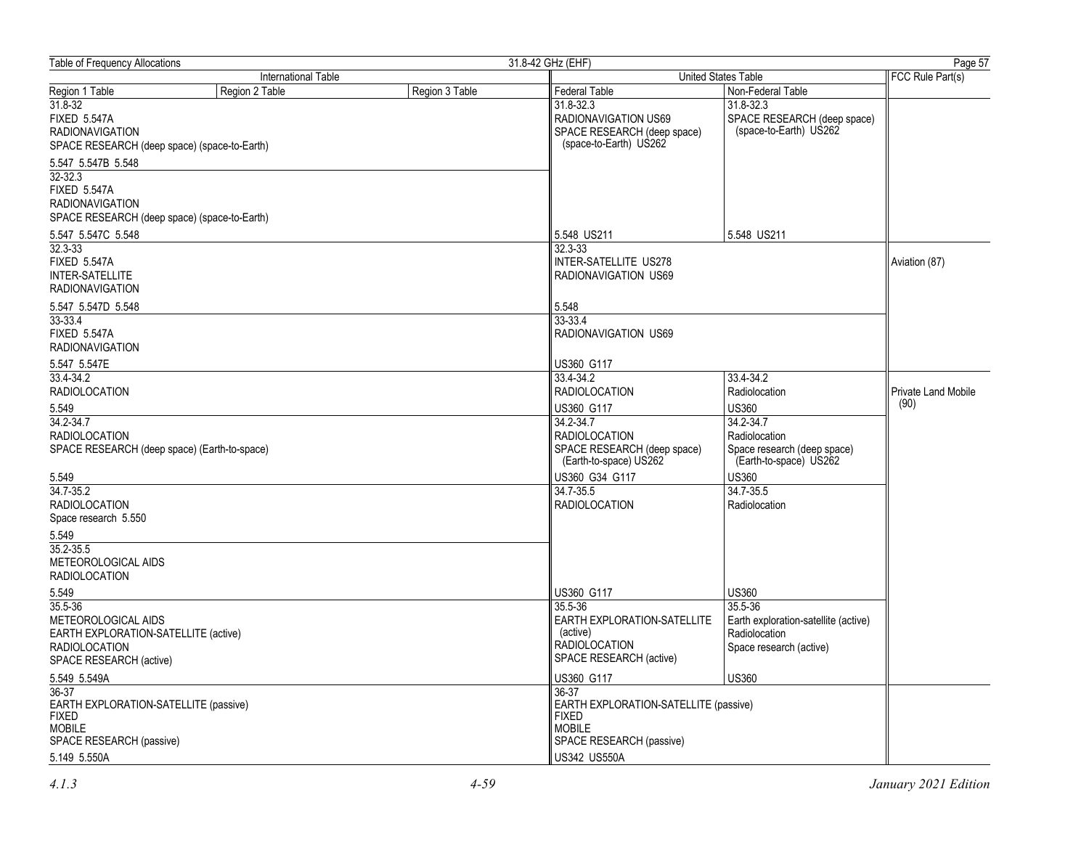| <b>Table of Frequency Allocations</b>                                                                                              |                     |                | 31.8-42 GHz (EHF)                                                                                                   | Page 57                                                                                              |                     |
|------------------------------------------------------------------------------------------------------------------------------------|---------------------|----------------|---------------------------------------------------------------------------------------------------------------------|------------------------------------------------------------------------------------------------------|---------------------|
|                                                                                                                                    | International Table |                |                                                                                                                     | United States Table                                                                                  | FCC Rule Part(s)    |
| Region 1 Table                                                                                                                     | Region 2 Table      | Region 3 Table | Federal Table                                                                                                       | Non-Federal Table                                                                                    |                     |
| $31.8 - 32$<br><b>FIXED 5.547A</b><br><b>RADIONAVIGATION</b><br>SPACE RESEARCH (deep space) (space-to-Earth)                       |                     |                | 31.8-32.3<br>RADIONAVIGATION US69<br>SPACE RESEARCH (deep space)<br>(space-to-Earth) US262                          | 31.8-32.3<br>SPACE RESEARCH (deep space)<br>(space-to-Earth) US262                                   |                     |
| 5.547 5.547B 5.548<br>32-32.3<br><b>FIXED 5.547A</b><br><b>RADIONAVIGATION</b><br>SPACE RESEARCH (deep space) (space-to-Earth)     |                     |                |                                                                                                                     |                                                                                                      |                     |
| 5.547 5.547C 5.548                                                                                                                 |                     |                | 5.548 US211                                                                                                         | 5.548 US211                                                                                          |                     |
| $32.3 - 33$<br><b>FIXED 5.547A</b><br><b>INTER-SATELLITE</b><br><b>RADIONAVIGATION</b>                                             |                     |                | 32.3-33<br><b>INTER-SATELLITE US278</b><br>RADIONAVIGATION US69                                                     |                                                                                                      | Aviation (87)       |
| 5.547 5.547D 5.548                                                                                                                 |                     |                | 5.548                                                                                                               |                                                                                                      |                     |
| 33-33.4<br><b>FIXED 5.547A</b><br><b>RADIONAVIGATION</b>                                                                           |                     |                | $33 - 33.4$<br>RADIONAVIGATION US69                                                                                 |                                                                                                      |                     |
| 5.547 5.547E                                                                                                                       |                     |                | US360 G117                                                                                                          |                                                                                                      |                     |
| 33.4-34.2<br><b>RADIOLOCATION</b>                                                                                                  |                     |                | 33.4-34.2<br><b>RADIOLOCATION</b>                                                                                   | 33.4-34.2<br>Radiolocation                                                                           | Private Land Mobile |
| 5.549                                                                                                                              |                     |                | US360 G117                                                                                                          | <b>US360</b>                                                                                         | (90)                |
| 34.2-34.7<br><b>RADIOLOCATION</b><br>SPACE RESEARCH (deep space) (Earth-to-space)                                                  |                     |                | 34.2-34.7<br><b>RADIOLOCATION</b><br>SPACE RESEARCH (deep space)<br>(Earth-to-space) US262                          | 34.2-34.7<br>Radiolocation<br>Space research (deep space)<br>(Earth-to-space) US262                  |                     |
| 5.549                                                                                                                              |                     |                | US360 G34 G117                                                                                                      | <b>US360</b>                                                                                         |                     |
| 34.7-35.2<br><b>RADIOLOCATION</b><br>Space research 5.550                                                                          |                     |                | 34.7-35.5<br><b>RADIOLOCATION</b>                                                                                   | 34.7-35.5<br>Radiolocation                                                                           |                     |
| 5.549<br>35.2-35.5<br>METEOROLOGICAL AIDS<br><b>RADIOLOCATION</b>                                                                  |                     |                |                                                                                                                     |                                                                                                      |                     |
| 5.549<br>35.5-36<br>METEOROLOGICAL AIDS<br>EARTH EXPLORATION-SATELLITE (active)<br><b>RADIOLOCATION</b><br>SPACE RESEARCH (active) |                     |                | US360 G117<br>35.5-36<br>EARTH EXPLORATION-SATELLITE<br>(active)<br><b>RADIOLOCATION</b><br>SPACE RESEARCH (active) | US360<br>35.5-36<br>Earth exploration-satellite (active)<br>Radiolocation<br>Space research (active) |                     |
| 5.549 5.549A                                                                                                                       |                     |                | US360 G117                                                                                                          | <b>US360</b>                                                                                         |                     |
| 36-37<br>EARTH EXPLORATION-SATELLITE (passive)<br><b>FIXED</b><br><b>MOBILE</b><br>SPACE RESEARCH (passive)                        |                     |                | 36-37<br>EARTH EXPLORATION-SATELLITE (passive)<br><b>FIXED</b><br><b>MOBILE</b><br>SPACE RESEARCH (passive)         |                                                                                                      |                     |
| 5.149 5.550A                                                                                                                       |                     |                | US342 US550A                                                                                                        |                                                                                                      |                     |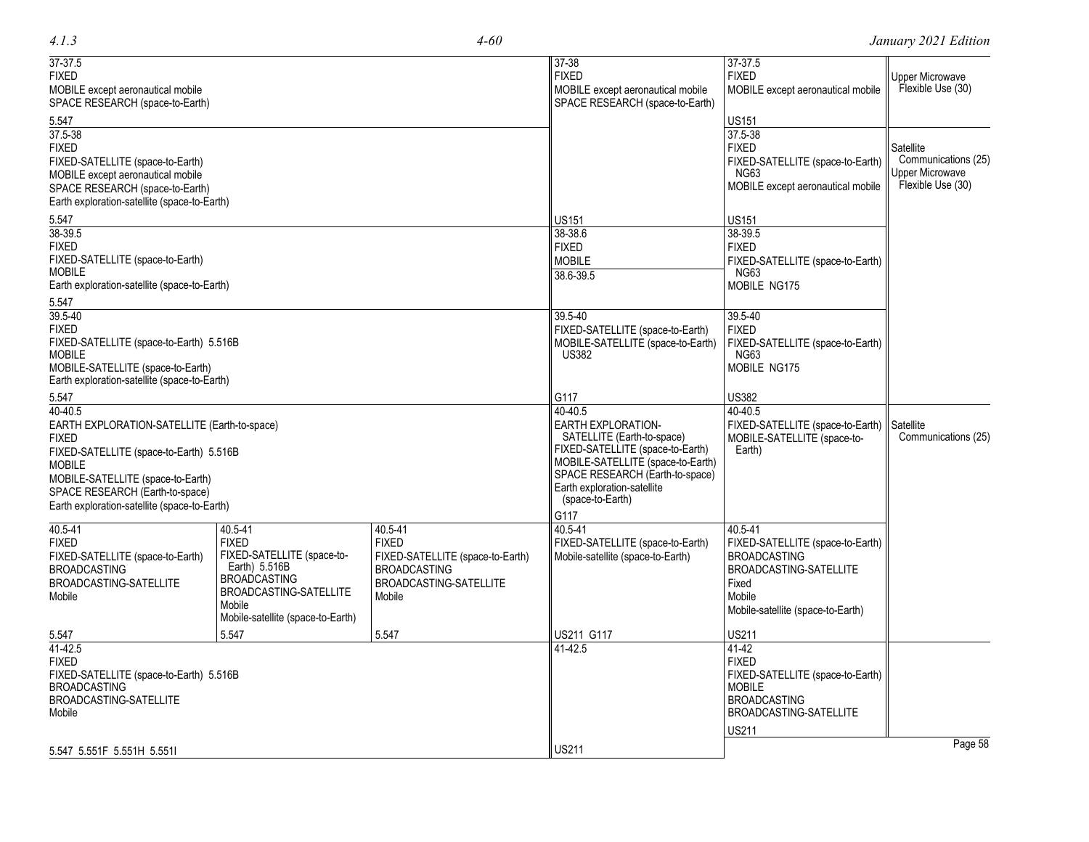| $37 - 37.5$                                                           |                                               |                                  | 37-38                                                          | 37-37.5                                  |                                  |
|-----------------------------------------------------------------------|-----------------------------------------------|----------------------------------|----------------------------------------------------------------|------------------------------------------|----------------------------------|
| <b>FIXED</b>                                                          |                                               |                                  | <b>FIXED</b>                                                   | <b>FIXED</b>                             | Upper Microwave                  |
| MOBILE except aeronautical mobile                                     |                                               |                                  | MOBILE except aeronautical mobile                              | MOBILE except aeronautical mobile        | Flexible Use (30)                |
| SPACE RESEARCH (space-to-Earth)                                       |                                               |                                  | SPACE RESEARCH (space-to-Earth)                                |                                          |                                  |
| 5.547                                                                 |                                               |                                  |                                                                | <b>US151</b>                             |                                  |
| 37.5-38                                                               |                                               |                                  |                                                                | 37.5-38                                  |                                  |
| FIXED                                                                 |                                               |                                  |                                                                | <b>FIXED</b>                             | Satellite<br>Communications (25) |
| FIXED-SATELLITE (space-to-Earth)<br>MOBILE except aeronautical mobile |                                               |                                  |                                                                | FIXED-SATELLITE (space-to-Earth)<br>NG63 | <b>Upper Microwave</b>           |
| SPACE RESEARCH (space-to-Earth)                                       |                                               |                                  |                                                                | MOBILE except aeronautical mobile        | Flexible Use (30)                |
| Earth exploration-satellite (space-to-Earth)                          |                                               |                                  |                                                                |                                          |                                  |
| 5.547                                                                 |                                               |                                  | <b>US151</b>                                                   | <b>US151</b>                             |                                  |
| 38-39.5                                                               |                                               |                                  | 38-38.6                                                        | 38-39.5                                  |                                  |
| FIXED                                                                 |                                               |                                  | <b>FIXED</b>                                                   | <b>FIXED</b>                             |                                  |
| FIXED-SATELLITE (space-to-Earth)                                      |                                               |                                  | <b>MOBILE</b>                                                  | FIXED-SATELLITE (space-to-Earth)         |                                  |
| MOBILE                                                                |                                               |                                  | 38.6-39.5                                                      | NG63                                     |                                  |
| Earth exploration-satellite (space-to-Earth)                          |                                               |                                  |                                                                | <b>MOBILE NG175</b>                      |                                  |
| 5.547                                                                 |                                               |                                  |                                                                |                                          |                                  |
| 39.5-40                                                               |                                               |                                  | 39.5-40                                                        | $39.5 - 40$                              |                                  |
| FIXED                                                                 |                                               |                                  | FIXED-SATELLITE (space-to-Earth)                               | <b>FIXED</b>                             |                                  |
| FIXED-SATELLITE (space-to-Earth) 5.516B<br>MOBILE                     |                                               |                                  | MOBILE-SATELLITE (space-to-Earth)<br><b>US382</b>              | FIXED-SATELLITE (space-to-Earth)<br>NG63 |                                  |
| MOBILE-SATELLITE (space-to-Earth)                                     |                                               |                                  |                                                                | <b>MOBILE NG175</b>                      |                                  |
| Earth exploration-satellite (space-to-Earth)                          |                                               |                                  |                                                                |                                          |                                  |
| 5.547                                                                 |                                               |                                  | G117                                                           | US382                                    |                                  |
| 40-40.5                                                               |                                               |                                  | 40-40.5                                                        | 40-40.5                                  |                                  |
| EARTH EXPLORATION-SATELLITE (Earth-to-space)                          |                                               |                                  | <b>EARTH EXPLORATION-</b>                                      | FIXED-SATELLITE (space-to-Earth)         | Satellite                        |
| FIXED                                                                 |                                               |                                  | SATELLITE (Earth-to-space)                                     | MOBILE-SATELLITE (space-to-              | Communications (25)              |
| FIXED-SATELLITE (space-to-Earth) 5.516B                               |                                               |                                  | FIXED-SATELLITE (space-to-Earth)                               | Earth)                                   |                                  |
| <b>MOBILE</b>                                                         |                                               |                                  | MOBILE-SATELLITE (space-to-Earth)                              |                                          |                                  |
| MOBILE-SATELLITE (space-to-Earth)                                     |                                               |                                  | SPACE RESEARCH (Earth-to-space)<br>Earth exploration-satellite |                                          |                                  |
| SPACE RESEARCH (Earth-to-space)                                       |                                               |                                  | (space-to-Earth)                                               |                                          |                                  |
| Earth exploration-satellite (space-to-Earth)                          |                                               |                                  | G117                                                           |                                          |                                  |
| 40.5-41                                                               | 40.5-41                                       | 40.5-41                          | 40.5-41                                                        | 40.5-41                                  |                                  |
| FIXED                                                                 | <b>FIXED</b>                                  | <b>FIXED</b>                     | FIXED-SATELLITE (space-to-Earth)                               | FIXED-SATELLITE (space-to-Earth)         |                                  |
| FIXED-SATELLITE (space-to-Earth)                                      | FIXED-SATELLITE (space-to-                    | FIXED-SATELLITE (space-to-Earth) | Mobile-satellite (space-to-Earth)                              | <b>BROADCASTING</b>                      |                                  |
| BROADCASTING                                                          | Earth) 5.516B                                 | <b>BROADCASTING</b>              |                                                                | BROADCASTING-SATELLITE                   |                                  |
| BROADCASTING-SATELLITE                                                | <b>BROADCASTING</b><br>BROADCASTING-SATELLITE | BROADCASTING-SATELLITE           |                                                                | Fixed                                    |                                  |
| Mobile                                                                | Mobile                                        | Mobile                           |                                                                | Mobile                                   |                                  |
|                                                                       | Mobile-satellite (space-to-Earth)             |                                  |                                                                | Mobile-satellite (space-to-Earth)        |                                  |
| 5.547                                                                 | 5.547                                         | 5.547                            | US211 G117                                                     | <b>US211</b>                             |                                  |
| 41-42.5                                                               |                                               |                                  | 41-42.5                                                        | 41-42                                    |                                  |
| FIXED                                                                 |                                               |                                  |                                                                | <b>FIXED</b>                             |                                  |
| FIXED-SATELLITE (space-to-Earth) 5.516B                               |                                               |                                  |                                                                | FIXED-SATELLITE (space-to-Earth)         |                                  |
| BROADCASTING                                                          |                                               |                                  |                                                                | <b>MOBILE</b><br><b>BROADCASTING</b>     |                                  |
| BROADCASTING-SATELLITE<br>Mobile                                      |                                               |                                  |                                                                | BROADCASTING-SATELLITE                   |                                  |
|                                                                       |                                               |                                  |                                                                | <b>US211</b>                             |                                  |
|                                                                       |                                               |                                  |                                                                |                                          | Page 58                          |
|                                                                       |                                               |                                  | <b>US211</b>                                                   |                                          |                                  |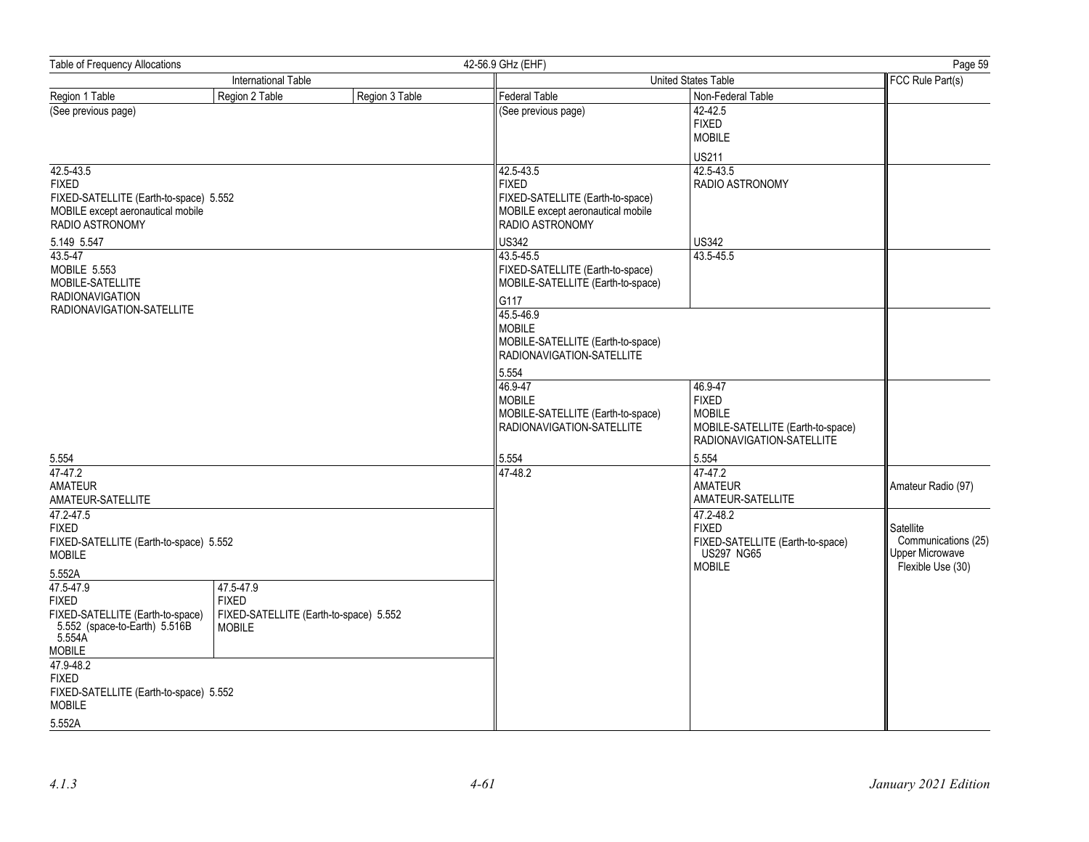| Table of Frequency Allocations                                                                                                             |                                                                                      |                | 42-56.9 GHz (EHF)                                                                                                                                                                                              | Page 59                                                                                                  |                                                                                 |
|--------------------------------------------------------------------------------------------------------------------------------------------|--------------------------------------------------------------------------------------|----------------|----------------------------------------------------------------------------------------------------------------------------------------------------------------------------------------------------------------|----------------------------------------------------------------------------------------------------------|---------------------------------------------------------------------------------|
|                                                                                                                                            | International Table                                                                  |                | United States Table                                                                                                                                                                                            | FCC Rule Part(s)                                                                                         |                                                                                 |
| Region 1 Table                                                                                                                             | Region 2 Table                                                                       | Region 3 Table | <b>Federal Table</b>                                                                                                                                                                                           | Non-Federal Table                                                                                        |                                                                                 |
| (See previous page)                                                                                                                        |                                                                                      |                | (See previous page)                                                                                                                                                                                            | $42 - 42.5$<br><b>FIXED</b><br><b>MOBILE</b><br><b>US211</b>                                             |                                                                                 |
| 42.5-43.5<br><b>FIXED</b><br>FIXED-SATELLITE (Earth-to-space) 5.552<br>MOBILE except aeronautical mobile<br>RADIO ASTRONOMY<br>5.149 5.547 |                                                                                      |                | 42.5-43.5<br><b>FIXED</b><br>FIXED-SATELLITE (Earth-to-space)<br>MOBILE except aeronautical mobile<br>RADIO ASTRONOMY<br><b>US342</b>                                                                          | 42.5-43.5<br><b>RADIO ASTRONOMY</b><br><b>US342</b>                                                      |                                                                                 |
| 43.5-47<br>MOBILE 5.553<br>MOBILE-SATELLITE<br><b>RADIONAVIGATION</b><br>RADIONAVIGATION-SATELLITE                                         |                                                                                      |                | 43.5-45.5<br>FIXED-SATELLITE (Earth-to-space)<br>MOBILE-SATELLITE (Earth-to-space)<br>G117<br>45.5-46.9<br><b>MOBILE</b><br>MOBILE-SATELLITE (Earth-to-space)<br>RADIONAVIGATION-SATELLITE<br>5.554<br>46.9-47 | 43.5-45.5<br>46.9-47                                                                                     |                                                                                 |
| 5.554                                                                                                                                      |                                                                                      |                | <b>MOBILE</b><br>MOBILE-SATELLITE (Earth-to-space)<br>RADIONAVIGATION-SATELLITE<br>5.554                                                                                                                       | <b>FIXED</b><br><b>MOBILE</b><br>MOBILE-SATELLITE (Earth-to-space)<br>RADIONAVIGATION-SATELLITE<br>5.554 |                                                                                 |
| 47-47.2<br><b>AMATEUR</b><br>AMATEUR-SATELLITE                                                                                             |                                                                                      |                | 47-48.2                                                                                                                                                                                                        | 47-47.2<br><b>AMATEUR</b><br>AMATEUR-SATELLITE                                                           | Amateur Radio (97)                                                              |
| 47.2-47.5<br><b>FIXED</b><br>FIXED-SATELLITE (Earth-to-space) 5.552<br><b>MOBILE</b>                                                       |                                                                                      |                |                                                                                                                                                                                                                | 47.2-48.2<br><b>FIXED</b><br>FIXED-SATELLITE (Earth-to-space)<br><b>US297 NG65</b><br><b>MOBILE</b>      | Satellite<br>Communications (25)<br><b>Upper Microwave</b><br>Flexible Use (30) |
| 5.552A<br>47.5-47.9<br><b>FIXED</b><br>FIXED-SATELLITE (Earth-to-space)<br>5.552 (space-to-Earth) 5.516B<br>5.554A<br><b>MOBILE</b>        | 47.5-47.9<br><b>FIXED</b><br>FIXED-SATELLITE (Earth-to-space) 5.552<br><b>MOBILE</b> |                |                                                                                                                                                                                                                |                                                                                                          |                                                                                 |
| 47.9-48.2<br><b>FIXED</b><br>FIXED-SATELLITE (Earth-to-space) 5.552<br><b>MOBILE</b>                                                       |                                                                                      |                |                                                                                                                                                                                                                |                                                                                                          |                                                                                 |
| 5.552A                                                                                                                                     |                                                                                      |                |                                                                                                                                                                                                                |                                                                                                          |                                                                                 |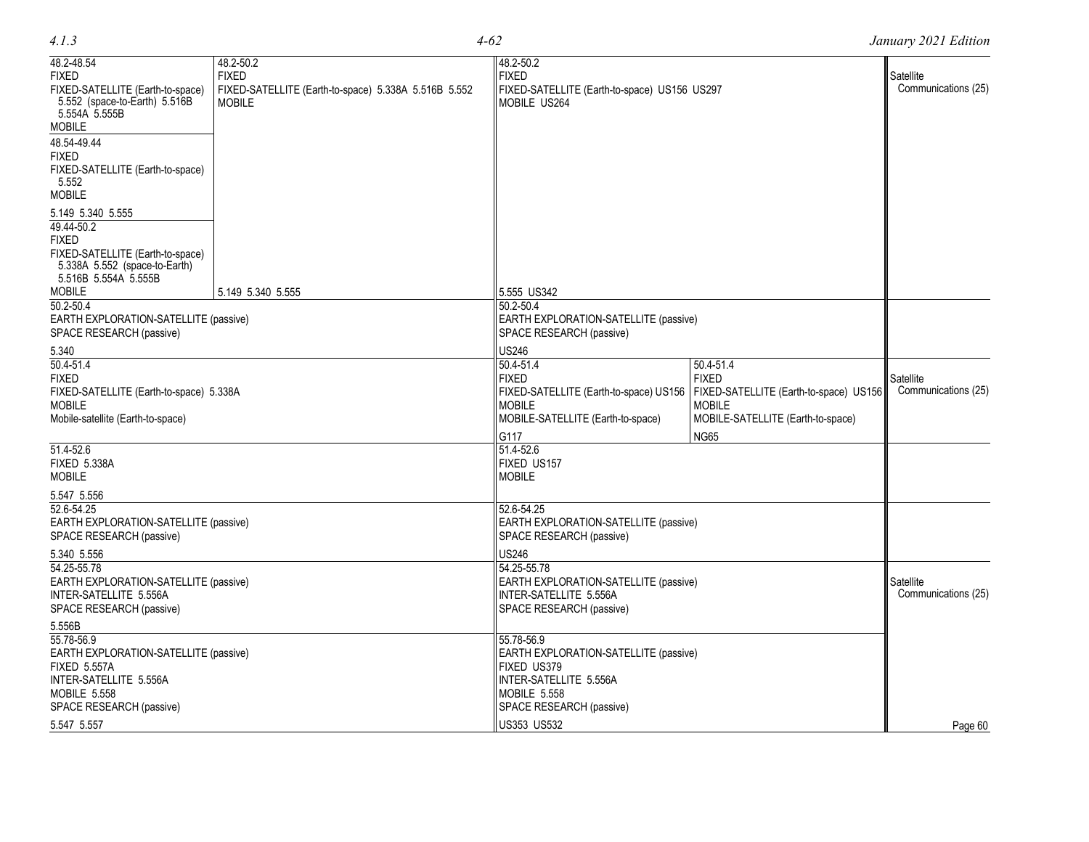| 48.2-48.54                                                                                                                     | 48.2-50.2                                                             | 48.2-50.2                                                                                                                     |                                                                                                                           |                                  |
|--------------------------------------------------------------------------------------------------------------------------------|-----------------------------------------------------------------------|-------------------------------------------------------------------------------------------------------------------------------|---------------------------------------------------------------------------------------------------------------------------|----------------------------------|
| <b>FIXED</b>                                                                                                                   | <b>FIXED</b>                                                          | <b>FIXED</b>                                                                                                                  |                                                                                                                           | Satellite                        |
| FIXED-SATELLITE (Earth-to-space)<br>5.552 (space-to-Earth) 5.516B<br>5.554A 5.555B                                             | FIXED-SATELLITE (Earth-to-space) 5.338A 5.516B 5.552<br><b>MOBILE</b> | FIXED-SATELLITE (Earth-to-space) US156 US297<br>MOBILE US264                                                                  |                                                                                                                           | Communications (25)              |
| <b>MOBILE</b>                                                                                                                  |                                                                       |                                                                                                                               |                                                                                                                           |                                  |
| 48.54-49.44<br><b>FIXED</b><br>FIXED-SATELLITE (Earth-to-space)<br>5.552<br><b>MOBILE</b>                                      |                                                                       |                                                                                                                               |                                                                                                                           |                                  |
| 5.149 5.340 5.555<br>49.44-50.2<br><b>FIXED</b><br>FIXED-SATELLITE (Earth-to-space)<br>5.338A 5.552 (space-to-Earth)           |                                                                       |                                                                                                                               |                                                                                                                           |                                  |
| 5.516B 5.554A 5.555B                                                                                                           |                                                                       |                                                                                                                               |                                                                                                                           |                                  |
| <b>MOBILE</b>                                                                                                                  | 5.149 5.340 5.555                                                     | 5.555 US342                                                                                                                   |                                                                                                                           |                                  |
| 50.2-50.4<br>EARTH EXPLORATION-SATELLITE (passive)<br>SPACE RESEARCH (passive)                                                 |                                                                       | $50.2 - 50.4$<br>EARTH EXPLORATION-SATELLITE (passive)<br>SPACE RESEARCH (passive)                                            |                                                                                                                           |                                  |
| 5.340                                                                                                                          |                                                                       | <b>US246</b>                                                                                                                  |                                                                                                                           |                                  |
| $50.4 - 51.4$<br><b>FIXED</b><br>FIXED-SATELLITE (Earth-to-space) 5.338A<br><b>MOBILE</b><br>Mobile-satellite (Earth-to-space) |                                                                       | $50.4 - 51.4$<br><b>FIXED</b><br>FIXED-SATELLITE (Earth-to-space) US156<br><b>MOBILE</b><br>MOBILE-SATELLITE (Earth-to-space) | 50.4-51.4<br><b>FIXED</b><br>FIXED-SATELLITE (Earth-to-space) US156<br><b>MOBILE</b><br>MOBILE-SATELLITE (Earth-to-space) | Satellite<br>Communications (25) |
|                                                                                                                                |                                                                       |                                                                                                                               |                                                                                                                           |                                  |
| 51.4-52.6<br><b>FIXED 5.338A</b><br><b>MOBILE</b>                                                                              |                                                                       | G117<br>51.4-52.6<br>FIXED US157<br><b>MOBILE</b>                                                                             | <b>NG65</b>                                                                                                               |                                  |
| 5.547 5.556                                                                                                                    |                                                                       |                                                                                                                               |                                                                                                                           |                                  |
| 52.6-54.25<br>EARTH EXPLORATION-SATELLITE (passive)<br>SPACE RESEARCH (passive)                                                |                                                                       | 52.6-54.25<br>EARTH EXPLORATION-SATELLITE (passive)<br>SPACE RESEARCH (passive)                                               |                                                                                                                           |                                  |
| 5.340 5.556<br>54.25-55.78<br>EARTH EXPLORATION-SATELLITE (passive)<br>INTER-SATELLITE 5.556A<br>SPACE RESEARCH (passive)      |                                                                       | <b>US246</b><br>54.25-55.78<br>EARTH EXPLORATION-SATELLITE (passive)<br>INTER-SATELLITE 5.556A<br>SPACE RESEARCH (passive)    |                                                                                                                           | Satellite<br>Communications (25) |
| 5.556B                                                                                                                         |                                                                       |                                                                                                                               |                                                                                                                           |                                  |
| 55.78-56.9<br>EARTH EXPLORATION-SATELLITE (passive)<br><b>FIXED 5.557A</b><br>INTER-SATELLITE 5.556A<br><b>MOBILE 5.558</b>    |                                                                       | 55.78-56.9<br>EARTH EXPLORATION-SATELLITE (passive)<br>FIXED US379<br>INTER-SATELLITE 5.556A<br><b>MOBILE 5.558</b>           |                                                                                                                           |                                  |
| SPACE RESEARCH (passive)                                                                                                       |                                                                       | SPACE RESEARCH (passive)                                                                                                      |                                                                                                                           |                                  |
| 5.547 5.557                                                                                                                    |                                                                       | <b>US353 US532</b>                                                                                                            |                                                                                                                           | Page 60                          |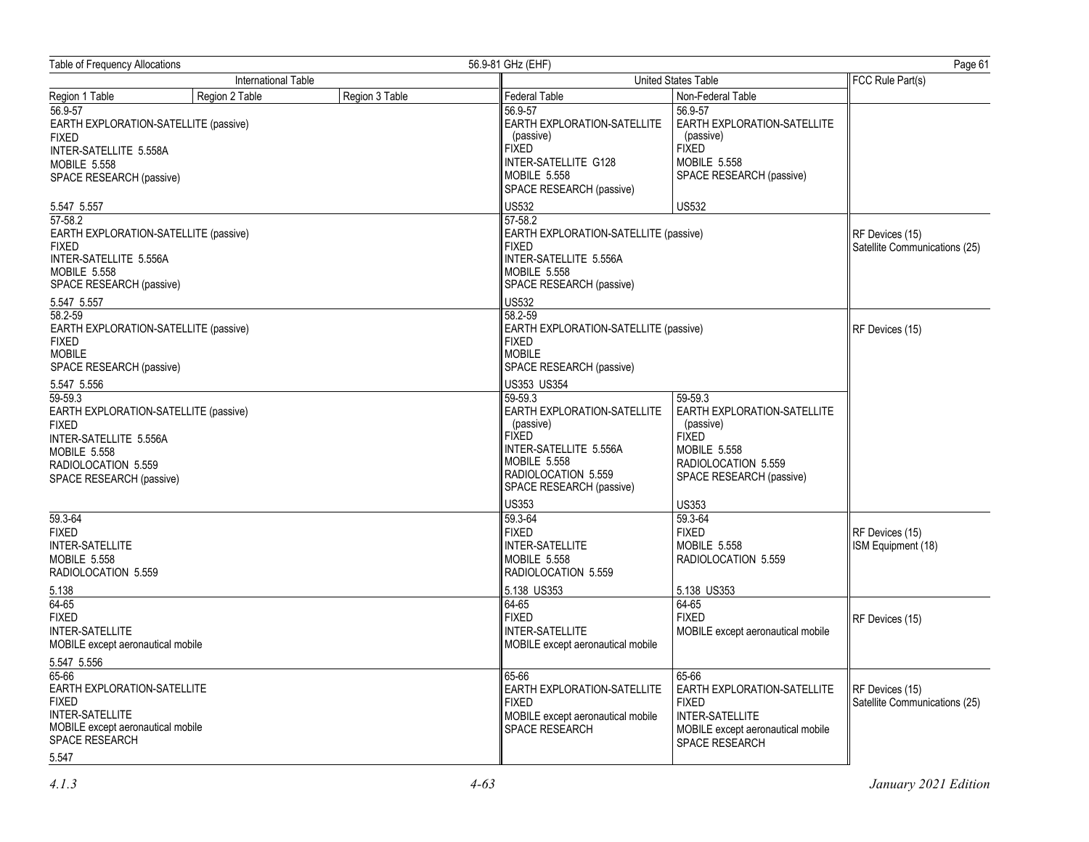| <b>Table of Frequency Allocations</b><br>56.9-81 GHz (EHF)                                                                                                           |                     |                |                                                                                                                                                                         | Page 61                                                                                                                                       |                                                  |
|----------------------------------------------------------------------------------------------------------------------------------------------------------------------|---------------------|----------------|-------------------------------------------------------------------------------------------------------------------------------------------------------------------------|-----------------------------------------------------------------------------------------------------------------------------------------------|--------------------------------------------------|
|                                                                                                                                                                      | International Table |                | United States Table                                                                                                                                                     |                                                                                                                                               | FCC Rule Part(s)                                 |
| Region 1 Table                                                                                                                                                       | Region 2 Table      | Region 3 Table | Federal Table                                                                                                                                                           | Non-Federal Table                                                                                                                             |                                                  |
| 56.9-57<br>EARTH EXPLORATION-SATELLITE (passive)<br><b>FIXED</b><br>INTER-SATELLITE 5.558A<br><b>MOBILE 5.558</b><br>SPACE RESEARCH (passive)                        |                     |                | 56.9-57<br>EARTH EXPLORATION-SATELLITE<br>(passive)<br><b>FIXED</b><br>INTER-SATELLITE G128<br><b>MOBILE 5.558</b><br>SPACE RESEARCH (passive)                          | 56.9-57<br>EARTH EXPLORATION-SATELLITE<br>(passive)<br><b>FIXED</b><br>MOBILE 5.558<br>SPACE RESEARCH (passive)                               |                                                  |
| 5.547 5.557                                                                                                                                                          |                     |                | <b>US532</b>                                                                                                                                                            | <b>US532</b>                                                                                                                                  |                                                  |
| $57 - 58.2$<br>EARTH EXPLORATION-SATELLITE (passive)<br><b>FIXED</b><br>INTER-SATELLITE 5.556A<br><b>MOBILE 5.558</b><br>SPACE RESEARCH (passive)                    |                     |                | $57 - 58.2$<br>EARTH EXPLORATION-SATELLITE (passive)<br><b>FIXED</b><br>INTER-SATELLITE 5.556A<br>MOBILE 5.558<br>SPACE RESEARCH (passive)                              |                                                                                                                                               | RF Devices (15)<br>Satellite Communications (25) |
| 5.547 5.557                                                                                                                                                          |                     |                | US532                                                                                                                                                                   |                                                                                                                                               |                                                  |
| 58.2-59<br>EARTH EXPLORATION-SATELLITE (passive)<br><b>FIXED</b><br><b>MOBILE</b><br>SPACE RESEARCH (passive)                                                        |                     |                | 58.2-59<br>EARTH EXPLORATION-SATELLITE (passive)<br><b>FIXED</b><br><b>MOBILE</b><br>SPACE RESEARCH (passive)                                                           |                                                                                                                                               | RF Devices (15)                                  |
| 5.547 5.556                                                                                                                                                          |                     |                | US353 US354                                                                                                                                                             |                                                                                                                                               |                                                  |
| 59-59.3<br>EARTH EXPLORATION-SATELLITE (passive)<br><b>FIXED</b><br>INTER-SATELLITE 5.556A<br><b>MOBILE 5.558</b><br>RADIOLOCATION 5.559<br>SPACE RESEARCH (passive) |                     |                | 59-59.3<br>EARTH EXPLORATION-SATELLITE<br>(passive)<br><b>FIXED</b><br>INTER-SATELLITE 5.556A<br><b>MOBILE 5.558</b><br>RADIOLOCATION 5.559<br>SPACE RESEARCH (passive) | 59-59.3<br>EARTH EXPLORATION-SATELLITE<br>(passive)<br><b>FIXED</b><br><b>MOBILE 5.558</b><br>RADIOLOCATION 5.559<br>SPACE RESEARCH (passive) |                                                  |
| 59.3-64<br><b>FIXED</b><br>INTER-SATELLITE<br><b>MOBILE 5.558</b><br>RADIOLOCATION 5.559                                                                             |                     |                | <b>US353</b><br>59.3-64<br><b>FIXED</b><br><b>INTER-SATELLITE</b><br><b>MOBILE 5.558</b><br>RADIOLOCATION 5.559<br>5.138 US353                                          | <b>US353</b><br>59.3-64<br><b>FIXED</b><br><b>MOBILE 5.558</b><br>RADIOLOCATION 5.559<br>5.138 US353                                          | RF Devices (15)<br>ISM Equipment (18)            |
| 5.138<br>64-65<br><b>FIXED</b><br><b>INTER-SATELLITE</b><br>MOBILE except aeronautical mobile                                                                        |                     |                | 64-65<br><b>FIXED</b><br><b>INTER-SATELLITE</b><br>MOBILE except aeronautical mobile                                                                                    | 64-65<br><b>FIXED</b><br>MOBILE except aeronautical mobile                                                                                    | RF Devices (15)                                  |
| 5.547 5.556                                                                                                                                                          |                     |                |                                                                                                                                                                         |                                                                                                                                               |                                                  |
| 65-66<br>EARTH EXPLORATION-SATELLITE<br><b>FIXED</b><br><b>INTER-SATELLITE</b><br>MOBILE except aeronautical mobile<br><b>SPACE RESEARCH</b><br>5.547                |                     |                | 65-66<br>EARTH EXPLORATION-SATELLITE<br><b>FIXED</b><br>MOBILE except aeronautical mobile<br><b>SPACE RESEARCH</b>                                                      | 65-66<br>EARTH EXPLORATION-SATELLITE<br><b>FIXED</b><br><b>INTER-SATELLITE</b><br>MOBILE except aeronautical mobile<br>SPACE RESEARCH         | RF Devices (15)<br>Satellite Communications (25) |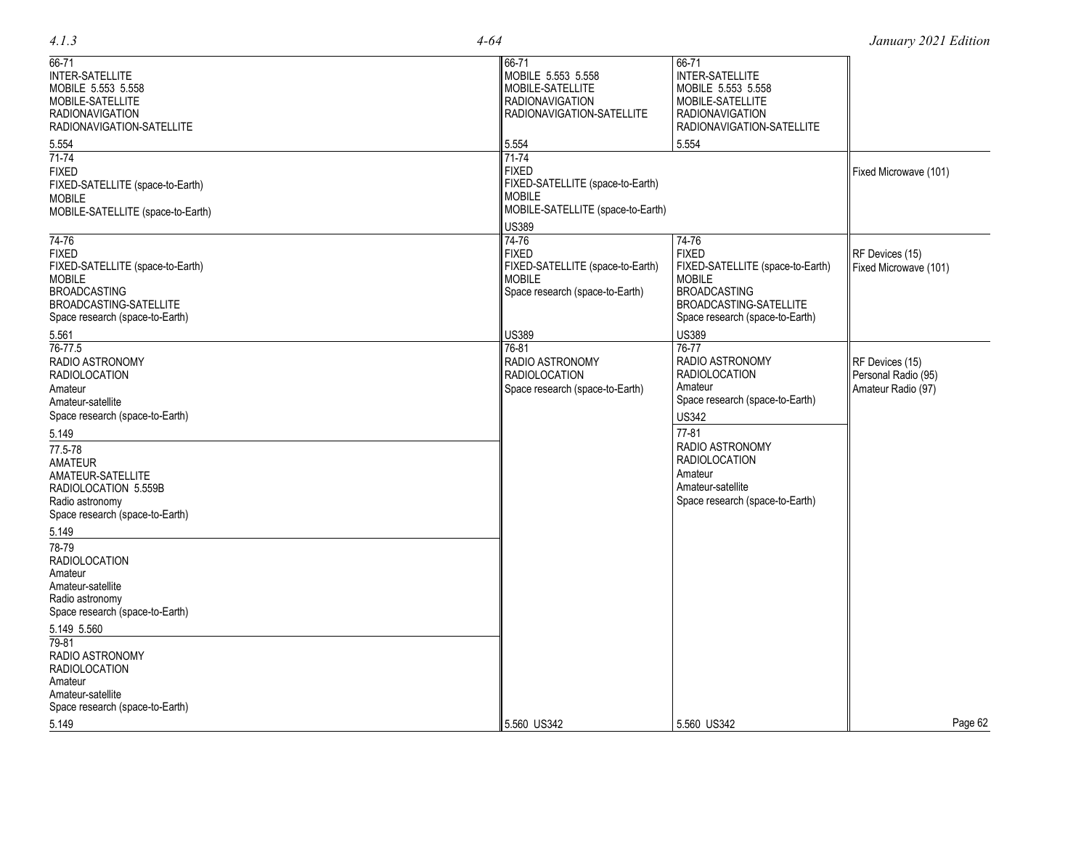|  | ۰.<br>× |
|--|---------|
|  |         |

| $66 - 71$<br><b>INTER-SATELLITE</b><br>MOBILE 5.553 5.558<br>MOBILE-SATELLITE<br><b>RADIONAVIGATION</b><br>RADIONAVIGATION-SATELLITE                           | 66-71<br>MOBILE 5.553 5.558<br>MOBILE-SATELLITE<br><b>RADIONAVIGATION</b><br>RADIONAVIGATION-SATELLITE                            | 66-71<br>INTER-SATELLITE<br>MOBILE 5.553 5.558<br>MOBILE-SATELLITE<br><b>RADIONAVIGATION</b><br>RADIONAVIGATION-SATELLITE                                      |                                                              |
|----------------------------------------------------------------------------------------------------------------------------------------------------------------|-----------------------------------------------------------------------------------------------------------------------------------|----------------------------------------------------------------------------------------------------------------------------------------------------------------|--------------------------------------------------------------|
| 5.554<br>$71 - 74$<br><b>FIXED</b><br>FIXED-SATELLITE (space-to-Earth)<br><b>MOBILE</b><br>MOBILE-SATELLITE (space-to-Earth)                                   | 5.554<br>71-74<br><b>FIXED</b><br>FIXED-SATELLITE (space-to-Earth)<br><b>MOBILE</b><br>MOBILE-SATELLITE (space-to-Earth)<br>US389 | 5.554                                                                                                                                                          | Fixed Microwave (101)                                        |
| 74-76<br><b>FIXED</b><br>FIXED-SATELLITE (space-to-Earth)<br><b>MOBILE</b><br><b>BROADCASTING</b><br>BROADCASTING-SATELLITE<br>Space research (space-to-Earth) | $74 - 76$<br><b>FIXED</b><br>FIXED-SATELLITE (space-to-Earth)<br><b>MOBILE</b><br>Space research (space-to-Earth)                 | 74-76<br><b>FIXED</b><br>FIXED-SATELLITE (space-to-Earth)<br><b>MOBILE</b><br><b>BROADCASTING</b><br>BROADCASTING-SATELLITE<br>Space research (space-to-Earth) | RF Devices (15)<br>Fixed Microwave (101)                     |
| 5.561<br>76-77.5<br>RADIO ASTRONOMY<br><b>RADIOLOCATION</b><br>Amateur<br>Amateur-satellite<br>Space research (space-to-Earth)                                 | US389<br>76-81<br>RADIO ASTRONOMY<br><b>RADIOLOCATION</b><br>Space research (space-to-Earth)                                      | <b>US389</b><br>76-77<br>RADIO ASTRONOMY<br><b>RADIOLOCATION</b><br>Amateur<br>Space research (space-to-Earth)<br><b>US342</b>                                 | RF Devices (15)<br>Personal Radio (95)<br>Amateur Radio (97) |
| 5.149<br>77.5-78<br><b>AMATEUR</b><br>AMATEUR-SATELLITE<br>RADIOLOCATION 5.559B<br>Radio astronomy<br>Space research (space-to-Earth)                          |                                                                                                                                   | $77 - 81$<br><b>RADIO ASTRONOMY</b><br><b>RADIOLOCATION</b><br>Amateur<br>Amateur-satellite<br>Space research (space-to-Earth)                                 |                                                              |
| 5.149<br>78-79<br><b>RADIOLOCATION</b><br>Amateur<br>Amateur-satellite<br>Radio astronomy<br>Space research (space-to-Earth)                                   |                                                                                                                                   |                                                                                                                                                                |                                                              |
| 5.149 5.560<br>79-81<br>RADIO ASTRONOMY<br><b>RADIOLOCATION</b><br>Amateur<br>Amateur-satellite<br>Space research (space-to-Earth)                             |                                                                                                                                   |                                                                                                                                                                |                                                              |
| 5.149                                                                                                                                                          | 5.560 US342                                                                                                                       | 5.560 US342                                                                                                                                                    | Page 62                                                      |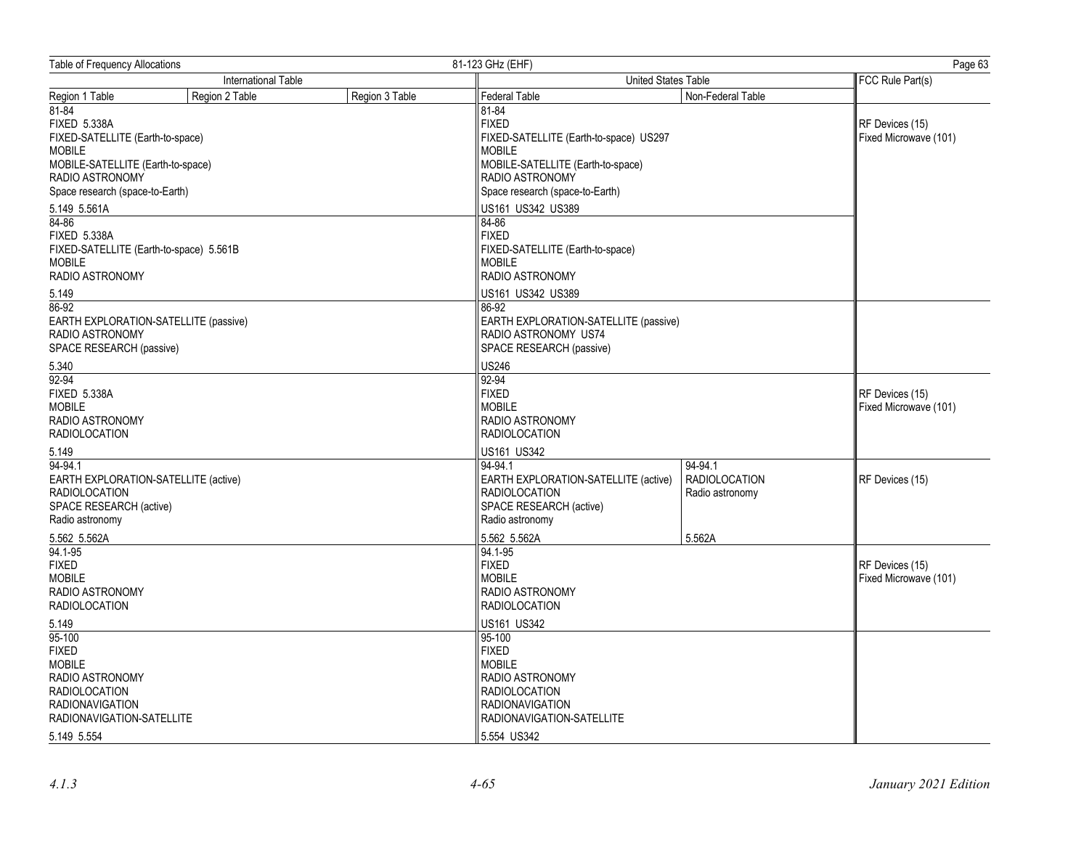| <b>Table of Frequency Allocations</b>                                                                                                                                                                         | 81-123 GHz (EHF) | Page 63                                                                                                                                                                                                   |                                                    |                                          |
|---------------------------------------------------------------------------------------------------------------------------------------------------------------------------------------------------------------|------------------|-----------------------------------------------------------------------------------------------------------------------------------------------------------------------------------------------------------|----------------------------------------------------|------------------------------------------|
| <b>International Table</b>                                                                                                                                                                                    |                  | United States Table                                                                                                                                                                                       |                                                    | FCC Rule Part(s)                         |
| Region 2 Table<br>Region 1 Table                                                                                                                                                                              | Region 3 Table   | <b>Federal Table</b>                                                                                                                                                                                      | Non-Federal Table                                  |                                          |
| $81 - 84$<br><b>FIXED 5.338A</b><br>FIXED-SATELLITE (Earth-to-space)<br><b>MOBILE</b><br>MOBILE-SATELLITE (Earth-to-space)<br>RADIO ASTRONOMY<br>Space research (space-to-Earth)<br>5.149 5.561A<br>$84 - 86$ |                  | 81-84<br><b>FIXED</b><br>FIXED-SATELLITE (Earth-to-space) US297<br><b>MOBILE</b><br>MOBILE-SATELLITE (Earth-to-space)<br>RADIO ASTRONOMY<br>Space research (space-to-Earth)<br>US161 US342 US389<br>84-86 |                                                    | RF Devices (15)<br>Fixed Microwave (101) |
| <b>FIXED 5.338A</b><br>FIXED-SATELLITE (Earth-to-space) 5.561B<br><b>MOBILE</b><br><b>RADIO ASTRONOMY</b><br>5.149                                                                                            |                  | <b>FIXED</b><br>FIXED-SATELLITE (Earth-to-space)<br><b>MOBILE</b><br><b>RADIO ASTRONOMY</b><br>US161 US342 US389                                                                                          |                                                    |                                          |
| 86-92<br>EARTH EXPLORATION-SATELLITE (passive)<br>RADIO ASTRONOMY<br>SPACE RESEARCH (passive)                                                                                                                 |                  | 86-92<br>EARTH EXPLORATION-SATELLITE (passive)<br>RADIO ASTRONOMY US74<br>SPACE RESEARCH (passive)                                                                                                        |                                                    |                                          |
| 5.340<br>92-94<br><b>FIXED 5.338A</b><br><b>MOBILE</b><br>RADIO ASTRONOMY<br><b>RADIOLOCATION</b><br>5.149                                                                                                    |                  | <b>US246</b><br>92-94<br><b>FIXED</b><br><b>MOBILE</b><br><b>RADIO ASTRONOMY</b><br><b>RADIOLOCATION</b><br>US161 US342                                                                                   |                                                    | RF Devices (15)<br>Fixed Microwave (101) |
| 94-94.1<br>EARTH EXPLORATION-SATELLITE (active)<br><b>RADIOLOCATION</b><br>SPACE RESEARCH (active)<br>Radio astronomy                                                                                         |                  | 94-94.1<br>EARTH EXPLORATION-SATELLITE (active)<br><b>RADIOLOCATION</b><br>SPACE RESEARCH (active)<br>Radio astronomy                                                                                     | 94-94.1<br><b>RADIOLOCATION</b><br>Radio astronomy | RF Devices (15)                          |
| 5.562 5.562A<br>$94.1 - 95$<br><b>FIXED</b><br><b>MOBILE</b><br>RADIO ASTRONOMY<br><b>RADIOLOCATION</b>                                                                                                       |                  | 5.562 5.562A<br>94.1-95<br><b>FIXED</b><br><b>MOBILE</b><br><b>RADIO ASTRONOMY</b><br><b>RADIOLOCATION</b>                                                                                                | 5.562A                                             | RF Devices (15)<br>Fixed Microwave (101) |
| 5.149<br>95-100<br><b>FIXED</b><br><b>MOBILE</b><br>RADIO ASTRONOMY<br><b>RADIOLOCATION</b><br><b>RADIONAVIGATION</b><br>RADIONAVIGATION-SATELLITE<br>5.149 5.554                                             |                  | US161 US342<br>95-100<br><b>FIXED</b><br><b>MOBILE</b><br>RADIO ASTRONOMY<br><b>RADIOLOCATION</b><br><b>RADIONAVIGATION</b><br>RADIONAVIGATION-SATELLITE<br>5.554 US342                                   |                                                    |                                          |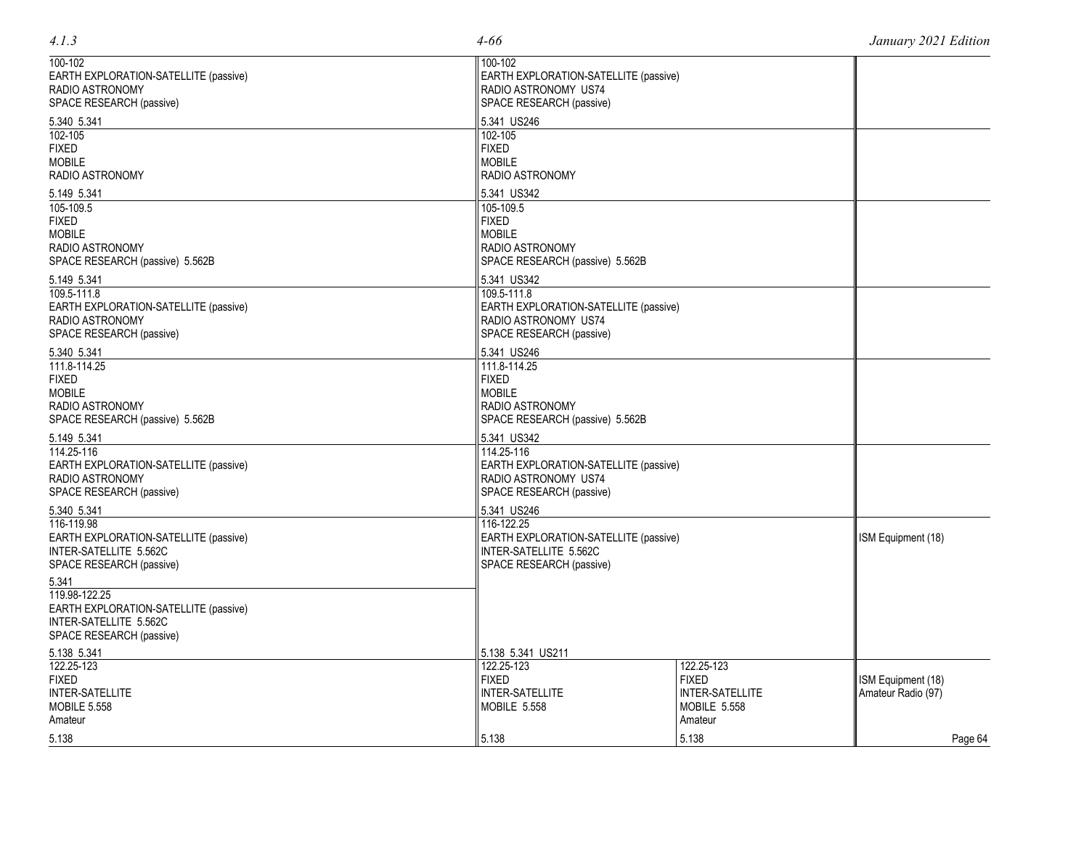| 100-102                               | 100-102                               |                 |                    |
|---------------------------------------|---------------------------------------|-----------------|--------------------|
| EARTH EXPLORATION-SATELLITE (passive) | EARTH EXPLORATION-SATELLITE (passive) |                 |                    |
| RADIO ASTRONOMY                       | RADIO ASTRONOMY US74                  |                 |                    |
| SPACE RESEARCH (passive)              | SPACE RESEARCH (passive)              |                 |                    |
| 5.340 5.341                           | 5.341 US246                           |                 |                    |
| 102-105                               | 102-105                               |                 |                    |
| <b>FIXED</b>                          | <b>FIXED</b>                          |                 |                    |
| <b>MOBILE</b>                         | <b>MOBILE</b>                         |                 |                    |
| RADIO ASTRONOMY                       | RADIO ASTRONOMY                       |                 |                    |
| 5.149 5.341                           | 5.341 US342                           |                 |                    |
| 105-109.5                             | 105-109.5                             |                 |                    |
| <b>FIXED</b>                          | <b>FIXED</b>                          |                 |                    |
| <b>MOBILE</b>                         | <b>MOBILE</b>                         |                 |                    |
| RADIO ASTRONOMY                       | RADIO ASTRONOMY                       |                 |                    |
| SPACE RESEARCH (passive) 5.562B       | SPACE RESEARCH (passive) 5.562B       |                 |                    |
| 5.149 5.341                           | 5.341 US342                           |                 |                    |
| 109.5-111.8                           | 109.5-111.8                           |                 |                    |
| EARTH EXPLORATION-SATELLITE (passive) | EARTH EXPLORATION-SATELLITE (passive) |                 |                    |
| RADIO ASTRONOMY                       | RADIO ASTRONOMY US74                  |                 |                    |
| SPACE RESEARCH (passive)              | SPACE RESEARCH (passive)              |                 |                    |
| 5.340 5.341<br>111.8-114.25           | 5.341 US246<br>111.8-114.25           |                 |                    |
| <b>FIXED</b>                          | <b>FIXED</b>                          |                 |                    |
| <b>MOBILE</b>                         | <b>MOBILE</b>                         |                 |                    |
| RADIO ASTRONOMY                       | RADIO ASTRONOMY                       |                 |                    |
| SPACE RESEARCH (passive) 5.562B       | SPACE RESEARCH (passive) 5.562B       |                 |                    |
| 5.149 5.341                           | 5.341 US342                           |                 |                    |
| 114.25-116                            | 114.25-116                            |                 |                    |
| EARTH EXPLORATION-SATELLITE (passive) | EARTH EXPLORATION-SATELLITE (passive) |                 |                    |
| RADIO ASTRONOMY                       | RADIO ASTRONOMY US74                  |                 |                    |
| SPACE RESEARCH (passive)              | SPACE RESEARCH (passive)              |                 |                    |
| 5.340 5.341                           | 5.341 US246                           |                 |                    |
| 116-119.98                            | 116-122.25                            |                 |                    |
| EARTH EXPLORATION-SATELLITE (passive) | EARTH EXPLORATION-SATELLITE (passive) |                 | ISM Equipment (18) |
| INTER-SATELLITE 5.562C                | INTER-SATELLITE 5.562C                |                 |                    |
| SPACE RESEARCH (passive)              | SPACE RESEARCH (passive)              |                 |                    |
| 5.341                                 |                                       |                 |                    |
| 119.98-122.25                         |                                       |                 |                    |
| EARTH EXPLORATION-SATELLITE (passive) |                                       |                 |                    |
| INTER-SATELLITE 5.562C                |                                       |                 |                    |
| SPACE RESEARCH (passive)              |                                       |                 |                    |
| 5.138 5.341                           | 5.138 5.341 US211                     |                 |                    |
| 122.25-123                            | 122.25-123                            | 122.25-123      |                    |
| <b>FIXED</b>                          | <b>FIXED</b>                          | <b>FIXED</b>    | ISM Equipment (18) |
| INTER-SATELLITE                       | <b>INTER-SATELLITE</b>                | INTER-SATELLITE | Amateur Radio (97) |
| <b>MOBILE 5.558</b>                   | <b>MOBILE 5.558</b>                   | MOBILE 5.558    |                    |
| Amateur                               |                                       | Amateur         |                    |
| 5.138                                 | 5.138                                 | 5.138           | Page 64            |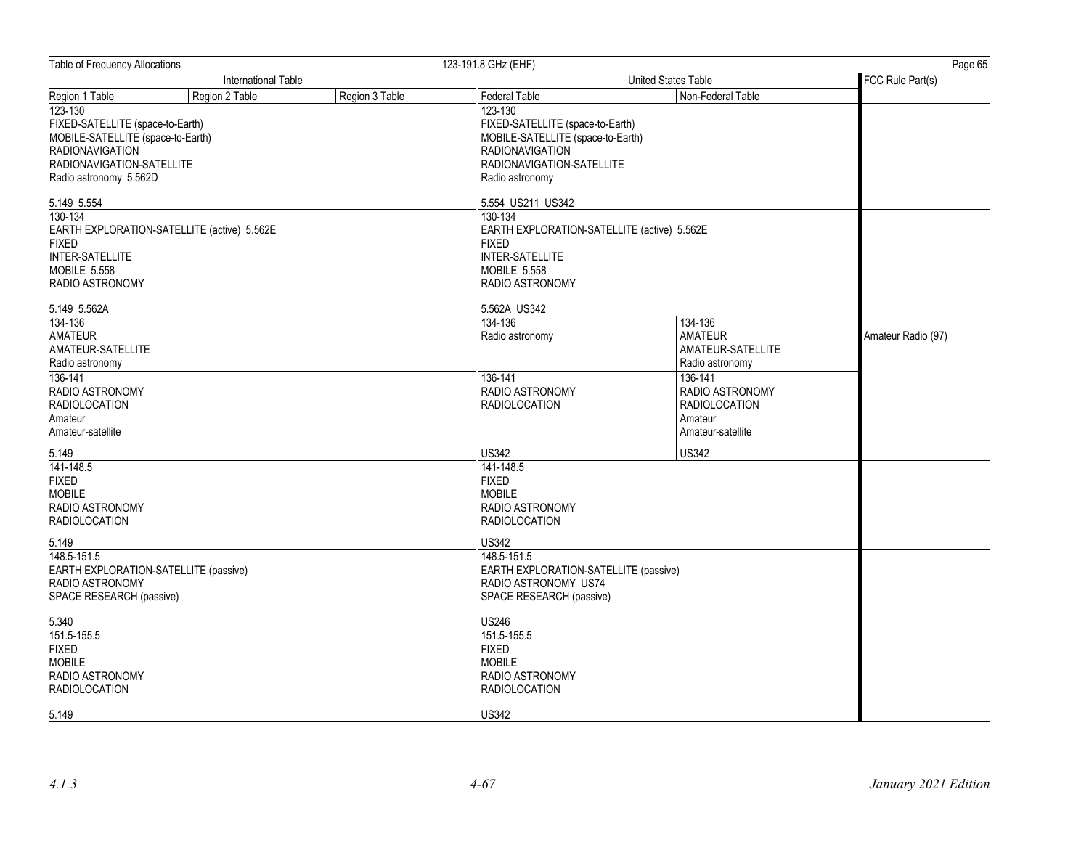| Table of Frequency Allocations                                                                                                                                        |                                             | 123-191.8 GHz (EHF) | Page 65                                                                                                                                                    |                                                                                    |                    |
|-----------------------------------------------------------------------------------------------------------------------------------------------------------------------|---------------------------------------------|---------------------|------------------------------------------------------------------------------------------------------------------------------------------------------------|------------------------------------------------------------------------------------|--------------------|
|                                                                                                                                                                       | International Table                         |                     |                                                                                                                                                            | United States Table                                                                | FCC Rule Part(s)   |
| Region 1 Table                                                                                                                                                        | Region 2 Table                              | Region 3 Table      | Federal Table                                                                                                                                              | Non-Federal Table                                                                  |                    |
| $123 - 130$<br>FIXED-SATELLITE (space-to-Earth)<br>MOBILE-SATELLITE (space-to-Earth)<br><b>RADIONAVIGATION</b><br>RADIONAVIGATION-SATELLITE<br>Radio astronomy 5.562D |                                             |                     | 123-130<br>FIXED-SATELLITE (space-to-Earth)<br>MOBILE-SATELLITE (space-to-Earth)<br><b>RADIONAVIGATION</b><br>RADIONAVIGATION-SATELLITE<br>Radio astronomy |                                                                                    |                    |
| 5.149 5.554<br>130-134<br><b>FIXED</b><br>INTER-SATELLITE<br><b>MOBILE 5.558</b>                                                                                      | EARTH EXPLORATION-SATELLITE (active) 5.562E |                     | 5.554 US211 US342<br>130-134<br>EARTH EXPLORATION-SATELLITE (active) 5.562E<br><b>FIXED</b><br><b>INTER-SATELLITE</b><br>MOBILE 5.558                      |                                                                                    |                    |
| RADIO ASTRONOMY                                                                                                                                                       |                                             |                     | RADIO ASTRONOMY                                                                                                                                            |                                                                                    |                    |
| 5.149 5.562A                                                                                                                                                          |                                             |                     | 5.562A US342                                                                                                                                               |                                                                                    |                    |
| 134-136<br><b>AMATEUR</b><br>AMATEUR-SATELLITE<br>Radio astronomy                                                                                                     |                                             |                     | 134-136<br>Radio astronomy                                                                                                                                 | 134-136<br><b>AMATEUR</b><br>AMATEUR-SATELLITE<br>Radio astronomy                  | Amateur Radio (97) |
| $136 - 141$<br>RADIO ASTRONOMY<br><b>RADIOLOCATION</b><br>Amateur<br>Amateur-satellite                                                                                |                                             |                     | 136-141<br>RADIO ASTRONOMY<br><b>RADIOLOCATION</b>                                                                                                         | 136-141<br>RADIO ASTRONOMY<br><b>RADIOLOCATION</b><br>Amateur<br>Amateur-satellite |                    |
| 5.149                                                                                                                                                                 |                                             |                     | <b>US342</b>                                                                                                                                               | <b>US342</b>                                                                       |                    |
| 141-148.5<br><b>FIXED</b><br><b>MOBILE</b><br>RADIO ASTRONOMY<br><b>RADIOLOCATION</b>                                                                                 |                                             |                     | 141-148.5<br><b>FIXED</b><br><b>MOBILE</b><br>RADIO ASTRONOMY<br><b>RADIOLOCATION</b>                                                                      |                                                                                    |                    |
| 5.149                                                                                                                                                                 |                                             |                     | <b>US342</b>                                                                                                                                               |                                                                                    |                    |
| 148.5-151.5<br>EARTH EXPLORATION-SATELLITE (passive)<br>RADIO ASTRONOMY<br>SPACE RESEARCH (passive)                                                                   |                                             |                     | 148.5-151.5<br>EARTH EXPLORATION-SATELLITE (passive)<br>RADIO ASTRONOMY US74<br>SPACE RESEARCH (passive)                                                   |                                                                                    |                    |
| 5.340<br>151.5-155.5<br><b>FIXED</b><br><b>MOBILE</b><br>RADIO ASTRONOMY<br><b>RADIOLOCATION</b>                                                                      |                                             |                     | <b>US246</b><br>151.5-155.5<br><b>FIXED</b><br><b>MOBILE</b><br>RADIO ASTRONOMY<br><b>RADIOLOCATION</b>                                                    |                                                                                    |                    |
| 5.149                                                                                                                                                                 |                                             |                     | <b>US342</b>                                                                                                                                               |                                                                                    |                    |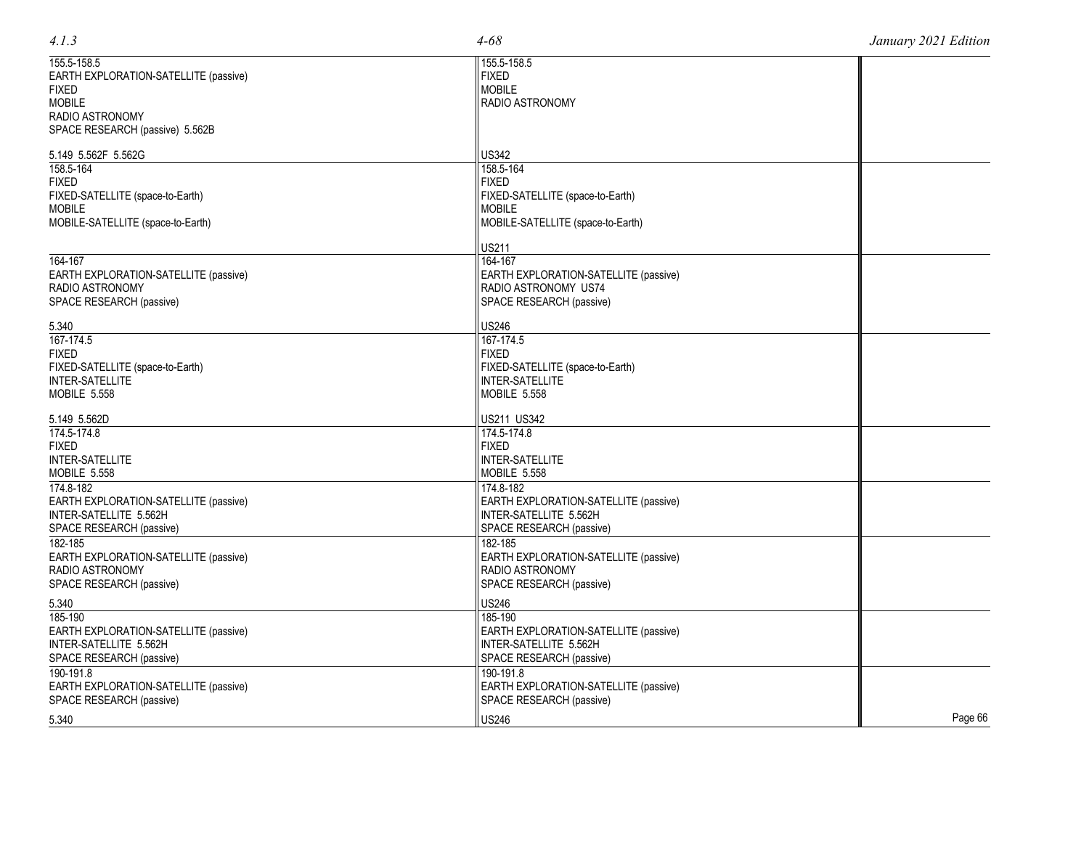| 155.5-158.5                           | 155.5-158.5                           |  |
|---------------------------------------|---------------------------------------|--|
| EARTH EXPLORATION-SATELLITE (passive) | <b>FIXED</b>                          |  |
| <b>FIXED</b>                          | <b>MOBILE</b>                         |  |
| <b>MOBILE</b>                         | <b>RADIO ASTRONOMY</b>                |  |
| <b>RADIO ASTRONOMY</b>                |                                       |  |
|                                       |                                       |  |
| SPACE RESEARCH (passive) 5.562B       |                                       |  |
| 5.149 5.562F 5.562G                   | <b>US342</b>                          |  |
| 158.5-164                             | 158.5-164                             |  |
| <b>FIXED</b>                          | <b>FIXED</b>                          |  |
| FIXED-SATELLITE (space-to-Earth)      | FIXED-SATELLITE (space-to-Earth)      |  |
| <b>MOBILE</b>                         | <b>MOBILE</b>                         |  |
| MOBILE-SATELLITE (space-to-Earth)     | MOBILE-SATELLITE (space-to-Earth)     |  |
|                                       |                                       |  |
|                                       | <b>US211</b>                          |  |
| 164-167                               | 164-167                               |  |
| EARTH EXPLORATION-SATELLITE (passive) | EARTH EXPLORATION-SATELLITE (passive) |  |
| RADIO ASTRONOMY                       | RADIO ASTRONOMY US74                  |  |
| SPACE RESEARCH (passive)              | SPACE RESEARCH (passive)              |  |
|                                       |                                       |  |
| 5.340                                 | <b>US246</b>                          |  |
| 167-174.5                             | $167 - 174.5$                         |  |
| <b>FIXED</b>                          | <b>FIXED</b>                          |  |
| FIXED-SATELLITE (space-to-Earth)      | FIXED-SATELLITE (space-to-Earth)      |  |
| <b>INTER-SATELLITE</b>                | <b>INTER-SATELLITE</b>                |  |
| MOBILE 5.558                          | <b>MOBILE 5.558</b>                   |  |
| 5.149 5.562D                          | US211 US342                           |  |
| 174.5-174.8                           | 174.5-174.8                           |  |
| <b>FIXED</b>                          | <b>FIXED</b>                          |  |
| <b>INTER-SATELLITE</b>                | <b>INTER-SATELLITE</b>                |  |
|                                       |                                       |  |
| MOBILE 5.558                          | MOBILE 5.558                          |  |
| 174.8-182                             | 174.8-182                             |  |
| EARTH EXPLORATION-SATELLITE (passive) | EARTH EXPLORATION-SATELLITE (passive) |  |
| INTER-SATELLITE 5.562H                | INTER-SATELLITE 5.562H                |  |
| SPACE RESEARCH (passive)              | SPACE RESEARCH (passive)              |  |
| 182-185                               | 182-185                               |  |
| EARTH EXPLORATION-SATELLITE (passive) | EARTH EXPLORATION-SATELLITE (passive) |  |
| <b>RADIO ASTRONOMY</b>                | <b>RADIO ASTRONOMY</b>                |  |
| SPACE RESEARCH (passive)              | SPACE RESEARCH (passive)              |  |
|                                       |                                       |  |
| 5.340                                 | <b>US246</b>                          |  |

185 -190

190 -191.8

EARTH EXPLORATION -SATELLITE (passive)

EARTH EXPLORATION -SATELLITE (passive)

US246 Page 66

INTER -SATELLITE 5.562H SPACE RESEARCH (passive)

SPACE RESEARCH (passive)

185 -190

190 -191.8

5.340

EARTH EXPLORATION -SATELLITE (passive)

EARTH EXPLORATION -SATELLITE (passive)

INTER -SATELLITE 5.562H SPACE RESEARCH (passive)

SPACE RESEARCH (passive)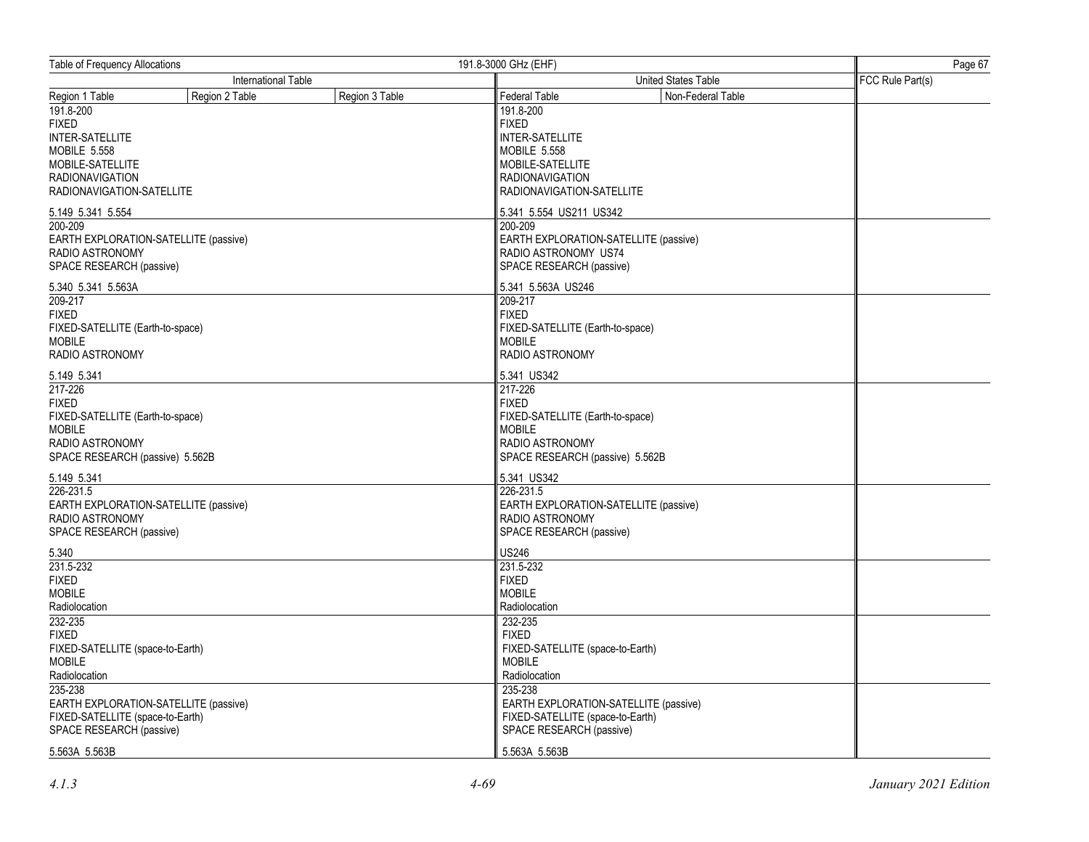| Table of Frequency Allocations        |                            | 191.8-3000 GHz (EHF) |                                       |                     |  |  |
|---------------------------------------|----------------------------|----------------------|---------------------------------------|---------------------|--|--|
|                                       | <b>International Table</b> |                      |                                       | United States Table |  |  |
| Region 1 Table                        | Region 2 Table             | Region 3 Table       | Federal Table                         | Non-Federal Table   |  |  |
| 191.8-200                             |                            |                      | 191.8-200                             |                     |  |  |
| <b>FIXED</b>                          |                            |                      | <b>FIXED</b>                          |                     |  |  |
| INTER-SATELLITE                       |                            |                      | <b>INTER-SATELLITE</b>                |                     |  |  |
| <b>MOBILE 5.558</b>                   |                            |                      | <b>MOBILE 5.558</b>                   |                     |  |  |
| MOBILE-SATELLITE                      |                            |                      | MOBILE-SATELLITE                      |                     |  |  |
| <b>RADIONAVIGATION</b>                |                            |                      | <b>RADIONAVIGATION</b>                |                     |  |  |
| RADIONAVIGATION-SATELLITE             |                            |                      | RADIONAVIGATION-SATELLITE             |                     |  |  |
| 5.149 5.341 5.554                     |                            |                      | 5.341 5.554 US211 US342               |                     |  |  |
| 200-209                               |                            |                      | 200-209                               |                     |  |  |
| EARTH EXPLORATION-SATELLITE (passive) |                            |                      | EARTH EXPLORATION-SATELLITE (passive) |                     |  |  |
| RADIO ASTRONOMY                       |                            |                      | RADIO ASTRONOMY US74                  |                     |  |  |
| SPACE RESEARCH (passive)              |                            |                      | SPACE RESEARCH (passive)              |                     |  |  |
| 5.340 5.341 5.563A                    |                            |                      | 5.341 5.563A US246                    |                     |  |  |
| 209-217                               |                            |                      | 209-217                               |                     |  |  |
| <b>FIXED</b>                          |                            |                      | <b>FIXED</b>                          |                     |  |  |
| FIXED-SATELLITE (Earth-to-space)      |                            |                      | FIXED-SATELLITE (Earth-to-space)      |                     |  |  |
| <b>MOBILE</b>                         |                            |                      | <b>MOBILE</b>                         |                     |  |  |
| RADIO ASTRONOMY                       |                            |                      | RADIO ASTRONOMY                       |                     |  |  |
| 5.149 5.341                           |                            |                      | 5.341 US342                           |                     |  |  |
| 217-226                               |                            |                      | 217-226                               |                     |  |  |
| <b>FIXED</b>                          |                            |                      | <b>FIXED</b>                          |                     |  |  |
| FIXED-SATELLITE (Earth-to-space)      |                            |                      | FIXED-SATELLITE (Earth-to-space)      |                     |  |  |
| <b>MOBILE</b>                         |                            |                      | <b>MOBILE</b>                         |                     |  |  |
| RADIO ASTRONOMY                       |                            |                      | RADIO ASTRONOMY                       |                     |  |  |
| SPACE RESEARCH (passive) 5.562B       |                            |                      | SPACE RESEARCH (passive) 5.562B       |                     |  |  |
| 5.149 5.341                           |                            |                      | 5.341 US342                           |                     |  |  |
| 226-231.5                             |                            |                      | 226-231.5                             |                     |  |  |
| EARTH EXPLORATION-SATELLITE (passive) |                            |                      | EARTH EXPLORATION-SATELLITE (passive) |                     |  |  |
| RADIO ASTRONOMY                       |                            |                      | RADIO ASTRONOMY                       |                     |  |  |
| SPACE RESEARCH (passive)              |                            |                      | SPACE RESEARCH (passive)              |                     |  |  |
| 5.340                                 |                            |                      | <b>US246</b>                          |                     |  |  |
| 231.5-232                             |                            |                      | 231.5-232                             |                     |  |  |
| <b>FIXED</b><br><b>MOBILE</b>         |                            |                      | <b>FIXED</b><br><b>MOBILE</b>         |                     |  |  |
| Radiolocation                         |                            |                      | Radiolocation                         |                     |  |  |
| 232-235                               |                            |                      | 232-235                               |                     |  |  |
| <b>FIXED</b>                          |                            |                      | <b>FIXED</b>                          |                     |  |  |
| FIXED-SATELLITE (space-to-Earth)      |                            |                      | FIXED-SATELLITE (space-to-Earth)      |                     |  |  |
| <b>MOBILE</b>                         |                            |                      | <b>MOBILE</b>                         |                     |  |  |
| Radiolocation                         |                            |                      | Radiolocation                         |                     |  |  |
| 235-238                               |                            |                      | 235-238                               |                     |  |  |
| EARTH EXPLORATION-SATELLITE (passive) |                            |                      | EARTH EXPLORATION-SATELLITE (passive) |                     |  |  |
| FIXED-SATELLITE (space-to-Earth)      |                            |                      | FIXED-SATELLITE (space-to-Earth)      |                     |  |  |
| SPACE RESEARCH (passive)              |                            |                      | SPACE RESEARCH (passive)              |                     |  |  |
| 5.563A 5.563B                         |                            |                      | 5.563A 5.563B                         |                     |  |  |
|                                       |                            |                      |                                       |                     |  |  |